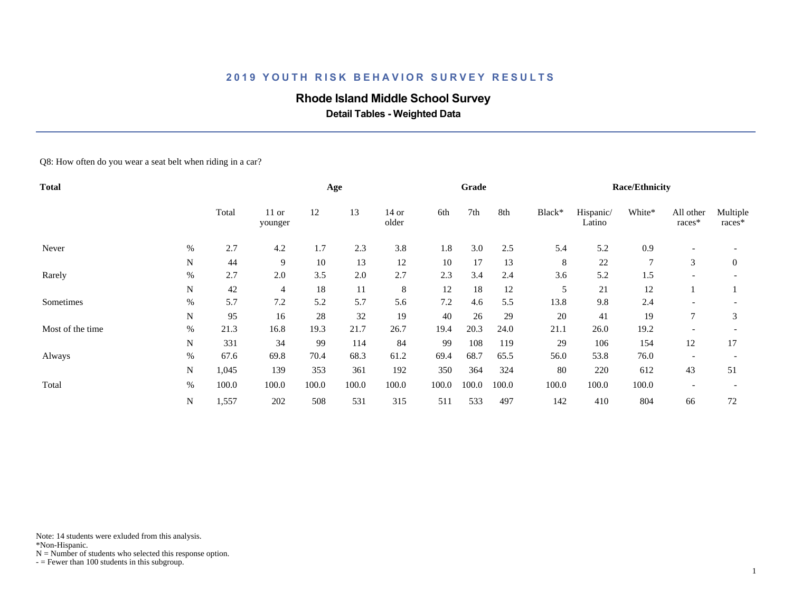# **Rhode Island Middle School Survey**

 **Detail Tables - Weighted Data**

Q8: How often do you wear a seat belt when riding in a car?

| <b>Total</b>     |      |       |                    |       | Age   |                  |       | Grade |       |        |                     | <b>Race/Ethnicity</b> |                          |                    |
|------------------|------|-------|--------------------|-------|-------|------------------|-------|-------|-------|--------|---------------------|-----------------------|--------------------------|--------------------|
|                  |      | Total | $11$ or<br>younger | 12    | 13    | $14$ or<br>older | 6th   | 7th   | 8th   | Black* | Hispanic/<br>Latino | White*                | All other<br>races*      | Multiple<br>races* |
| Never            | $\%$ | 2.7   | 4.2                | 1.7   | 2.3   | 3.8              | 1.8   | 3.0   | 2.5   | 5.4    | 5.2                 | 0.9                   | $\overline{\phantom{a}}$ |                    |
|                  | N    | 44    | 9                  | 10    | 13    | 12               | 10    | 17    | 13    | 8      | 22                  | 7                     | 3                        | $\mathbf{0}$       |
| Rarely           | $\%$ | 2.7   | 2.0                | 3.5   | 2.0   | 2.7              | 2.3   | 3.4   | 2.4   | 3.6    | 5.2                 | 1.5                   | $\overline{\phantom{a}}$ |                    |
|                  | N    | 42    | $\overline{4}$     | 18    | 11    | 8                | 12    | 18    | 12    | 5      | 21                  | 12                    |                          |                    |
| Sometimes        | $\%$ | 5.7   | 7.2                | 5.2   | 5.7   | 5.6              | 7.2   | 4.6   | 5.5   | 13.8   | 9.8                 | 2.4                   |                          |                    |
|                  | N    | 95    | 16                 | 28    | 32    | 19               | 40    | 26    | 29    | 20     | 41                  | 19                    | $\tau$                   | 3                  |
| Most of the time | %    | 21.3  | 16.8               | 19.3  | 21.7  | 26.7             | 19.4  | 20.3  | 24.0  | 21.1   | 26.0                | 19.2                  |                          |                    |
|                  | N    | 331   | 34                 | 99    | 114   | 84               | 99    | 108   | 119   | 29     | 106                 | 154                   | 12                       | 17                 |
| Always           | %    | 67.6  | 69.8               | 70.4  | 68.3  | 61.2             | 69.4  | 68.7  | 65.5  | 56.0   | 53.8                | 76.0                  |                          |                    |
|                  | N    | 1,045 | 139                | 353   | 361   | 192              | 350   | 364   | 324   | 80     | 220                 | 612                   | 43                       | 51                 |
| Total            | $\%$ | 100.0 | 100.0              | 100.0 | 100.0 | 100.0            | 100.0 | 100.0 | 100.0 | 100.0  | 100.0               | 100.0                 |                          |                    |
|                  | N    | 1,557 | 202                | 508   | 531   | 315              | 511   | 533   | 497   | 142    | 410                 | 804                   | 66                       | 72                 |

Note: 14 students were exluded from this analysis.

\*Non-Hispanic.

 $N =$  Number of students who selected this response option.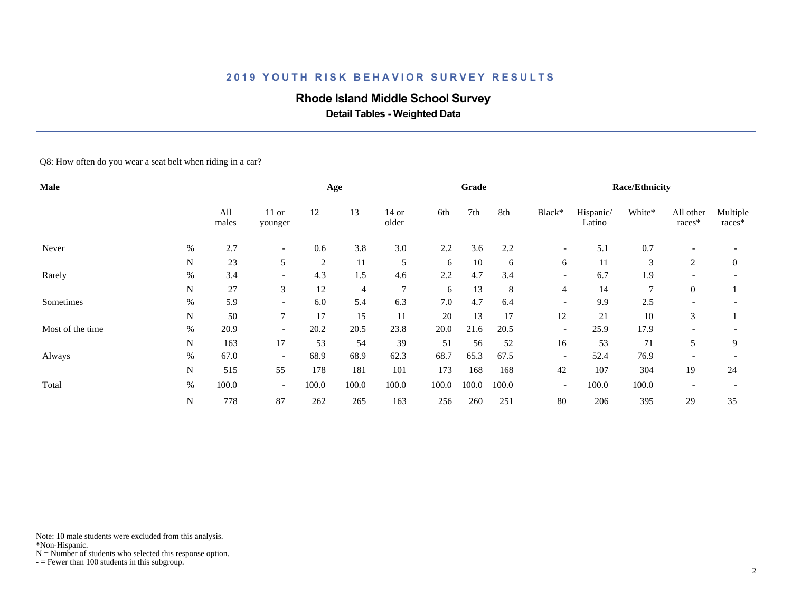# **Rhode Island Middle School Survey**

 **Detail Tables - Weighted Data**

Q8: How often do you wear a seat belt when riding in a car?

| Male             |      |              |                          |       | Age            |                  |       | Grade |       |                          |                     | <b>Race/Ethnicity</b> |                          |                    |
|------------------|------|--------------|--------------------------|-------|----------------|------------------|-------|-------|-------|--------------------------|---------------------|-----------------------|--------------------------|--------------------|
|                  |      | All<br>males | $11$ or<br>younger       | 12    | 13             | $14$ or<br>older | 6th   | 7th   | 8th   | Black*                   | Hispanic/<br>Latino | White*                | All other<br>races*      | Multiple<br>races* |
| Never            | %    | 2.7          | $\overline{\phantom{a}}$ | 0.6   | 3.8            | 3.0              | 2.2   | 3.6   | 2.2   | $\overline{\phantom{a}}$ | 5.1                 | 0.7                   | $\overline{\phantom{a}}$ |                    |
|                  | N    | 23           | 5                        | 2     | 11             | 5                | 6     | 10    | 6     | 6                        | 11                  | 3                     | 2                        | $\overline{0}$     |
| Rarely           | %    | 3.4          | $\overline{\phantom{a}}$ | 4.3   | 1.5            | 4.6              | 2.2   | 4.7   | 3.4   | $\overline{\phantom{a}}$ | 6.7                 | 1.9                   |                          |                    |
|                  | N    | 27           | 3                        | 12    | $\overline{4}$ | 7                | 6     | 13    | 8     | $\overline{4}$           | 14                  | $\overline{7}$        | $\theta$                 |                    |
| Sometimes        | %    | 5.9          | $\overline{\phantom{a}}$ | 6.0   | 5.4            | 6.3              | 7.0   | 4.7   | 6.4   | $\overline{\phantom{a}}$ | 9.9                 | 2.5                   |                          |                    |
|                  | N    | 50           | $\overline{7}$           | 17    | 15             | 11               | 20    | 13    | 17    | 12                       | 21                  | 10                    | 3                        |                    |
| Most of the time | %    | 20.9         | $\overline{\phantom{a}}$ | 20.2  | 20.5           | 23.8             | 20.0  | 21.6  | 20.5  | $\overline{\phantom{a}}$ | 25.9                | 17.9                  |                          |                    |
|                  | N    | 163          | 17                       | 53    | 54             | 39               | 51    | 56    | 52    | 16                       | 53                  | 71                    | 5                        | 9                  |
| Always           | $\%$ | 67.0         | $\overline{\phantom{a}}$ | 68.9  | 68.9           | 62.3             | 68.7  | 65.3  | 67.5  | $\overline{\phantom{a}}$ | 52.4                | 76.9                  |                          |                    |
|                  | N    | 515          | 55                       | 178   | 181            | 101              | 173   | 168   | 168   | 42                       | 107                 | 304                   | 19                       | 24                 |
| Total            | %    | 100.0        | $\overline{\phantom{a}}$ | 100.0 | 100.0          | 100.0            | 100.0 | 100.0 | 100.0 | $\overline{\phantom{a}}$ | 100.0               | 100.0                 |                          |                    |
|                  | N    | 778          | 87                       | 262   | 265            | 163              | 256   | 260   | 251   | 80                       | 206                 | 395                   | 29                       | 35                 |

Note: 10 male students were excluded from this analysis.

\*Non-Hispanic.

 $N =$  Number of students who selected this response option.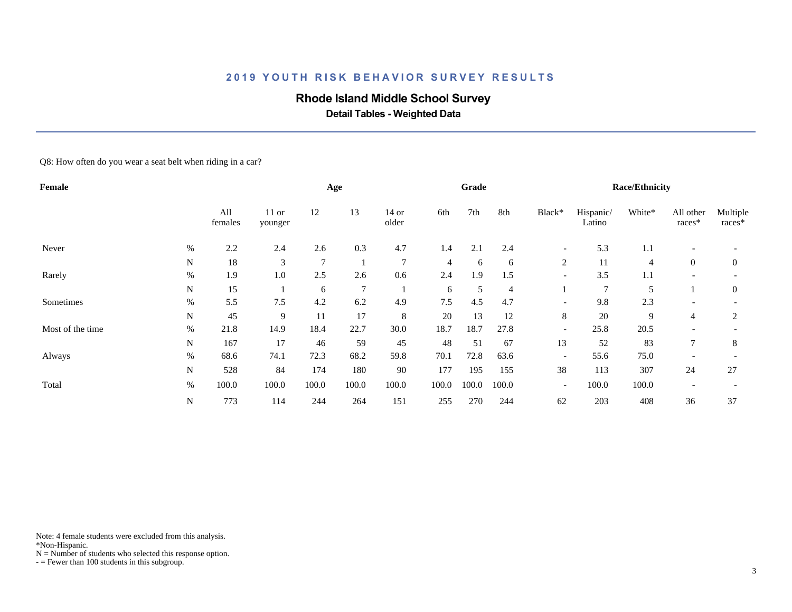# **Rhode Island Middle School Survey**

 **Detail Tables - Weighted Data**

Q8: How often do you wear a seat belt when riding in a car?

| Female           |             |                |                    |        | Age            |                  |                | Grade |       |                          |                     | <b>Race/Ethnicity</b> |                     |                    |
|------------------|-------------|----------------|--------------------|--------|----------------|------------------|----------------|-------|-------|--------------------------|---------------------|-----------------------|---------------------|--------------------|
|                  |             | All<br>females | $11$ or<br>younger | 12     | 13             | $14$ or<br>older | 6th            | 7th   | 8th   | Black*                   | Hispanic/<br>Latino | White*                | All other<br>races* | Multiple<br>races* |
| Never            | %           | 2.2            | 2.4                | 2.6    | 0.3            | 4.7              | 1.4            | 2.1   | 2.4   | $\overline{\phantom{a}}$ | 5.3                 | 1.1                   |                     |                    |
|                  | N           | 18             | 3                  | $\tau$ |                | $7\phantom{.0}$  | $\overline{4}$ | 6     | 6     | 2                        | 11                  | $\overline{4}$        | $\overline{0}$      | $\overline{0}$     |
| Rarely           | %           | 1.9            | 1.0                | 2.5    | 2.6            | 0.6              | 2.4            | 1.9   | 1.5   | $\overline{\phantom{a}}$ | 3.5                 | 1.1                   |                     |                    |
|                  | $\mathbf N$ | 15             |                    | 6      | $\overline{7}$ |                  | 6              | 5     | 4     |                          | $\overline{7}$      | 5                     |                     | $\overline{0}$     |
| Sometimes        | $\%$        | 5.5            | 7.5                | 4.2    | 6.2            | 4.9              | 7.5            | 4.5   | 4.7   | $\overline{\phantom{a}}$ | 9.8                 | 2.3                   |                     |                    |
|                  | N           | 45             | 9                  | 11     | 17             | 8                | 20             | 13    | 12    | 8                        | 20                  | 9                     | $\overline{4}$      | 2                  |
| Most of the time | %           | 21.8           | 14.9               | 18.4   | 22.7           | 30.0             | 18.7           | 18.7  | 27.8  | $\overline{\phantom{a}}$ | 25.8                | 20.5                  |                     |                    |
|                  | N           | 167            | 17                 | 46     | 59             | 45               | 48             | 51    | 67    | 13                       | 52                  | 83                    |                     | 8                  |
| Always           | $\%$        | 68.6           | 74.1               | 72.3   | 68.2           | 59.8             | 70.1           | 72.8  | 63.6  | $\overline{\phantom{a}}$ | 55.6                | 75.0                  |                     |                    |
|                  | N           | 528            | 84                 | 174    | 180            | 90               | 177            | 195   | 155   | 38                       | 113                 | 307                   | 24                  | 27                 |
| Total            | %           | 100.0          | 100.0              | 100.0  | 100.0          | 100.0            | 100.0          | 100.0 | 100.0 | $\overline{\phantom{a}}$ | 100.0               | 100.0                 |                     |                    |
|                  | N           | 773            | 114                | 244    | 264            | 151              | 255            | 270   | 244   | 62                       | 203                 | 408                   | 36                  | 37                 |

Note: 4 female students were excluded from this analysis.

\*Non-Hispanic.

 $N =$  Number of students who selected this response option.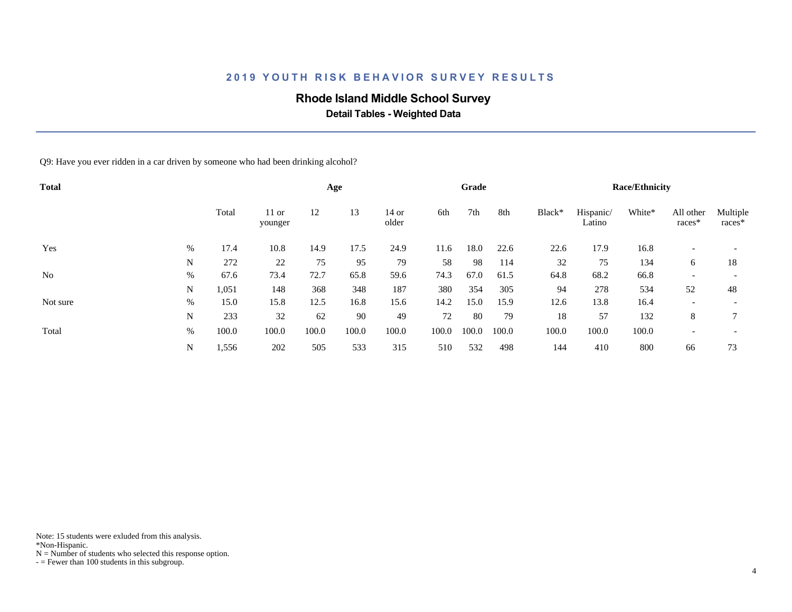# **Rhode Island Middle School Survey**

 **Detail Tables - Weighted Data**

Q9: Have you ever ridden in a car driven by someone who had been drinking alcohol?

| <b>Total</b>   |      |       |                    |       | Age   |                |       | Grade |       |        |                     | <b>Race/Ethnicity</b> |                          |                          |
|----------------|------|-------|--------------------|-------|-------|----------------|-------|-------|-------|--------|---------------------|-----------------------|--------------------------|--------------------------|
|                |      | Total | $11$ or<br>younger | 12    | 13    | 14 or<br>older | 6th   | 7th   | 8th   | Black* | Hispanic/<br>Latino | White*                | All other<br>races*      | Multiple<br>races*       |
| Yes            | %    | 17.4  | 10.8               | 14.9  | 17.5  | 24.9           | 11.6  | 18.0  | 22.6  | 22.6   | 17.9                | 16.8                  |                          |                          |
|                | N    | 272   | 22                 | 75    | 95    | 79             | 58    | 98    | 114   | 32     | 75                  | 134                   | 6                        | 18                       |
| N <sub>0</sub> | $\%$ | 67.6  | 73.4               | 72.7  | 65.8  | 59.6           | 74.3  | 67.0  | 61.5  | 64.8   | 68.2                | 66.8                  | $\overline{\phantom{a}}$ |                          |
|                | N    | 1,051 | 148                | 368   | 348   | 187            | 380   | 354   | 305   | 94     | 278                 | 534                   | 52                       | 48                       |
| Not sure       | %    | 15.0  | 15.8               | 12.5  | 16.8  | 15.6           | 14.2  | 15.0  | 15.9  | 12.6   | 13.8                | 16.4                  | $\overline{\phantom{a}}$ | $\overline{\phantom{a}}$ |
|                | N    | 233   | 32                 | 62    | 90    | 49             | 72    | 80    | 79    | 18     | 57                  | 132                   | 8                        | 7                        |
| Total          | %    | 100.0 | 100.0              | 100.0 | 100.0 | 100.0          | 100.0 | 100.0 | 100.0 | 100.0  | 100.0               | 100.0                 | $\overline{\phantom{a}}$ |                          |
|                | N    | 1,556 | 202                | 505   | 533   | 315            | 510   | 532   | 498   | 144    | 410                 | 800                   | 66                       | 73                       |

Note: 15 students were exluded from this analysis.

\*Non-Hispanic.

 $N =$  Number of students who selected this response option.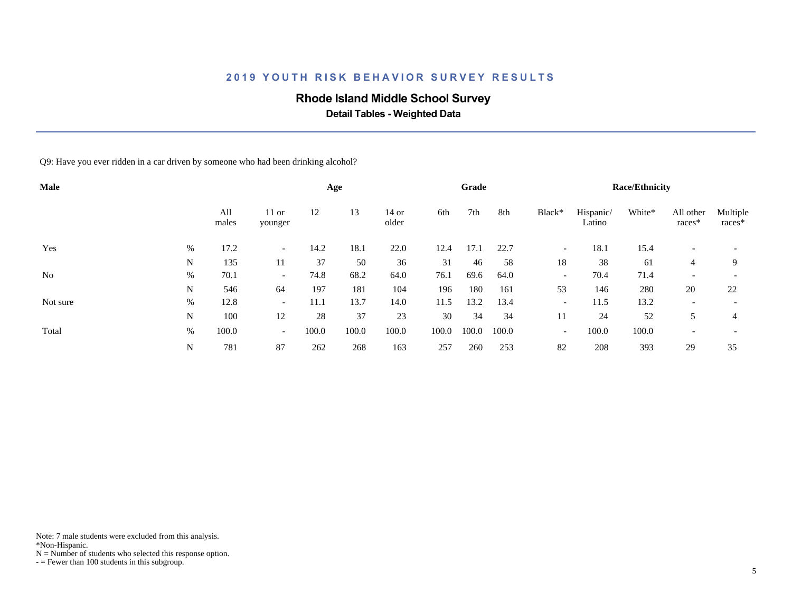# **Rhode Island Middle School Survey**

 **Detail Tables - Weighted Data**

Q9: Have you ever ridden in a car driven by someone who had been drinking alcohol?

| Male           |      |              |                          |       | Age   |                |       | Grade |       |                          |                     | <b>Race/Ethnicity</b> |                          |                          |
|----------------|------|--------------|--------------------------|-------|-------|----------------|-------|-------|-------|--------------------------|---------------------|-----------------------|--------------------------|--------------------------|
|                |      | All<br>males | $11$ or<br>younger       | 12    | 13    | 14 or<br>older | 6th   | 7th   | 8th   | Black*                   | Hispanic/<br>Latino | White*                | All other<br>races*      | Multiple<br>races*       |
| Yes            | %    | 17.2         | $\overline{\phantom{0}}$ | 14.2  | 18.1  | 22.0           | 12.4  | 17.1  | 22.7  | $\overline{\phantom{a}}$ | 18.1                | 15.4                  |                          |                          |
|                | N    | 135          | 11                       | 37    | 50    | 36             | 31    | 46    | 58    | 18                       | 38                  | 61                    | 4                        | 9                        |
| N <sub>0</sub> | $\%$ | 70.1         | $\overline{\phantom{0}}$ | 74.8  | 68.2  | 64.0           | 76.1  | 69.6  | 64.0  | $\overline{\phantom{a}}$ | 70.4                | 71.4                  | $\overline{\phantom{a}}$ | $\overline{\phantom{a}}$ |
|                | N    | 546          | 64                       | 197   | 181   | 104            | 196   | 180   | 161   | 53                       | 146                 | 280                   | 20                       | 22                       |
| Not sure       | %    | 12.8         | $\overline{\phantom{a}}$ | 11.1  | 13.7  | 14.0           | 11.5  | 13.2  | 13.4  | $\overline{\phantom{a}}$ | 11.5                | 13.2                  | $\overline{\phantom{a}}$ | $\overline{\phantom{a}}$ |
|                | N    | 100          | 12                       | 28    | 37    | 23             | 30    | 34    | 34    | 11                       | 24                  | 52                    | 5                        | 4                        |
| Total          | %    | 100.0        | $\overline{a}$           | 100.0 | 100.0 | 100.0          | 100.0 | 100.0 | 100.0 | $\overline{\phantom{a}}$ | 100.0               | 100.0                 | $\overline{\phantom{a}}$ |                          |
|                | N    | 781          | 87                       | 262   | 268   | 163            | 257   | 260   | 253   | 82                       | 208                 | 393                   | 29                       | 35                       |

Note: 7 male students were excluded from this analysis.

\*Non-Hispanic.

 $N =$  Number of students who selected this response option.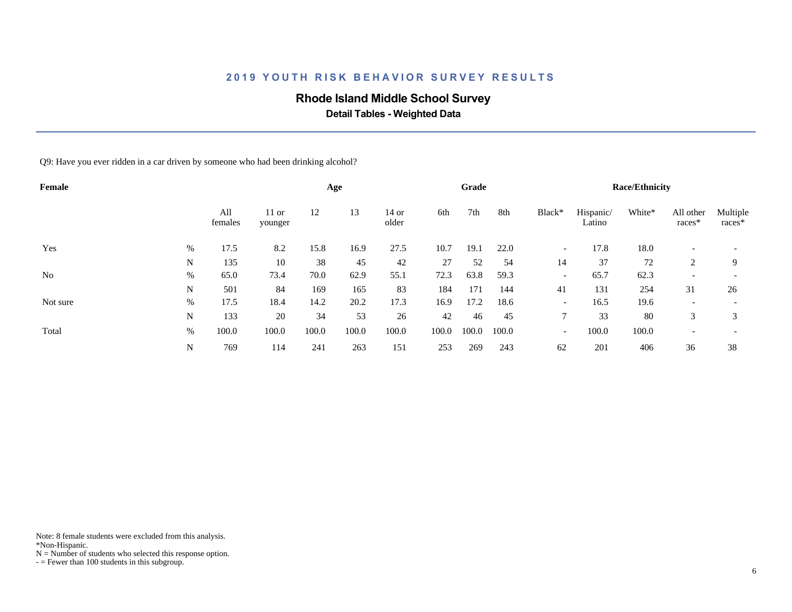# **Rhode Island Middle School Survey**

 **Detail Tables - Weighted Data**

Q9: Have you ever ridden in a car driven by someone who had been drinking alcohol?

| Female   |      |                |                    |       | Age   |                  |       | Grade |       |                          |                     | <b>Race/Ethnicity</b> |                          |                          |
|----------|------|----------------|--------------------|-------|-------|------------------|-------|-------|-------|--------------------------|---------------------|-----------------------|--------------------------|--------------------------|
|          |      | All<br>females | $11$ or<br>younger | 12    | 13    | $14$ or<br>older | 6th   | 7th   | 8th   | Black*                   | Hispanic/<br>Latino | White*                | All other<br>races*      | Multiple<br>races*       |
| Yes      | $\%$ | 17.5           | 8.2                | 15.8  | 16.9  | 27.5             | 10.7  | 19.1  | 22.0  | $\overline{\phantom{0}}$ | 17.8                | 18.0                  | $\overline{\phantom{0}}$ |                          |
|          | N    | 135            | 10                 | 38    | 45    | 42               | 27    | 52    | 54    | 14                       | 37                  | 72                    | 2                        | 9                        |
| No       | $\%$ | 65.0           | 73.4               | 70.0  | 62.9  | 55.1             | 72.3  | 63.8  | 59.3  | $\overline{\phantom{a}}$ | 65.7                | 62.3                  | $\overline{\phantom{a}}$ | $\overline{\phantom{0}}$ |
|          | N    | 501            | 84                 | 169   | 165   | 83               | 184   | 171   | 144   | 41                       | 131                 | 254                   | 31                       | 26                       |
| Not sure | $\%$ | 17.5           | 18.4               | 14.2  | 20.2  | 17.3             | 16.9  | 17.2  | 18.6  | $\overline{\phantom{a}}$ | 16.5                | 19.6                  | $\overline{\phantom{a}}$ |                          |
|          | N    | 133            | 20                 | 34    | 53    | 26               | 42    | 46    | 45    | 7                        | 33                  | 80                    | 3                        | 3                        |
| Total    | %    | 100.0          | 100.0              | 100.0 | 100.0 | 100.0            | 100.0 | 100.0 | 100.0 | $\overline{\phantom{a}}$ | 100.0               | 100.0                 | $\overline{\phantom{a}}$ |                          |
|          | N    | 769            | 114                | 241   | 263   | 151              | 253   | 269   | 243   | 62                       | 201                 | 406                   | 36                       | 38                       |

Note: 8 female students were excluded from this analysis.

\*Non-Hispanic.

 $N =$  Number of students who selected this response option.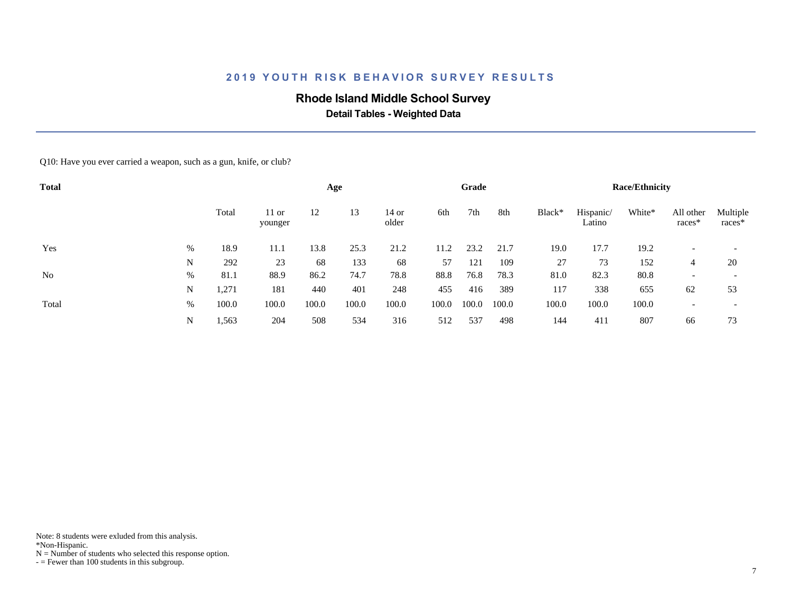# **Rhode Island Middle School Survey**

 **Detail Tables - Weighted Data**

Q10: Have you ever carried a weapon, such as a gun, knife, or club?

| <b>Total</b>   |   |       |                    |       | Age   |                |       | Grade |       |        |                     | <b>Race/Ethnicity</b> |                          |                          |
|----------------|---|-------|--------------------|-------|-------|----------------|-------|-------|-------|--------|---------------------|-----------------------|--------------------------|--------------------------|
|                |   | Total | $11$ or<br>younger | 12    | 13    | 14 or<br>older | 6th   | 7th   | 8th   | Black* | Hispanic/<br>Latino | White*                | All other<br>races*      | Multiple<br>races*       |
| Yes            | % | 18.9  | 11.1               | 13.8  | 25.3  | 21.2           | 11.2  | 23.2  | 21.7  | 19.0   | 17.7                | 19.2                  |                          |                          |
|                | N | 292   | 23                 | 68    | 133   | 68             | 57    | 121   | 109   | 27     | 73                  | 152                   | 4                        | 20                       |
| N <sub>0</sub> | % | 81.1  | 88.9               | 86.2  | 74.7  | 78.8           | 88.8  | 76.8  | 78.3  | 81.0   | 82.3                | 80.8                  | $\overline{\phantom{a}}$ | $\overline{\phantom{a}}$ |
|                | N | 1,271 | 181                | 440   | 401   | 248            | 455   | 416   | 389   | 117    | 338                 | 655                   | 62                       | 53                       |
| Total          | % | 100.0 | 100.0              | 100.0 | 100.0 | 100.0          | 100.0 | 100.0 | 100.0 | 100.0  | 100.0               | 100.0                 |                          |                          |
|                | N | 1,563 | 204                | 508   | 534   | 316            | 512   | 537   | 498   | 144    | 411                 | 807                   | 66                       | 73                       |

\*Non-Hispanic.

 $N =$  Number of students who selected this response option.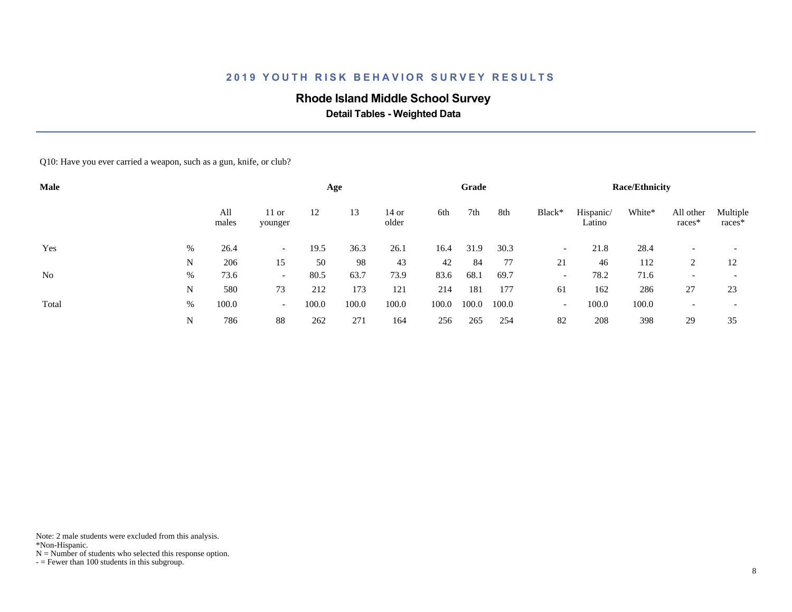# **Rhode Island Middle School Survey**

 **Detail Tables - Weighted Data**

Q10: Have you ever carried a weapon, such as a gun, knife, or club?

| <b>Male</b>    |   |              |                          |       | Age   |                |       | Grade |       |                          |                     | <b>Race/Ethnicity</b> |                          |                    |
|----------------|---|--------------|--------------------------|-------|-------|----------------|-------|-------|-------|--------------------------|---------------------|-----------------------|--------------------------|--------------------|
|                |   | All<br>males | $11$ or<br>younger       | 12    | 13    | 14 or<br>older | 6th   | 7th   | 8th   | Black*                   | Hispanic/<br>Latino | White*                | All other<br>races*      | Multiple<br>races* |
| Yes            | % | 26.4         | $\overline{\phantom{0}}$ | 19.5  | 36.3  | 26.1           | 16.4  | 31.9  | 30.3  | $\overline{\phantom{a}}$ | 21.8                | 28.4                  |                          |                    |
|                | N | 206          | 15                       | 50    | 98    | 43             | 42    | 84    | 77    | 21                       | 46                  | 112                   | 2                        | 12                 |
| N <sub>o</sub> | % | 73.6         | $\overline{\phantom{0}}$ | 80.5  | 63.7  | 73.9           | 83.6  | 68.1  | 69.7  | $\overline{\phantom{0}}$ | 78.2                | 71.6                  | $\overline{\phantom{a}}$ |                    |
|                | N | 580          | 73                       | 212   | 173   | 121            | 214   | 181   | 177   | 61                       | 162                 | 286                   | 27                       | 23                 |
| Total          | % | 100.0        | $\overline{\phantom{0}}$ | 100.0 | 100.0 | 100.0          | 100.0 | 100.0 | 100.0 | $\overline{\phantom{a}}$ | 100.0               | 100.0                 |                          |                    |
|                | N | 786          | 88                       | 262   | 271   | 164            | 256   | 265   | 254   | 82                       | 208                 | 398                   | 29                       | 35                 |

Note: 2 male students were excluded from this analysis.

\*Non-Hispanic.

 $N =$  Number of students who selected this response option.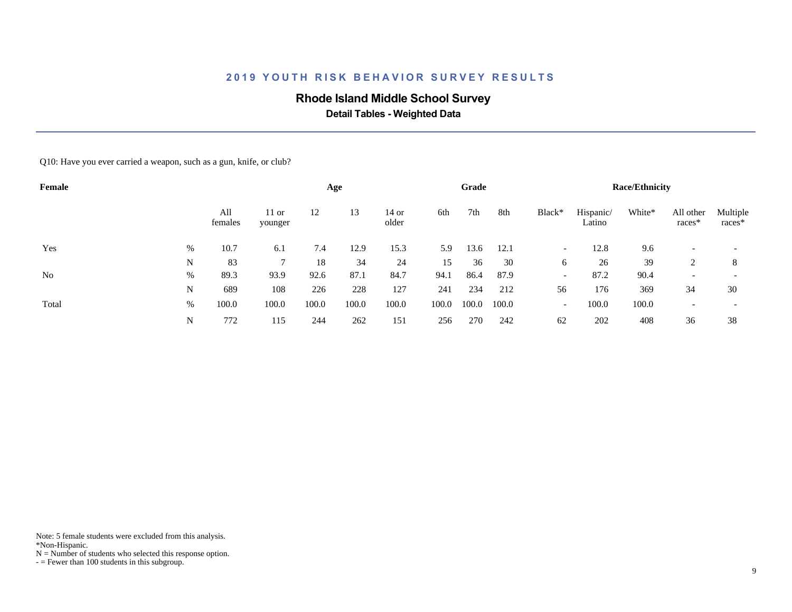# **Rhode Island Middle School Survey**

 **Detail Tables - Weighted Data**

Q10: Have you ever carried a weapon, such as a gun, knife, or club?

| Female         |   |                |                    |       | Age   |                  |       | Grade |       |                          |                     | <b>Race/Ethnicity</b> |                          |                    |
|----------------|---|----------------|--------------------|-------|-------|------------------|-------|-------|-------|--------------------------|---------------------|-----------------------|--------------------------|--------------------|
|                |   | All<br>females | $11$ or<br>younger | 12    | 13    | $14$ or<br>older | 6th   | 7th   | 8th   | Black*                   | Hispanic/<br>Latino | White*                | All other<br>$races*$    | Multiple<br>races* |
| Yes            | % | 10.7           | 6.1                | 7.4   | 12.9  | 15.3             | 5.9   | 13.6  | 12.1  | $\overline{\phantom{a}}$ | 12.8                | 9.6                   |                          |                    |
|                | N | 83             |                    | 18    | 34    | 24               | 15    | 36    | 30    | 6                        | 26                  | 39                    |                          | 8                  |
| N <sub>0</sub> | % | 89.3           | 93.9               | 92.6  | 87.1  | 84.7             | 94.1  | 86.4  | 87.9  | $\overline{\phantom{a}}$ | 87.2                | 90.4                  | $\overline{\phantom{a}}$ |                    |
|                | N | 689            | 108                | 226   | 228   | 127              | 241   | 234   | 212   | 56                       | 176                 | 369                   | 34                       | 30                 |
| Total          | % | 100.0          | 100.0              | 100.0 | 100.0 | 100.0            | 100.0 | 100.0 | 100.0 | $\overline{\phantom{a}}$ | 100.0               | 100.0                 |                          |                    |
|                | N | 772            | 115                | 244   | 262   | 151              | 256   | 270   | 242   | 62                       | 202                 | 408                   | 36                       | 38                 |

Note: 5 female students were excluded from this analysis.

\*Non-Hispanic.

 $N =$  Number of students who selected this response option.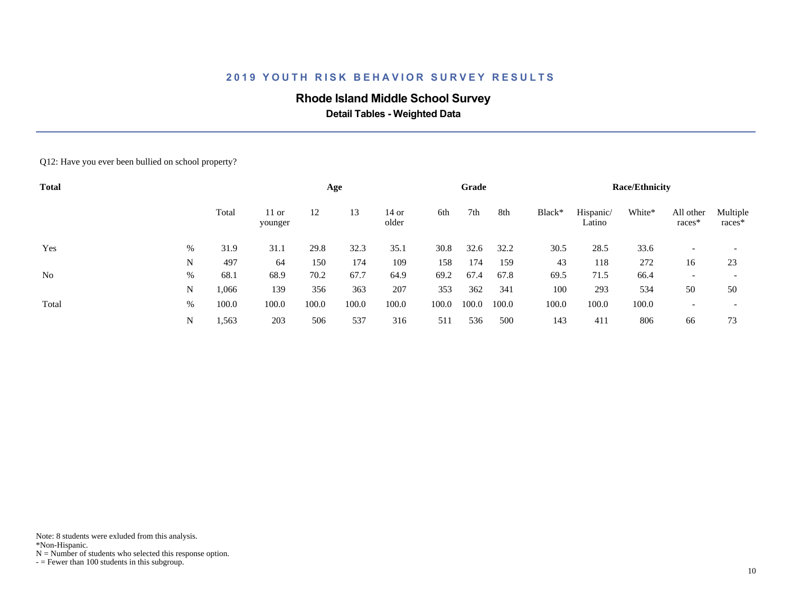# **Rhode Island Middle School Survey**

 **Detail Tables - Weighted Data**

#### Q12: Have you ever been bullied on school property?

| <b>Total</b> |   |       |                    |       | Age   |                  |       | Grade |       |        |                     | <b>Race/Ethnicity</b> |                          |                          |
|--------------|---|-------|--------------------|-------|-------|------------------|-------|-------|-------|--------|---------------------|-----------------------|--------------------------|--------------------------|
|              |   | Total | $11$ or<br>younger | 12    | 13    | $14$ or<br>older | 6th   | 7th   | 8th   | Black* | Hispanic/<br>Latino | White*                | All other<br>races*      | Multiple<br>races*       |
| Yes          | % | 31.9  | 31.1               | 29.8  | 32.3  | 35.1             | 30.8  | 32.6  | 32.2  | 30.5   | 28.5                | 33.6                  |                          |                          |
|              | N | 497   | 64                 | 150   | 174   | 109              | 158   | 174   | 159   | 43     | 118                 | 272                   | 16                       | 23                       |
| No           | % | 68.1  | 68.9               | 70.2  | 67.7  | 64.9             | 69.2  | 67.4  | 67.8  | 69.5   | 71.5                | 66.4                  | $\overline{\phantom{a}}$ | $\overline{\phantom{a}}$ |
|              | N | 1,066 | 139                | 356   | 363   | 207              | 353   | 362   | 341   | 100    | 293                 | 534                   | 50                       | 50                       |
| Total        | % | 100.0 | 100.0              | 100.0 | 100.0 | 100.0            | 100.0 | 100.0 | 100.0 | 100.0  | 100.0               | 100.0                 |                          | $\overline{\phantom{a}}$ |
|              | N | 1,563 | 203                | 506   | 537   | 316              | 511   | 536   | 500   | 143    | 411                 | 806                   | 66                       | 73                       |

Note: 8 students were exluded from this analysis.

\*Non-Hispanic.

 $N =$  Number of students who selected this response option.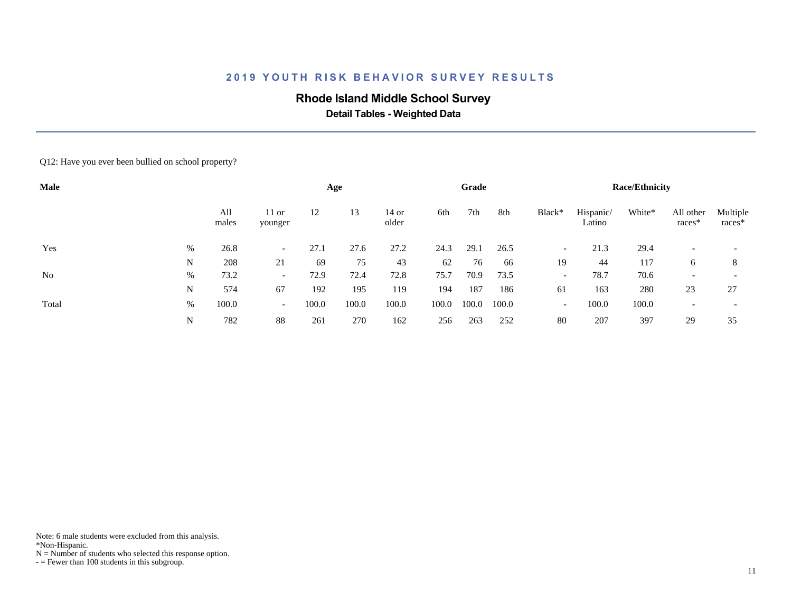# **Rhode Island Middle School Survey**

 **Detail Tables - Weighted Data**

#### Q12: Have you ever been bullied on school property?

| Male           |      |              |                          |       | Age   |                  |       | Grade |       |                          |                     | <b>Race/Ethnicity</b> |                       |                    |
|----------------|------|--------------|--------------------------|-------|-------|------------------|-------|-------|-------|--------------------------|---------------------|-----------------------|-----------------------|--------------------|
|                |      | All<br>males | $11$ or<br>younger       | 12    | 13    | $14$ or<br>older | 6th   | 7th   | 8th   | Black*                   | Hispanic/<br>Latino | White*                | All other<br>$races*$ | Multiple<br>races* |
| Yes            | %    | 26.8         | $\overline{\phantom{0}}$ | 27.1  | 27.6  | 27.2             | 24.3  | 29.1  | 26.5  | $\overline{\phantom{a}}$ | 21.3                | 29.4                  |                       |                    |
|                | N    | 208          | 21                       | 69    | 75    | 43               | 62    | 76    | 66    | 19                       | 44                  | 117                   | 6                     | 8                  |
| N <sub>o</sub> | $\%$ | 73.2         | $\overline{\phantom{0}}$ | 72.9  | 72.4  | 72.8             | 75.7  | 70.9  | 73.5  | $\overline{\phantom{0}}$ | 78.7                | 70.6                  |                       |                    |
|                | N    | 574          | 67                       | 192   | 195   | 119              | 194   | 187   | 186   | 61                       | 163                 | 280                   | 23                    | 27                 |
| Total          | %    | 100.0        | $\overline{\phantom{0}}$ | 100.0 | 100.0 | 100.0            | 100.0 | 100.0 | 100.0 | $\overline{\phantom{a}}$ | 100.0               | 100.0                 |                       |                    |
|                | N    | 782          | 88                       | 261   | 270   | 162              | 256   | 263   | 252   | 80                       | 207                 | 397                   | 29                    | 35                 |

Note: 6 male students were excluded from this analysis.

\*Non-Hispanic.

 $N =$  Number of students who selected this response option.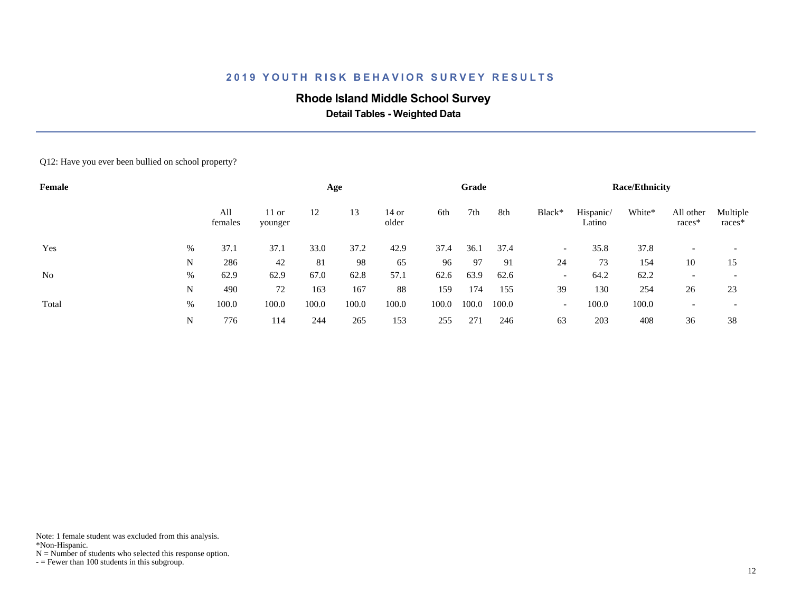# **Rhode Island Middle School Survey**

 **Detail Tables - Weighted Data**

#### Q12: Have you ever been bullied on school property?

| Female         |   |                |                    |       | Age   |                |       | Grade |       |                          |                     | <b>Race/Ethnicity</b> |                     |                    |
|----------------|---|----------------|--------------------|-------|-------|----------------|-------|-------|-------|--------------------------|---------------------|-----------------------|---------------------|--------------------|
|                |   | All<br>females | $11$ or<br>younger | 12    | 13    | 14 or<br>older | 6th   | 7th   | 8th   | Black*                   | Hispanic/<br>Latino | White*                | All other<br>races* | Multiple<br>races* |
| Yes            | % | 37.1           | 37.1               | 33.0  | 37.2  | 42.9           | 37.4  | 36.1  | 37.4  | $-$                      | 35.8                | 37.8                  |                     |                    |
|                | N | 286            | 42                 | 81    | 98    | 65             | 96    | 97    | 91    | 24                       | 73                  | 154                   | 10                  | 15                 |
| N <sub>0</sub> | % | 62.9           | 62.9               | 67.0  | 62.8  | 57.1           | 62.6  | 63.9  | 62.6  | $\overline{\phantom{0}}$ | 64.2                | 62.2                  |                     |                    |
|                | N | 490            | 72                 | 163   | 167   | 88             | 159   | 174   | 155   | 39                       | 130                 | 254                   | 26                  | 23                 |
| Total          | % | 100.0          | 100.0              | 100.0 | 100.0 | 100.0          | 100.0 | 100.0 | 100.0 | $\overline{\phantom{a}}$ | 100.0               | 100.0                 |                     |                    |
|                | N | 776            | 114                | 244   | 265   | 153            | 255   | 271   | 246   | 63                       | 203                 | 408                   | 36                  | 38                 |

Note: 1 female student was excluded from this analysis.

\*Non-Hispanic.

 $N =$  Number of students who selected this response option.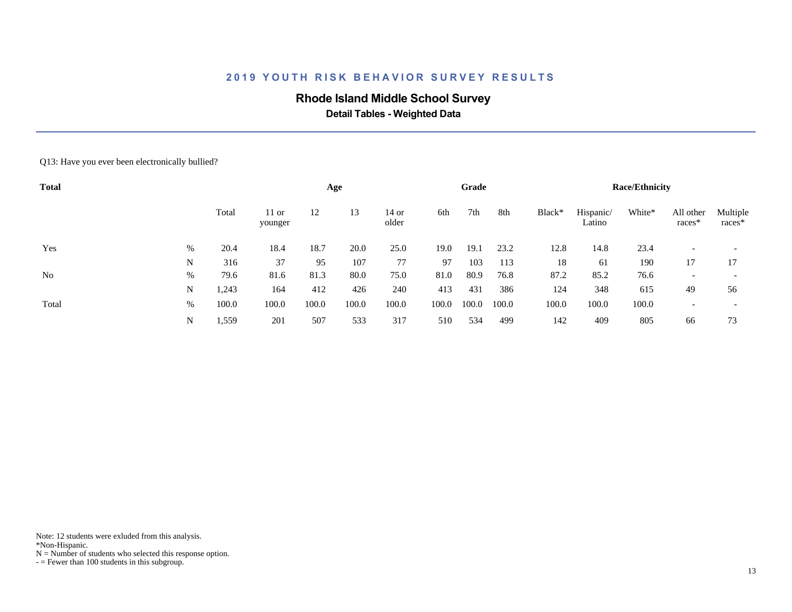# **Rhode Island Middle School Survey**

 **Detail Tables - Weighted Data**

#### Q13: Have you ever been electronically bullied?

| <b>Total</b> |   |       |                    |       | Age   |                |       | Grade |       |        |                     | <b>Race/Ethnicity</b> |                          |                          |
|--------------|---|-------|--------------------|-------|-------|----------------|-------|-------|-------|--------|---------------------|-----------------------|--------------------------|--------------------------|
|              |   | Total | $11$ or<br>younger | 12    | 13    | 14 or<br>older | 6th   | 7th   | 8th   | Black* | Hispanic/<br>Latino | White*                | All other<br>races*      | Multiple<br>races*       |
| Yes          | % | 20.4  | 18.4               | 18.7  | 20.0  | 25.0           | 19.0  | 19.1  | 23.2  | 12.8   | 14.8                | 23.4                  |                          | $\overline{\phantom{a}}$ |
|              | N | 316   | 37                 | 95    | 107   | 77             | 97    | 103   | 113   | 18     | 61                  | 190                   | 17                       | 17                       |
| No           | % | 79.6  | 81.6               | 81.3  | 80.0  | 75.0           | 81.0  | 80.9  | 76.8  | 87.2   | 85.2                | 76.6                  | $\overline{\phantom{a}}$ | $\overline{\phantom{a}}$ |
|              | N | 1,243 | 164                | 412   | 426   | 240            | 413   | 431   | 386   | 124    | 348                 | 615                   | 49                       | 56                       |
| Total        | % | 100.0 | 100.0              | 100.0 | 100.0 | 100.0          | 100.0 | 100.0 | 100.0 | 100.0  | 100.0               | 100.0                 |                          | $\overline{\phantom{a}}$ |
|              | N | 1,559 | 201                | 507   | 533   | 317            | 510   | 534   | 499   | 142    | 409                 | 805                   | 66                       | 73                       |

Note: 12 students were exluded from this analysis.

\*Non-Hispanic.

 $N =$  Number of students who selected this response option.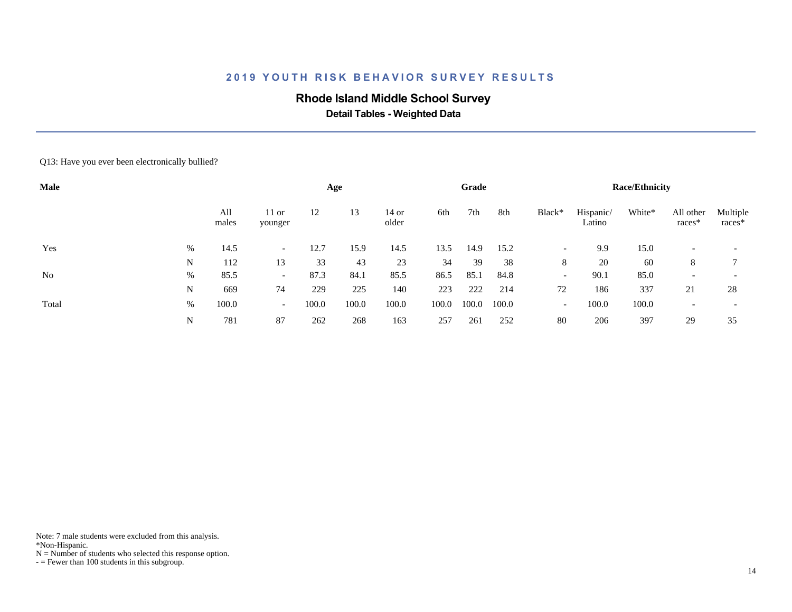# **Rhode Island Middle School Survey**

 **Detail Tables - Weighted Data**

#### Q13: Have you ever been electronically bullied?

| Male           |   |              |                          |       | Age   |                  |       | Grade |       |                          |                     | <b>Race/Ethnicity</b> |                       |                    |
|----------------|---|--------------|--------------------------|-------|-------|------------------|-------|-------|-------|--------------------------|---------------------|-----------------------|-----------------------|--------------------|
|                |   | All<br>males | $11$ or<br>younger       | 12    | 13    | $14$ or<br>older | 6th   | 7th   | 8th   | Black*                   | Hispanic/<br>Latino | White*                | All other<br>$races*$ | Multiple<br>races* |
| Yes            | % | 14.5         | $\overline{\phantom{0}}$ | 12.7  | 15.9  | 14.5             | 13.5  | 14.9  | 15.2  | $\overline{\phantom{a}}$ | 9.9                 | 15.0                  |                       |                    |
|                | N | 112          | 13                       | 33    | 43    | 23               | 34    | 39    | 38    | 8                        | 20                  | 60                    | 8                     |                    |
| N <sub>o</sub> | % | 85.5         | $\overline{\phantom{0}}$ | 87.3  | 84.1  | 85.5             | 86.5  | 85.1  | 84.8  | $\overline{\phantom{0}}$ | 90.1                | 85.0                  |                       |                    |
|                | N | 669          | 74                       | 229   | 225   | 140              | 223   | 222   | 214   | 72                       | 186                 | 337                   | 21                    | 28                 |
| Total          | % | 100.0        | $\sim$                   | 100.0 | 100.0 | 100.0            | 100.0 | 100.0 | 100.0 | $\overline{\phantom{a}}$ | 100.0               | 100.0                 |                       |                    |
|                | N | 781          | 87                       | 262   | 268   | 163              | 257   | 261   | 252   | 80                       | 206                 | 397                   | 29                    | 35                 |

Note: 7 male students were excluded from this analysis.

\*Non-Hispanic.

 $N =$  Number of students who selected this response option.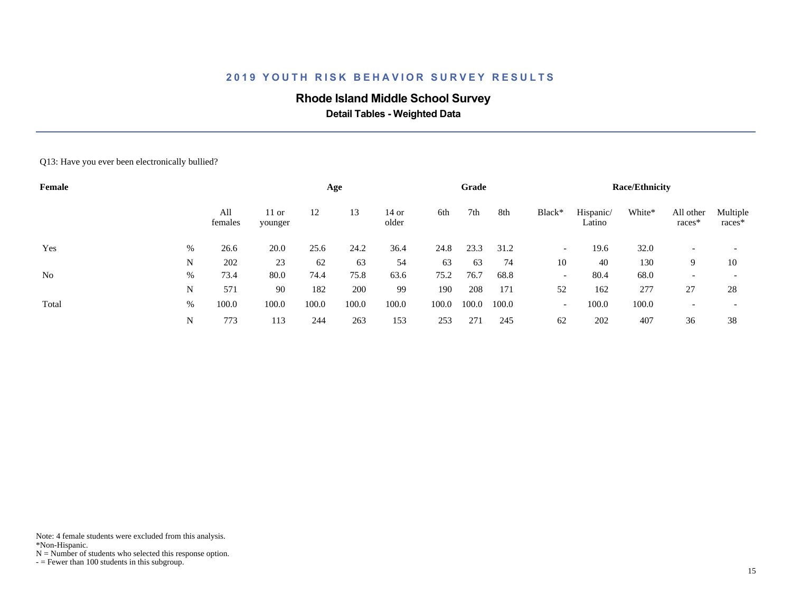# **Rhode Island Middle School Survey**

 **Detail Tables - Weighted Data**

#### Q13: Have you ever been electronically bullied?

| Female         |      |                |                    |       | Age   |                |       | Grade |       |                          |                     | <b>Race/Ethnicity</b> |                     |                    |
|----------------|------|----------------|--------------------|-------|-------|----------------|-------|-------|-------|--------------------------|---------------------|-----------------------|---------------------|--------------------|
|                |      | All<br>females | $11$ or<br>younger | 12    | 13    | 14 or<br>older | 6th   | 7th   | 8th   | Black*                   | Hispanic/<br>Latino | White*                | All other<br>races* | Multiple<br>races* |
| Yes            | $\%$ | 26.6           | 20.0               | 25.6  | 24.2  | 36.4           | 24.8  | 23.3  | 31.2  | $\overline{\phantom{0}}$ | 19.6                | 32.0                  |                     |                    |
|                | N    | 202            | 23                 | 62    | 63    | 54             | 63    | 63    | 74    | 10                       | 40                  | 130                   | 9                   | 10                 |
| N <sub>o</sub> | $\%$ | 73.4           | 80.0               | 74.4  | 75.8  | 63.6           | 75.2  | 76.7  | 68.8  | $\overline{\phantom{0}}$ | 80.4                | 68.0                  |                     |                    |
|                | N    | 571            | 90                 | 182   | 200   | 99             | 190   | 208   | 171   | 52                       | 162                 | 277                   | 27                  | 28                 |
| Total          | %    | 100.0          | 100.0              | 100.0 | 100.0 | 100.0          | 100.0 | 100.0 | 100.0 | $\overline{\phantom{0}}$ | 100.0               | 100.0                 |                     |                    |
|                | N    | 773            | 113                | 244   | 263   | 153            | 253   | 271   | 245   | 62                       | 202                 | 407                   | 36                  | 38                 |

Note: 4 female students were excluded from this analysis.

\*Non-Hispanic.

 $N =$  Number of students who selected this response option.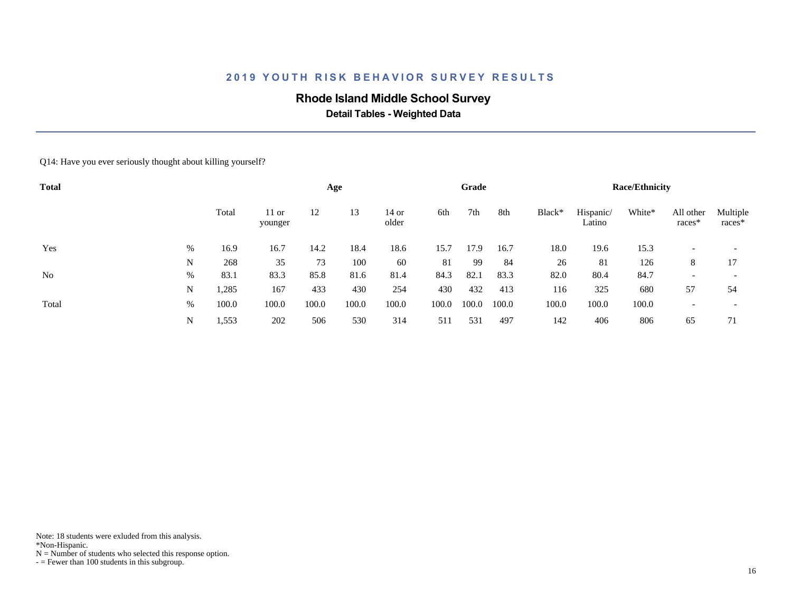# **Rhode Island Middle School Survey**

 **Detail Tables - Weighted Data**

#### Q14: Have you ever seriously thought about killing yourself?

| <b>Total</b> |      |       |                    |       | Age   |                  |       | Grade |       |        |                     | <b>Race/Ethnicity</b> |                     |                          |
|--------------|------|-------|--------------------|-------|-------|------------------|-------|-------|-------|--------|---------------------|-----------------------|---------------------|--------------------------|
|              |      | Total | $11$ or<br>younger | 12    | 13    | $14$ or<br>older | 6th   | 7th   | 8th   | Black* | Hispanic/<br>Latino | White*                | All other<br>races* | Multiple<br>races*       |
| Yes          | %    | 16.9  | 16.7               | 14.2  | 18.4  | 18.6             | 15.7  | 17.9  | 16.7  | 18.0   | 19.6                | 15.3                  |                     |                          |
|              | N    | 268   | 35                 | 73    | 100   | 60               | 81    | 99    | 84    | 26     | 81                  | 126                   | 8                   | 17                       |
| No           | %    | 83.1  | 83.3               | 85.8  | 81.6  | 81.4             | 84.3  | 82.1  | 83.3  | 82.0   | 80.4                | 84.7                  |                     | $\overline{\phantom{a}}$ |
|              | N    | 1,285 | 167                | 433   | 430   | 254              | 430   | 432   | 413   | 116    | 325                 | 680                   | 57                  | 54                       |
| Total        | $\%$ | 100.0 | 100.0              | 100.0 | 100.0 | 100.0            | 100.0 | 100.0 | 100.0 | 100.0  | 100.0               | 100.0                 |                     |                          |
|              | N    | 1,553 | 202                | 506   | 530   | 314              | 511   | 531   | 497   | 142    | 406                 | 806                   | 65                  | 71                       |

Note: 18 students were exluded from this analysis.

\*Non-Hispanic.

 $N =$  Number of students who selected this response option.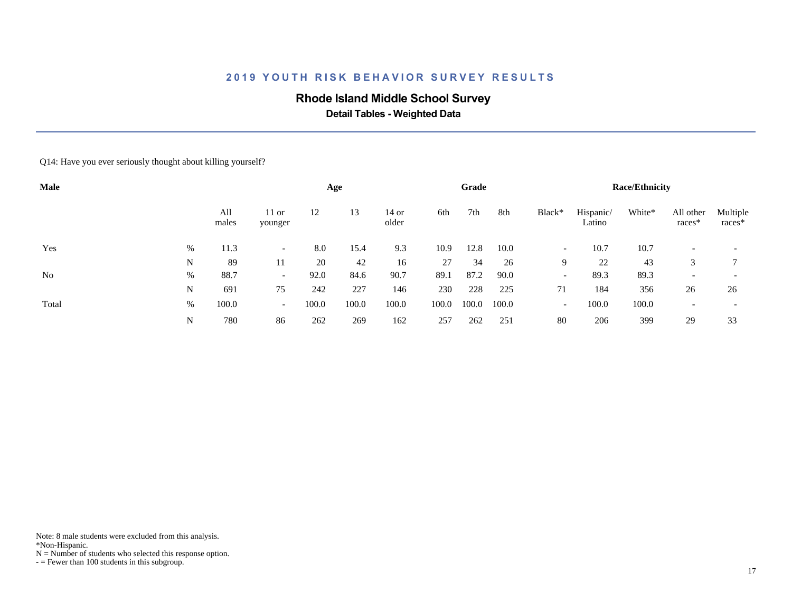# **Rhode Island Middle School Survey**

 **Detail Tables - Weighted Data**

#### Q14: Have you ever seriously thought about killing yourself?

| Male           |   |              |                          |       | Age   |                |       | Grade |       |                          |                     | <b>Race/Ethnicity</b> |                     |                    |
|----------------|---|--------------|--------------------------|-------|-------|----------------|-------|-------|-------|--------------------------|---------------------|-----------------------|---------------------|--------------------|
|                |   | All<br>males | $11$ or<br>younger       | 12    | 13    | 14 or<br>older | 6th   | 7th   | 8th   | Black*                   | Hispanic/<br>Latino | White*                | All other<br>races* | Multiple<br>races* |
| Yes            | % | 11.3         |                          | 8.0   | 15.4  | 9.3            | 10.9  | 12.8  | 10.0  | $\overline{\phantom{0}}$ | 10.7                | 10.7                  |                     |                    |
|                | N | 89           | 11                       | 20    | 42    | 16             | 27    | 34    | 26    | 9                        | 22                  | 43                    | 3                   |                    |
| N <sub>0</sub> | % | 88.7         | $\overline{\phantom{0}}$ | 92.0  | 84.6  | 90.7           | 89.1  | 87.2  | 90.0  | $\overline{\phantom{a}}$ | 89.3                | 89.3                  |                     |                    |
|                | N | 691          | 75                       | 242   | 227   | 146            | 230   | 228   | 225   | 71                       | 184                 | 356                   | 26                  | 26                 |
| Total          | % | 100.0        | $\sim$                   | 100.0 | 100.0 | 100.0          | 100.0 | 100.0 | 100.0 | $\overline{\phantom{0}}$ | 100.0               | 100.0                 |                     |                    |
|                | N | 780          | 86                       | 262   | 269   | 162            | 257   | 262   | 251   | 80                       | 206                 | 399                   | 29                  | 33                 |

Note: 8 male students were excluded from this analysis.

\*Non-Hispanic.

 $N =$  Number of students who selected this response option.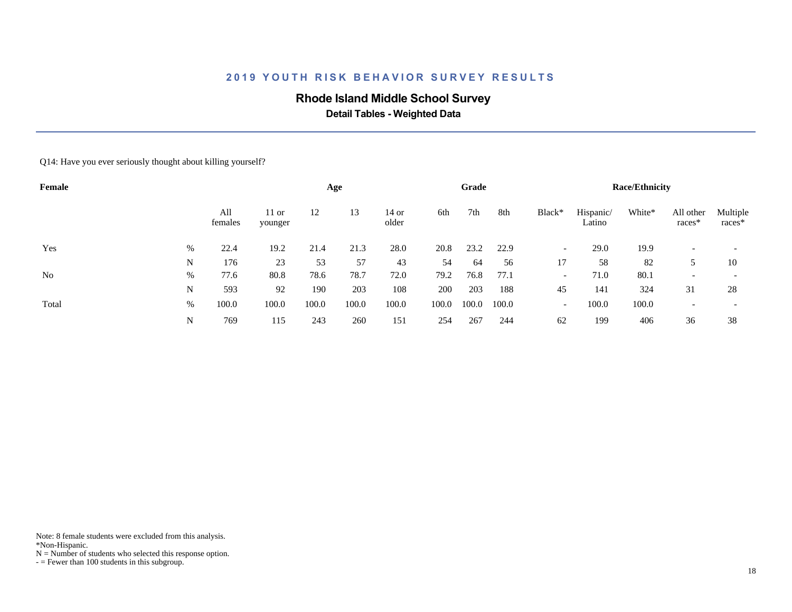# **Rhode Island Middle School Survey**

 **Detail Tables - Weighted Data**

#### Q14: Have you ever seriously thought about killing yourself?

| Female         |      |                |                    |       | Age   |                |       | Grade |       |                          |                     | <b>Race/Ethnicity</b> |                     |                    |
|----------------|------|----------------|--------------------|-------|-------|----------------|-------|-------|-------|--------------------------|---------------------|-----------------------|---------------------|--------------------|
|                |      | All<br>females | $11$ or<br>younger | 12    | 13    | 14 or<br>older | 6th   | 7th   | 8th   | Black*                   | Hispanic/<br>Latino | White*                | All other<br>races* | Multiple<br>races* |
| Yes            | $\%$ | 22.4           | 19.2               | 21.4  | 21.3  | 28.0           | 20.8  | 23.2  | 22.9  | $\overline{\phantom{a}}$ | 29.0                | 19.9                  |                     |                    |
|                | N    | 176            | 23                 | 53    | 57    | 43             | 54    | 64    | 56    | 17                       | 58                  | 82                    |                     | 10                 |
| N <sub>0</sub> | %    | 77.6           | 80.8               | 78.6  | 78.7  | 72.0           | 79.2  | 76.8  | 77.1  | $\overline{\phantom{a}}$ | 71.0                | 80.1                  |                     |                    |
|                | N    | 593            | 92                 | 190   | 203   | 108            | 200   | 203   | 188   | 45                       | 141                 | 324                   | 31                  | 28                 |
| Total          | $\%$ | 100.0          | 100.0              | 100.0 | 100.0 | 100.0          | 100.0 | 100.0 | 100.0 | $\overline{\phantom{0}}$ | 100.0               | 100.0                 |                     |                    |
|                | N    | 769            | 115                | 243   | 260   | 151            | 254   | 267   | 244   | 62                       | 199                 | 406                   | 36                  | 38                 |

Note: 8 female students were excluded from this analysis.

\*Non-Hispanic.

 $N =$  Number of students who selected this response option.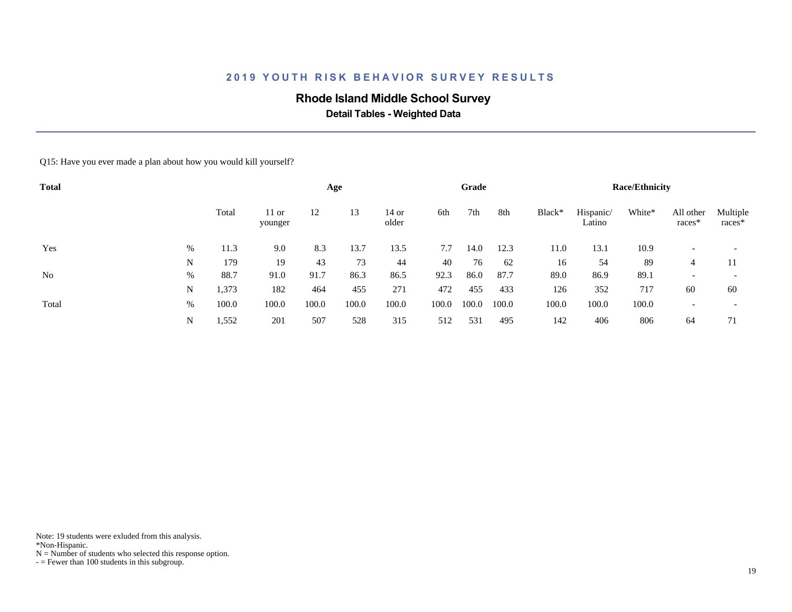# **Rhode Island Middle School Survey**

 **Detail Tables - Weighted Data**

Q15: Have you ever made a plan about how you would kill yourself?

| <b>Total</b>   |   |       |                    |       | Age   |                |       | Grade |       |        |                     | <b>Race/Ethnicity</b> |                          |                    |
|----------------|---|-------|--------------------|-------|-------|----------------|-------|-------|-------|--------|---------------------|-----------------------|--------------------------|--------------------|
|                |   | Total | $11$ or<br>younger | 12    | 13    | 14 or<br>older | 6th   | 7th   | 8th   | Black* | Hispanic/<br>Latino | White*                | All other<br>races*      | Multiple<br>races* |
| Yes            | % | 11.3  | 9.0                | 8.3   | 13.7  | 13.5           | 7.7   | 14.0  | 12.3  | 11.0   | 13.1                | 10.9                  |                          |                    |
|                | N | 179   | 19                 | 43    | 73    | 44             | 40    | 76    | 62    | 16     | 54                  | 89                    | 4                        | 11                 |
| N <sub>o</sub> | % | 88.7  | 91.0               | 91.7  | 86.3  | 86.5           | 92.3  | 86.0  | 87.7  | 89.0   | 86.9                | 89.1                  | $\overline{\phantom{a}}$ |                    |
|                | N | 1,373 | 182                | 464   | 455   | 271            | 472   | 455   | 433   | 126    | 352                 | 717                   | 60                       | 60                 |
| Total          | % | 100.0 | 100.0              | 100.0 | 100.0 | 100.0          | 100.0 | 100.0 | 100.0 | 100.0  | 100.0               | 100.0                 |                          |                    |
|                | N | 1,552 | 201                | 507   | 528   | 315            | 512   | 531   | 495   | 142    | 406                 | 806                   | 64                       | 71                 |

Note: 19 students were exluded from this analysis.

\*Non-Hispanic.

 $N =$  Number of students who selected this response option.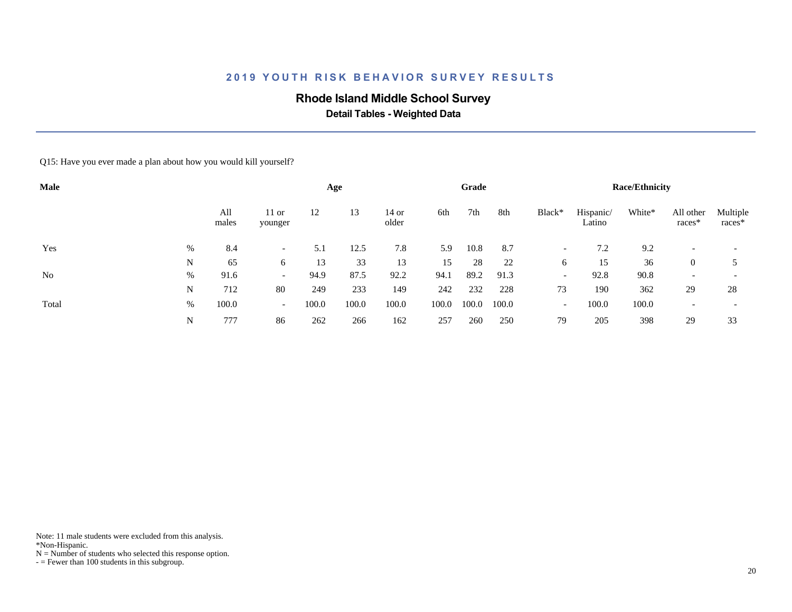# **Rhode Island Middle School Survey**

 **Detail Tables - Weighted Data**

Q15: Have you ever made a plan about how you would kill yourself?

| Male           |   |              |                          |       | Age   |                  |       | Grade |       |                          |                     | <b>Race/Ethnicity</b> |                       |                          |
|----------------|---|--------------|--------------------------|-------|-------|------------------|-------|-------|-------|--------------------------|---------------------|-----------------------|-----------------------|--------------------------|
|                |   | All<br>males | $11$ or<br>younger       | 12    | 13    | $14$ or<br>older | 6th   | 7th   | 8th   | Black*                   | Hispanic/<br>Latino | White*                | All other<br>$races*$ | Multiple<br>races*       |
| Yes            | % | 8.4          | $\overline{\phantom{0}}$ | 5.1   | 12.5  | 7.8              | 5.9   | 10.8  | 8.7   | $\overline{\phantom{a}}$ | 7.2                 | 9.2                   |                       | $\overline{\phantom{a}}$ |
|                | N | 65           | 6                        | 13    | 33    | 13               | 15    | 28    | 22    | 6                        | 15                  | 36                    | $\theta$              |                          |
| N <sub>0</sub> | % | 91.6         | $\overline{\phantom{0}}$ | 94.9  | 87.5  | 92.2             | 94.1  | 89.2  | 91.3  | $\overline{\phantom{a}}$ | 92.8                | 90.8                  |                       | $\overline{\phantom{a}}$ |
|                | N | 712          | 80                       | 249   | 233   | 149              | 242   | 232   | 228   | 73                       | 190                 | 362                   | 29                    | 28                       |
| Total          | % | 100.0        | $\overline{\phantom{0}}$ | 100.0 | 100.0 | 100.0            | 100.0 | 100.0 | 100.0 | $\overline{\phantom{0}}$ | 100.0               | 100.0                 |                       | $\overline{\phantom{a}}$ |
|                | N | 777          | 86                       | 262   | 266   | 162              | 257   | 260   | 250   | 79                       | 205                 | 398                   | 29                    | 33                       |

Note: 11 male students were excluded from this analysis.

\*Non-Hispanic.

 $N =$  Number of students who selected this response option.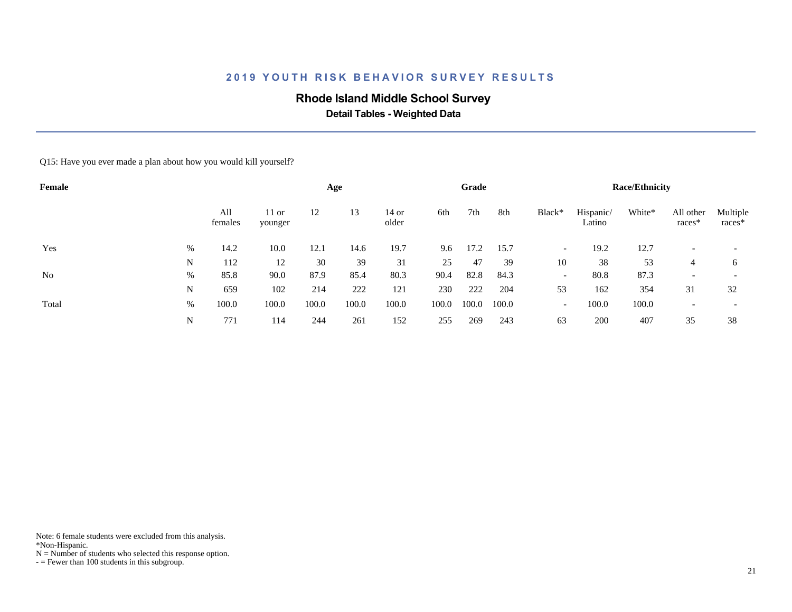# **Rhode Island Middle School Survey**

 **Detail Tables - Weighted Data**

Q15: Have you ever made a plan about how you would kill yourself?

| Female         |   |                |                    |       | Age   |                |       | Grade |       |                          |                     | <b>Race/Ethnicity</b> |                     |                    |
|----------------|---|----------------|--------------------|-------|-------|----------------|-------|-------|-------|--------------------------|---------------------|-----------------------|---------------------|--------------------|
|                |   | All<br>females | $11$ or<br>younger | 12    | 13    | 14 or<br>older | 6th   | 7th   | 8th   | Black*                   | Hispanic/<br>Latino | White*                | All other<br>races* | Multiple<br>races* |
| Yes            | % | 14.2           | 10.0               | 12.1  | 14.6  | 19.7           | 9.6   | 17.2  | 15.7  | $\overline{\phantom{a}}$ | 19.2                | 12.7                  |                     |                    |
|                | N | 112            | 12                 | 30    | 39    | 31             | 25    | 47    | 39    | 10                       | 38                  | 53                    | 4                   | 6                  |
| N <sub>o</sub> | % | 85.8           | 90.0               | 87.9  | 85.4  | 80.3           | 90.4  | 82.8  | 84.3  | $\overline{\phantom{a}}$ | 80.8                | 87.3                  |                     |                    |
|                | N | 659            | 102                | 214   | 222   | 121            | 230   | 222   | 204   | 53                       | 162                 | 354                   | 31                  | 32                 |
| Total          | % | 100.0          | 100.0              | 100.0 | 100.0 | 100.0          | 100.0 | 100.0 | 100.0 | $\overline{\phantom{a}}$ | 100.0               | 100.0                 |                     |                    |
|                | N | 771            | 114                | 244   | 261   | 152            | 255   | 269   | 243   | 63                       | 200                 | 407                   | 35                  | 38                 |

Note: 6 female students were excluded from this analysis.

\*Non-Hispanic.

 $N =$  Number of students who selected this response option.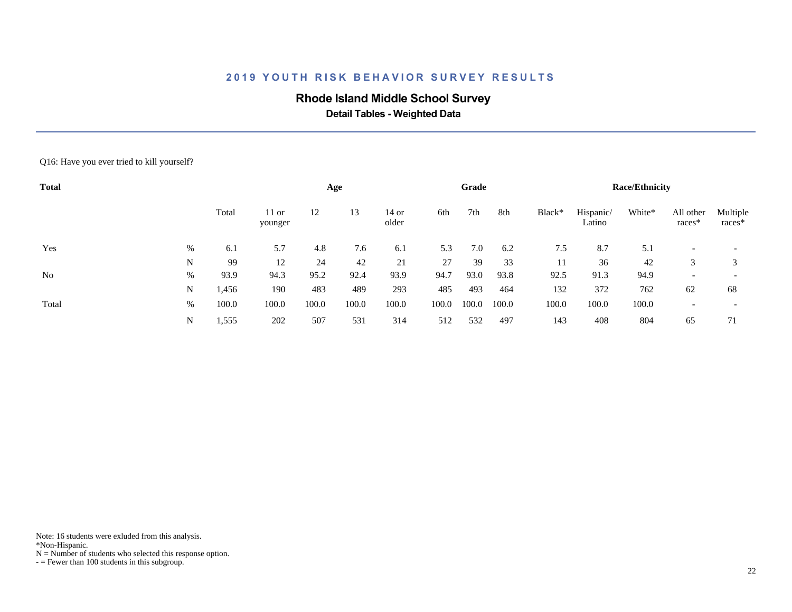# **Rhode Island Middle School Survey**

 **Detail Tables - Weighted Data**

#### Q16: Have you ever tried to kill yourself?

| <b>Total</b>   |   |       |                    |       | Age   |                  |       | Grade |       |        |                     | <b>Race/Ethnicity</b> |                     |                    |
|----------------|---|-------|--------------------|-------|-------|------------------|-------|-------|-------|--------|---------------------|-----------------------|---------------------|--------------------|
|                |   | Total | $11$ or<br>younger | 12    | 13    | $14$ or<br>older | 6th   | 7th   | 8th   | Black* | Hispanic/<br>Latino | White*                | All other<br>races* | Multiple<br>races* |
| Yes            | % | 6.1   | 5.7                | 4.8   | 7.6   | 6.1              | 5.3   | 7.0   | 6.2   | 7.5    | 8.7                 | 5.1                   |                     |                    |
|                | N | 99    | 12                 | 24    | 42    | 21               | 27    | 39    | 33    | 11     | 36                  | 42                    | 3                   |                    |
| N <sub>0</sub> | % | 93.9  | 94.3               | 95.2  | 92.4  | 93.9             | 94.7  | 93.0  | 93.8  | 92.5   | 91.3                | 94.9                  |                     |                    |
|                | N | 1,456 | 190                | 483   | 489   | 293              | 485   | 493   | 464   | 132    | 372                 | 762                   | 62                  | 68                 |
| Total          | % | 100.0 | 100.0              | 100.0 | 100.0 | 100.0            | 100.0 | 100.0 | 100.0 | 100.0  | 100.0               | 100.0                 |                     |                    |
|                | N | 1,555 | 202                | 507   | 531   | 314              | 512   | 532   | 497   | 143    | 408                 | 804                   | 65                  | 71                 |

Note: 16 students were exluded from this analysis.

\*Non-Hispanic.

 $N =$  Number of students who selected this response option.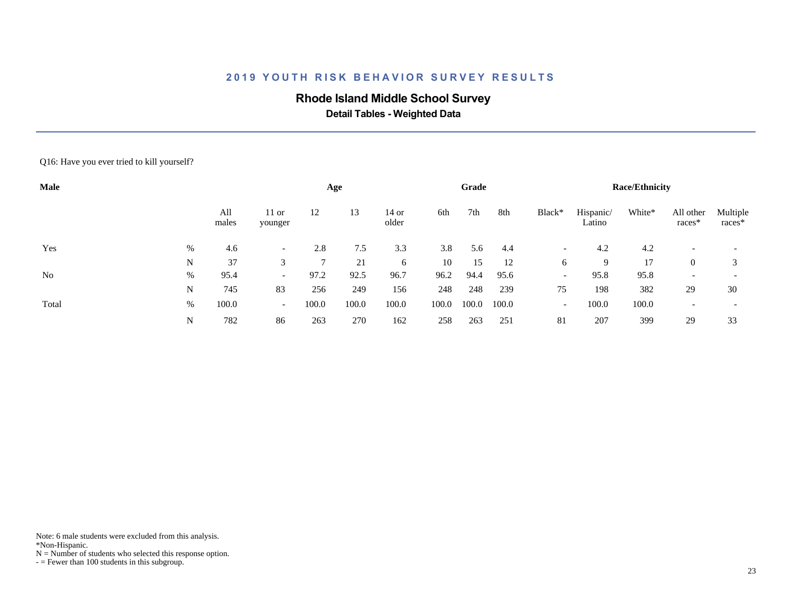# **Rhode Island Middle School Survey**

 **Detail Tables - Weighted Data**

Q16: Have you ever tried to kill yourself?

| Male           |   |              |                          |       | Age   |                |       | Grade |       |                          |                     | <b>Race/Ethnicity</b> |                          |                          |
|----------------|---|--------------|--------------------------|-------|-------|----------------|-------|-------|-------|--------------------------|---------------------|-----------------------|--------------------------|--------------------------|
|                |   | All<br>males | $11$ or<br>younger       | 12    | 13    | 14 or<br>older | 6th   | 7th   | 8th   | Black*                   | Hispanic/<br>Latino | White*                | All other<br>races*      | Multiple<br>races*       |
| Yes            | % | 4.6          | $\overline{\phantom{0}}$ | 2.8   | 7.5   | 3.3            | 3.8   | 5.6   | 4.4   | $\overline{\phantom{0}}$ | 4.2                 | 4.2                   |                          | $\overline{\phantom{a}}$ |
|                | N | 37           | 3                        |       | 21    | 6              | 10    | 15    | 12    | 6                        | 9                   | 17                    | $\theta$                 | 3                        |
| N <sub>0</sub> | % | 95.4         | $\overline{\phantom{0}}$ | 97.2  | 92.5  | 96.7           | 96.2  | 94.4  | 95.6  | $\overline{\phantom{a}}$ | 95.8                | 95.8                  | $\overline{\phantom{a}}$ |                          |
|                | N | 745          | 83                       | 256   | 249   | 156            | 248   | 248   | 239   | 75                       | 198                 | 382                   | 29                       | 30                       |
| Total          | % | 100.0        | $\overline{\phantom{0}}$ | 100.0 | 100.0 | 100.0          | 100.0 | 100.0 | 100.0 | $\overline{\phantom{a}}$ | 100.0               | 100.0                 | $\overline{\phantom{a}}$ | $\overline{\phantom{a}}$ |
|                | N | 782          | 86                       | 263   | 270   | 162            | 258   | 263   | 251   | 81                       | 207                 | 399                   | 29                       | 33                       |

Note: 6 male students were excluded from this analysis.

\*Non-Hispanic.

 $N =$  Number of students who selected this response option.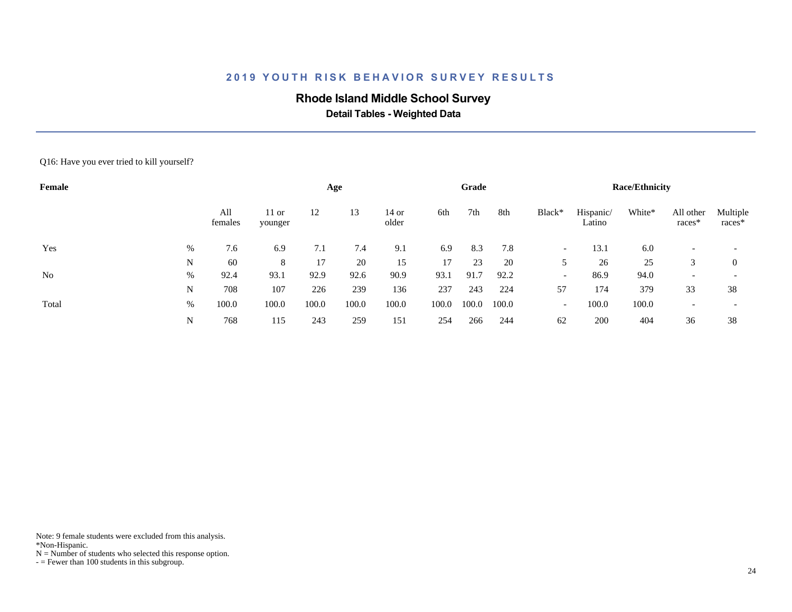# **Rhode Island Middle School Survey**

 **Detail Tables - Weighted Data**

Q16: Have you ever tried to kill yourself?

| Female |   |                |                    |       | Age   |                  |       | Grade |       |                          |                     | <b>Race/Ethnicity</b> |                          |                          |
|--------|---|----------------|--------------------|-------|-------|------------------|-------|-------|-------|--------------------------|---------------------|-----------------------|--------------------------|--------------------------|
|        |   | All<br>females | $11$ or<br>younger | 12    | 13    | $14$ or<br>older | 6th   | 7th   | 8th   | Black*                   | Hispanic/<br>Latino | White*                | All other<br>races*      | Multiple<br>races*       |
| Yes    | % | 7.6            | 6.9                | 7.1   | 7.4   | 9.1              | 6.9   | 8.3   | 7.8   | $\overline{\phantom{a}}$ | 13.1                | 6.0                   | $\overline{\phantom{0}}$ | $\overline{\phantom{0}}$ |
|        | N | 60             | 8                  | 17    | 20    | 15               | 17    | 23    | 20    | 5                        | 26                  | 25                    | 3                        | $\overline{0}$           |
| No     | % | 92.4           | 93.1               | 92.9  | 92.6  | 90.9             | 93.1  | 91.7  | 92.2  | $\overline{\phantom{0}}$ | 86.9                | 94.0                  | $\overline{\phantom{0}}$ | $\overline{\phantom{0}}$ |
|        | N | 708            | 107                | 226   | 239   | 136              | 237   | 243   | 224   | 57                       | 174                 | 379                   | 33                       | 38                       |
| Total  | % | 100.0          | 100.0              | 100.0 | 100.0 | 100.0            | 100.0 | 100.0 | 100.0 | $\overline{\phantom{0}}$ | 100.0               | 100.0                 |                          | $\overline{\phantom{0}}$ |
|        | N | 768            | 115                | 243   | 259   | 151              | 254   | 266   | 244   | 62                       | 200                 | 404                   | 36                       | 38                       |

Note: 9 female students were excluded from this analysis.

\*Non-Hispanic.

 $N =$  Number of students who selected this response option.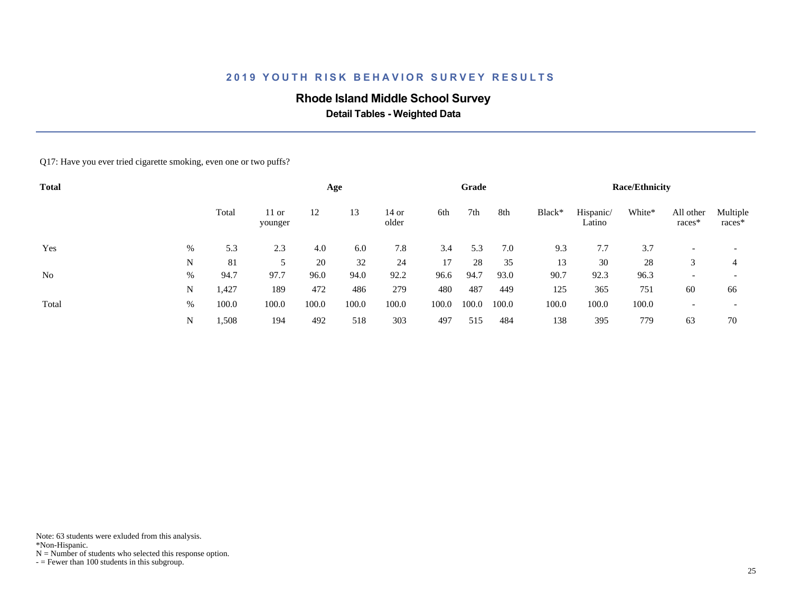# **Rhode Island Middle School Survey**

 **Detail Tables - Weighted Data**

#### Q17: Have you ever tried cigarette smoking, even one or two puffs?

| <b>Total</b> |   |       |                    |       | Age   |                |       | Grade |       |        |                     | <b>Race/Ethnicity</b> |                     |                          |
|--------------|---|-------|--------------------|-------|-------|----------------|-------|-------|-------|--------|---------------------|-----------------------|---------------------|--------------------------|
|              |   | Total | $11$ or<br>younger | 12    | 13    | 14 or<br>older | 6th   | 7th   | 8th   | Black* | Hispanic/<br>Latino | White*                | All other<br>races* | Multiple<br>races*       |
| Yes          | % | 5.3   | 2.3                | 4.0   | 6.0   | 7.8            | 3.4   | 5.3   | 7.0   | 9.3    | 7.7                 | 3.7                   |                     | $\overline{\phantom{a}}$ |
|              | N | 81    | 5                  | 20    | 32    | 24             | 17    | 28    | 35    | 13     | 30                  | 28                    | 3                   | 4                        |
| No           | % | 94.7  | 97.7               | 96.0  | 94.0  | 92.2           | 96.6  | 94.7  | 93.0  | 90.7   | 92.3                | 96.3                  |                     |                          |
|              | N | 1,427 | 189                | 472   | 486   | 279            | 480   | 487   | 449   | 125    | 365                 | 751                   | 60                  | 66                       |
| Total        | % | 100.0 | 100.0              | 100.0 | 100.0 | 100.0          | 100.0 | 100.0 | 100.0 | 100.0  | 100.0               | 100.0                 |                     | $\overline{\phantom{a}}$ |
|              | N | 1,508 | 194                | 492   | 518   | 303            | 497   | 515   | 484   | 138    | 395                 | 779                   | 63                  | 70                       |

Note: 63 students were exluded from this analysis.

\*Non-Hispanic.

 $N =$  Number of students who selected this response option.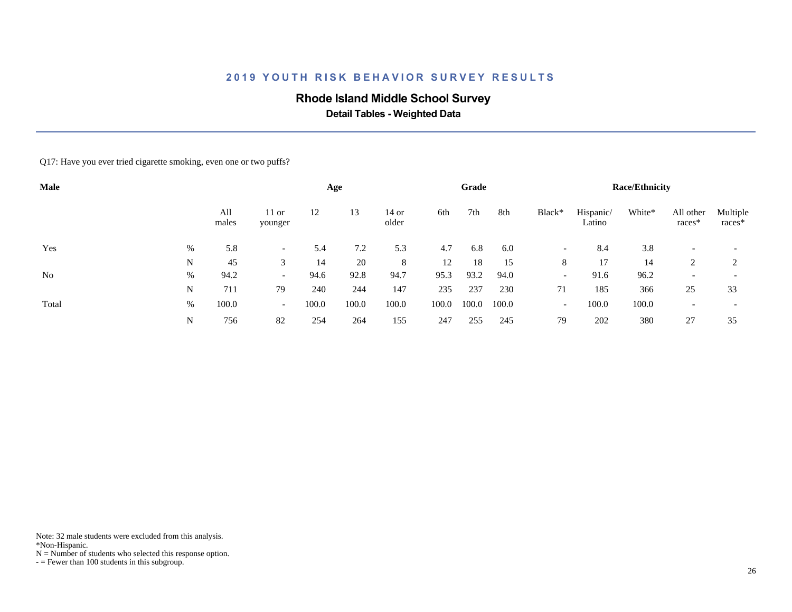# **Rhode Island Middle School Survey**

 **Detail Tables - Weighted Data**

#### Q17: Have you ever tried cigarette smoking, even one or two puffs?

| Male  |   |              |                          |       | Age   |                |       | Grade |       |                          |                     | <b>Race/Ethnicity</b> |                     |                    |
|-------|---|--------------|--------------------------|-------|-------|----------------|-------|-------|-------|--------------------------|---------------------|-----------------------|---------------------|--------------------|
|       |   | All<br>males | $11$ or<br>younger       | 12    | 13    | 14 or<br>older | 6th   | 7th   | 8th   | Black*                   | Hispanic/<br>Latino | White*                | All other<br>races* | Multiple<br>races* |
| Yes   | % | 5.8          |                          | 5.4   | 7.2   | 5.3            | 4.7   | 6.8   | 6.0   | $\overline{\phantom{0}}$ | 8.4                 | 3.8                   |                     |                    |
|       | N | 45           | 3                        | 14    | 20    | 8              | 12    | 18    | 15    | 8                        | 17                  | 14                    | 2                   |                    |
| No    | % | 94.2         | $\overline{\phantom{0}}$ | 94.6  | 92.8  | 94.7           | 95.3  | 93.2  | 94.0  | $\overline{\phantom{0}}$ | 91.6                | 96.2                  |                     |                    |
|       | N | 711          | 79                       | 240   | 244   | 147            | 235   | 237   | 230   | 71                       | 185                 | 366                   | 25                  | 33                 |
| Total | % | 100.0        | $\overline{\phantom{0}}$ | 100.0 | 100.0 | 100.0          | 100.0 | 100.0 | 100.0 | $\overline{\phantom{a}}$ | 100.0               | 100.0                 |                     |                    |
|       | N | 756          | 82                       | 254   | 264   | 155            | 247   | 255   | 245   | 79                       | 202                 | 380                   | 27                  | 35                 |

Note: 32 male students were excluded from this analysis.

\*Non-Hispanic.

 $N =$  Number of students who selected this response option.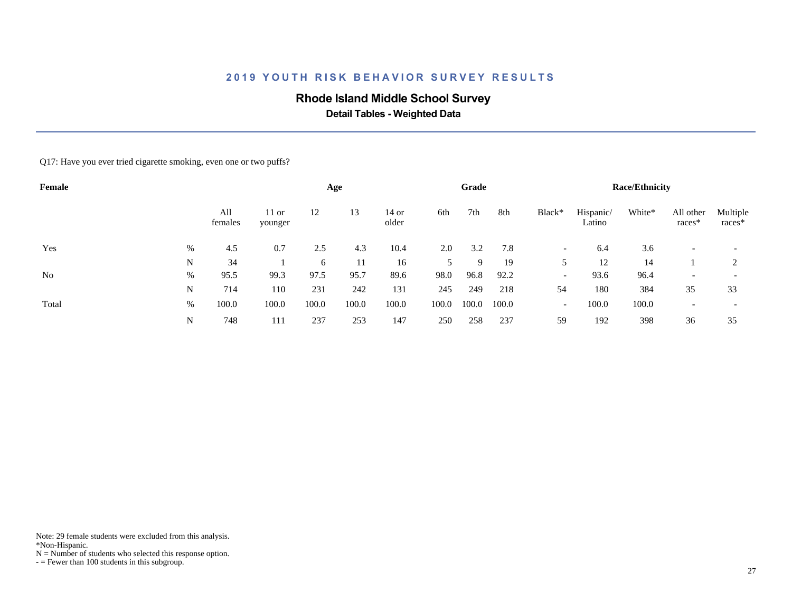# **Rhode Island Middle School Survey**

 **Detail Tables - Weighted Data**

Q17: Have you ever tried cigarette smoking, even one or two puffs?

| Female |      |                |                    |       | Age   |                  |       | Grade |       |                          |                     | <b>Race/Ethnicity</b> |                          |                          |
|--------|------|----------------|--------------------|-------|-------|------------------|-------|-------|-------|--------------------------|---------------------|-----------------------|--------------------------|--------------------------|
|        |      | All<br>females | $11$ or<br>younger | 12    | 13    | $14$ or<br>older | 6th   | 7th   | 8th   | Black*                   | Hispanic/<br>Latino | White*                | All other<br>races*      | Multiple<br>races*       |
| Yes    | %    | 4.5            | 0.7                | 2.5   | 4.3   | 10.4             | 2.0   | 3.2   | 7.8   | $\overline{\phantom{a}}$ | 6.4                 | 3.6                   |                          |                          |
|        | N    | 34             |                    | 6     | 11    | 16               | 5     | 9     | 19    | 5                        | 12                  | 14                    |                          | 2                        |
| No     | $\%$ | 95.5           | 99.3               | 97.5  | 95.7  | 89.6             | 98.0  | 96.8  | 92.2  | $\overline{\phantom{a}}$ | 93.6                | 96.4                  | $\overline{\phantom{0}}$ | $\overline{\phantom{0}}$ |
|        | N    | 714            | 110                | 231   | 242   | 131              | 245   | 249   | 218   | 54                       | 180                 | 384                   | 35                       | 33                       |
| Total  | %    | 100.0          | 100.0              | 100.0 | 100.0 | 100.0            | 100.0 | 100.0 | 100.0 | $\overline{\phantom{a}}$ | 100.0               | 100.0                 |                          | $\overline{\phantom{0}}$ |
|        | N    | 748            | 111                | 237   | 253   | 147              | 250   | 258   | 237   | 59                       | 192                 | 398                   | 36                       | 35                       |

Note: 29 female students were excluded from this analysis.

\*Non-Hispanic.

 $N =$  Number of students who selected this response option.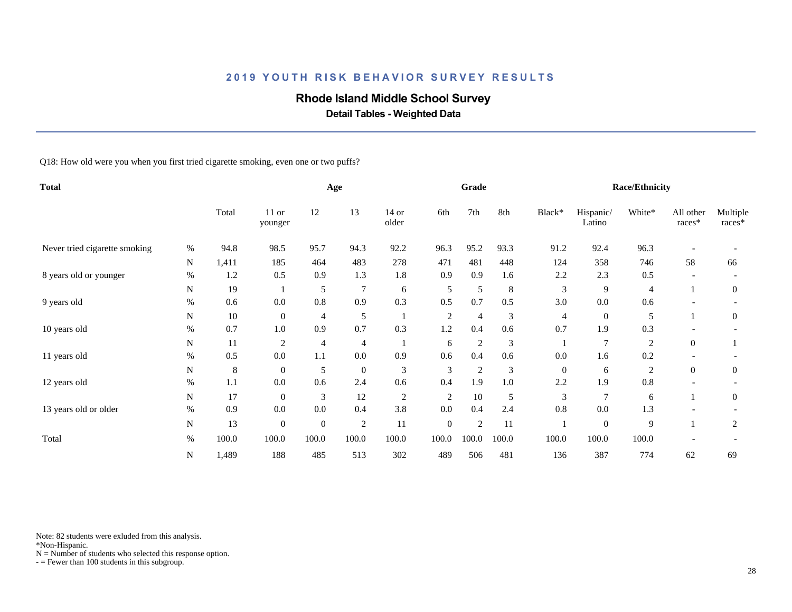# **Rhode Island Middle School Survey**

 **Detail Tables - Weighted Data**

Q18: How old were you when you first tried cigarette smoking, even one or two puffs?

| <b>Total</b>                  |      |         |                    |              | Age              |                  |                | Grade            |       |              |                     | <b>Race/Ethnicity</b> |                       |                    |
|-------------------------------|------|---------|--------------------|--------------|------------------|------------------|----------------|------------------|-------|--------------|---------------------|-----------------------|-----------------------|--------------------|
|                               |      | Total   | $11$ or<br>younger | 12           | 13               | $14$ or<br>older | 6th            | 7th              | 8th   | Black*       | Hispanic/<br>Latino | White*                | All other<br>$races*$ | Multiple<br>races* |
| Never tried cigarette smoking | %    | 94.8    | 98.5               | 95.7         | 94.3             | 92.2             | 96.3           | 95.2             | 93.3  | 91.2         | 92.4                | 96.3                  |                       |                    |
|                               | N    | 1,411   | 185                | 464          | 483              | 278              | 471            | 481              | 448   | 124          | 358                 | 746                   | 58                    | 66                 |
| 8 years old or younger        | $\%$ | 1.2     | 0.5                | 0.9          | 1.3              | 1.8              | 0.9            | 0.9              | 1.6   | 2.2          | 2.3                 | 0.5                   |                       |                    |
|                               | N    | 19      |                    | 5            | $\overline{7}$   | 6                | 5              | $\mathfrak{S}$   | 8     | 3            | 9                   | 4                     |                       | $\boldsymbol{0}$   |
| 9 years old                   | $\%$ | 0.6     | 0.0                | 0.8          | 0.9              | 0.3              | 0.5            | 0.7              | 0.5   | 3.0          | 0.0                 | 0.6                   |                       |                    |
|                               | N    | 10      | $\overline{0}$     | 4            | 5                |                  | $\overline{c}$ | $\overline{4}$   | 3     | 4            | $\mathbf{0}$        | 5                     |                       | $\theta$           |
| 10 years old                  | %    | 0.7     | 1.0                | 0.9          | 0.7              | 0.3              | 1.2            | 0.4              | 0.6   | 0.7          | 1.9                 | 0.3                   |                       |                    |
|                               | N    | 11      | $\overline{2}$     | 4            | $\overline{4}$   |                  | 6              | $\boldsymbol{2}$ | 3     |              | $\tau$              | $\overline{2}$        | $\boldsymbol{0}$      |                    |
| 11 years old                  | $\%$ | 0.5     | 0.0                | 1.1          | 0.0              | 0.9              | 0.6            | 0.4              | 0.6   | 0.0          | 1.6                 | 0.2                   |                       |                    |
|                               | N    | $\,8\,$ | $\overline{0}$     | 5            | $\boldsymbol{0}$ | $\mathfrak{Z}$   | 3              | $\boldsymbol{2}$ | 3     | $\mathbf{0}$ | 6                   | $\overline{c}$        | $\theta$              | $\boldsymbol{0}$   |
| 12 years old                  | %    | 1.1     | 0.0                | 0.6          | 2.4              | 0.6              | 0.4            | 1.9              | 1.0   | 2.2          | 1.9                 | 0.8                   |                       |                    |
|                               | N    | 17      | $\overline{0}$     | 3            | 12               | 2                | $\overline{2}$ | 10               | 5     | 3            | $\overline{7}$      | 6                     |                       | $\overline{0}$     |
| 13 years old or older         | $\%$ | 0.9     | 0.0                | 0.0          | 0.4              | 3.8              | 0.0            | 0.4              | 2.4   | 0.8          | 0.0                 | 1.3                   |                       |                    |
|                               | N    | 13      | $\boldsymbol{0}$   | $\mathbf{0}$ | $\overline{2}$   | 11               | $\mathbf{0}$   | $\overline{2}$   | 11    |              | $\mathbf{0}$        | 9                     |                       | 2                  |
| Total                         | $\%$ | 100.0   | 100.0              | 100.0        | 100.0            | 100.0            | 100.0          | 100.0            | 100.0 | 100.0        | 100.0               | 100.0                 |                       |                    |
|                               | N    | 1,489   | 188                | 485          | 513              | 302              | 489            | 506              | 481   | 136          | 387                 | 774                   | 62                    | 69                 |

Note: 82 students were exluded from this analysis.

\*Non-Hispanic.

 $N =$  Number of students who selected this response option.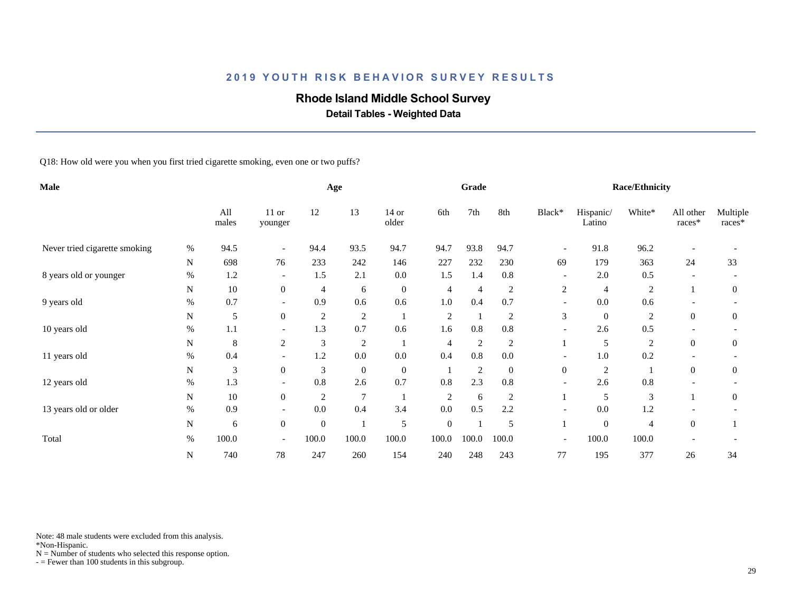# **Rhode Island Middle School Survey**

 **Detail Tables - Weighted Data**

Q18: How old were you when you first tried cigarette smoking, even one or two puffs?

| Male                          |             |              |                          |                | Age              |                  |                | Grade          |                |                          |                     | <b>Race/Ethnicity</b> |                     |                      |
|-------------------------------|-------------|--------------|--------------------------|----------------|------------------|------------------|----------------|----------------|----------------|--------------------------|---------------------|-----------------------|---------------------|----------------------|
|                               |             | All<br>males | 11 or<br>younger         | 12             | 13               | $14$ or<br>older | 6th            | 7th            | 8th            | Black*                   | Hispanic/<br>Latino | White*                | All other<br>races* | Multiple<br>$races*$ |
| Never tried cigarette smoking | $\%$        | 94.5         | $\overline{\phantom{a}}$ | 94.4           | 93.5             | 94.7             | 94.7           | 93.8           | 94.7           | $\overline{\phantom{a}}$ | 91.8                | 96.2                  |                     |                      |
|                               | $\mathbf N$ | 698          | 76                       | 233            | 242              | 146              | 227            | 232            | 230            | 69                       | 179                 | 363                   | 24                  | 33                   |
| 8 years old or younger        | $\%$        | 1.2          | $\overline{\phantom{a}}$ | 1.5            | 2.1              | $0.0\,$          | 1.5            | 1.4            | 0.8            |                          | 2.0                 | 0.5                   |                     |                      |
|                               | N           | 10           | $\boldsymbol{0}$         | 4              | 6                | $\overline{0}$   | $\overline{4}$ | $\overline{4}$ | 2              | 2                        | $\overline{4}$      | $\overline{2}$        |                     | 0                    |
| 9 years old                   | %           | 0.7          | $\overline{\phantom{a}}$ | 0.9            | 0.6              | 0.6              | 1.0            | 0.4            | 0.7            | $\overline{\phantom{a}}$ | 0.0                 | 0.6                   |                     |                      |
|                               | N           | 5            | $\boldsymbol{0}$         | $\overline{c}$ | 2                |                  | $\overline{2}$ | -1             | $\overline{2}$ | 3                        | $\mathbf{0}$        | $\overline{2}$        | $\theta$            | $\overline{0}$       |
| 10 years old                  | $\%$        | 1.1          |                          | 1.3            | 0.7              | 0.6              | 1.6            | 0.8            | 0.8            |                          | 2.6                 | 0.5                   |                     |                      |
|                               | N           | 8            | 2                        | $\mathfrak{Z}$ | $\overline{2}$   |                  | 4              | $\overline{c}$ | 2              |                          | 5                   | $\overline{2}$        | $\mathbf{0}$        | 0                    |
| 11 years old                  | $\%$        | 0.4          |                          | 1.2            | 0.0              | $0.0\,$          | 0.4            | 0.8            | 0.0            |                          | 1.0                 | 0.2                   |                     |                      |
|                               | N           | 3            | $\mathbf{0}$             | 3              | $\boldsymbol{0}$ | $\boldsymbol{0}$ |                | $\overline{c}$ | $\overline{0}$ | $\mathbf{0}$             | $\overline{c}$      |                       | $\overline{0}$      | $\overline{0}$       |
| 12 years old                  | $\%$        | 1.3          | $\overline{\phantom{a}}$ | 0.8            | 2.6              | 0.7              | 0.8            | 2.3            | $0.8\,$        | $\overline{\phantom{a}}$ | 2.6                 | $0.8\,$               |                     |                      |
|                               | N           | 10           | $\overline{0}$           | $\overline{c}$ | $\overline{7}$   |                  | 2              | 6              | 2              |                          | 5                   | 3                     |                     | $\overline{0}$       |
| 13 years old or older         | $\%$        | 0.9          |                          | 0.0            | 0.4              | 3.4              | 0.0            | 0.5            | 2.2            |                          | 0.0                 | 1.2                   |                     |                      |
|                               | N           | 6            | $\boldsymbol{0}$         | $\mathbf{0}$   |                  | 5                | $\mathbf{0}$   |                | 5              |                          | $\overline{0}$      | $\overline{4}$        | $\overline{0}$      |                      |
| Total                         | $\%$        | 100.0        | $\overline{\phantom{a}}$ | 100.0          | 100.0            | 100.0            | 100.0          | 100.0          | 100.0          | $\overline{\phantom{a}}$ | 100.0               | 100.0                 |                     |                      |
|                               | N           | 740          | 78                       | 247            | 260              | 154              | 240            | 248            | 243            | 77                       | 195                 | 377                   | 26                  | 34                   |

Note: 48 male students were excluded from this analysis.

\*Non-Hispanic.

 $N =$  Number of students who selected this response option.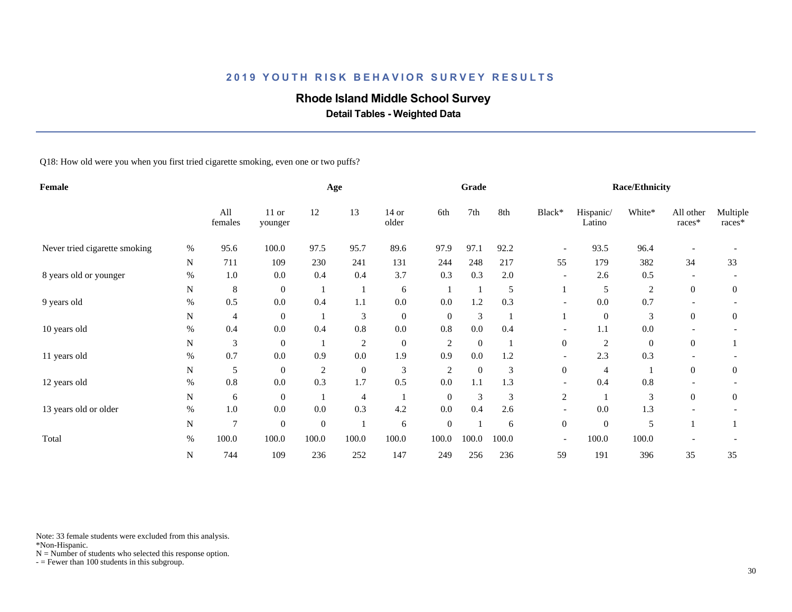# **Rhode Island Middle School Survey**

 **Detail Tables - Weighted Data**

Q18: How old were you when you first tried cigarette smoking, even one or two puffs?

| Female                        |      |                |                    |              | Age              |                  |                | Grade        |       |                          |                     | <b>Race/Ethnicity</b> |                     |                    |
|-------------------------------|------|----------------|--------------------|--------------|------------------|------------------|----------------|--------------|-------|--------------------------|---------------------|-----------------------|---------------------|--------------------|
|                               |      | All<br>females | $11$ or<br>younger | 12           | 13               | $14$ or<br>older | 6th            | 7th          | 8th   | Black*                   | Hispanic/<br>Latino | White*                | All other<br>races* | Multiple<br>races* |
| Never tried cigarette smoking | $\%$ | 95.6           | 100.0              | 97.5         | 95.7             | 89.6             | 97.9           | 97.1         | 92.2  | $\overline{\phantom{a}}$ | 93.5                | 96.4                  |                     |                    |
|                               | N    | 711            | 109                | 230          | 241              | 131              | 244            | 248          | 217   | 55                       | 179                 | 382                   | 34                  | 33                 |
| 8 years old or younger        | $\%$ | $1.0\,$        | 0.0                | 0.4          | 0.4              | 3.7              | 0.3            | 0.3          | 2.0   | $\overline{\phantom{a}}$ | 2.6                 | 0.5                   |                     |                    |
|                               | N    | $\,8\,$        | $\overline{0}$     |              |                  | 6                |                |              | 5     |                          | 5                   | $\overline{2}$        | $\overline{0}$      | $\mathbf{0}$       |
| 9 years old                   | %    | 0.5            | 0.0                | 0.4          | 1.1              | $0.0\,$          | 0.0            | 1.2          | 0.3   | $\overline{a}$           | 0.0                 | 0.7                   |                     |                    |
|                               | N    | $\overline{4}$ | $\overline{0}$     |              | 3                | $\boldsymbol{0}$ | $\overline{0}$ | 3            |       |                          | $\mathbf{0}$        | 3                     | $\theta$            | $\mathbf{0}$       |
| 10 years old                  | $\%$ | 0.4            | 0.0                | 0.4          | $0.8\,$          | $0.0\,$          | 0.8            | $0.0\,$      | 0.4   |                          | 1.1                 | $0.0\,$               |                     |                    |
|                               | N    | 3              | $\overline{0}$     |              | $\overline{c}$   | $\boldsymbol{0}$ | $\overline{c}$ | $\mathbf{0}$ |       | $\mathbf{0}$             | $\overline{c}$      | $\mathbf{0}$          | $\boldsymbol{0}$    |                    |
| 11 years old                  | $\%$ | 0.7            | 0.0                | 0.9          | 0.0              | 1.9              | 0.9            | 0.0          | 1.2   |                          | 2.3                 | 0.3                   |                     |                    |
|                               | N    | 5              | $\overline{0}$     | 2            | $\boldsymbol{0}$ | $\mathfrak{Z}$   | $\overline{2}$ | $\mathbf{0}$ | 3     | $\mathbf{0}$             | 4                   |                       | $\theta$            | $\mathbf{0}$       |
| 12 years old                  | $\%$ | 0.8            | 0.0                | 0.3          | 1.7              | 0.5              | 0.0            | 1.1          | 1.3   | $\overline{\phantom{a}}$ | 0.4                 | $0.8\,$               |                     |                    |
|                               | N    | 6              | $\overline{0}$     |              | 4                |                  | $\overline{0}$ | 3            | 3     | $\overline{c}$           |                     | 3                     | $\overline{0}$      | $\overline{0}$     |
| 13 years old or older         | $\%$ | $1.0\,$        | 0.0                | 0.0          | 0.3              | 4.2              | 0.0            | 0.4          | 2.6   |                          | 0.0                 | 1.3                   |                     |                    |
|                               | N    | $\overline{7}$ | $\boldsymbol{0}$   | $\mathbf{0}$ |                  | 6                | $\mathbf{0}$   |              | 6     | $\boldsymbol{0}$         | $\mathbf{0}$        | 5                     |                     |                    |
| Total                         | $\%$ | 100.0          | 100.0              | 100.0        | 100.0            | 100.0            | $100.0\,$      | 100.0        | 100.0 | $\overline{\phantom{a}}$ | 100.0               | 100.0                 |                     |                    |
|                               | N    | 744            | 109                | 236          | 252              | 147              | 249            | 256          | 236   | 59                       | 191                 | 396                   | 35                  | 35                 |

Note: 33 female students were excluded from this analysis.

\*Non-Hispanic.

 $N =$  Number of students who selected this response option.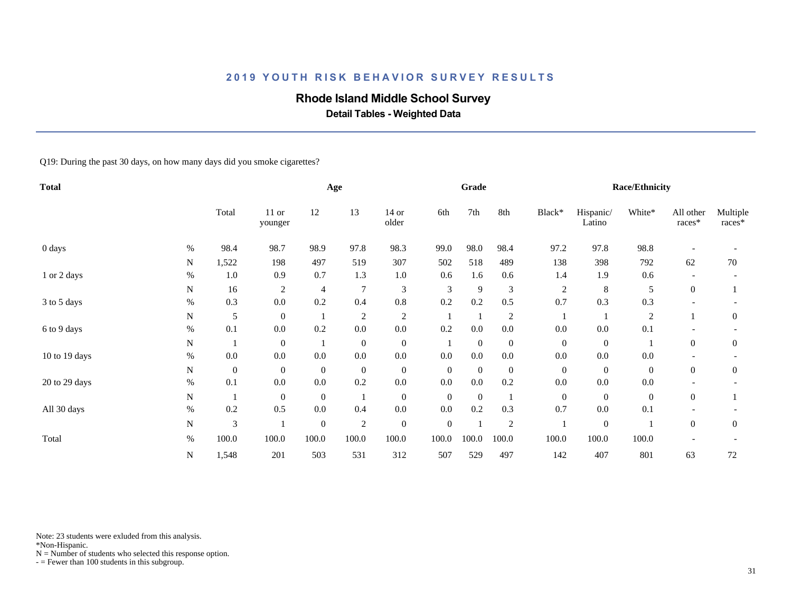# **Rhode Island Middle School Survey**

 **Detail Tables - Weighted Data**

Q19: During the past 30 days, on how many days did you smoke cigarettes?

| <b>Total</b>       |      |                  |                    |                  | Age              |                  |                  | Grade            |                  |                |                     | <b>Race/Ethnicity</b> |                     |                    |
|--------------------|------|------------------|--------------------|------------------|------------------|------------------|------------------|------------------|------------------|----------------|---------------------|-----------------------|---------------------|--------------------|
|                    |      | Total            | $11$ or<br>younger | 12               | 13               | $14$ or<br>older | 6th              | 7th              | 8th              | Black*         | Hispanic/<br>Latino | White*                | All other<br>races* | Multiple<br>races* |
| $0 \, \text{days}$ | $\%$ | 98.4             | 98.7               | 98.9             | 97.8             | 98.3             | 99.0             | 98.0             | 98.4             | 97.2           | 97.8                | 98.8                  |                     |                    |
|                    | N    | 1,522            | 198                | 497              | 519              | 307              | 502              | 518              | 489              | 138            | 398                 | 792                   | 62                  | 70                 |
| 1 or 2 days        | $\%$ | $1.0\,$          | 0.9                | 0.7              | 1.3              | 1.0              | 0.6              | 1.6              | 0.6              | 1.4            | 1.9                 | 0.6                   |                     |                    |
|                    | N    | 16               | $\overline{c}$     | 4                | $\tau$           | $\mathfrak{Z}$   | 3                | 9                | 3                | $\overline{c}$ | $\,8\,$             | 5                     | $\mathbf{0}$        |                    |
| 3 to 5 days        | $\%$ | 0.3              | 0.0                | 0.2              | 0.4              | $0.8\,$          | 0.2              | 0.2              | 0.5              | 0.7            | 0.3                 | 0.3                   |                     |                    |
|                    | N    | 5                | $\mathbf{0}$       |                  | $\overline{c}$   | $\overline{c}$   |                  |                  | $\overline{c}$   |                |                     | $\overline{c}$        |                     | $\mathbf{0}$       |
| 6 to 9 days        | $\%$ | 0.1              | 0.0                | 0.2              | 0.0              | 0.0              | 0.2              | 0.0              | 0.0              | 0.0            | 0.0                 | 0.1                   |                     |                    |
|                    | N    |                  | $\overline{0}$     |                  | $\boldsymbol{0}$ | $\boldsymbol{0}$ |                  | $\boldsymbol{0}$ | $\boldsymbol{0}$ | $\overline{0}$ | $\mathbf{0}$        |                       | $\overline{0}$      | $\boldsymbol{0}$   |
| 10 to 19 days      | $\%$ | $0.0\,$          | 0.0                | 0.0              | $0.0\,$          | $0.0\,$          | 0.0              | 0.0              | 0.0              | 0.0            | 0.0                 | 0.0                   |                     |                    |
|                    | N    | $\boldsymbol{0}$ | $\overline{0}$     | $\mathbf{0}$     | $\boldsymbol{0}$ | $\boldsymbol{0}$ | $\boldsymbol{0}$ | $\overline{0}$   | $\overline{0}$   | $\overline{0}$ | $\theta$            | $\mathbf{0}$          | $\overline{0}$      | $\theta$           |
| 20 to 29 days      | $\%$ | 0.1              | 0.0                | $0.0\,$          | 0.2              | $0.0\,$          | 0.0              | $0.0\,$          | 0.2              | 0.0            | 0.0                 | 0.0                   |                     |                    |
|                    | N    | $\mathbf{1}$     | $\overline{0}$     | $\theta$         |                  | $\boldsymbol{0}$ | $\boldsymbol{0}$ | $\boldsymbol{0}$ |                  | $\overline{0}$ | $\overline{0}$      | $\boldsymbol{0}$      | $\overline{0}$      |                    |
| All 30 days        | $\%$ | 0.2              | 0.5                | 0.0              | 0.4              | $0.0\,$          | 0.0              | 0.2              | 0.3              | 0.7            | 0.0                 | 0.1                   |                     |                    |
|                    | N    | $\mathfrak{Z}$   |                    | $\boldsymbol{0}$ | $\overline{2}$   | $\boldsymbol{0}$ | $\boldsymbol{0}$ |                  | $\overline{2}$   |                | $\mathbf{0}$        |                       | $\overline{0}$      | $\mathbf{0}$       |
| Total              | $\%$ | 100.0            | 100.0              | 100.0            | 100.0            | 100.0            | 100.0            | 100.0            | 100.0            | 100.0          | 100.0               | 100.0                 |                     |                    |
|                    | N    | 1,548            | 201                | 503              | 531              | 312              | 507              | 529              | 497              | 142            | 407                 | 801                   | 63                  | $72\,$             |

Note: 23 students were exluded from this analysis.

\*Non-Hispanic.

 $N =$  Number of students who selected this response option.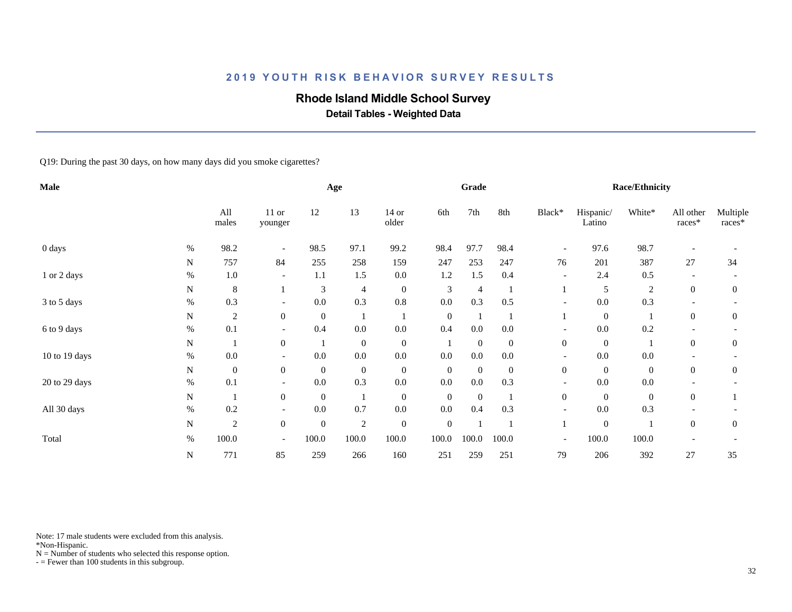# **Rhode Island Middle School Survey**

 **Detail Tables - Weighted Data**

Q19: During the past 30 days, on how many days did you smoke cigarettes?

| Male          |      |                  |                          |                  | Age              |                  |                  | Grade            |                  |                          |                     | <b>Race/Ethnicity</b> |                       |                    |
|---------------|------|------------------|--------------------------|------------------|------------------|------------------|------------------|------------------|------------------|--------------------------|---------------------|-----------------------|-----------------------|--------------------|
|               |      | All<br>males     | $11$ or<br>younger       | 12               | 13               | $14$ or<br>older | 6th              | 7th              | 8th              | Black*                   | Hispanic/<br>Latino | White*                | All other<br>$races*$ | Multiple<br>races* |
| 0 days        | %    | 98.2             |                          | 98.5             | 97.1             | 99.2             | 98.4             | 97.7             | 98.4             | $\overline{\phantom{a}}$ | 97.6                | 98.7                  |                       |                    |
|               | N    | 757              | 84                       | 255              | 258              | 159              | 247              | 253              | 247              | 76                       | 201                 | 387                   | 27                    | 34                 |
| 1 or 2 days   | $\%$ | $1.0\,$          | $\overline{\phantom{a}}$ | 1.1              | 1.5              | $0.0\,$          | 1.2              | 1.5              | 0.4              | $\overline{\phantom{a}}$ | 2.4                 | 0.5                   |                       |                    |
|               | N    | $\,8\,$          |                          | 3                | 4                | $\boldsymbol{0}$ | 3                | $\overline{4}$   |                  |                          | 5                   | $\sqrt{2}$            | $\overline{0}$        | $\mathbf{0}$       |
| 3 to 5 days   | $\%$ | 0.3              | $\overline{\phantom{a}}$ | 0.0              | 0.3              | $0.8\,$          | 0.0              | 0.3              | 0.5              | $\overline{a}$           | 0.0                 | 0.3                   |                       |                    |
|               | N    | $\overline{c}$   | $\overline{0}$           | $\mathbf{0}$     |                  |                  | $\boldsymbol{0}$ |                  |                  |                          | $\mathbf{0}$        |                       | $\theta$              | $\mathbf{0}$       |
| 6 to 9 days   | $\%$ | 0.1              |                          | 0.4              | 0.0              | 0.0              | 0.4              | 0.0              | 0.0              |                          | 0.0                 | 0.2                   |                       |                    |
|               | N    |                  | $\overline{0}$           |                  | $\boldsymbol{0}$ | $\boldsymbol{0}$ |                  | $\boldsymbol{0}$ | $\boldsymbol{0}$ | $\boldsymbol{0}$         | $\mathbf{0}$        | $\mathbf{1}$          | $\overline{0}$        | $\boldsymbol{0}$   |
| 10 to 19 days | $\%$ | $0.0\,$          |                          | 0.0              | $0.0\,$          | $0.0\,$          | 0.0              | 0.0              | $0.0\,$          |                          | 0.0                 | 0.0                   |                       |                    |
|               | N    | $\boldsymbol{0}$ | $\overline{0}$           | $\mathbf{0}$     | $\boldsymbol{0}$ | $\boldsymbol{0}$ | $\boldsymbol{0}$ | $\overline{0}$   | $\overline{0}$   | $\boldsymbol{0}$         | $\theta$            | $\mathbf{0}$          | $\overline{0}$        | $\boldsymbol{0}$   |
| 20 to 29 days | $\%$ | 0.1              | $\overline{\phantom{a}}$ | $0.0\,$          | 0.3              | $0.0\,$          | 0.0              | $0.0\,$          | 0.3              | $\overline{\phantom{a}}$ | 0.0                 | 0.0                   |                       |                    |
|               | N    | $\mathbf{1}$     | $\overline{0}$           | $\overline{0}$   |                  | $\boldsymbol{0}$ | $\boldsymbol{0}$ | $\boldsymbol{0}$ |                  | $\overline{0}$           | $\overline{0}$      | $\boldsymbol{0}$      | $\overline{0}$        |                    |
| All 30 days   | $\%$ | 0.2              |                          | 0.0              | 0.7              | $0.0\,$          | 0.0              | 0.4              | 0.3              |                          | 0.0                 | 0.3                   |                       |                    |
|               | N    | $\overline{c}$   | $\overline{0}$           | $\boldsymbol{0}$ | $\overline{2}$   | $\boldsymbol{0}$ | $\boldsymbol{0}$ |                  |                  |                          | $\boldsymbol{0}$    |                       | $\Omega$              | $\mathbf{0}$       |
| Total         | $\%$ | 100.0            | $\overline{\phantom{a}}$ | 100.0            | 100.0            | 100.0            | 100.0            | 100.0            | 100.0            | $\overline{\phantom{a}}$ | 100.0               | 100.0                 |                       |                    |
|               | N    | 771              | 85                       | 259              | 266              | 160              | 251              | 259              | 251              | 79                       | 206                 | 392                   | 27                    | 35                 |

Note: 17 male students were excluded from this analysis.

\*Non-Hispanic.

 $N =$  Number of students who selected this response option.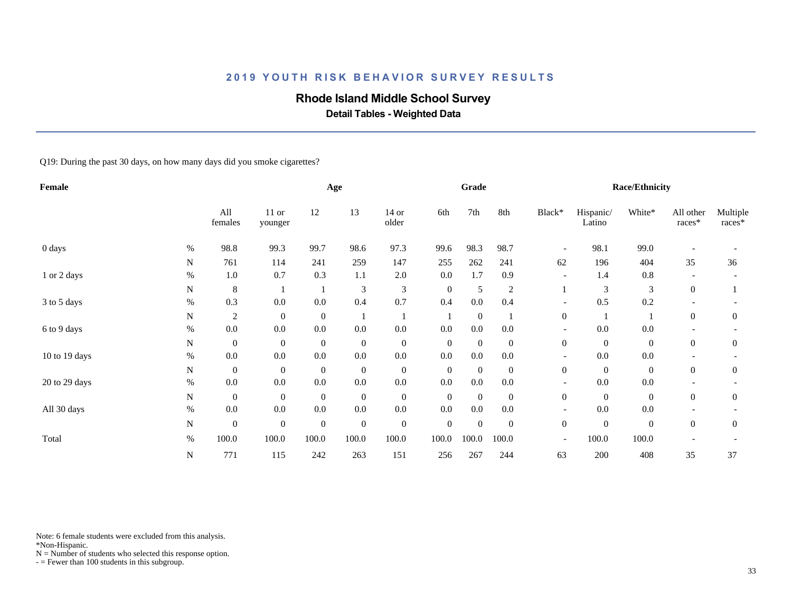# **Rhode Island Middle School Survey**

 **Detail Tables - Weighted Data**

Q19: During the past 30 days, on how many days did you smoke cigarettes?

| Female             |      |                  |                    |                  | Age              |                  |                  | Grade            |                |                          |                     | <b>Race/Ethnicity</b> |                     |                    |
|--------------------|------|------------------|--------------------|------------------|------------------|------------------|------------------|------------------|----------------|--------------------------|---------------------|-----------------------|---------------------|--------------------|
|                    |      | All<br>females   | $11$ or<br>younger | 12               | 13               | $14$ or<br>older | 6th              | 7th              | 8th            | Black*                   | Hispanic/<br>Latino | White*                | All other<br>races* | Multiple<br>races* |
| $0 \, \text{days}$ | $\%$ | 98.8             | 99.3               | 99.7             | 98.6             | 97.3             | 99.6             | 98.3             | 98.7           | $\overline{\phantom{a}}$ | 98.1                | 99.0                  |                     |                    |
|                    | N    | 761              | 114                | 241              | 259              | 147              | 255              | 262              | 241            | 62                       | 196                 | 404                   | 35                  | 36                 |
| 1 or 2 days        | $\%$ | $1.0\,$          | 0.7                | 0.3              | 1.1              | 2.0              | 0.0              | 1.7              | 0.9            | $\overline{\phantom{a}}$ | 1.4                 | 0.8                   |                     |                    |
|                    | N    | $\,8\,$          |                    |                  | 3                | $\mathfrak{Z}$   | $\boldsymbol{0}$ | 5                | $\overline{2}$ |                          | 3                   | 3                     | $\boldsymbol{0}$    |                    |
| 3 to 5 days        | $\%$ | 0.3              | 0.0                | 0.0              | 0.4              | 0.7              | 0.4              | 0.0              | 0.4            | $\overline{a}$           | 0.5                 | 0.2                   |                     |                    |
|                    | N    | $\overline{c}$   | $\overline{0}$     | $\boldsymbol{0}$ |                  |                  |                  | $\boldsymbol{0}$ |                | $\boldsymbol{0}$         |                     |                       | $\theta$            | $\theta$           |
| 6 to 9 days        | $\%$ | $0.0\,$          | 0.0                | 0.0              | 0.0              | 0.0              | 0.0              | 0.0              | 0.0            |                          | 0.0                 | 0.0                   |                     |                    |
|                    | N    | $\boldsymbol{0}$ | $\overline{0}$     | $\mathbf{0}$     | $\boldsymbol{0}$ | $\boldsymbol{0}$ | $\boldsymbol{0}$ | $\boldsymbol{0}$ | $\overline{0}$ | $\boldsymbol{0}$         | $\mathbf{0}$        | $\boldsymbol{0}$      | $\mathbf{0}$        | $\boldsymbol{0}$   |
| 10 to 19 days      | $\%$ | $0.0\,$          | 0.0                | 0.0              | $0.0\,$          | $0.0\,$          | 0.0              | 0.0              | 0.0            |                          | 0.0                 | 0.0                   |                     |                    |
|                    | N    | $\boldsymbol{0}$ | $\overline{0}$     | $\mathbf{0}$     | $\boldsymbol{0}$ | $\boldsymbol{0}$ | $\boldsymbol{0}$ | $\overline{0}$   | $\overline{0}$ | $\boldsymbol{0}$         | $\overline{0}$      | $\mathbf{0}$          | $\overline{0}$      | $\theta$           |
| 20 to 29 days      | $\%$ | $0.0\,$          | 0.0                | $0.0\,$          | $0.0\,$          | $0.0\,$          | 0.0              | $0.0\,$          | $0.0\,$        | $\overline{\phantom{a}}$ | 0.0                 | 0.0                   |                     |                    |
|                    | N    | $\overline{0}$   | $\overline{0}$     | $\overline{0}$   | $\boldsymbol{0}$ | $\boldsymbol{0}$ | $\mathbf{0}$     | $\boldsymbol{0}$ | $\overline{0}$ | $\overline{0}$           | $\overline{0}$      | $\boldsymbol{0}$      | $\overline{0}$      | $\overline{0}$     |
| All 30 days        | %    | $0.0\,$          | 0.0                | 0.0              | $0.0\,$          | $0.0\,$          | 0.0              | $0.0\,$          | $0.0\,$        |                          | 0.0                 | 0.0                   |                     |                    |
|                    | N    | $\mathbf{0}$     | $\mathbf{0}$       | $\mathbf{0}$     | $\mathbf{0}$     | $\boldsymbol{0}$ | $\boldsymbol{0}$ | $\boldsymbol{0}$ | $\mathbf{0}$   | $\mathbf{0}$             | $\boldsymbol{0}$    | $\boldsymbol{0}$      | $\Omega$            | $\mathbf{0}$       |
| Total              | $\%$ | 100.0            | 100.0              | 100.0            | 100.0            | 100.0            | 100.0            | 100.0            | 100.0          | $\overline{\phantom{a}}$ | 100.0               | 100.0                 |                     |                    |
|                    | N    | 771              | 115                | 242              | 263              | 151              | 256              | 267              | 244            | 63                       | 200                 | 408                   | 35                  | 37                 |

Note: 6 female students were excluded from this analysis.

\*Non-Hispanic.

 $N =$  Number of students who selected this response option.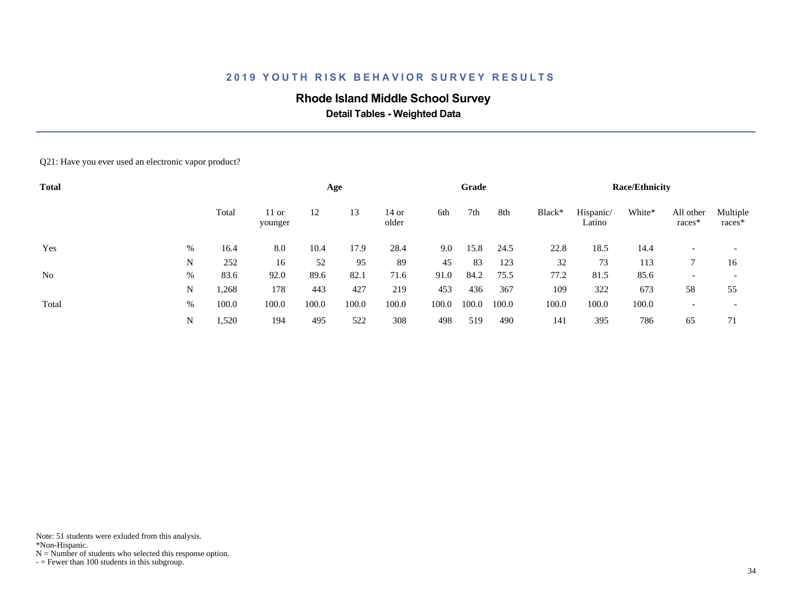# **Rhode Island Middle School Survey**

 **Detail Tables - Weighted Data**

#### Q21: Have you ever used an electronic vapor product?

| <b>Total</b>   |      |       |                    |       | Age   |                |       | Grade |       |        |                     | <b>Race/Ethnicity</b> |                     |                    |
|----------------|------|-------|--------------------|-------|-------|----------------|-------|-------|-------|--------|---------------------|-----------------------|---------------------|--------------------|
|                |      | Total | $11$ or<br>younger | 12    | 13    | 14 or<br>older | 6th   | 7th   | 8th   | Black* | Hispanic/<br>Latino | White*                | All other<br>races* | Multiple<br>races* |
| Yes            | $\%$ | 16.4  | 8.0                | 10.4  | 17.9  | 28.4           | 9.0   | 15.8  | 24.5  | 22.8   | 18.5                | 14.4                  |                     |                    |
|                | N    | 252   | 16                 | 52    | 95    | 89             | 45    | 83    | 123   | 32     | 73                  | 113                   |                     | 16                 |
| N <sub>0</sub> | $\%$ | 83.6  | 92.0               | 89.6  | 82.1  | 71.6           | 91.0  | 84.2  | 75.5  | 77.2   | 81.5                | 85.6                  |                     |                    |
|                | N    | 1,268 | 178                | 443   | 427   | 219            | 453   | 436   | 367   | 109    | 322                 | 673                   | 58                  | 55                 |
| Total          | $\%$ | 100.0 | 100.0              | 100.0 | 100.0 | 100.0          | 100.0 | 100.0 | 100.0 | 100.0  | 100.0               | 100.0                 |                     |                    |
|                | N    | 1,520 | 194                | 495   | 522   | 308            | 498   | 519   | 490   | 141    | 395                 | 786                   | 65                  | 71                 |

Note: 51 students were exluded from this analysis.

\*Non-Hispanic.

 $N =$  Number of students who selected this response option.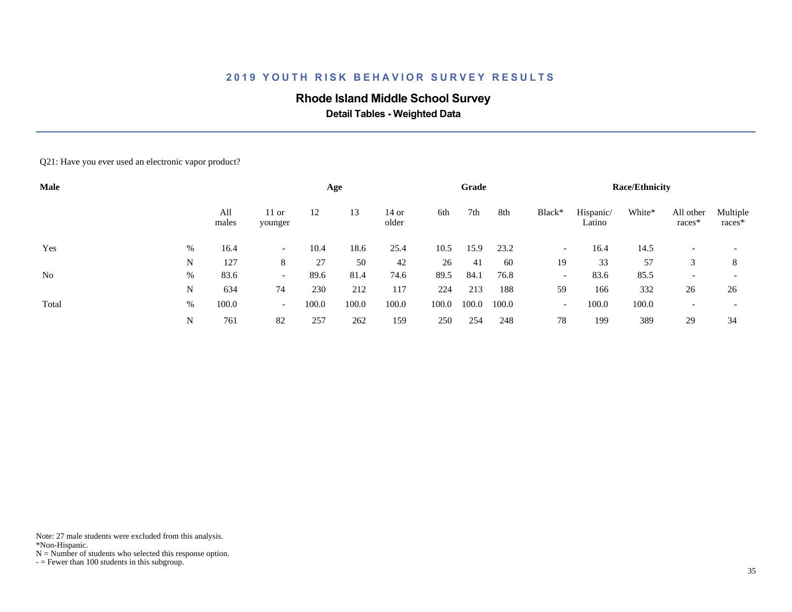# **Rhode Island Middle School Survey**

 **Detail Tables - Weighted Data**

#### Q21: Have you ever used an electronic vapor product?

| Male  |   |              |                          |       | Age   |                |       | Grade |       |                          |                     | <b>Race/Ethnicity</b> |                     |                    |
|-------|---|--------------|--------------------------|-------|-------|----------------|-------|-------|-------|--------------------------|---------------------|-----------------------|---------------------|--------------------|
|       |   | All<br>males | $11$ or<br>younger       | 12    | 13    | 14 or<br>older | 6th   | 7th   | 8th   | Black*                   | Hispanic/<br>Latino | White*                | All other<br>races* | Multiple<br>races* |
| Yes   | % | 16.4         | $\overline{\phantom{0}}$ | 10.4  | 18.6  | 25.4           | 10.5  | 15.9  | 23.2  | $\overline{\phantom{a}}$ | 16.4                | 14.5                  |                     |                    |
|       | N | 127          | 8                        | 27    | 50    | 42             | 26    | 41    | 60    | 19                       | 33                  | 57                    | 3                   | 8                  |
| No    | % | 83.6         | $\overline{\phantom{0}}$ | 89.6  | 81.4  | 74.6           | 89.5  | 84.1  | 76.8  | $\overline{\phantom{0}}$ | 83.6                | 85.5                  |                     |                    |
|       | N | 634          | 74                       | 230   | 212   | 117            | 224   | 213   | 188   | 59                       | 166                 | 332                   | 26                  | 26                 |
| Total | % | 100.0        | $\overline{\phantom{0}}$ | 100.0 | 100.0 | 100.0          | 100.0 | 100.0 | 100.0 | $\overline{\phantom{a}}$ | 100.0               | 100.0                 |                     |                    |
|       | N | 761          | 82                       | 257   | 262   | 159            | 250   | 254   | 248   | 78                       | 199                 | 389                   | 29                  | 34                 |

Note: 27 male students were excluded from this analysis.

\*Non-Hispanic.

 $N =$  Number of students who selected this response option.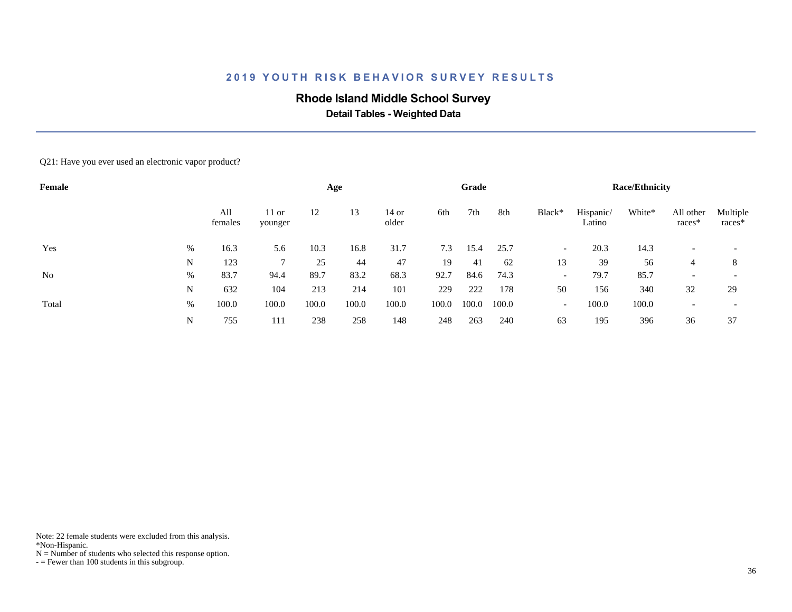# **Rhode Island Middle School Survey**

 **Detail Tables - Weighted Data**

#### Q21: Have you ever used an electronic vapor product?

| Female |   |                |                    |       | Age   |                |       | Grade |       |                          |                     | <b>Race/Ethnicity</b> |                     |                    |
|--------|---|----------------|--------------------|-------|-------|----------------|-------|-------|-------|--------------------------|---------------------|-----------------------|---------------------|--------------------|
|        |   | All<br>females | $11$ or<br>younger | 12    | 13    | 14 or<br>older | 6th   | 7th   | 8th   | Black*                   | Hispanic/<br>Latino | White*                | All other<br>races* | Multiple<br>races* |
| Yes    | % | 16.3           | 5.6                | 10.3  | 16.8  | 31.7           | 7.3   | 15.4  | 25.7  | $\overline{\phantom{0}}$ | 20.3                | 14.3                  |                     |                    |
|        | N | 123            |                    | 25    | 44    | 47             | 19    | 41    | 62    | 13                       | 39                  | 56                    | $\overline{4}$      | 8                  |
| No     | % | 83.7           | 94.4               | 89.7  | 83.2  | 68.3           | 92.7  | 84.6  | 74.3  | $\overline{\phantom{0}}$ | 79.7                | 85.7                  |                     |                    |
|        | N | 632            | 104                | 213   | 214   | 101            | 229   | 222   | 178   | 50                       | 156                 | 340                   | 32                  | 29                 |
| Total  | % | 100.0          | 100.0              | 100.0 | 100.0 | 100.0          | 100.0 | 100.0 | 100.0 | $\overline{\phantom{a}}$ | 100.0               | 100.0                 |                     |                    |
|        | N | 755            | 111                | 238   | 258   | 148            | 248   | 263   | 240   | 63                       | 195                 | 396                   | 36                  | 37                 |

Note: 22 female students were excluded from this analysis.

\*Non-Hispanic.

 $N =$  Number of students who selected this response option.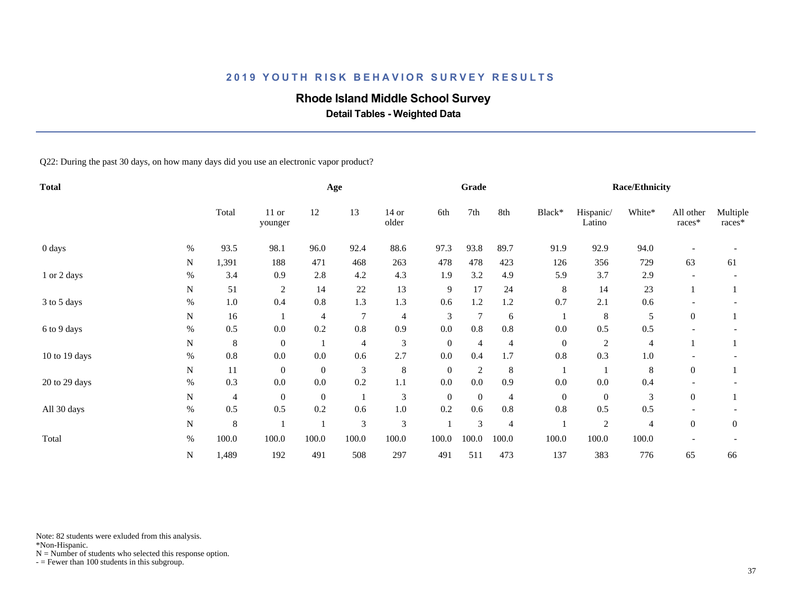# **Rhode Island Middle School Survey**

 **Detail Tables - Weighted Data**

Q22: During the past 30 days, on how many days did you use an electronic vapor product?

| <b>Total</b>  |      |                |                  |              | Age            |                  |                  | Grade            |                |                  |                     | <b>Race/Ethnicity</b> |                       |                    |
|---------------|------|----------------|------------------|--------------|----------------|------------------|------------------|------------------|----------------|------------------|---------------------|-----------------------|-----------------------|--------------------|
|               |      | Total          | 11 or<br>younger | 12           | 13             | $14$ or<br>older | 6th              | 7th              | 8th            | Black*           | Hispanic/<br>Latino | White*                | All other<br>$races*$ | Multiple<br>races* |
| 0 days        | $\%$ | 93.5           | 98.1             | 96.0         | 92.4           | 88.6             | 97.3             | 93.8             | 89.7           | 91.9             | 92.9                | 94.0                  |                       |                    |
|               | N    | 1,391          | 188              | 471          | 468            | 263              | 478              | 478              | 423            | 126              | 356                 | 729                   | 63                    | 61                 |
| 1 or 2 days   | $\%$ | 3.4            | 0.9              | 2.8          | 4.2            | 4.3              | 1.9              | 3.2              | 4.9            | 5.9              | 3.7                 | 2.9                   |                       |                    |
|               | N    | 51             | $\overline{c}$   | 14           | 22             | 13               | 9                | 17               | 24             | 8                | 14                  | 23                    |                       |                    |
| 3 to 5 days   | $\%$ | $1.0\,$        | 0.4              | 0.8          | 1.3            | 1.3              | 0.6              | 1.2              | 1.2            | 0.7              | 2.1                 | 0.6                   |                       |                    |
|               | N    | 16             |                  | 4            | $\overline{7}$ | $\overline{4}$   | 3                | $\overline{7}$   | 6              | 1                | 8                   | 5                     | $\overline{0}$        |                    |
| 6 to 9 days   | $\%$ | 0.5            | 0.0              | 0.2          | 0.8            | 0.9              | $0.0\,$          | $0.8\,$          | $0.8\,$        | 0.0              | 0.5                 | 0.5                   |                       |                    |
|               | N    | 8              | $\mathbf{0}$     |              | $\overline{4}$ | $\mathfrak{Z}$   | $\boldsymbol{0}$ | $\overline{4}$   | $\overline{4}$ | $\boldsymbol{0}$ | $\overline{2}$      | $\overline{4}$        |                       |                    |
| 10 to 19 days | $\%$ | 0.8            | 0.0              | 0.0          | 0.6            | 2.7              | $0.0\,$          | 0.4              | 1.7            | 0.8              | 0.3                 | $1.0\,$               |                       |                    |
|               | N    | 11             | $\mathbf{0}$     | $\mathbf{0}$ | 3              | $\,8\,$          | $\boldsymbol{0}$ | $\sqrt{2}$       | $8\phantom{1}$ | 1                |                     | 8                     | $\boldsymbol{0}$      |                    |
| 20 to 29 days | $\%$ | 0.3            | 0.0              | 0.0          | 0.2            | 1.1              | 0.0              | 0.0              | 0.9            | 0.0              | 0.0                 | 0.4                   |                       |                    |
|               | N    | $\overline{4}$ | $\mathbf{0}$     | $\mathbf{0}$ |                | $\mathfrak{Z}$   | $\boldsymbol{0}$ | $\boldsymbol{0}$ | $\overline{4}$ | $\boldsymbol{0}$ | $\mathbf{0}$        | 3                     | $\overline{0}$        |                    |
| All 30 days   | $\%$ | 0.5            | 0.5              | 0.2          | 0.6            | $1.0\,$          | 0.2              | 0.6              | 0.8            | 0.8              | 0.5                 | 0.5                   |                       |                    |
|               | N    | $\,8\,$        |                  |              | 3              | $\mathfrak{Z}$   |                  | 3                | $\overline{4}$ |                  | $\sqrt{2}$          | $\overline{4}$        | $\overline{0}$        | $\overline{0}$     |
| Total         | $\%$ | 100.0          | 100.0            | 100.0        | 100.0          | 100.0            | 100.0            | 100.0            | 100.0          | 100.0            | 100.0               | 100.0                 |                       |                    |
|               | N    | 1,489          | 192              | 491          | 508            | 297              | 491              | 511              | 473            | 137              | 383                 | 776                   | 65                    | 66                 |

Note: 82 students were exluded from this analysis.

\*Non-Hispanic.

 $N =$  Number of students who selected this response option.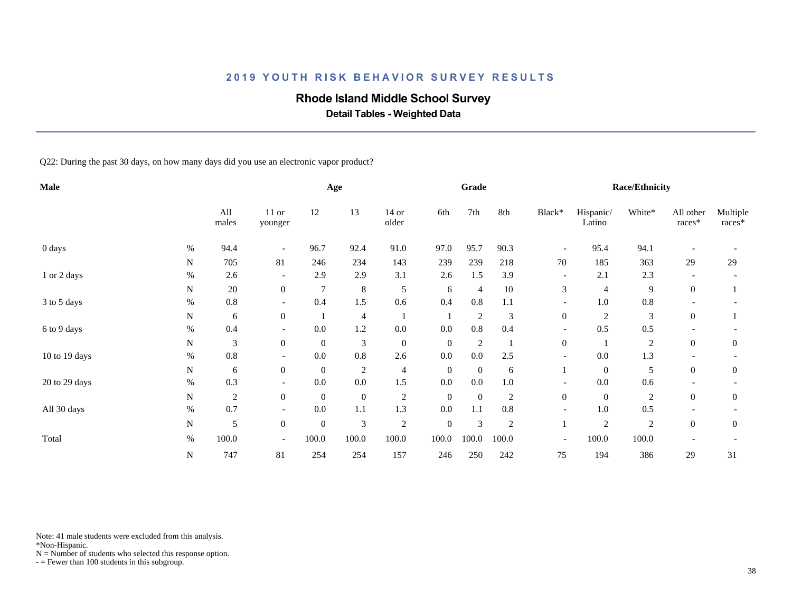# **Rhode Island Middle School Survey**

 **Detail Tables - Weighted Data**

Q22: During the past 30 days, on how many days did you use an electronic vapor product?

| Male          |      |                  |                          |                  | Age              |                  |                  | Grade            |                |                          |                     | <b>Race/Ethnicity</b> |                     |                    |
|---------------|------|------------------|--------------------------|------------------|------------------|------------------|------------------|------------------|----------------|--------------------------|---------------------|-----------------------|---------------------|--------------------|
|               |      | All<br>males     | 11 or<br>younger         | 12               | 13               | $14$ or<br>older | 6th              | 7th              | 8th            | Black*                   | Hispanic/<br>Latino | White*                | All other<br>races* | Multiple<br>races* |
| 0 days        | $\%$ | 94.4             | $\overline{\phantom{a}}$ | 96.7             | 92.4             | 91.0             | 97.0             | 95.7             | 90.3           | $\overline{\phantom{a}}$ | 95.4                | 94.1                  |                     |                    |
|               | N    | 705              | 81                       | 246              | 234              | 143              | 239              | 239              | 218            | 70                       | 185                 | 363                   | 29                  | 29                 |
| 1 or 2 days   | $\%$ | 2.6              | $\overline{\phantom{0}}$ | 2.9              | 2.9              | 3.1              | 2.6              | 1.5              | 3.9            | $\overline{\phantom{a}}$ | 2.1                 | 2.3                   |                     |                    |
|               | N    | 20               | $\boldsymbol{0}$         | $\overline{7}$   | $\,8\,$          | 5                | 6                | $\overline{4}$   | $10\,$         | 3                        | $\overline{4}$      | 9                     | $\mathbf{0}$        |                    |
| 3 to 5 days   | $\%$ | 0.8              | $\overline{\phantom{a}}$ | 0.4              | 1.5              | 0.6              | 0.4              | 0.8              | 1.1            | $\overline{\phantom{a}}$ | 1.0                 | $0.8\,$               |                     |                    |
|               | N    | 6                | $\boldsymbol{0}$         |                  | $\overline{4}$   |                  |                  | $\overline{c}$   | 3              | $\boldsymbol{0}$         | $\overline{2}$      | 3                     | $\overline{0}$      |                    |
| 6 to 9 days   | $\%$ | 0.4              |                          | 0.0              | 1.2              | $0.0\,$          | 0.0              | $0.8\,$          | 0.4            |                          | 0.5                 | $0.5\,$               |                     |                    |
|               | N    | 3                | $\boldsymbol{0}$         | $\mathbf{0}$     | $\mathfrak{Z}$   | $\boldsymbol{0}$ | $\boldsymbol{0}$ | $\overline{c}$   |                | $\boldsymbol{0}$         |                     | $\overline{2}$        | $\boldsymbol{0}$    | $\theta$           |
| 10 to 19 days | $\%$ | 0.8              |                          | 0.0              | 0.8              | 2.6              | $0.0\,$          | $0.0\,$          | 2.5            |                          | 0.0                 | 1.3                   |                     |                    |
|               | N    | 6                | $\overline{0}$           | $\mathbf{0}$     | $\overline{c}$   | $\overline{4}$   | $\boldsymbol{0}$ | $\boldsymbol{0}$ | 6              |                          | $\mathbf{0}$        | 5                     | $\overline{0}$      | $\theta$           |
| 20 to 29 days | $\%$ | 0.3              | $\overline{\phantom{a}}$ | 0.0              | 0.0              | 1.5              | $0.0\,$          | 0.0              | $1.0\,$        | $\overline{\phantom{a}}$ | $0.0\,$             | 0.6                   |                     |                    |
|               | N    | $\boldsymbol{2}$ | $\overline{0}$           | $\mathbf{0}$     | $\boldsymbol{0}$ | $\overline{c}$   | $\boldsymbol{0}$ | $\boldsymbol{0}$ | $\overline{c}$ | $\boldsymbol{0}$         | $\mathbf{0}$        | $\overline{2}$        | $\overline{0}$      | $\mathbf{0}$       |
| All 30 days   | $\%$ | 0.7              |                          | 0.0              | 1.1              | 1.3              | $0.0\,$          | 1.1              | $0.8\,$        | $\overline{\phantom{a}}$ | $1.0\,$             | 0.5                   |                     |                    |
|               | N    | 5                | $\boldsymbol{0}$         | $\boldsymbol{0}$ | 3                | $\sqrt{2}$       | $\boldsymbol{0}$ | $\mathfrak{Z}$   | $\overline{2}$ |                          | $\overline{2}$      | $\overline{2}$        | $\Omega$            | $\mathbf{0}$       |
| Total         | $\%$ | 100.0            | $\overline{\phantom{a}}$ | 100.0            | 100.0            | 100.0            | 100.0            | 100.0            | 100.0          | $\overline{\phantom{a}}$ | 100.0               | 100.0                 |                     |                    |
|               | N    | 747              | 81                       | 254              | 254              | 157              | 246              | 250              | 242            | 75                       | 194                 | 386                   | 29                  | 31                 |

Note: 41 male students were excluded from this analysis.

\*Non-Hispanic.

 $N =$  Number of students who selected this response option.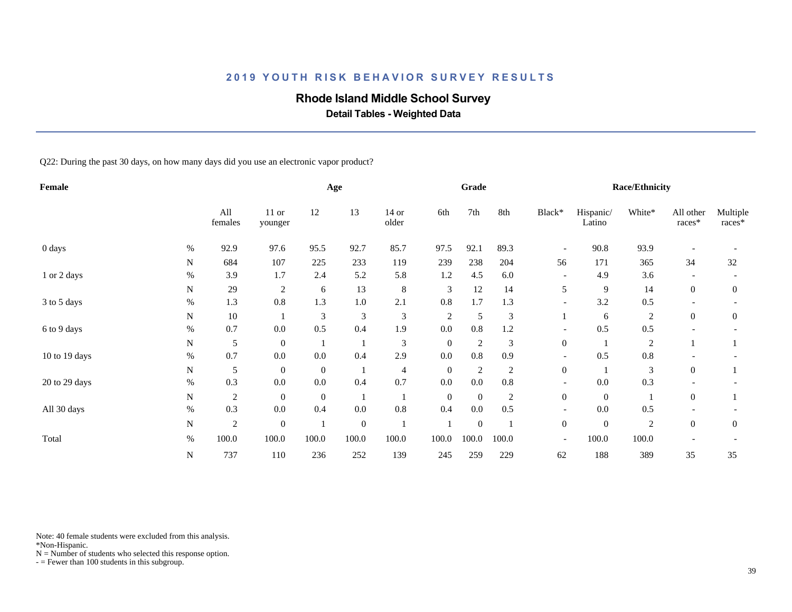## **Rhode Island Middle School Survey**

 **Detail Tables - Weighted Data**

Q22: During the past 30 days, on how many days did you use an electronic vapor product?

| Female        |      |                |                    |                | Age              |                  |                  | Grade            |                |                          |                     | <b>Race/Ethnicity</b> |                          |                    |
|---------------|------|----------------|--------------------|----------------|------------------|------------------|------------------|------------------|----------------|--------------------------|---------------------|-----------------------|--------------------------|--------------------|
|               |      | All<br>females | $11$ or<br>younger | 12             | 13               | $14$ or<br>older | 6th              | 7th              | 8th            | Black*                   | Hispanic/<br>Latino | White*                | All other<br>$races*$    | Multiple<br>races* |
| 0 days        | %    | 92.9           | 97.6               | 95.5           | 92.7             | 85.7             | 97.5             | 92.1             | 89.3           | $\overline{\phantom{a}}$ | 90.8                | 93.9                  |                          |                    |
|               | N    | 684            | 107                | 225            | 233              | 119              | 239              | 238              | 204            | 56                       | 171                 | 365                   | 34                       | 32                 |
| 1 or 2 days   | $\%$ | 3.9            | 1.7                | 2.4            | 5.2              | 5.8              | 1.2              | 4.5              | 6.0            | $\overline{\phantom{a}}$ | 4.9                 | 3.6                   |                          |                    |
|               | N    | 29             | $\overline{2}$     | 6              | 13               | $\,8\,$          | 3                | 12               | 14             | 5                        | 9                   | 14                    | $\overline{0}$           | $\mathbf{0}$       |
| 3 to 5 days   | $\%$ | 1.3            | 0.8                | 1.3            | $1.0\,$          | 2.1              | 0.8              | 1.7              | 1.3            | $\overline{\phantom{a}}$ | 3.2                 | 0.5                   | $\overline{\phantom{a}}$ |                    |
|               | N    | 10             |                    | 3              | 3                | 3                | $\overline{c}$   | 5                | 3              |                          | 6                   | $\overline{c}$        | $\overline{0}$           | $\theta$           |
| 6 to 9 days   | $\%$ | 0.7            | 0.0                | 0.5            | 0.4              | 1.9              | 0.0              | $0.8\,$          | 1.2            |                          | 0.5                 | 0.5                   |                          |                    |
|               | N    | 5              | $\overline{0}$     |                |                  | $\mathfrak{Z}$   | $\boldsymbol{0}$ | $\boldsymbol{2}$ | 3              | $\overline{0}$           |                     | $\overline{c}$        |                          |                    |
| 10 to 19 days | $\%$ | 0.7            | 0.0                | $0.0\,$        | 0.4              | 2.9              | 0.0              | $0.8\,$          | 0.9            |                          | 0.5                 | $0.8\,$               |                          |                    |
|               | N    | 5              | $\overline{0}$     | $\overline{0}$ |                  | 4                | $\boldsymbol{0}$ | $\boldsymbol{2}$ | 2              | $\overline{0}$           |                     | 3                     | $\overline{0}$           |                    |
| 20 to 29 days | $\%$ | 0.3            | 0.0                | $0.0\,$        | 0.4              | 0.7              | 0.0              | $0.0\,$          | $0.8\,$        | $\overline{\phantom{a}}$ | 0.0                 | 0.3                   |                          |                    |
|               | N    | $\sqrt{2}$     | $\overline{0}$     | $\mathbf{0}$   |                  |                  | $\boldsymbol{0}$ | $\boldsymbol{0}$ | $\overline{c}$ | $\boldsymbol{0}$         | $\overline{0}$      |                       | $\mathbf{0}$             |                    |
| All 30 days   | $\%$ | 0.3            | 0.0                | 0.4            | $0.0\,$          | $0.8\,$          | 0.4              | 0.0              | 0.5            | $\overline{\phantom{0}}$ | 0.0                 | 0.5                   |                          |                    |
|               | N    | $\mathfrak{2}$ | $\mathbf{0}$       |                | $\boldsymbol{0}$ |                  |                  | $\boldsymbol{0}$ |                | $\boldsymbol{0}$         | $\mathbf{0}$        | $\mathbf{2}$          | $\overline{0}$           | $\overline{0}$     |
| Total         | $\%$ | 100.0          | 100.0              | 100.0          | 100.0            | 100.0            | 100.0            | 100.0            | 100.0          | $\overline{\phantom{a}}$ | 100.0               | 100.0                 |                          |                    |
|               | N    | 737            | 110                | 236            | 252              | 139              | 245              | 259              | 229            | 62                       | 188                 | 389                   | 35                       | 35                 |

Note: 40 female students were excluded from this analysis.

\*Non-Hispanic.

 $N =$  Number of students who selected this response option.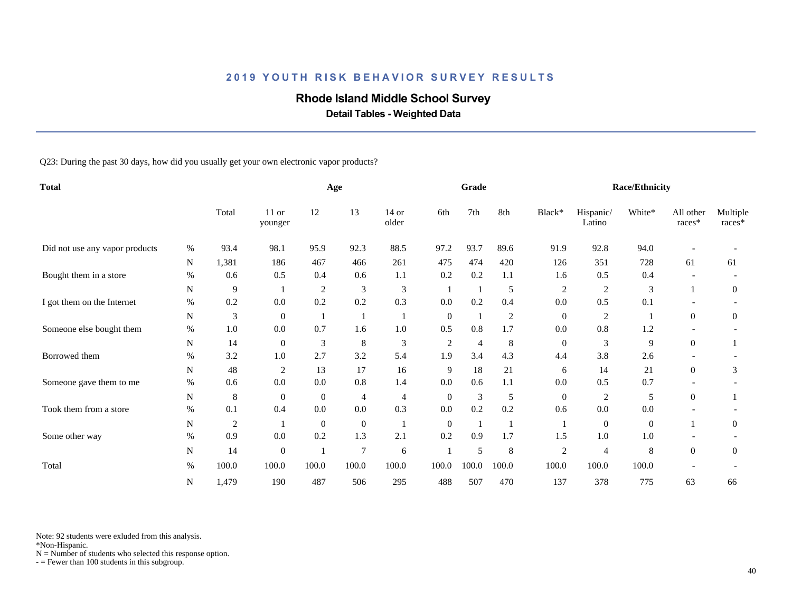# **Rhode Island Middle School Survey**

 **Detail Tables - Weighted Data**

Q23: During the past 30 days, how did you usually get your own electronic vapor products?

| <b>Total</b>                   |      |                |                    |                | Age              |                  |                  | Grade          |                |                  |                     | <b>Race/Ethnicity</b> |                     |                    |
|--------------------------------|------|----------------|--------------------|----------------|------------------|------------------|------------------|----------------|----------------|------------------|---------------------|-----------------------|---------------------|--------------------|
|                                |      | Total          | $11$ or<br>younger | 12             | 13               | $14$ or<br>older | 6th              | 7th            | 8th            | Black*           | Hispanic/<br>Latino | White*                | All other<br>races* | Multiple<br>races* |
| Did not use any vapor products | %    | 93.4           | 98.1               | 95.9           | 92.3             | 88.5             | 97.2             | 93.7           | 89.6           | 91.9             | 92.8                | 94.0                  |                     |                    |
|                                | N    | 1,381          | 186                | 467            | 466              | 261              | 475              | 474            | 420            | 126              | 351                 | 728                   | 61                  | 61                 |
| Bought them in a store         | $\%$ | 0.6            | 0.5                | 0.4            | 0.6              | 1.1              | 0.2              | 0.2            | 1.1            | 1.6              | 0.5                 | 0.4                   |                     |                    |
|                                | N    | 9              |                    | 2              | 3                | 3                |                  | -1             | 5              | $\overline{c}$   | $\overline{c}$      | 3                     |                     | $\overline{0}$     |
| I got them on the Internet     | $\%$ | 0.2            | 0.0                | 0.2            | 0.2              | 0.3              | 0.0              | 0.2            | 0.4            | 0.0              | 0.5                 | 0.1                   |                     |                    |
|                                | N    | $\mathfrak{Z}$ | $\overline{0}$     |                |                  | -1               | $\boldsymbol{0}$ | $\mathbf{1}$   | $\overline{2}$ | $\boldsymbol{0}$ | $\overline{2}$      |                       | $\overline{0}$      | $\mathbf{0}$       |
| Someone else bought them       | $\%$ | 1.0            | 0.0                | 0.7            | 1.6              | $1.0\,$          | 0.5              | $0.8\,$        | 1.7            | 0.0              | 0.8                 | 1.2                   |                     |                    |
|                                | N    | 14             | $\boldsymbol{0}$   | 3              | 8                | 3                | 2                | $\overline{4}$ | 8              | $\boldsymbol{0}$ | 3                   | 9                     | $\overline{0}$      |                    |
| Borrowed them                  | $\%$ | 3.2            | 1.0                | 2.7            | 3.2              | 5.4              | 1.9              | 3.4            | 4.3            | 4.4              | 3.8                 | 2.6                   |                     |                    |
|                                | N    | 48             | $\overline{2}$     | 13             | 17               | 16               | 9                | 18             | 21             | 6                | 14                  | 21                    | $\overline{0}$      | 3                  |
| Someone gave them to me        | $\%$ | 0.6            | 0.0                | 0.0            | 0.8              | 1.4              | 0.0              | 0.6            | 1.1            | 0.0              | 0.5                 | 0.7                   |                     |                    |
|                                | N    | 8              | $\overline{0}$     | $\overline{0}$ | $\overline{4}$   | 4                | $\mathbf{0}$     | $\mathfrak{Z}$ | 5              | $\mathbf{0}$     | $\overline{c}$      | 5                     | $\overline{0}$      |                    |
| Took them from a store         | $\%$ | 0.1            | 0.4                | 0.0            | $0.0\,$          | 0.3              | 0.0              | 0.2            | 0.2            | 0.6              | 0.0                 | $0.0\,$               |                     |                    |
|                                | N    | $\overline{c}$ |                    | $\overline{0}$ | $\boldsymbol{0}$ |                  | $\boldsymbol{0}$ |                |                | -1               | $\theta$            | $\boldsymbol{0}$      |                     | $\mathbf{0}$       |
| Some other way                 | $\%$ | 0.9            | 0.0                | 0.2            | 1.3              | 2.1              | 0.2              | 0.9            | 1.7            | 1.5              | $1.0\,$             | 1.0                   |                     |                    |
|                                | N    | 14             | $\boldsymbol{0}$   |                | $\overline{7}$   | 6                |                  | 5              | 8              | 2                | $\overline{4}$      | 8                     | $\overline{0}$      | $\overline{0}$     |
| Total                          | $\%$ | 100.0          | 100.0              | 100.0          | 100.0            | 100.0            | 100.0            | 100.0          | 100.0          | 100.0            | 100.0               | 100.0                 |                     |                    |
|                                | N    | 1,479          | 190                | 487            | 506              | 295              | 488              | 507            | 470            | 137              | 378                 | 775                   | 63                  | 66                 |

Note: 92 students were exluded from this analysis.

\*Non-Hispanic.

 $N =$  Number of students who selected this response option.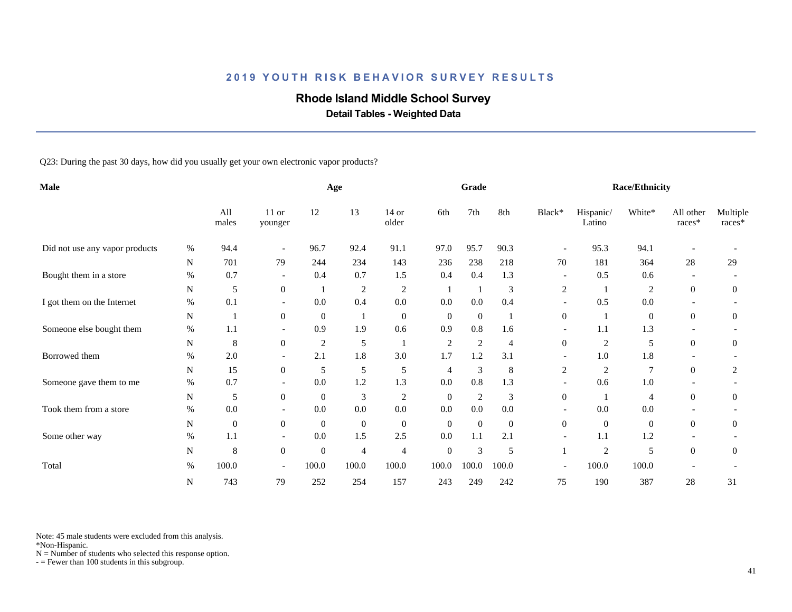# **Rhode Island Middle School Survey**

 **Detail Tables - Weighted Data**

Q23: During the past 30 days, how did you usually get your own electronic vapor products?

| Male                           |      |              |                          |                | Age              |                  |                  | Grade            |                |                          |                     | <b>Race/Ethnicity</b> |                          |                    |
|--------------------------------|------|--------------|--------------------------|----------------|------------------|------------------|------------------|------------------|----------------|--------------------------|---------------------|-----------------------|--------------------------|--------------------|
|                                |      | All<br>males | 11 or<br>younger         | 12             | 13               | $14$ or<br>older | 6th              | 7th              | 8th            | Black*                   | Hispanic/<br>Latino | White*                | All other<br>races*      | Multiple<br>races* |
| Did not use any vapor products | %    | 94.4         | $\overline{\phantom{a}}$ | 96.7           | 92.4             | 91.1             | 97.0             | 95.7             | 90.3           |                          | 95.3                | 94.1                  |                          |                    |
|                                | N    | 701          | 79                       | 244            | 234              | 143              | 236              | 238              | 218            | 70                       | 181                 | 364                   | 28                       | 29                 |
| Bought them in a store         | $\%$ | 0.7          | $\overline{\phantom{a}}$ | 0.4            | 0.7              | 1.5              | 0.4              | 0.4              | 1.3            | $\overline{\phantom{a}}$ | 0.5                 | 0.6                   | $\overline{\phantom{a}}$ |                    |
|                                | N    | 5            | $\mathbf{0}$             |                | $\overline{c}$   | $\sqrt{2}$       |                  | -1               | 3              | 2                        |                     | $\overline{2}$        | $\overline{0}$           | $\overline{0}$     |
| I got them on the Internet     | $\%$ | 0.1          | $\overline{\phantom{a}}$ | 0.0            | 0.4              | 0.0              | 0.0              | 0.0              | 0.4            |                          | 0.5                 | 0.0                   |                          |                    |
|                                | N    | 1            | $\overline{0}$           | $\theta$       |                  | $\boldsymbol{0}$ | $\boldsymbol{0}$ | $\boldsymbol{0}$ |                | $\overline{0}$           |                     | $\boldsymbol{0}$      | $\Omega$                 | $\mathbf{0}$       |
| Someone else bought them       | $\%$ | 1.1          | $\overline{\phantom{a}}$ | 0.9            | 1.9              | 0.6              | 0.9              | $0.8\,$          | 1.6            | $\overline{\phantom{a}}$ | 1.1                 | 1.3                   |                          |                    |
|                                | N    | 8            | $\boldsymbol{0}$         | $\overline{c}$ | 5                |                  | 2                | $\overline{c}$   | $\overline{4}$ | $\overline{0}$           | $\overline{c}$      | 5                     | $\overline{0}$           | $\mathbf{0}$       |
| Borrowed them                  | $\%$ | 2.0          | $\overline{\phantom{a}}$ | 2.1            | $1.8\,$          | 3.0              | 1.7              | 1.2              | 3.1            | $\overline{\phantom{a}}$ | 1.0                 | 1.8                   |                          |                    |
|                                | N    | 15           | $\overline{0}$           | 5              | 5                | 5                | $\overline{4}$   | 3                | 8              | 2                        | $\overline{c}$      | $\tau$                | $\overline{0}$           | $\overline{2}$     |
| Someone gave them to me        | $\%$ | 0.7          | $\overline{\phantom{a}}$ | 0.0            | 1.2              | 1.3              | 0.0              | 0.8              | 1.3            | $\overline{\phantom{a}}$ | 0.6                 | 1.0                   |                          |                    |
|                                | N    | 5            | $\overline{0}$           | $\overline{0}$ | 3                | $\overline{c}$   | $\mathbf{0}$     | 2                | 3              | $\boldsymbol{0}$         | $\overline{1}$      | $\overline{4}$        | $\boldsymbol{0}$         | $\overline{0}$     |
| Took them from a store         | $\%$ | 0.0          |                          | 0.0            | 0.0              | $0.0\,$          | $0.0\,$          | $0.0\,$          | 0.0            |                          | 0.0                 | 0.0                   |                          |                    |
|                                | N    | $\mathbf{0}$ | $\boldsymbol{0}$         | $\overline{0}$ | $\boldsymbol{0}$ | $\boldsymbol{0}$ | $\boldsymbol{0}$ | $\boldsymbol{0}$ | $\mathbf{0}$   | $\overline{0}$           | $\mathbf{0}$        | $\boldsymbol{0}$      | $\overline{0}$           | $\mathbf{0}$       |
| Some other way                 | $\%$ | 1.1          | $\overline{\phantom{a}}$ | 0.0            | 1.5              | 2.5              | 0.0              | 1.1              | 2.1            | $\overline{\phantom{a}}$ | 1.1                 | 1.2                   |                          |                    |
|                                | N    | 8            | $\overline{0}$           | $\overline{0}$ | 4                | 4                | $\boldsymbol{0}$ | $\mathfrak{Z}$   | 5              | 1                        | $\overline{c}$      | 5                     | $\mathbf{0}$             | $\mathbf{0}$       |
| Total                          | $\%$ | 100.0        | $\overline{\phantom{a}}$ | 100.0          | 100.0            | 100.0            | 100.0            | 100.0            | 100.0          | $\overline{\phantom{a}}$ | 100.0               | 100.0                 |                          |                    |
|                                | N    | 743          | 79                       | 252            | 254              | 157              | 243              | 249              | 242            | 75                       | 190                 | 387                   | 28                       | 31                 |

Note: 45 male students were excluded from this analysis.

\*Non-Hispanic.

 $N =$  Number of students who selected this response option.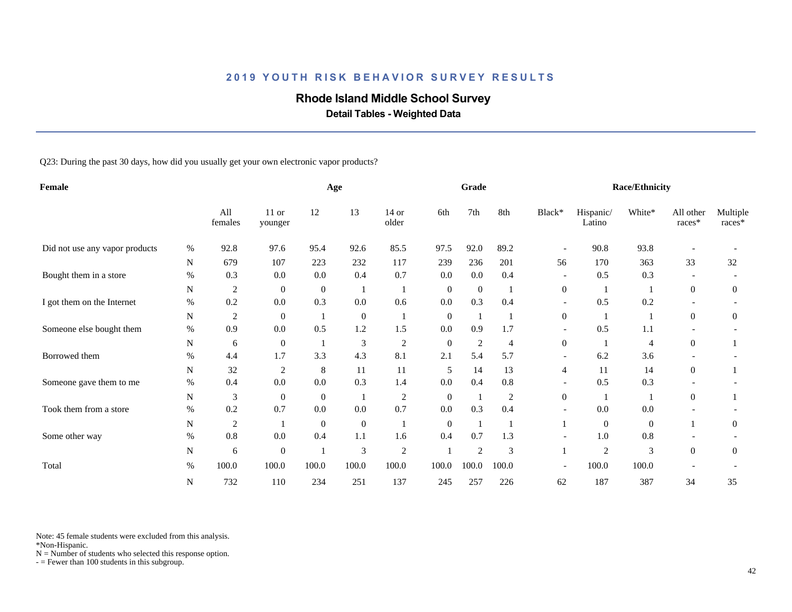## **Rhode Island Middle School Survey**

 **Detail Tables - Weighted Data**

Q23: During the past 30 days, how did you usually get your own electronic vapor products?

| Female                         |      |                  |                  |                | Age              |                  |                  | Grade            |                |                          |                     | <b>Race/Ethnicity</b> |                     |                    |
|--------------------------------|------|------------------|------------------|----------------|------------------|------------------|------------------|------------------|----------------|--------------------------|---------------------|-----------------------|---------------------|--------------------|
|                                |      | All<br>females   | 11 or<br>younger | 12             | 13               | $14$ or<br>older | 6th              | 7th              | 8th            | Black*                   | Hispanic/<br>Latino | White*                | All other<br>races* | Multiple<br>races* |
| Did not use any vapor products | %    | 92.8             | 97.6             | 95.4           | 92.6             | 85.5             | 97.5             | 92.0             | 89.2           |                          | 90.8                | 93.8                  |                     |                    |
|                                | N    | 679              | 107              | 223            | 232              | 117              | 239              | 236              | 201            | 56                       | 170                 | 363                   | 33                  | 32                 |
| Bought them in a store         | $\%$ | 0.3              | 0.0              | 0.0            | 0.4              | 0.7              | 0.0              | 0.0              | 0.4            | $\overline{\phantom{a}}$ | 0.5                 | 0.3                   |                     |                    |
|                                | N    | $\boldsymbol{2}$ | $\boldsymbol{0}$ | $\overline{0}$ |                  |                  | $\mathbf{0}$     | $\boldsymbol{0}$ |                | $\boldsymbol{0}$         |                     |                       | $\overline{0}$      | $\overline{0}$     |
| I got them on the Internet     | $\%$ | 0.2              | 0.0              | 0.3            | 0.0              | 0.6              | 0.0              | 0.3              | 0.4            | $\overline{\phantom{a}}$ | 0.5                 | 0.2                   |                     |                    |
|                                | N    | $\overline{c}$   | $\boldsymbol{0}$ |                | $\boldsymbol{0}$ |                  | $\boldsymbol{0}$ | $\overline{1}$   |                | $\overline{0}$           |                     |                       | $\Omega$            | $\mathbf{0}$       |
| Someone else bought them       | $\%$ | 0.9              | 0.0              | 0.5            | 1.2              | 1.5              | 0.0              | 0.9              | 1.7            | $\overline{\phantom{a}}$ | 0.5                 | 1.1                   |                     |                    |
|                                | N    | 6                | $\boldsymbol{0}$ |                | 3                | $\sqrt{2}$       | $\mathbf{0}$     | $\boldsymbol{2}$ | $\overline{4}$ | $\overline{0}$           |                     | $\overline{4}$        | $\overline{0}$      |                    |
| Borrowed them                  | $\%$ | 4.4              | 1.7              | 3.3            | 4.3              | 8.1              | 2.1              | 5.4              | 5.7            | $\overline{\phantom{a}}$ | 6.2                 | 3.6                   |                     |                    |
|                                | N    | 32               | $\overline{2}$   | 8              | 11               | 11               | 5                | 14               | 13             | 4                        | 11                  | 14                    | $\overline{0}$      |                    |
| Someone gave them to me        | $\%$ | 0.4              | 0.0              | 0.0            | 0.3              | 1.4              | 0.0              | 0.4              | $0.8\,$        | $\overline{\phantom{a}}$ | 0.5                 | 0.3                   |                     |                    |
|                                | N    | 3                | $\boldsymbol{0}$ | $\overline{0}$ |                  | $\overline{2}$   | $\mathbf{0}$     | $\mathbf{1}$     | $\overline{2}$ | $\boldsymbol{0}$         |                     |                       | $\overline{0}$      |                    |
| Took them from a store         | %    | 0.2              | 0.7              | 0.0            | 0.0              | 0.7              | 0.0              | 0.3              | 0.4            |                          | 0.0                 | 0.0                   |                     |                    |
|                                | N    | $\overline{c}$   |                  | $\theta$       | $\boldsymbol{0}$ |                  | $\boldsymbol{0}$ | $\mathbf{1}$     |                |                          | $\mathbf{0}$        | $\mathbf{0}$          |                     | $\mathbf{0}$       |
| Some other way                 | $\%$ | 0.8              | 0.0              | 0.4            | 1.1              | 1.6              | 0.4              | 0.7              | 1.3            | $\overline{\phantom{a}}$ | 1.0                 | 0.8                   |                     |                    |
|                                | N    | 6                | $\boldsymbol{0}$ |                | 3                | $\overline{c}$   |                  | $\overline{c}$   | 3              | 1                        | $\overline{c}$      | 3                     | $\overline{0}$      | $\mathbf{0}$       |
| Total                          | $\%$ | 100.0            | 100.0            | 100.0          | 100.0            | 100.0            | 100.0            | 100.0            | 100.0          | $\overline{\phantom{a}}$ | 100.0               | 100.0                 |                     |                    |
|                                | N    | 732              | 110              | 234            | 251              | 137              | 245              | 257              | 226            | 62                       | 187                 | 387                   | 34                  | 35                 |

Note: 45 female students were excluded from this analysis.

\*Non-Hispanic.

 $N =$  Number of students who selected this response option.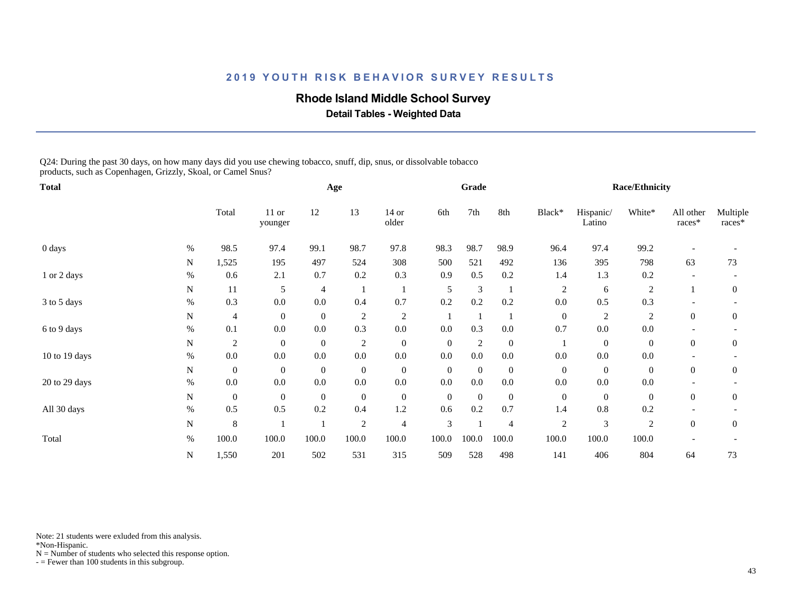### **Rhode Island Middle School Survey**

 **Detail Tables - Weighted Data**

Q24: During the past 30 days, on how many days did you use chewing tobacco, snuff, dip, snus, or dissolvable tobacco products, such as Copenhagen, Grizzly, Skoal, or Camel Snus?

| <b>Total</b>  |           |                  |                  |              | Age              |                  |                | Grade            |                |                  |                     | <b>Race/Ethnicity</b> |                     |                    |
|---------------|-----------|------------------|------------------|--------------|------------------|------------------|----------------|------------------|----------------|------------------|---------------------|-----------------------|---------------------|--------------------|
|               |           | Total            | 11 or<br>younger | 12           | 13               | $14$ or<br>older | 6th            | 7th              | 8th            | Black*           | Hispanic/<br>Latino | White*                | All other<br>races* | Multiple<br>races* |
| 0 days        | $\%$      | 98.5             | 97.4             | 99.1         | 98.7             | 97.8             | 98.3           | 98.7             | 98.9           | 96.4             | 97.4                | 99.2                  |                     |                    |
|               | N         | 1,525            | 195              | 497          | 524              | 308              | 500            | 521              | 492            | 136              | 395                 | 798                   | 63                  | 73                 |
| 1 or 2 days   | %         | 0.6              | 2.1              | 0.7          | 0.2              | 0.3              | 0.9            | 0.5              | 0.2            | 1.4              | 1.3                 | 0.2                   |                     |                    |
|               | N         | 11               | 5                | 4            |                  |                  | 5              | $\mathfrak{Z}$   |                | 2                | 6                   | $\overline{c}$        |                     | $\mathbf{0}$       |
| 3 to 5 days   | $\%$      | 0.3              | $0.0\,$          | $0.0\,$      | 0.4              | 0.7              | 0.2            | 0.2              | 0.2            | 0.0              | 0.5                 | 0.3                   |                     |                    |
|               | N         | 4                | $\boldsymbol{0}$ | $\mathbf{0}$ | $\overline{c}$   | $\overline{c}$   |                |                  |                | $\mathbf{0}$     | $\overline{c}$      | $\overline{c}$        | $\overline{0}$      | $\overline{0}$     |
| 6 to 9 days   | %         | 0.1              | 0.0              | $0.0\,$      | 0.3              | $0.0\,$          | 0.0            | 0.3              | 0.0            | 0.7              | 0.0                 | $0.0\,$               |                     |                    |
|               | N         | $\overline{c}$   | $\mathbf{0}$     | $\mathbf{0}$ | $\sqrt{2}$       | $\boldsymbol{0}$ | $\overline{0}$ | $\sqrt{2}$       | $\overline{0}$ |                  | $\overline{0}$      | $\boldsymbol{0}$      | $\overline{0}$      | $\mathbf{0}$       |
| 10 to 19 days | $\%$      | 0.0              | 0.0              | 0.0          | 0.0              | $0.0\,$          | 0.0            | 0.0              | 0.0            | 0.0              | 0.0                 | 0.0                   |                     |                    |
|               | N         | $\boldsymbol{0}$ | $\mathbf{0}$     | $\mathbf{0}$ | $\boldsymbol{0}$ | $\boldsymbol{0}$ | $\mathbf{0}$   | $\boldsymbol{0}$ | $\mathbf{0}$   | $\mathbf{0}$     | $\mathbf{0}$        | $\boldsymbol{0}$      | $\overline{0}$      | $\theta$           |
| 20 to 29 days | $\%$      | 0.0              | 0.0              | 0.0          | $0.0\,$          | $0.0\,$          | 0.0            | $0.0\,$          | 0.0            | 0.0              | 0.0                 | $0.0\,$               |                     |                    |
|               | N         | $\boldsymbol{0}$ | $\overline{0}$   | $\mathbf{0}$ | $\boldsymbol{0}$ | $\boldsymbol{0}$ | $\mathbf{0}$   | $\boldsymbol{0}$ | $\overline{0}$ | $\boldsymbol{0}$ | $\overline{0}$      | $\boldsymbol{0}$      | $\overline{0}$      | $\boldsymbol{0}$   |
| All 30 days   | %         | 0.5              | 0.5              | 0.2          | 0.4              | 1.2              | 0.6            | 0.2              | 0.7            | 1.4              | 0.8                 | 0.2                   |                     |                    |
|               | ${\bf N}$ | 8                |                  |              | $\overline{2}$   | $\overline{4}$   | 3              |                  | $\overline{4}$ | $\overline{2}$   | 3                   | $\mathfrak{2}$        | $\Omega$            | $\overline{0}$     |
| Total         | %         | 100.0            | 100.0            | 100.0        | 100.0            | 100.0            | 100.0          | 100.0            | 100.0          | 100.0            | 100.0               | 100.0                 |                     |                    |
|               | N         | 1,550            | 201              | 502          | 531              | 315              | 509            | 528              | 498            | 141              | 406                 | 804                   | 64                  | 73                 |

Note: 21 students were exluded from this analysis.

\*Non-Hispanic.

 $N =$  Number of students who selected this response option.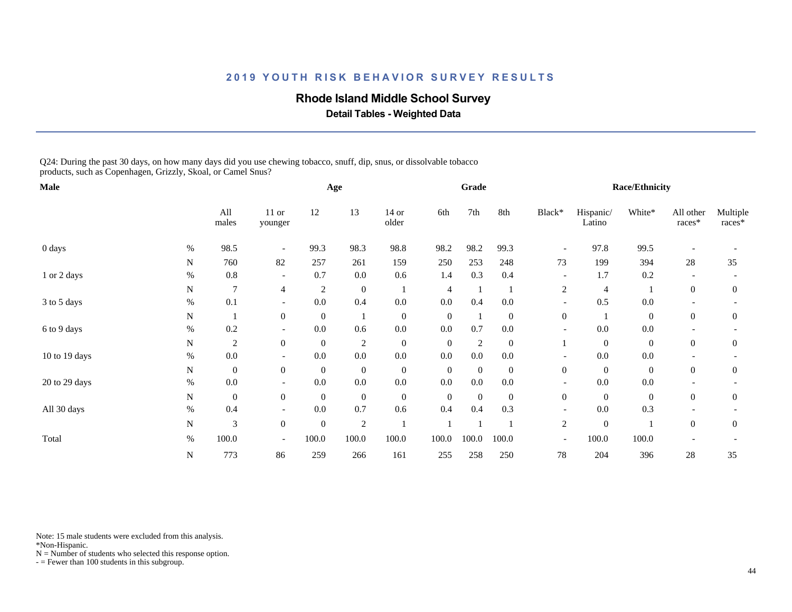### **Rhode Island Middle School Survey**

 **Detail Tables - Weighted Data**

Q24: During the past 30 days, on how many days did you use chewing tobacco, snuff, dip, snus, or dissolvable tobacco products, such as Copenhagen, Grizzly, Skoal, or Camel Snus?

| Male          |      |                  |                          |                | Age              |                  |                  | Grade          |                  |                          |                     | Race/Ethnicity   |                     |                    |
|---------------|------|------------------|--------------------------|----------------|------------------|------------------|------------------|----------------|------------------|--------------------------|---------------------|------------------|---------------------|--------------------|
|               |      | All<br>males     | $11$ or<br>younger       | 12             | 13               | $14$ or<br>older | 6th              | 7th            | 8th              | Black*                   | Hispanic/<br>Latino | White*           | All other<br>races* | Multiple<br>races* |
| 0 days        | $\%$ | 98.5             |                          | 99.3           | 98.3             | 98.8             | 98.2             | 98.2           | 99.3             |                          | 97.8                | 99.5             |                     |                    |
|               | N    | 760              | 82                       | 257            | 261              | 159              | 250              | 253            | 248              | 73                       | 199                 | 394              | 28                  | 35                 |
| 1 or 2 days   | $\%$ | 0.8              | $\overline{\phantom{a}}$ | 0.7            | $0.0\,$          | 0.6              | 1.4              | 0.3            | 0.4              | $\overline{\phantom{a}}$ | 1.7                 | 0.2              |                     |                    |
|               | N    | $\overline{7}$   | $\overline{4}$           | $\overline{2}$ | $\boldsymbol{0}$ | -1               | 4                |                |                  | $\overline{c}$           | $\overline{4}$      |                  | $\overline{0}$      | $\overline{0}$     |
| 3 to 5 days   | $\%$ | 0.1              | $\overline{\phantom{a}}$ | 0.0            | 0.4              | $0.0\,$          | $0.0\,$          | 0.4            | 0.0              | $\overline{\phantom{a}}$ | 0.5                 | $0.0\,$          |                     |                    |
|               | N    |                  | $\overline{0}$           | $\mathbf{0}$   |                  | $\mathbf{0}$     | $\boldsymbol{0}$ | -1             | $\boldsymbol{0}$ | $\overline{0}$           |                     | $\boldsymbol{0}$ | $\overline{0}$      | $\mathbf{0}$       |
| 6 to 9 days   | $\%$ | 0.2              |                          | $0.0\,$        | 0.6              | $0.0\,$          | $0.0\,$          | 0.7            | 0.0              |                          | $0.0\,$             | $0.0\,$          |                     |                    |
|               | N    | $\overline{2}$   | $\mathbf{0}$             | $\mathbf{0}$   | $\overline{2}$   | $\boldsymbol{0}$ | $\boldsymbol{0}$ | $\overline{2}$ | $\mathbf{0}$     |                          | $\boldsymbol{0}$    | $\boldsymbol{0}$ | $\overline{0}$      | $\mathbf{0}$       |
| 10 to 19 days | $\%$ | 0.0              | $\overline{\phantom{a}}$ | 0.0            | $0.0\,$          | $0.0\,$          | 0.0              | 0.0            | 0.0              | $\overline{a}$           | 0.0                 | $0.0\,$          |                     |                    |
|               | N    | $\boldsymbol{0}$ | $\overline{0}$           | $\mathbf{0}$   | $\boldsymbol{0}$ | $\boldsymbol{0}$ | $\boldsymbol{0}$ | $\mathbf{0}$   | $\mathbf{0}$     | $\mathbf{0}$             | $\mathbf{0}$        | $\boldsymbol{0}$ | $\theta$            | $\boldsymbol{0}$   |
| 20 to 29 days | $\%$ | 0.0              | $\overline{\phantom{a}}$ | 0.0            | $0.0\,$          | $0.0\,$          | $0.0\,$          | $0.0\,$        | $0.0\,$          |                          | $0.0\,$             | $0.0\,$          |                     |                    |
|               | N    | $\boldsymbol{0}$ | $\overline{0}$           | $\mathbf{0}$   | $\boldsymbol{0}$ | $\boldsymbol{0}$ | $\boldsymbol{0}$ | $\mathbf{0}$   | $\mathbf{0}$     | $\boldsymbol{0}$         | $\mathbf{0}$        | $\boldsymbol{0}$ | $\overline{0}$      | $\boldsymbol{0}$   |
| All 30 days   | $\%$ | 0.4              |                          | 0.0            | 0.7              | 0.6              | 0.4              | 0.4            | 0.3              |                          | $0.0\,$             | 0.3              |                     |                    |
|               | N    | 3                | $\mathbf{0}$             | $\mathbf{0}$   | 2                |                  |                  |                |                  | $\overline{c}$           | $\mathbf{0}$        |                  | $\overline{0}$      | $\overline{0}$     |
| Total         | $\%$ | 100.0            | $\overline{\phantom{a}}$ | 100.0          | 100.0            | 100.0            | 100.0            | 100.0          | 100.0            | $\overline{\phantom{a}}$ | 100.0               | 100.0            |                     |                    |
|               | N    | 773              | 86                       | 259            | 266              | 161              | 255              | 258            | 250              | 78                       | 204                 | 396              | $28\,$              | 35                 |

Note: 15 male students were excluded from this analysis.

\*Non-Hispanic.

 $N =$  Number of students who selected this response option.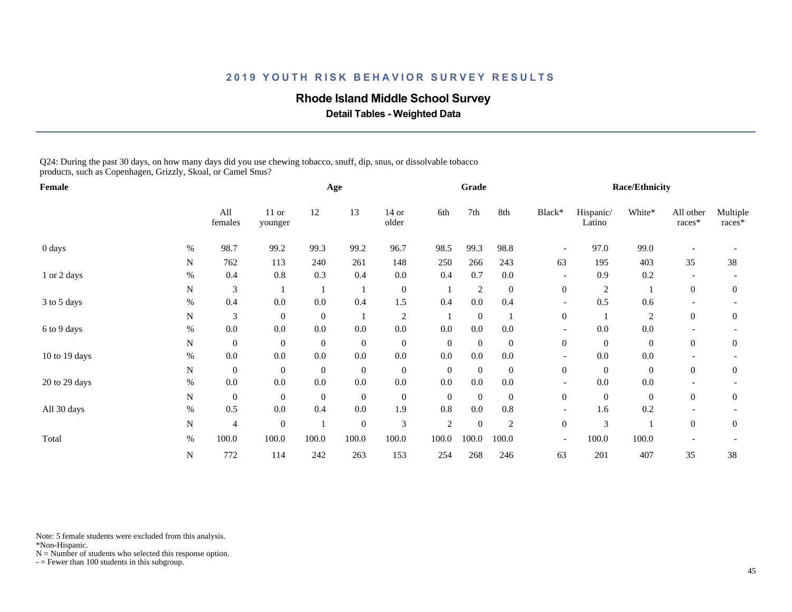### **Rhode Island Middle School Survey**

 **Detail Tables - Weighted Data**

Q24: During the past 30 days, on how many days did you use chewing tobacco, snuff, dip, snus, or dissolvable tobacco products, such as Copenhagen, Grizzly, Skoal, or Camel Snus?

| Female        |           |                  |                  |              | Age              |                  |                | Grade            |                |                          |                     | <b>Race/Ethnicity</b> |                     |                    |
|---------------|-----------|------------------|------------------|--------------|------------------|------------------|----------------|------------------|----------------|--------------------------|---------------------|-----------------------|---------------------|--------------------|
|               |           | All<br>females   | 11 or<br>younger | 12           | 13               | $14$ or<br>older | 6th            | 7th              | 8th            | Black*                   | Hispanic/<br>Latino | White*                | All other<br>races* | Multiple<br>races* |
| 0 days        | $\%$      | 98.7             | 99.2             | 99.3         | 99.2             | 96.7             | 98.5           | 99.3             | 98.8           |                          | 97.0                | 99.0                  |                     |                    |
|               | N         | 762              | 113              | 240          | 261              | 148              | 250            | 266              | 243            | 63                       | 195                 | 403                   | 35                  | 38                 |
| 1 or 2 days   | $\%$      | 0.4              | 0.8              | 0.3          | 0.4              | $0.0\,$          | 0.4            | 0.7              | 0.0            | $\overline{\phantom{a}}$ | 0.9                 | 0.2                   |                     |                    |
|               | N         | 3                |                  |              |                  | $\boldsymbol{0}$ |                | $\overline{c}$   | $\mathbf{0}$   | $\mathbf{0}$             | $\overline{c}$      |                       | $\overline{0}$      | $\theta$           |
| 3 to 5 days   | $\%$      | 0.4              | 0.0              | 0.0          | 0.4              | 1.5              | 0.4            | 0.0              | 0.4            | $\overline{\phantom{a}}$ | 0.5                 | 0.6                   |                     |                    |
|               | ${\bf N}$ | 3                | $\mathbf{0}$     | $\mathbf{0}$ |                  | $\mathfrak{2}$   |                | $\mathbf{0}$     |                | $\boldsymbol{0}$         |                     | $\overline{2}$        | $\overline{0}$      | $\overline{0}$     |
| 6 to 9 days   | %         | 0.0              | 0.0              | $0.0\,$      | $0.0\,$          | $0.0\,$          | 0.0            | $0.0\,$          | 0.0            |                          | 0.0                 | $0.0\,$               |                     |                    |
|               | N         | $\boldsymbol{0}$ | $\mathbf{0}$     | $\mathbf{0}$ | $\boldsymbol{0}$ | $\boldsymbol{0}$ | $\overline{0}$ | $\mathbf{0}$     | $\mathbf{0}$   | $\mathbf{0}$             | $\overline{0}$      | $\boldsymbol{0}$      | $\overline{0}$      | $\boldsymbol{0}$   |
| 10 to 19 days | $\%$      | 0.0              | 0.0              | 0.0          | 0.0              | $0.0\,$          | 0.0            | 0.0              | 0.0            | $\overline{\phantom{a}}$ | 0.0                 | 0.0                   |                     |                    |
|               | N         | $\boldsymbol{0}$ | $\overline{0}$   | $\mathbf{0}$ | $\boldsymbol{0}$ | $\boldsymbol{0}$ | $\overline{0}$ | $\mathbf{0}$     | $\overline{0}$ | $\overline{0}$           | $\overline{0}$      | $\overline{0}$        | $\overline{0}$      | $\theta$           |
| 20 to 29 days | %         | 0.0              | 0.0              | $0.0\,$      | $0.0\,$          | $0.0\,$          | $0.0\,$        | $0.0\,$          | 0.0            |                          | $0.0\,$             | $0.0\,$               |                     |                    |
|               | N         | $\mathbf{0}$     | $\mathbf{0}$     | $\mathbf{0}$ | $\boldsymbol{0}$ | $\boldsymbol{0}$ | $\mathbf{0}$   | $\boldsymbol{0}$ | $\overline{0}$ | $\boldsymbol{0}$         | $\mathbf{0}$        | $\boldsymbol{0}$      | $\overline{0}$      | $\theta$           |
| All 30 days   | %         | 0.5              | 0.0              | 0.4          | $0.0\,$          | 1.9              | 0.8            | $0.0\,$          | $0.8\,$        | $\overline{\phantom{a}}$ | 1.6                 | 0.2                   |                     |                    |
|               | N         | $\overline{4}$   | $\boldsymbol{0}$ |              | $\boldsymbol{0}$ | $\mathfrak{Z}$   | $\mathfrak{2}$ | $\mathbf{0}$     | $\overline{c}$ | $\boldsymbol{0}$         | 3                   |                       | $\overline{0}$      | $\theta$           |
| Total         | $\%$      | 100.0            | 100.0            | 100.0        | 100.0            | 100.0            | 100.0          | 100.0            | 100.0          | $\overline{\phantom{a}}$ | 100.0               | 100.0                 |                     |                    |
|               | N         | 772              | 114              | 242          | 263              | 153              | 254            | 268              | 246            | 63                       | 201                 | 407                   | 35                  | 38                 |

Note: 5 female students were excluded from this analysis.

\*Non-Hispanic.

 $N =$  Number of students who selected this response option.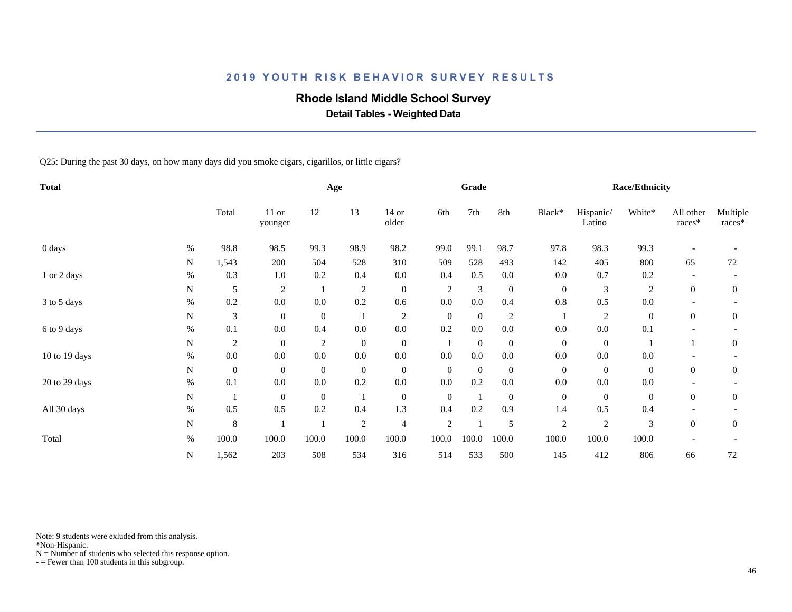# **Rhode Island Middle School Survey**

 **Detail Tables - Weighted Data**

Q25: During the past 30 days, on how many days did you smoke cigars, cigarillos, or little cigars?

| <b>Total</b>  |      |                  |                    |                | Age              |                  |                  | Grade        |                |                  |                     | <b>Race/Ethnicity</b> |                       |                    |
|---------------|------|------------------|--------------------|----------------|------------------|------------------|------------------|--------------|----------------|------------------|---------------------|-----------------------|-----------------------|--------------------|
|               |      | Total            | $11$ or<br>younger | 12             | 13               | $14$ or<br>older | 6th              | 7th          | 8th            | Black*           | Hispanic/<br>Latino | White*                | All other<br>$races*$ | Multiple<br>races* |
| 0 days        | %    | 98.8             | 98.5               | 99.3           | 98.9             | 98.2             | 99.0             | 99.1         | 98.7           | 97.8             | 98.3                | 99.3                  |                       |                    |
|               | N    | 1,543            | 200                | 504            | 528              | 310              | 509              | 528          | 493            | 142              | 405                 | 800                   | 65                    | 72                 |
| 1 or 2 days   | $\%$ | 0.3              | 1.0                | 0.2            | 0.4              | $0.0\,$          | 0.4              | 0.5          | 0.0            | 0.0              | 0.7                 | 0.2                   |                       |                    |
|               | N    | 5                | $\overline{2}$     |                | $\overline{2}$   | $\boldsymbol{0}$ | $\overline{c}$   | 3            | $\mathbf{0}$   | $\mathbf{0}$     | 3                   | $\overline{c}$        | $\theta$              | $\theta$           |
| 3 to 5 days   | $\%$ | 0.2              | 0.0                | 0.0            | 0.2              | 0.6              | 0.0              | 0.0          | 0.4            | 0.8              | 0.5                 | $0.0\,$               |                       |                    |
|               | N    | 3                | $\overline{0}$     | $\mathbf{0}$   |                  | $\sqrt{2}$       | $\boldsymbol{0}$ | $\mathbf{0}$ | $\overline{c}$ |                  | 2                   | $\boldsymbol{0}$      | $\theta$              | $\theta$           |
| 6 to 9 days   | $\%$ | 0.1              | 0.0                | 0.4            | $0.0\,$          | $0.0\,$          | 0.2              | $0.0\,$      | $0.0\,$        | 0.0              | $0.0\,$             | 0.1                   |                       |                    |
|               | N    | $\overline{c}$   | $\overline{0}$     | $\overline{c}$ | $\boldsymbol{0}$ | $\boldsymbol{0}$ |                  | $\mathbf{0}$ | $\mathbf{0}$   | $\boldsymbol{0}$ | $\mathbf{0}$        |                       |                       | $\mathbf{0}$       |
| 10 to 19 days | $\%$ | $0.0\,$          | 0.0                | 0.0            | $0.0\,$          | 0.0              | 0.0              | 0.0          | 0.0            | 0.0              | 0.0                 | $0.0\,$               |                       |                    |
|               | N    | $\boldsymbol{0}$ | $\overline{0}$     | $\mathbf{0}$   | $\boldsymbol{0}$ | $\boldsymbol{0}$ | $\boldsymbol{0}$ | $\mathbf{0}$ | $\mathbf{0}$   | $\boldsymbol{0}$ | $\mathbf{0}$        | $\boldsymbol{0}$      | $\theta$              | $\mathbf{0}$       |
| 20 to 29 days | $\%$ | 0.1              | 0.0                | 0.0            | 0.2              | $0.0\,$          | 0.0              | 0.2          | 0.0            | 0.0              | 0.0                 | 0.0                   |                       |                    |
|               | N    |                  | $\overline{0}$     | $\mathbf{0}$   |                  | $\mathbf{0}$     | $\boldsymbol{0}$ | -1           | $\mathbf{0}$   | $\boldsymbol{0}$ | $\overline{0}$      | $\boldsymbol{0}$      | $\overline{0}$        | $\mathbf{0}$       |
| All 30 days   | $\%$ | 0.5              | 0.5                | 0.2            | 0.4              | 1.3              | 0.4              | 0.2          | 0.9            | 1.4              | 0.5                 | 0.4                   |                       |                    |
|               | N    | $\,8\,$          |                    |                | $\overline{2}$   | 4                | $\overline{c}$   |              | 5              | $\sqrt{2}$       | $\sqrt{2}$          | 3                     | $\overline{0}$        | $\mathbf{0}$       |
| Total         | $\%$ | 100.0            | 100.0              | 100.0          | 100.0            | 100.0            | 100.0            | 100.0        | 100.0          | 100.0            | 100.0               | 100.0                 |                       |                    |
|               | N    | 1,562            | 203                | 508            | 534              | 316              | 514              | 533          | 500            | 145              | 412                 | 806                   | 66                    | $72\,$             |

Note: 9 students were exluded from this analysis.

\*Non-Hispanic.

 $N =$  Number of students who selected this response option.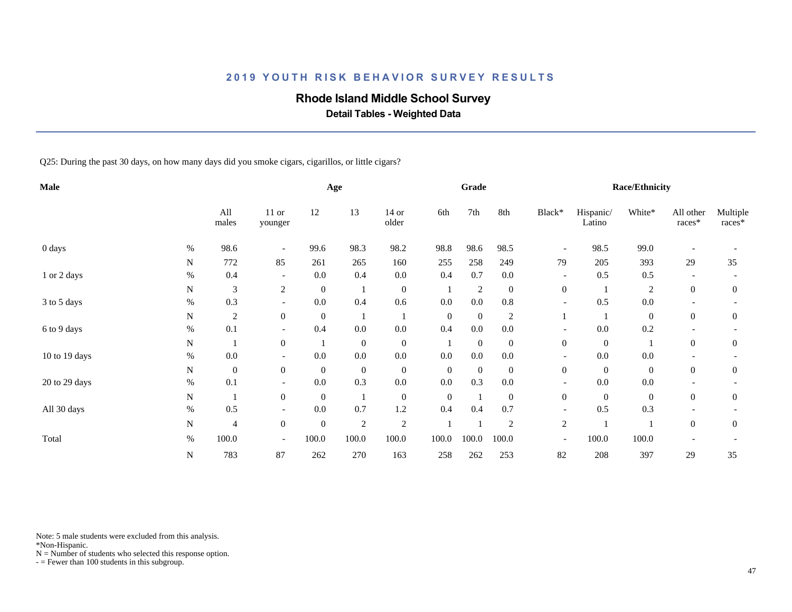# **Rhode Island Middle School Survey**

 **Detail Tables - Weighted Data**

Q25: During the past 30 days, on how many days did you smoke cigars, cigarillos, or little cigars?

| Male          |      |                  |                          |                  | Age              |                  |                  | Grade            |                |                          |                     | <b>Race/Ethnicity</b> |                     |                    |
|---------------|------|------------------|--------------------------|------------------|------------------|------------------|------------------|------------------|----------------|--------------------------|---------------------|-----------------------|---------------------|--------------------|
|               |      | All<br>males     | 11 or<br>younger         | 12               | 13               | 14 or<br>older   | 6th              | 7th              | 8th            | Black*                   | Hispanic/<br>Latino | White*                | All other<br>races* | Multiple<br>races* |
| 0 days        | $\%$ | 98.6             |                          | 99.6             | 98.3             | 98.2             | 98.8             | 98.6             | 98.5           | $\overline{\phantom{a}}$ | 98.5                | 99.0                  |                     |                    |
|               | N    | 772              | 85                       | 261              | 265              | 160              | 255              | 258              | 249            | 79                       | 205                 | 393                   | 29                  | 35                 |
| 1 or 2 days   | $\%$ | 0.4              | $\overline{\phantom{a}}$ | 0.0              | 0.4              | $0.0\,$          | 0.4              | 0.7              | $0.0\,$        | $\overline{\phantom{0}}$ | 0.5                 | 0.5                   |                     |                    |
|               | N    | 3                | 2                        | $\boldsymbol{0}$ |                  | $\boldsymbol{0}$ |                  | $\boldsymbol{2}$ | $\mathbf{0}$   | $\boldsymbol{0}$         |                     | $\overline{c}$        | $\overline{0}$      | $\mathbf{0}$       |
| 3 to 5 days   | $\%$ | 0.3              | $\overline{\phantom{a}}$ | $0.0\,$          | 0.4              | 0.6              | $0.0\,$          | $0.0\,$          | $0.8\,$        | $\overline{\phantom{a}}$ | 0.5                 | $0.0\,$               |                     |                    |
|               | N    | $\overline{2}$   | $\overline{0}$           | $\mathbf{0}$     |                  |                  | $\boldsymbol{0}$ | $\mathbf{0}$     | $\overline{c}$ |                          |                     | $\boldsymbol{0}$      | $\boldsymbol{0}$    | $\boldsymbol{0}$   |
| 6 to 9 days   | $\%$ | 0.1              |                          | 0.4              | $0.0\,$          | $0.0\,$          | 0.4              | $0.0\,$          | $0.0\,$        |                          | $0.0\,$             | 0.2                   |                     |                    |
|               | N    |                  | $\overline{0}$           |                  | $\boldsymbol{0}$ | $\boldsymbol{0}$ |                  | $\boldsymbol{0}$ | $\mathbf{0}$   | $\boldsymbol{0}$         | $\mathbf{0}$        |                       | $\overline{0}$      | $\boldsymbol{0}$   |
| 10 to 19 days | $\%$ | 0.0              |                          | 0.0              | $0.0\,$          | 0.0              | 0.0              | $0.0\,$          | 0.0            |                          | 0.0                 | $0.0\,$               |                     |                    |
|               | N    | $\boldsymbol{0}$ | $\overline{0}$           | $\mathbf{0}$     | $\boldsymbol{0}$ | $\boldsymbol{0}$ | $\boldsymbol{0}$ | $\boldsymbol{0}$ | $\overline{0}$ | $\boldsymbol{0}$         | $\mathbf{0}$        | $\boldsymbol{0}$      | $\theta$            | $\mathbf{0}$       |
| 20 to 29 days | %    | 0.1              | $\overline{\phantom{a}}$ | 0.0              | 0.3              | $0.0\,$          | $0.0\,$          | 0.3              | 0.0            | $\overline{\phantom{a}}$ | $0.0\,$             | $0.0\,$               |                     |                    |
|               | N    | -1               | $\overline{0}$           | $\boldsymbol{0}$ | -1               | $\boldsymbol{0}$ | $\boldsymbol{0}$ | -1               | $\mathbf{0}$   | $\boldsymbol{0}$         | $\overline{0}$      | $\boldsymbol{0}$      | $\overline{0}$      | $\mathbf{0}$       |
| All 30 days   | $\%$ | 0.5              | $\overline{\phantom{a}}$ | 0.0              | 0.7              | 1.2              | 0.4              | 0.4              | 0.7            | $\overline{\phantom{a}}$ | 0.5                 | 0.3                   |                     |                    |
|               | N    | 4                | $\mathbf{0}$             | $\mathbf{0}$     | $\overline{2}$   | $\sqrt{2}$       |                  |                  | $\overline{2}$ | $\overline{c}$           |                     |                       | $\overline{0}$      | $\mathbf{0}$       |
| Total         | $\%$ | 100.0            | $\overline{\phantom{a}}$ | 100.0            | 100.0            | 100.0            | 100.0            | 100.0            | 100.0          | $\overline{\phantom{a}}$ | 100.0               | 100.0                 |                     |                    |
|               | N    | 783              | 87                       | 262              | 270              | 163              | 258              | 262              | 253            | 82                       | 208                 | 397                   | 29                  | 35                 |

Note: 5 male students were excluded from this analysis.

\*Non-Hispanic.

 $N =$  Number of students who selected this response option.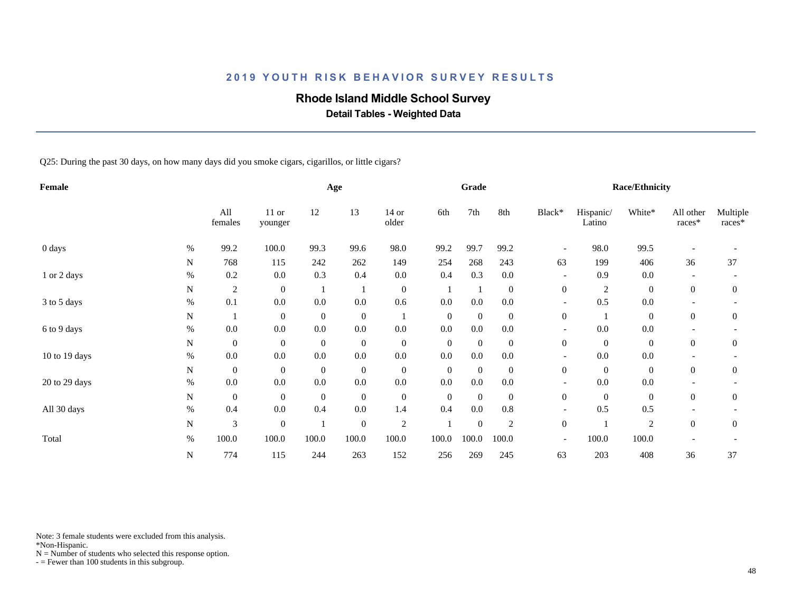# **Rhode Island Middle School Survey**

 **Detail Tables - Weighted Data**

Q25: During the past 30 days, on how many days did you smoke cigars, cigarillos, or little cigars?

| Female        |      |                  |                  |              | Age              |                  |                  | Grade            |                |                          |                     | <b>Race/Ethnicity</b> |                     |                    |
|---------------|------|------------------|------------------|--------------|------------------|------------------|------------------|------------------|----------------|--------------------------|---------------------|-----------------------|---------------------|--------------------|
|               |      | All<br>females   | 11 or<br>younger | 12           | 13               | 14 or<br>older   | 6th              | 7th              | 8th            | Black*                   | Hispanic/<br>Latino | White*                | All other<br>races* | Multiple<br>races* |
| $0$ days      | $\%$ | 99.2             | 100.0            | 99.3         | 99.6             | 98.0             | 99.2             | 99.7             | 99.2           | $\overline{\phantom{0}}$ | 98.0                | 99.5                  |                     |                    |
|               | N    | 768              | 115              | 242          | 262              | 149              | 254              | 268              | 243            | 63                       | 199                 | 406                   | 36                  | 37                 |
| 1 or 2 days   | $\%$ | 0.2              | 0.0              | 0.3          | 0.4              | $0.0\,$          | 0.4              | 0.3              | 0.0            |                          | 0.9                 | 0.0                   |                     |                    |
|               | N    | $\sqrt{2}$       | $\mathbf{0}$     |              |                  | $\boldsymbol{0}$ |                  |                  | $\mathbf{0}$   | $\boldsymbol{0}$         | $\sqrt{2}$          | $\boldsymbol{0}$      | $\overline{0}$      | $\mathbf{0}$       |
| 3 to 5 days   | $\%$ | 0.1              | 0.0              | 0.0          | 0.0              | 0.6              | 0.0              | 0.0              | 0.0            | $\overline{\phantom{a}}$ | 0.5                 | 0.0                   |                     |                    |
|               | N    |                  | $\overline{0}$   | $\mathbf{0}$ | $\boldsymbol{0}$ |                  | $\boldsymbol{0}$ | $\mathbf{0}$     | $\overline{0}$ | $\mathbf{0}$             |                     | $\boldsymbol{0}$      | $\theta$            | $\theta$           |
| 6 to 9 days   | $\%$ | 0.0              | 0.0              | 0.0          | $0.0\,$          | 0.0              | 0.0              | 0.0              | 0.0            |                          | 0.0                 | 0.0                   |                     |                    |
|               | N    | $\boldsymbol{0}$ | $\overline{0}$   | $\mathbf{0}$ | $\boldsymbol{0}$ | $\boldsymbol{0}$ | $\boldsymbol{0}$ | $\boldsymbol{0}$ | $\overline{0}$ | $\boldsymbol{0}$         | $\mathbf{0}$        | $\boldsymbol{0}$      | $\mathbf{0}$        | $\boldsymbol{0}$   |
| 10 to 19 days | $\%$ | 0.0              | 0.0              | 0.0          | $0.0\,$          | $0.0\,$          | 0.0              | 0.0              | $0.0\,$        |                          | 0.0                 | $0.0\,$               |                     |                    |
|               | N    | $\boldsymbol{0}$ | $\overline{0}$   | $\mathbf{0}$ | $\boldsymbol{0}$ | $\boldsymbol{0}$ | $\boldsymbol{0}$ | $\mathbf{0}$     | $\overline{0}$ | $\boldsymbol{0}$         | $\overline{0}$      | $\boldsymbol{0}$      | $\overline{0}$      | $\theta$           |
| 20 to 29 days | $\%$ | 0.0              | 0.0              | $0.0\,$      | $0.0\,$          | $0.0\,$          | $0.0\,$          | $0.0\,$          | $0.0\,$        | $\overline{\phantom{a}}$ | $0.0\,$             | $0.0\,$               |                     |                    |
|               | N    | $\boldsymbol{0}$ | $\overline{0}$   | $\mathbf{0}$ | $\boldsymbol{0}$ | $\boldsymbol{0}$ | $\boldsymbol{0}$ | $\mathbf{0}$     | $\overline{0}$ | $\overline{0}$           | $\overline{0}$      | $\boldsymbol{0}$      | $\overline{0}$      | $\overline{0}$     |
| All 30 days   | $\%$ | 0.4              | 0.0              | 0.4          | 0.0              | 1.4              | 0.4              | 0.0              | $0.8\,$        | $\overline{\phantom{a}}$ | 0.5                 | 0.5                   |                     |                    |
|               | N    | 3                | $\boldsymbol{0}$ |              | $\boldsymbol{0}$ | $\sqrt{2}$       |                  | $\boldsymbol{0}$ | $\mathfrak{2}$ | $\boldsymbol{0}$         |                     | $\overline{2}$        | $\Omega$            | $\overline{0}$     |
| Total         | $\%$ | 100.0            | 100.0            | 100.0        | 100.0            | 100.0            | 100.0            | 100.0            | 100.0          | $\overline{\phantom{a}}$ | 100.0               | 100.0                 |                     |                    |
|               | N    | 774              | 115              | 244          | 263              | 152              | 256              | 269              | 245            | 63                       | 203                 | 408                   | 36                  | 37                 |

Note: 3 female students were excluded from this analysis.

\*Non-Hispanic.

 $N =$  Number of students who selected this response option.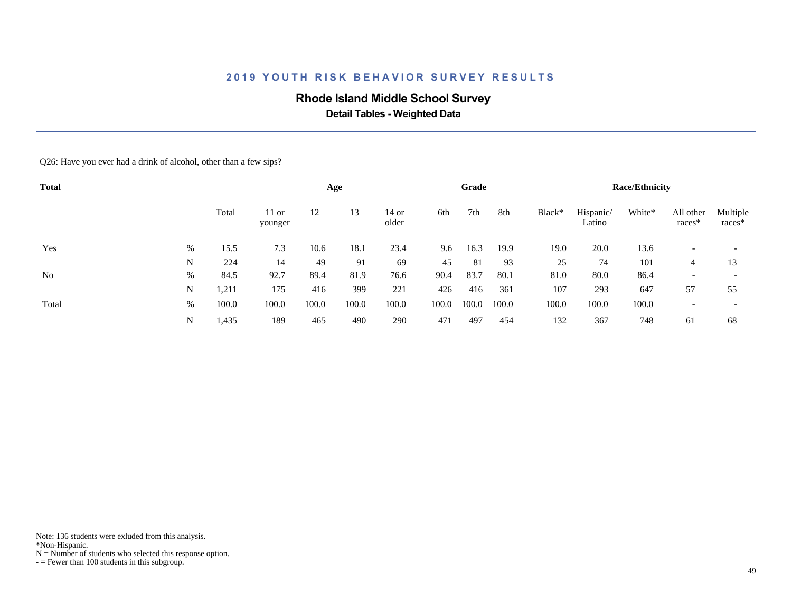## **Rhode Island Middle School Survey**

 **Detail Tables - Weighted Data**

Q26: Have you ever had a drink of alcohol, other than a few sips?

| <b>Total</b> |   |       |                    |       | Age   |                  |       | Grade |       |        |                     | <b>Race/Ethnicity</b> |                          |                          |
|--------------|---|-------|--------------------|-------|-------|------------------|-------|-------|-------|--------|---------------------|-----------------------|--------------------------|--------------------------|
|              |   | Total | $11$ or<br>younger | 12    | 13    | $14$ or<br>older | 6th   | 7th   | 8th   | Black* | Hispanic/<br>Latino | White*                | All other<br>races*      | Multiple<br>races*       |
| Yes          | % | 15.5  | 7.3                | 10.6  | 18.1  | 23.4             | 9.6   | 16.3  | 19.9  | 19.0   | 20.0                | 13.6                  |                          |                          |
|              | N | 224   | 14                 | 49    | 91    | 69               | 45    | 81    | 93    | 25     | 74                  | 101                   | 4                        | 13                       |
| No           | % | 84.5  | 92.7               | 89.4  | 81.9  | 76.6             | 90.4  | 83.7  | 80.1  | 81.0   | 80.0                | 86.4                  | $\overline{\phantom{0}}$ | $\overline{\phantom{0}}$ |
|              | N | 1,211 | 175                | 416   | 399   | 221              | 426   | 416   | 361   | 107    | 293                 | 647                   | 57                       | 55                       |
| Total        | % | 100.0 | 100.0              | 100.0 | 100.0 | 100.0            | 100.0 | 100.0 | 100.0 | 100.0  | 100.0               | 100.0                 |                          | $\overline{\phantom{0}}$ |
|              | N | 1,435 | 189                | 465   | 490   | 290              | 471   | 497   | 454   | 132    | 367                 | 748                   | 61                       | 68                       |

Note: 136 students were exluded from this analysis.

\*Non-Hispanic.

 $N =$  Number of students who selected this response option.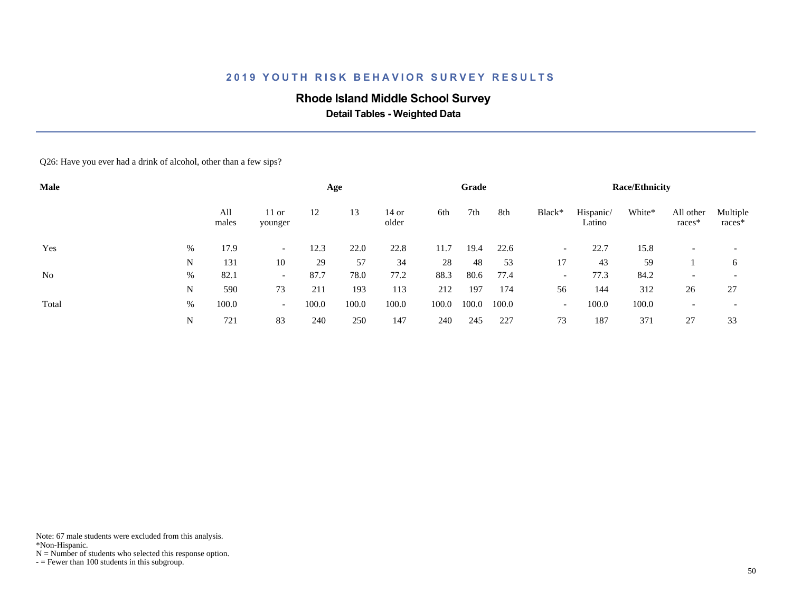## **Rhode Island Middle School Survey**

 **Detail Tables - Weighted Data**

Q26: Have you ever had a drink of alcohol, other than a few sips?

| Male  |   |              |                          |       | Age   |                  |       | Grade |       |                          |                     | <b>Race/Ethnicity</b> |                          |                          |
|-------|---|--------------|--------------------------|-------|-------|------------------|-------|-------|-------|--------------------------|---------------------|-----------------------|--------------------------|--------------------------|
|       |   | All<br>males | $11$ or<br>younger       | 12    | 13    | $14$ or<br>older | 6th   | 7th   | 8th   | Black*                   | Hispanic/<br>Latino | White*                | All other<br>races*      | Multiple<br>$races*$     |
| Yes   | % | 17.9         | $\overline{\phantom{0}}$ | 12.3  | 22.0  | 22.8             | 11.7  | 19.4  | 22.6  | $\overline{\phantom{0}}$ | 22.7                | 15.8                  |                          |                          |
|       | N | 131          | 10                       | 29    | 57    | 34               | 28    | 48    | 53    | 17                       | 43                  | 59                    |                          | 6                        |
| No    | % | 82.1         | $\overline{\phantom{0}}$ | 87.7  | 78.0  | 77.2             | 88.3  | 80.6  | 77.4  | $\overline{\phantom{a}}$ | 77.3                | 84.2                  | $\overline{\phantom{0}}$ | $\overline{\phantom{0}}$ |
|       | N | 590          | 73                       | 211   | 193   | 113              | 212   | 197   | 174   | 56                       | 144                 | 312                   | 26                       | 27                       |
| Total | % | 100.0        | $\overline{\phantom{0}}$ | 100.0 | 100.0 | 100.0            | 100.0 | 100.0 | 100.0 | $\overline{\phantom{0}}$ | 100.0               | 100.0                 |                          | $\overline{\phantom{0}}$ |
|       | N | 721          | 83                       | 240   | 250   | 147              | 240   | 245   | 227   | 73                       | 187                 | 371                   | 27                       | 33                       |

Note: 67 male students were excluded from this analysis.

\*Non-Hispanic.

 $N =$  Number of students who selected this response option.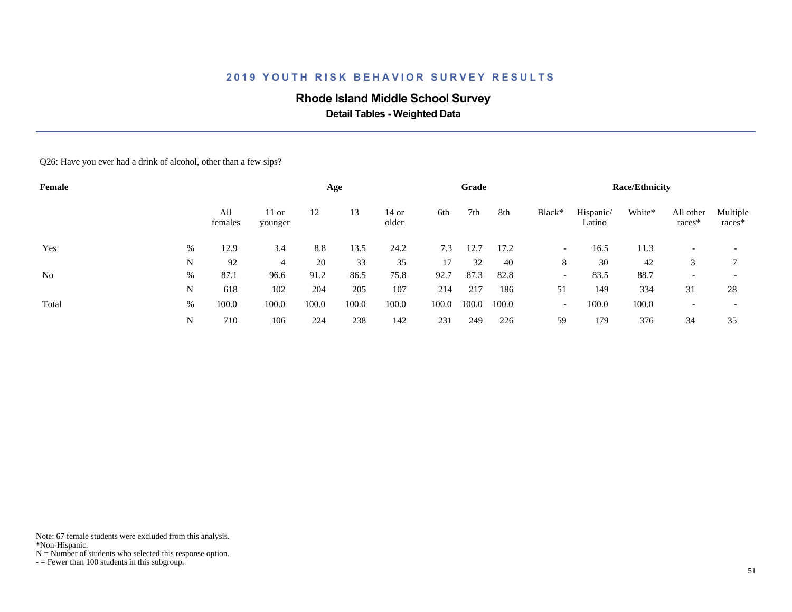## **Rhode Island Middle School Survey**

 **Detail Tables - Weighted Data**

Q26: Have you ever had a drink of alcohol, other than a few sips?

| Female         |   |                |                    |       | Age   |                  |       | Grade |       |                          |                     | <b>Race/Ethnicity</b> |                          |                    |
|----------------|---|----------------|--------------------|-------|-------|------------------|-------|-------|-------|--------------------------|---------------------|-----------------------|--------------------------|--------------------|
|                |   | All<br>females | $11$ or<br>younger | 12    | 13    | $14$ or<br>older | 6th   | 7th   | 8th   | Black*                   | Hispanic/<br>Latino | White*                | All other<br>$races*$    | Multiple<br>races* |
| Yes            | % | 12.9           | 3.4                | 8.8   | 13.5  | 24.2             | 7.3   | 12.7  | 17.2  | $\overline{\phantom{0}}$ | 16.5                | 11.3                  |                          |                    |
|                | N | 92             | 4                  | 20    | 33    | 35               | 17    | 32    | 40    | 8                        | 30                  | 42                    | 3                        |                    |
| N <sub>0</sub> | % | 87.1           | 96.6               | 91.2  | 86.5  | 75.8             | 92.7  | 87.3  | 82.8  | $\overline{\phantom{a}}$ | 83.5                | 88.7                  | $\overline{\phantom{0}}$ |                    |
|                | N | 618            | 102                | 204   | 205   | 107              | 214   | 217   | 186   | 51                       | 149                 | 334                   | 31                       | 28                 |
| Total          | % | 100.0          | 100.0              | 100.0 | 100.0 | 100.0            | 100.0 | 100.0 | 100.0 | $\overline{\phantom{a}}$ | 100.0               | 100.0                 |                          |                    |
|                | N | 710            | 106                | 224   | 238   | 142              | 231   | 249   | 226   | 59                       | 179                 | 376                   | 34                       | 35                 |

Note: 67 female students were excluded from this analysis.

\*Non-Hispanic.

 $N =$  Number of students who selected this response option.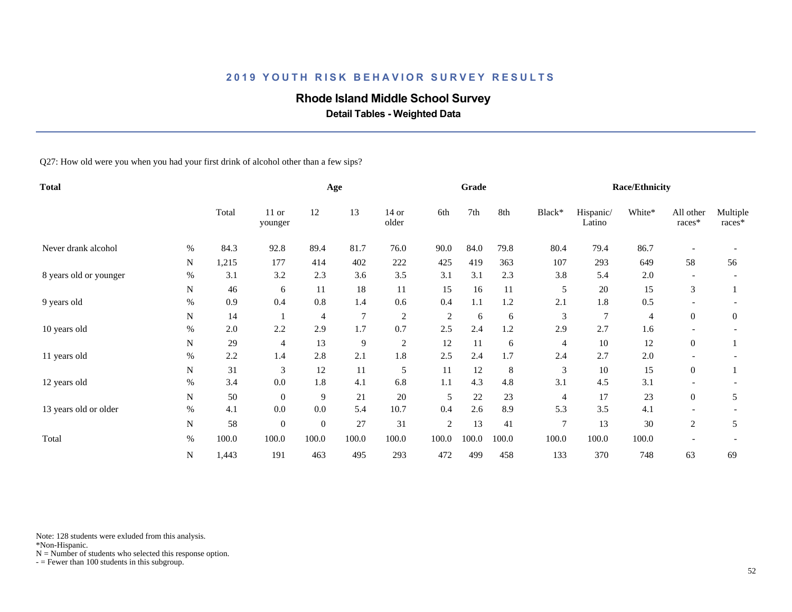## **Rhode Island Middle School Survey**

 **Detail Tables - Weighted Data**

Q27: How old were you when you had your first drink of alcohol other than a few sips?

| <b>Total</b>           |      |       |                    |                | Age             |                  |                | Grade  |       |                |                     | <b>Race/Ethnicity</b> |                     |                    |
|------------------------|------|-------|--------------------|----------------|-----------------|------------------|----------------|--------|-------|----------------|---------------------|-----------------------|---------------------|--------------------|
|                        |      | Total | $11$ or<br>younger | 12             | 13              | $14$ or<br>older | 6th            | 7th    | 8th   | Black*         | Hispanic/<br>Latino | White*                | All other<br>races* | Multiple<br>races* |
| Never drank alcohol    | %    | 84.3  | 92.8               | 89.4           | 81.7            | 76.0             | 90.0           | 84.0   | 79.8  | 80.4           | 79.4                | 86.7                  |                     |                    |
|                        | N    | 1,215 | 177                | 414            | 402             | 222              | 425            | 419    | 363   | 107            | 293                 | 649                   | 58                  | 56                 |
| 8 years old or younger | %    | 3.1   | 3.2                | 2.3            | 3.6             | 3.5              | 3.1            | 3.1    | 2.3   | 3.8            | 5.4                 | 2.0                   |                     |                    |
|                        | N    | 46    | 6                  | 11             | 18              | 11               | 15             | 16     | 11    | 5              | 20                  | 15                    | 3                   |                    |
| 9 years old            | %    | 0.9   | 0.4                | 0.8            | 1.4             | 0.6              | 0.4            | 1.1    | 1.2   | 2.1            | 1.8                 | 0.5                   |                     |                    |
|                        | N    | 14    |                    | 4              | $7\phantom{.0}$ | $\overline{c}$   | $\overline{2}$ | 6      | 6     | 3              | $\overline{7}$      | 4                     | $\theta$            | $\theta$           |
| 10 years old           | %    | 2.0   | 2.2                | 2.9            | 1.7             | 0.7              | 2.5            | 2.4    | 1.2   | 2.9            | 2.7                 | 1.6                   |                     |                    |
|                        | N    | 29    | $\overline{4}$     | 13             | 9               | $\overline{2}$   | 12             | 11     | 6     | 4              | 10                  | 12                    | $\overline{0}$      |                    |
| 11 years old           | %    | 2.2   | 1.4                | 2.8            | 2.1             | 1.8              | 2.5            | 2.4    | 1.7   | 2.4            | 2.7                 | 2.0                   |                     |                    |
|                        | N    | 31    | 3                  | 12             | 11              | $\mathfrak s$    | 11             | 12     | 8     | 3              | 10                  | 15                    | $\overline{0}$      |                    |
| 12 years old           | $\%$ | 3.4   | 0.0                | 1.8            | 4.1             | 6.8              | 1.1            | 4.3    | 4.8   | 3.1            | 4.5                 | 3.1                   |                     |                    |
|                        | N    | 50    | $\overline{0}$     | 9              | 21              | $20\,$           | 5              | $22\,$ | 23    | 4              | 17                  | 23                    | $\overline{0}$      | 5                  |
| 13 years old or older  | $\%$ | 4.1   | 0.0                | 0.0            | 5.4             | 10.7             | 0.4            | 2.6    | 8.9   | 5.3            | 3.5                 | 4.1                   |                     |                    |
|                        | N    | 58    | $\overline{0}$     | $\overline{0}$ | 27              | 31               | $\overline{c}$ | 13     | 41    | $\overline{7}$ | 13                  | 30                    | 2                   | 5                  |
| Total                  | $\%$ | 100.0 | 100.0              | 100.0          | 100.0           | 100.0            | 100.0          | 100.0  | 100.0 | 100.0          | 100.0               | 100.0                 |                     |                    |
|                        | N    | 1,443 | 191                | 463            | 495             | 293              | 472            | 499    | 458   | 133            | 370                 | 748                   | 63                  | 69                 |

Note: 128 students were exluded from this analysis.

\*Non-Hispanic.

 $N =$  Number of students who selected this response option.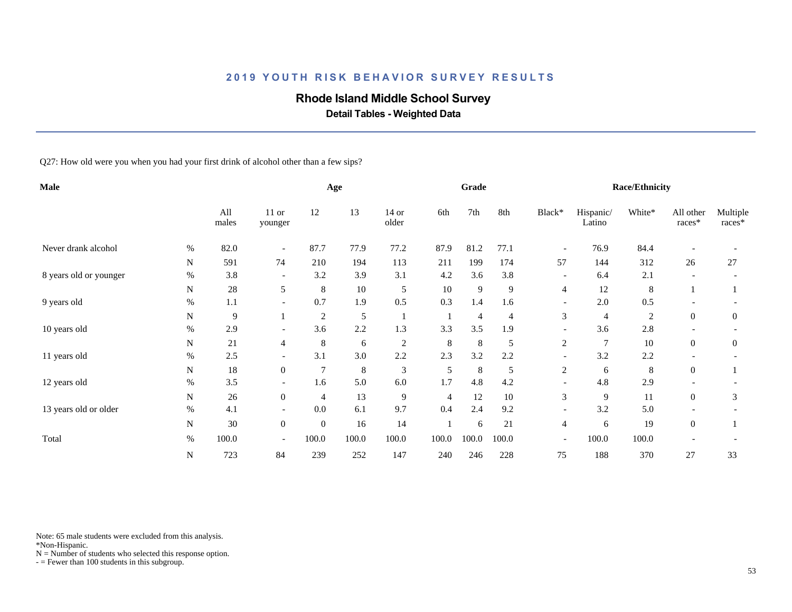## **Rhode Island Middle School Survey**

 **Detail Tables - Weighted Data**

Q27: How old were you when you had your first drink of alcohol other than a few sips?

| Male                   |      |              |                          |                | Age     |                  |                | Grade          |                |                          |                     | <b>Race/Ethnicity</b> |                       |                    |
|------------------------|------|--------------|--------------------------|----------------|---------|------------------|----------------|----------------|----------------|--------------------------|---------------------|-----------------------|-----------------------|--------------------|
|                        |      | All<br>males | 11 or<br>younger         | 12             | 13      | $14$ or<br>older | 6th            | 7th            | 8th            | Black*                   | Hispanic/<br>Latino | White*                | All other<br>$races*$ | Multiple<br>races* |
| Never drank alcohol    | $\%$ | 82.0         | $\overline{\phantom{a}}$ | 87.7           | 77.9    | 77.2             | 87.9           | 81.2           | 77.1           | $\overline{\phantom{a}}$ | 76.9                | 84.4                  |                       |                    |
|                        | N    | 591          | 74                       | 210            | 194     | 113              | 211            | 199            | 174            | 57                       | 144                 | 312                   | 26                    | 27                 |
| 8 years old or younger | $\%$ | 3.8          | $\overline{\phantom{a}}$ | 3.2            | 3.9     | 3.1              | 4.2            | 3.6            | 3.8            | $\overline{\phantom{a}}$ | 6.4                 | 2.1                   |                       |                    |
|                        | N    | 28           | 5                        | 8              | 10      | 5                | 10             | 9              | 9              | $\overline{4}$           | 12                  | 8                     |                       |                    |
| 9 years old            | %    | 1.1          | $\overline{\phantom{a}}$ | 0.7            | 1.9     | 0.5              | 0.3            | 1.4            | 1.6            | $\overline{\phantom{a}}$ | 2.0                 | 0.5                   |                       |                    |
|                        | N    | 9            |                          | 2              | 5       | -1               |                | $\overline{4}$ | $\overline{4}$ | 3                        | $\overline{4}$      | $\overline{2}$        | $\mathbf{0}$          | $\theta$           |
| 10 years old           | $\%$ | 2.9          | $\overline{\phantom{a}}$ | 3.6            | 2.2     | 1.3              | 3.3            | 3.5            | 1.9            | $\overline{\phantom{a}}$ | 3.6                 | 2.8                   |                       |                    |
|                        | N    | 21           | 4                        | 8              | 6       | $\sqrt{2}$       | 8              | 8              | 5              | $\overline{c}$           | $\overline{7}$      | 10                    | $\overline{0}$        | $\boldsymbol{0}$   |
| 11 years old           | $\%$ | 2.5          | $\overline{\phantom{a}}$ | 3.1            | 3.0     | 2.2              | 2.3            | 3.2            | 2.2            | $\overline{\phantom{a}}$ | 3.2                 | 2.2                   |                       |                    |
|                        | N    | 18           | $\overline{0}$           | $\overline{7}$ | $\,8\,$ | $\mathfrak{Z}$   | 5              | $\,8\,$        | 5              | $\overline{c}$           | 6                   | 8                     | $\theta$              |                    |
| 12 years old           | $\%$ | 3.5          | $\overline{\phantom{a}}$ | 1.6            | 5.0     | 6.0              | 1.7            | 4.8            | 4.2            | $\overline{\phantom{a}}$ | 4.8                 | 2.9                   |                       |                    |
|                        | N    | 26           | $\overline{0}$           | $\overline{4}$ | 13      | 9                | $\overline{4}$ | 12             | $10\,$         | 3                        | 9                   | 11                    | $\overline{0}$        | 3                  |
| 13 years old or older  | $\%$ | 4.1          | $\overline{\phantom{a}}$ | 0.0            | 6.1     | 9.7              | 0.4            | 2.4            | 9.2            | $\overline{\phantom{a}}$ | 3.2                 | 5.0                   |                       |                    |
|                        | N    | 30           | $\mathbf{0}$             | $\mathbf{0}$   | 16      | 14               |                | 6              | 21             | $\overline{4}$           | 6                   | 19                    | $\boldsymbol{0}$      |                    |
| Total                  | $\%$ | 100.0        | $\overline{\phantom{a}}$ | 100.0          | 100.0   | 100.0            | 100.0          | 100.0          | 100.0          | $\overline{\phantom{a}}$ | 100.0               | 100.0                 |                       |                    |
|                        | N    | 723          | 84                       | 239            | 252     | 147              | 240            | 246            | 228            | 75                       | 188                 | 370                   | 27                    | 33                 |

Note: 65 male students were excluded from this analysis.

\*Non-Hispanic.

 $N =$  Number of students who selected this response option.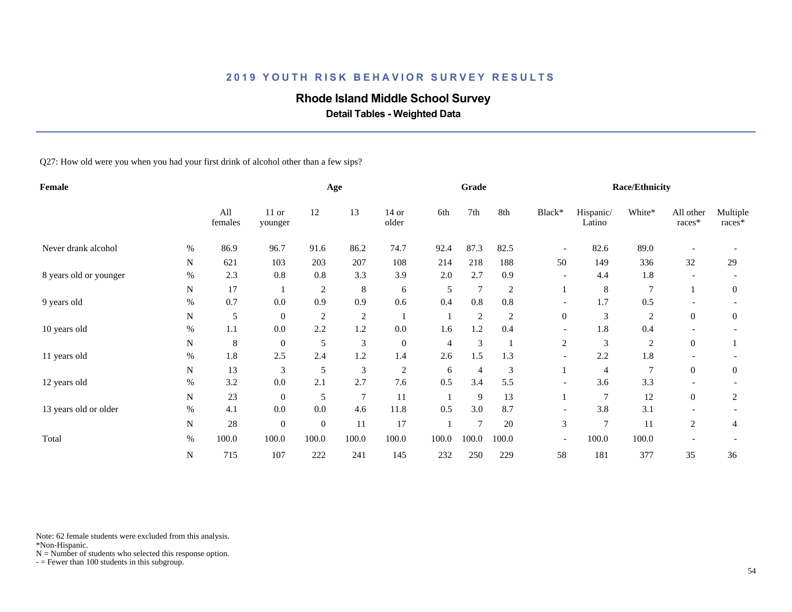## **Rhode Island Middle School Survey**

 **Detail Tables - Weighted Data**

Q27: How old were you when you had your first drink of alcohol other than a few sips?

| Female                 |      |                |                    |                | Age            |                  |       | Grade          |                |                          |                     | <b>Race/Ethnicity</b> |                       |                      |
|------------------------|------|----------------|--------------------|----------------|----------------|------------------|-------|----------------|----------------|--------------------------|---------------------|-----------------------|-----------------------|----------------------|
|                        |      | All<br>females | $11$ or<br>younger | 12             | 13             | $14$ or<br>older | 6th   | 7th            | 8th            | Black*                   | Hispanic/<br>Latino | White*                | All other<br>$races*$ | Multiple<br>$races*$ |
| Never drank alcohol    | %    | 86.9           | 96.7               | 91.6           | 86.2           | 74.7             | 92.4  | 87.3           | 82.5           | $\overline{\phantom{a}}$ | 82.6                | 89.0                  |                       |                      |
|                        | N    | 621            | 103                | 203            | 207            | 108              | 214   | 218            | 188            | 50                       | 149                 | 336                   | 32                    | 29                   |
| 8 years old or younger | %    | 2.3            | 0.8                | 0.8            | 3.3            | 3.9              | 2.0   | 2.7            | 0.9            | $\overline{\phantom{a}}$ | 4.4                 | 1.8                   |                       |                      |
|                        | N    | 17             |                    | $\overline{2}$ | 8              | 6                | 5     | $\tau$         | $\overline{c}$ |                          | $\,8\,$             | $\overline{7}$        |                       | 0                    |
| 9 years old            | $\%$ | 0.7            | 0.0                | 0.9            | 0.9            | 0.6              | 0.4   | 0.8            | 0.8            | $\overline{\phantom{a}}$ | 1.7                 | 0.5                   |                       |                      |
|                        | N    | 5              | $\boldsymbol{0}$   | $\overline{c}$ | $\overline{c}$ | -1               |       | $\overline{c}$ | $\overline{2}$ | $\boldsymbol{0}$         | 3                   | $\overline{c}$        | $\theta$              | $\boldsymbol{0}$     |
| 10 years old           | $\%$ | 1.1            | 0.0                | 2.2            | 1.2            | 0.0              | 1.6   | 1.2            | 0.4            |                          | 1.8                 | 0.4                   |                       |                      |
|                        | N    | $\,8\,$        | $\boldsymbol{0}$   | 5              | $\mathfrak{Z}$ | $\boldsymbol{0}$ | 4     | $\mathfrak{Z}$ |                | 2                        | 3                   | $\overline{c}$        | $\mathbf{0}$          |                      |
| 11 years old           | %    | 1.8            | 2.5                | 2.4            | 1.2            | 1.4              | 2.6   | 1.5            | 1.3            |                          | 2.2                 | 1.8                   |                       |                      |
|                        | N    | 13             | 3                  | 5              | $\mathfrak{Z}$ | $\sqrt{2}$       | 6     | $\overline{4}$ | 3              |                          | $\overline{4}$      | 7                     | $\overline{0}$        | $\overline{0}$       |
| 12 years old           | %    | 3.2            | 0.0                | 2.1            | 2.7            | 7.6              | 0.5   | 3.4            | 5.5            | $\overline{\phantom{a}}$ | 3.6                 | 3.3                   |                       |                      |
|                        | N    | 23             | $\overline{0}$     | 5              | $\overline{7}$ | 11               |       | 9              | 13             |                          | $\overline{7}$      | 12                    | $\overline{0}$        | $\overline{2}$       |
| 13 years old or older  | $\%$ | 4.1            | 0.0                | 0.0            | 4.6            | 11.8             | 0.5   | 3.0            | 8.7            |                          | 3.8                 | 3.1                   |                       |                      |
|                        | N    | 28             | $\boldsymbol{0}$   | $\theta$       | 11             | 17               |       | $\overline{7}$ | 20             | 3                        | $\overline{7}$      | 11                    | 2                     | 4                    |
| Total                  | $\%$ | 100.0          | 100.0              | 100.0          | 100.0          | 100.0            | 100.0 | 100.0          | 100.0          | $\overline{\phantom{a}}$ | 100.0               | 100.0                 |                       |                      |
|                        | N    | 715            | 107                | 222            | 241            | 145              | 232   | 250            | 229            | 58                       | 181                 | 377                   | 35                    | 36                   |

Note: 62 female students were excluded from this analysis.

\*Non-Hispanic.

 $N =$  Number of students who selected this response option.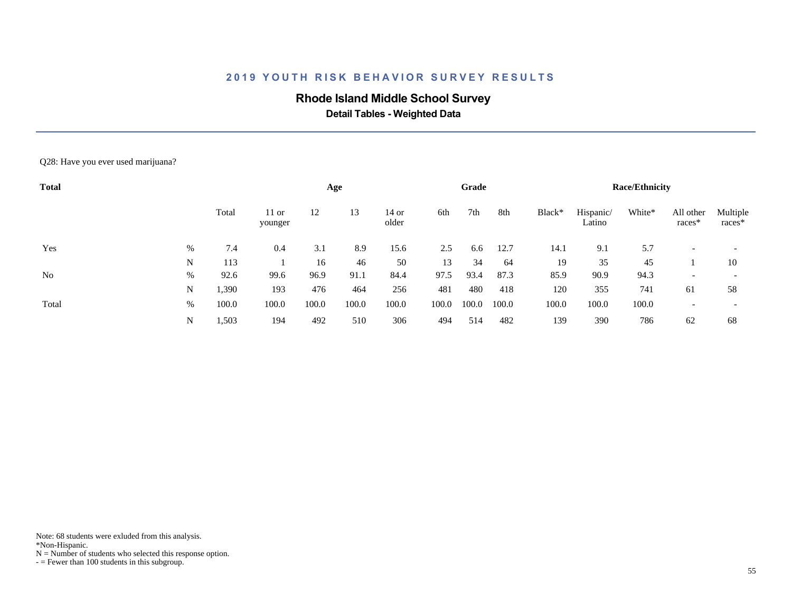## **Rhode Island Middle School Survey**

 **Detail Tables - Weighted Data**

#### Q28: Have you ever used marijuana?

| <b>Total</b> |   |       |                    |       | Age   |                |       | Grade |       |        |                     | <b>Race/Ethnicity</b> |                     |                          |
|--------------|---|-------|--------------------|-------|-------|----------------|-------|-------|-------|--------|---------------------|-----------------------|---------------------|--------------------------|
|              |   | Total | $11$ or<br>younger | 12    | 13    | 14 or<br>older | 6th   | 7th   | 8th   | Black* | Hispanic/<br>Latino | White*                | All other<br>races* | Multiple<br>races*       |
| Yes          | % | 7.4   | 0.4                | 3.1   | 8.9   | 15.6           | 2.5   | 6.6   | 12.7  | 14.1   | 9.1                 | 5.7                   |                     | $\overline{\phantom{a}}$ |
|              | N | 113   |                    | 16    | 46    | 50             | 13    | 34    | -64   | 19     | 35                  | 45                    |                     | 10                       |
| No           | % | 92.6  | 99.6               | 96.9  | 91.1  | 84.4           | 97.5  | 93.4  | 87.3  | 85.9   | 90.9                | 94.3                  |                     | $\overline{\phantom{a}}$ |
|              | N | 1,390 | 193                | 476   | 464   | 256            | 481   | 480   | 418   | 120    | 355                 | 741                   | 61                  | 58                       |
| Total        | % | 100.0 | 100.0              | 100.0 | 100.0 | 100.0          | 100.0 | 100.0 | 100.0 | 100.0  | 100.0               | 100.0                 |                     | $\overline{\phantom{a}}$ |
|              | N | 1,503 | 194                | 492   | 510   | 306            | 494   | 514   | 482   | 139    | 390                 | 786                   | 62                  | 68                       |

Note: 68 students were exluded from this analysis.

\*Non-Hispanic.

 $N =$  Number of students who selected this response option.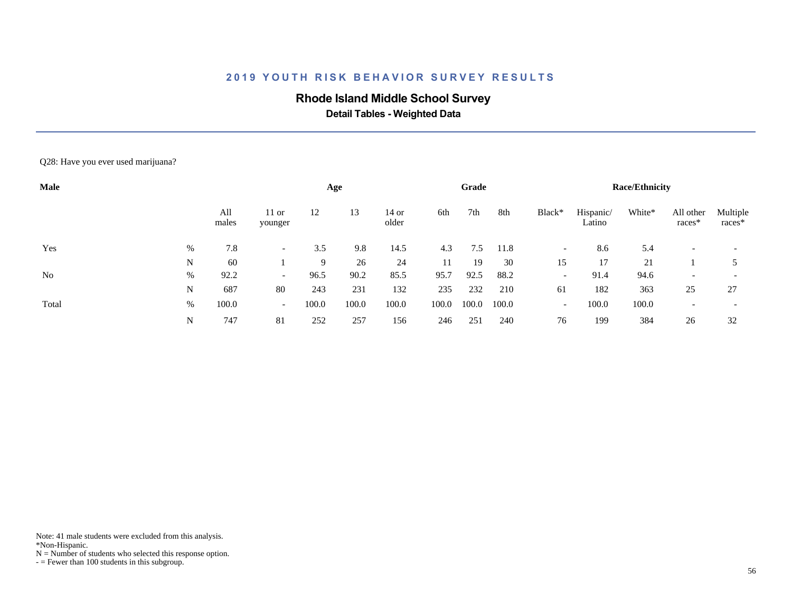## **Rhode Island Middle School Survey**

 **Detail Tables - Weighted Data**

#### Q28: Have you ever used marijuana?

| Male           |      |              |                          |       | Age   |                |       | Grade |       |                          |                     | <b>Race/Ethnicity</b> |                     |                    |
|----------------|------|--------------|--------------------------|-------|-------|----------------|-------|-------|-------|--------------------------|---------------------|-----------------------|---------------------|--------------------|
|                |      | All<br>males | $11$ or<br>younger       | 12    | 13    | 14 or<br>older | 6th   | 7th   | 8th   | Black*                   | Hispanic/<br>Latino | White*                | All other<br>races* | Multiple<br>races* |
| Yes            | %    | 7.8          |                          | 3.5   | 9.8   | 14.5           | 4.3   | 7.5   | 11.8  | $\overline{\phantom{0}}$ | 8.6                 | 5.4                   |                     |                    |
|                | N    | 60           |                          | 9     | 26    | 24             | 11    | 19    | 30    | 15                       | 17                  | 21                    |                     |                    |
| N <sub>0</sub> | %    | 92.2         | $\overline{\phantom{0}}$ | 96.5  | 90.2  | 85.5           | 95.7  | 92.5  | 88.2  | $\overline{\phantom{0}}$ | 91.4                | 94.6                  |                     |                    |
|                | N    | 687          | 80                       | 243   | 231   | 132            | 235   | 232   | 210   | 61                       | 182                 | 363                   | 25                  | 27                 |
| Total          | $\%$ | 100.0        | $\sim$                   | 100.0 | 100.0 | 100.0          | 100.0 | 100.0 | 100.0 | $\overline{\phantom{0}}$ | 100.0               | 100.0                 |                     |                    |
|                | N    | 747          | 81                       | 252   | 257   | 156            | 246   | 251   | 240   | 76                       | 199                 | 384                   | 26                  | 32                 |

Note: 41 male students were excluded from this analysis.

\*Non-Hispanic.

 $N =$  Number of students who selected this response option.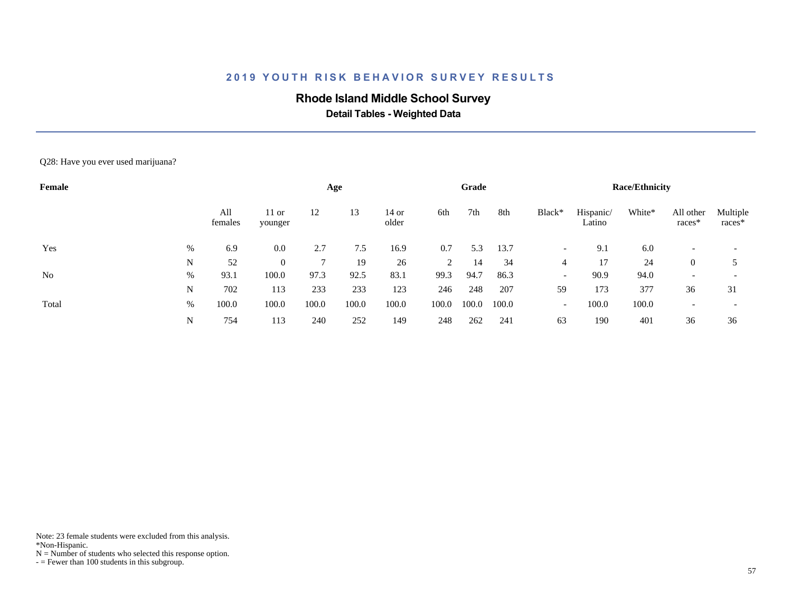## **Rhode Island Middle School Survey**

 **Detail Tables - Weighted Data**

#### Q28: Have you ever used marijuana?

| Female         |      |                |                    |       | Age   |                |       | Grade |       |                          |                     | <b>Race/Ethnicity</b> |                     |                    |
|----------------|------|----------------|--------------------|-------|-------|----------------|-------|-------|-------|--------------------------|---------------------|-----------------------|---------------------|--------------------|
|                |      | All<br>females | $11$ or<br>younger | 12    | 13    | 14 or<br>older | 6th   | 7th   | 8th   | Black*                   | Hispanic/<br>Latino | White*                | All other<br>races* | Multiple<br>races* |
| Yes            | %    | 6.9            | 0.0                | 2.7   | 7.5   | 16.9           | 0.7   | 5.3   | 13.7  | $\overline{\phantom{0}}$ | 9.1                 | 6.0                   |                     |                    |
|                | N    | 52             | $\overline{0}$     |       | 19    | 26             | 2     | 14    | 34    | 4                        | 17                  | 24                    | $\overline{0}$      |                    |
| N <sub>0</sub> | %    | 93.1           | 100.0              | 97.3  | 92.5  | 83.1           | 99.3  | 94.7  | 86.3  | $\overline{\phantom{0}}$ | 90.9                | 94.0                  |                     |                    |
|                | N    | 702            | 113                | 233   | 233   | 123            | 246   | 248   | 207   | 59                       | 173                 | 377                   | 36                  | 31                 |
| Total          | $\%$ | 100.0          | 100.0              | 100.0 | 100.0 | 100.0          | 100.0 | 100.0 | 100.0 | $\overline{\phantom{a}}$ | 100.0               | 100.0                 |                     |                    |
|                | N    | 754            | 113                | 240   | 252   | 149            | 248   | 262   | 241   | 63                       | 190                 | 401                   | 36                  | 36                 |

Note: 23 female students were excluded from this analysis.

\*Non-Hispanic.

 $N =$  Number of students who selected this response option.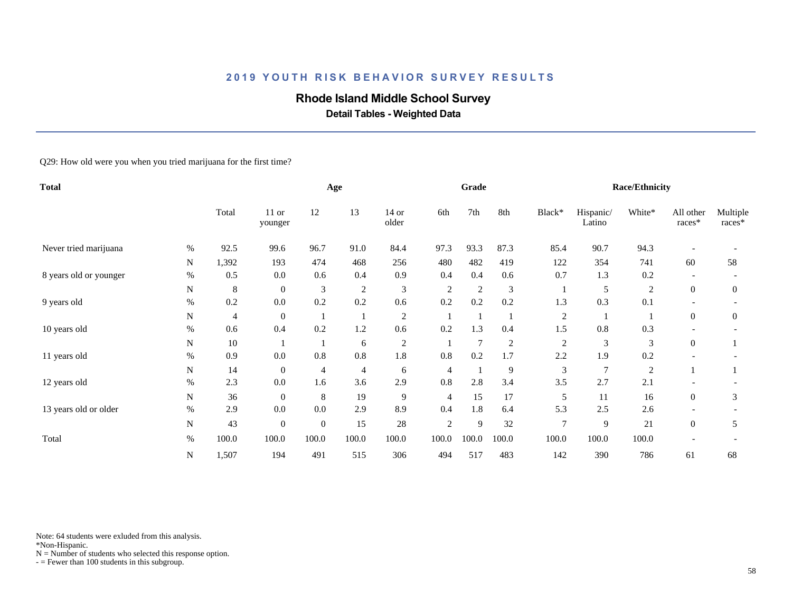## **Rhode Island Middle School Survey**

 **Detail Tables - Weighted Data**

Q29: How old were you when you tried marijuana for the first time?

| <b>Total</b>           |      |                |                  |              | Age            |                  |                | Grade          |                |                |                     | <b>Race/Ethnicity</b> |                     |                      |
|------------------------|------|----------------|------------------|--------------|----------------|------------------|----------------|----------------|----------------|----------------|---------------------|-----------------------|---------------------|----------------------|
|                        |      | Total          | 11 or<br>younger | 12           | 13             | $14$ or<br>older | 6th            | 7th            | 8th            | Black*         | Hispanic/<br>Latino | White*                | All other<br>races* | Multiple<br>$races*$ |
| Never tried marijuana  | $\%$ | 92.5           | 99.6             | 96.7         | 91.0           | 84.4             | 97.3           | 93.3           | 87.3           | 85.4           | 90.7                | 94.3                  |                     |                      |
|                        | N    | 1,392          | 193              | 474          | 468            | 256              | 480            | 482            | 419            | 122            | 354                 | 741                   | 60                  | 58                   |
| 8 years old or younger | $\%$ | 0.5            | 0.0              | 0.6          | 0.4            | 0.9              | 0.4            | 0.4            | 0.6            | 0.7            | 1.3                 | 0.2                   |                     |                      |
|                        | N    | $\,8$          | $\overline{0}$   | 3            | $\overline{c}$ | 3                | 2              | $\overline{2}$ | 3              |                | 5                   | $\overline{c}$        | $\overline{0}$      | $\overline{0}$       |
| 9 years old            | $\%$ | 0.2            | 0.0              | 0.2          | 0.2            | 0.6              | 0.2            | 0.2            | 0.2            | 1.3            | 0.3                 | 0.1                   |                     |                      |
|                        | N    | $\overline{4}$ | $\boldsymbol{0}$ |              |                | $\overline{c}$   |                |                |                | $\overline{2}$ |                     |                       | $\theta$            | $\theta$             |
| 10 years old           | $\%$ | 0.6            | 0.4              | 0.2          | 1.2            | 0.6              | 0.2            | 1.3            | 0.4            | 1.5            | 0.8                 | 0.3                   |                     |                      |
|                        | N    | 10             |                  |              | 6              | $\boldsymbol{2}$ |                | $\tau$         | $\overline{c}$ | $\overline{c}$ | 3                   | $\mathfrak{Z}$        | $\boldsymbol{0}$    |                      |
| 11 years old           | %    | 0.9            | 0.0              | 0.8          | 0.8            | 1.8              | 0.8            | 0.2            | 1.7            | 2.2            | 1.9                 | 0.2                   |                     |                      |
|                        | N    | 14             | $\boldsymbol{0}$ | 4            | 4              | 6                | 4              |                | 9              | 3              | $\overline{7}$      | 2                     |                     |                      |
| 12 years old           | %    | 2.3            | 0.0              | 1.6          | 3.6            | 2.9              | 0.8            | 2.8            | 3.4            | 3.5            | 2.7                 | 2.1                   |                     |                      |
|                        | N    | 36             | $\overline{0}$   | 8            | 19             | 9                | 4              | 15             | 17             | 5              | 11                  | 16                    | $\overline{0}$      | 3                    |
| 13 years old or older  | $\%$ | 2.9            | 0.0              | 0.0          | 2.9            | 8.9              | 0.4            | 1.8            | 6.4            | 5.3            | 2.5                 | 2.6                   |                     |                      |
|                        | N    | 43             | $\boldsymbol{0}$ | $\mathbf{0}$ | 15             | 28               | $\overline{2}$ | 9              | 32             | $\overline{7}$ | 9                   | 21                    | $\overline{0}$      | 5                    |
| Total                  | $\%$ | 100.0          | 100.0            | 100.0        | 100.0          | 100.0            | 100.0          | 100.0          | 100.0          | 100.0          | 100.0               | 100.0                 |                     |                      |
|                        | N    | 1,507          | 194              | 491          | 515            | 306              | 494            | 517            | 483            | 142            | 390                 | 786                   | 61                  | 68                   |

Note: 64 students were exluded from this analysis.

\*Non-Hispanic.

 $N =$  Number of students who selected this response option.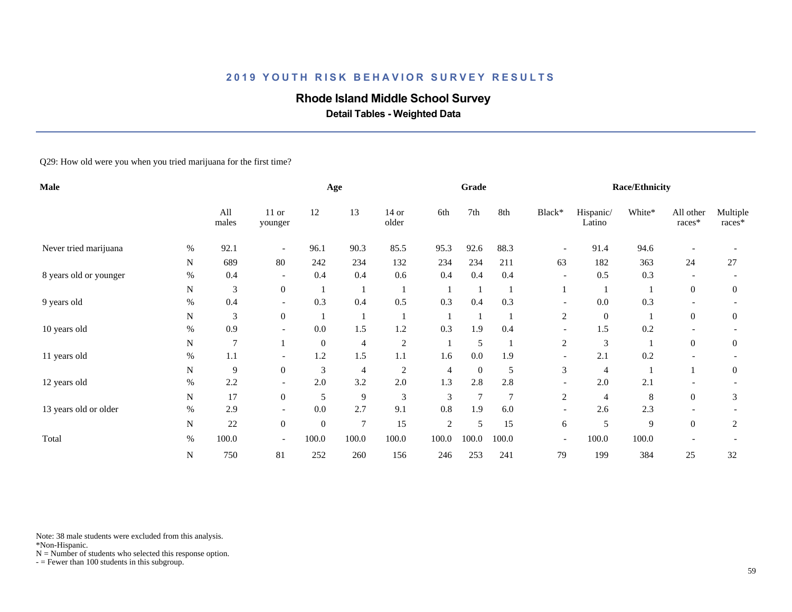## **Rhode Island Middle School Survey**

 **Detail Tables - Weighted Data**

Q29: How old were you when you tried marijuana for the first time?

| Male                   |      |                |                          |                | Age            |                  |       | Grade           |                 |                          |                     | <b>Race/Ethnicity</b> |                          |                      |
|------------------------|------|----------------|--------------------------|----------------|----------------|------------------|-------|-----------------|-----------------|--------------------------|---------------------|-----------------------|--------------------------|----------------------|
|                        |      | All<br>males   | 11 or<br>younger         | 12             | 13             | $14$ or<br>older | 6th   | 7th             | 8th             | Black*                   | Hispanic/<br>Latino | White*                | All other<br>races*      | Multiple<br>$races*$ |
| Never tried marijuana  | %    | 92.1           | $\overline{\phantom{a}}$ | 96.1           | 90.3           | 85.5             | 95.3  | 92.6            | 88.3            | $\overline{\phantom{a}}$ | 91.4                | 94.6                  |                          |                      |
|                        | N    | 689            | 80                       | 242            | 234            | 132              | 234   | 234             | 211             | 63                       | 182                 | 363                   | 24                       | 27                   |
| 8 years old or younger | $\%$ | 0.4            | $\overline{\phantom{a}}$ | 0.4            | 0.4            | 0.6              | 0.4   | 0.4             | 0.4             | $\overline{\phantom{a}}$ | 0.5                 | 0.3                   |                          |                      |
|                        | N    | 3              | $\boldsymbol{0}$         |                |                | -1               |       |                 |                 |                          |                     |                       | $\overline{0}$           | $\overline{0}$       |
| 9 years old            | $\%$ | 0.4            | $\overline{\phantom{a}}$ | 0.3            | 0.4            | 0.5              | 0.3   | 0.4             | 0.3             | $\overline{\phantom{a}}$ | 0.0                 | 0.3                   | $\overline{\phantom{a}}$ |                      |
|                        | N    | 3              | $\boldsymbol{0}$         |                |                |                  |       |                 |                 | 2                        | $\overline{0}$      |                       | $\overline{0}$           | $\overline{0}$       |
| 10 years old           | %    | 0.9            | $\overline{\phantom{a}}$ | 0.0            | 1.5            | 1.2              | 0.3   | 1.9             | 0.4             |                          | 1.5                 | 0.2                   |                          |                      |
|                        | N    | $\overline{7}$ |                          | $\mathbf{0}$   | $\overline{4}$ | $\overline{c}$   |       | 5               |                 | 2                        | $\mathfrak{Z}$      |                       | $\overline{0}$           | $\overline{0}$       |
| 11 years old           | %    | 1.1            |                          | 1.2            | 1.5            | 1.1              | 1.6   | 0.0             | 1.9             |                          | 2.1                 | 0.2                   |                          |                      |
|                        | N    | 9              | $\overline{0}$           | $\mathfrak{Z}$ | 4              | 2                | 4     | $\mathbf{0}$    | 5               | 3                        | 4                   |                       |                          | $\overline{0}$       |
| 12 years old           | %    | 2.2            | $\overline{\phantom{a}}$ | 2.0            | 3.2            | $2.0\,$          | 1.3   | 2.8             | 2.8             | $\overline{\phantom{a}}$ | 2.0                 | 2.1                   |                          |                      |
|                        | N    | 17             | $\boldsymbol{0}$         | 5              | 9              | $\mathfrak{Z}$   | 3     | $7\phantom{.0}$ | $7\phantom{.0}$ | $\overline{c}$           | $\overline{4}$      | 8                     | $\overline{0}$           | 3                    |
| 13 years old or older  | $\%$ | 2.9            |                          | 0.0            | 2.7            | 9.1              | 0.8   | 1.9             | 6.0             | $\overline{\phantom{0}}$ | 2.6                 | 2.3                   |                          |                      |
|                        | N    | 22             | $\boldsymbol{0}$         | $\mathbf{0}$   | $\overline{7}$ | 15               | 2     | 5               | 15              | 6                        | 5                   | 9                     | $\overline{0}$           | $\overline{c}$       |
| Total                  | $\%$ | 100.0          |                          | 100.0          | 100.0          | 100.0            | 100.0 | 100.0           | 100.0           | $\overline{\phantom{a}}$ | 100.0               | 100.0                 |                          |                      |
|                        | N    | 750            | 81                       | 252            | 260            | 156              | 246   | 253             | 241             | 79                       | 199                 | 384                   | 25                       | 32                   |

Note: 38 male students were excluded from this analysis.

\*Non-Hispanic.

 $N =$  Number of students who selected this response option.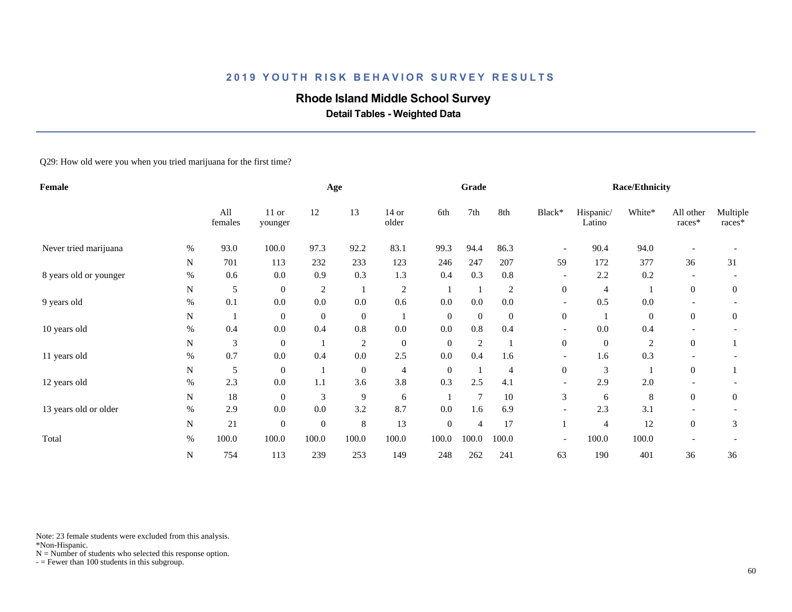## **Rhode Island Middle School Survey**

 **Detail Tables - Weighted Data**

Q29: How old were you when you tried marijuana for the first time?

| Female                 |      |                |                    |                | Age              |                  |                  | Grade            |                |                          |                     | <b>Race/Ethnicity</b> |                     |                      |
|------------------------|------|----------------|--------------------|----------------|------------------|------------------|------------------|------------------|----------------|--------------------------|---------------------|-----------------------|---------------------|----------------------|
|                        |      | All<br>females | $11$ or<br>younger | 12             | 13               | 14 or<br>older   | 6th              | 7th              | 8th            | Black*                   | Hispanic/<br>Latino | White*                | All other<br>races* | Multiple<br>$races*$ |
| Never tried marijuana  | $\%$ | 93.0           | 100.0              | 97.3           | 92.2             | 83.1             | 99.3             | 94.4             | 86.3           | $\overline{\phantom{a}}$ | 90.4                | 94.0                  |                     |                      |
|                        | N    | 701            | 113                | 232            | 233              | 123              | 246              | 247              | 207            | 59                       | 172                 | 377                   | 36                  | 31                   |
| 8 years old or younger | $\%$ | 0.6            | 0.0                | 0.9            | 0.3              | 1.3              | 0.4              | 0.3              | 0.8            | $\overline{\phantom{a}}$ | 2.2                 | 0.2                   |                     |                      |
|                        | N    | 5              | $\overline{0}$     | $\overline{c}$ |                  | $\sqrt{2}$       |                  |                  | $\overline{c}$ | $\overline{0}$           | $\overline{4}$      |                       | $\overline{0}$      | $\overline{0}$       |
| 9 years old            | $\%$ | 0.1            | 0.0                | 0.0            | 0.0              | 0.6              | 0.0              | 0.0              | 0.0            | $\overline{\phantom{a}}$ | 0.5                 | 0.0                   | $\overline{a}$      |                      |
|                        | N    |                | $\boldsymbol{0}$   | $\mathbf{0}$   | $\boldsymbol{0}$ |                  | $\overline{0}$   | $\boldsymbol{0}$ | $\mathbf{0}$   | $\overline{0}$           |                     | $\mathbf{0}$          | $\overline{0}$      | 0                    |
| 10 years old           | %    | 0.4            | 0.0                | 0.4            | 0.8              | 0.0              | 0.0              | 0.8              | 0.4            |                          | 0.0                 | 0.4                   |                     |                      |
|                        | N    | 3              | $\overline{0}$     |                | $\overline{c}$   | $\boldsymbol{0}$ | $\overline{0}$   | $\overline{c}$   |                | $\overline{0}$           | $\overline{0}$      | $\overline{c}$        | $\overline{0}$      |                      |
| 11 years old           | $\%$ | 0.7            | 0.0                | 0.4            | $0.0\,$          | 2.5              | 0.0              | 0.4              | 1.6            | $\overline{\phantom{a}}$ | 1.6                 | 0.3                   |                     |                      |
|                        | N    | 5              | $\overline{0}$     |                | $\boldsymbol{0}$ | 4                | $\overline{0}$   |                  | $\overline{4}$ | $\boldsymbol{0}$         | 3                   |                       | $\theta$            |                      |
| 12 years old           | $\%$ | 2.3            | 0.0                | 1.1            | 3.6              | 3.8              | 0.3              | 2.5              | 4.1            |                          | 2.9                 | 2.0                   |                     |                      |
|                        | N    | 18             | $\overline{0}$     | 3              | 9                | 6                |                  | $\overline{7}$   | 10             | 3                        | 6                   | 8                     | $\overline{0}$      | $\overline{0}$       |
| 13 years old or older  | $\%$ | 2.9            | 0.0                | 0.0            | 3.2              | 8.7              | 0.0              | 1.6              | 6.9            | $\overline{\phantom{0}}$ | 2.3                 | 3.1                   |                     |                      |
|                        | N    | 21             | $\boldsymbol{0}$   | $\mathbf{0}$   | $\,8\,$          | 13               | $\boldsymbol{0}$ | 4                | 17             |                          | 4                   | 12                    | $\overline{0}$      | 3                    |
| Total                  | $\%$ | 100.0          | 100.0              | 100.0          | 100.0            | 100.0            | 100.0            | 100.0            | 100.0          | $\overline{\phantom{a}}$ | 100.0               | 100.0                 |                     |                      |
|                        | N    | 754            | 113                | 239            | 253              | 149              | 248              | 262              | 241            | 63                       | 190                 | 401                   | 36                  | 36                   |

Note: 23 female students were excluded from this analysis.

\*Non-Hispanic.

 $N =$  Number of students who selected this response option.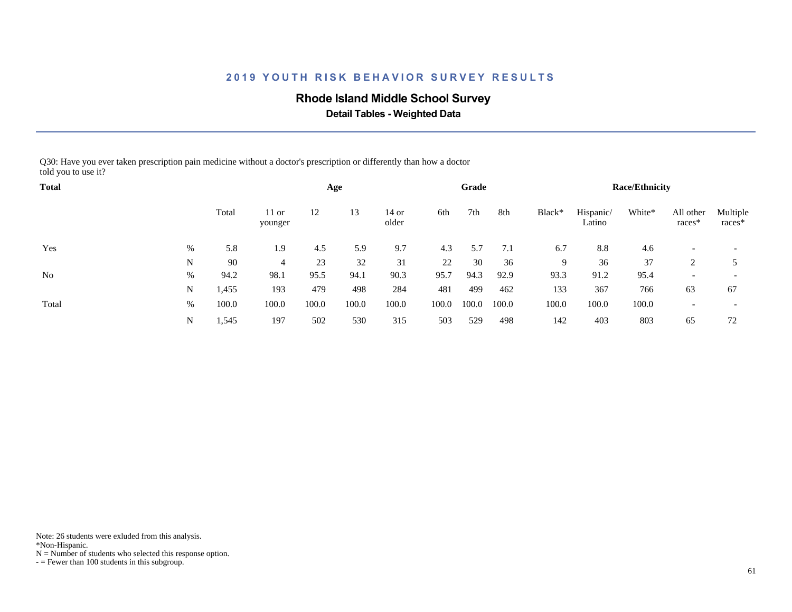### **Rhode Island Middle School Survey**

 **Detail Tables - Weighted Data**

Q30: Have you ever taken prescription pain medicine without a doctor's prescription or differently than how a doctor told you to use it?

| <b>Total</b> |   |       |                    |       | Age   |                |       | Grade |       |        |                     | <b>Race/Ethnicity</b> |                          |                          |
|--------------|---|-------|--------------------|-------|-------|----------------|-------|-------|-------|--------|---------------------|-----------------------|--------------------------|--------------------------|
|              |   | Total | $11$ or<br>younger | 12    | 13    | 14 or<br>older | 6th   | 7th   | 8th   | Black* | Hispanic/<br>Latino | White*                | All other<br>races*      | Multiple<br>races*       |
| Yes          | % | 5.8   | 1.9                | 4.5   | 5.9   | 9.7            | 4.3   | 5.7   | 7.1   | 6.7    | 8.8                 | 4.6                   |                          | $\overline{\phantom{a}}$ |
|              | N | 90    | 4                  | 23    | 32    | 31             | 22    | 30    | 36    | 9      | 36                  | 37                    |                          |                          |
| No           | % | 94.2  | 98.1               | 95.5  | 94.1  | 90.3           | 95.7  | 94.3  | 92.9  | 93.3   | 91.2                | 95.4                  | $\overline{\phantom{a}}$ | $\overline{\phantom{0}}$ |
|              | N | .455  | 193                | 479   | 498   | 284            | 481   | 499   | 462   | 133    | 367                 | 766                   | 63                       | 67                       |
| Total        | % | 100.0 | 100.0              | 100.0 | 100.0 | 100.0          | 100.0 | 100.0 | 100.0 | 100.0  | 100.0               | 100.0                 |                          | $\overline{\phantom{0}}$ |
|              | N | .545  | 197                | 502   | 530   | 315            | 503   | 529   | 498   | 142    | 403                 | 803                   | 65                       | 72                       |

Note: 26 students were exluded from this analysis.

\*Non-Hispanic.

 $N =$  Number of students who selected this response option.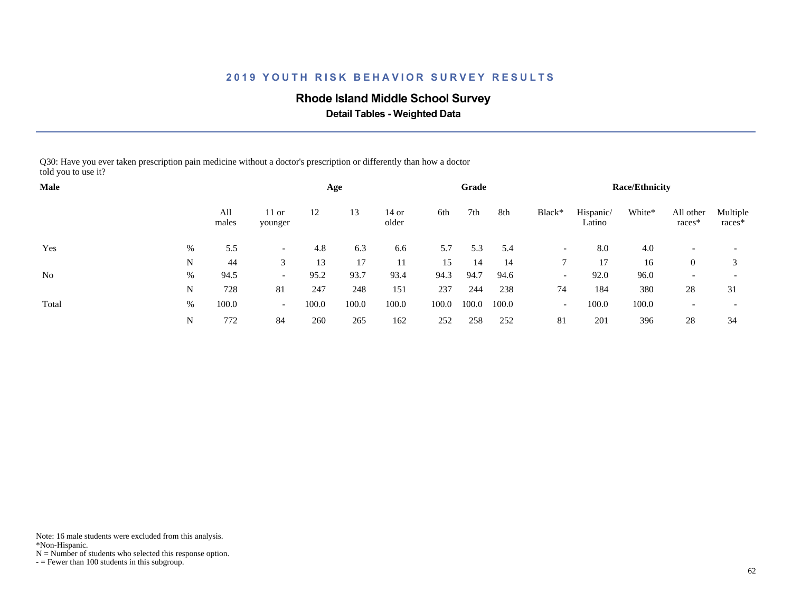### **Rhode Island Middle School Survey**

 **Detail Tables - Weighted Data**

Q30: Have you ever taken prescription pain medicine without a doctor's prescription or differently than how a doctor told you to use it?

| Male           |   |              |                          |       | Age   |                  |       | Grade |       |                          |                     | <b>Race/Ethnicity</b> |                     |                      |
|----------------|---|--------------|--------------------------|-------|-------|------------------|-------|-------|-------|--------------------------|---------------------|-----------------------|---------------------|----------------------|
|                |   | All<br>males | $11$ or<br>younger       | 12    | 13    | $14$ or<br>older | 6th   | 7th   | 8th   | Black*                   | Hispanic/<br>Latino | White*                | All other<br>races* | Multiple<br>$races*$ |
| Yes            | % | 5.5          | $-$                      | 4.8   | 6.3   | 6.6              | 5.7   | 5.3   | 5.4   | $\overline{\phantom{a}}$ | 8.0                 | 4.0                   |                     |                      |
|                | N | 44           | 3                        | 13    | 17    | 11               | 15    | 14    | 14    |                          | 17                  | 16                    | $\theta$            | 3                    |
| N <sub>0</sub> | % | 94.5         | $\overline{\phantom{0}}$ | 95.2  | 93.7  | 93.4             | 94.3  | 94.7  | 94.6  | $\overline{\phantom{a}}$ | 92.0                | 96.0                  |                     |                      |
|                | N | 728          | 81                       | 247   | 248   | 151              | 237   | 244   | 238   | 74                       | 184                 | 380                   | 28                  | 31                   |
| Total          | % | 100.0        | $\overline{\phantom{0}}$ | 100.0 | 100.0 | 100.0            | 100.0 | 100.0 | 100.0 | $\overline{\phantom{a}}$ | 100.0               | 100.0                 |                     |                      |
|                | N | 772          | 84                       | 260   | 265   | 162              | 252   | 258   | 252   | 81                       | 201                 | 396                   | 28                  | 34                   |

Note: 16 male students were excluded from this analysis.

\*Non-Hispanic.

 $N =$  Number of students who selected this response option.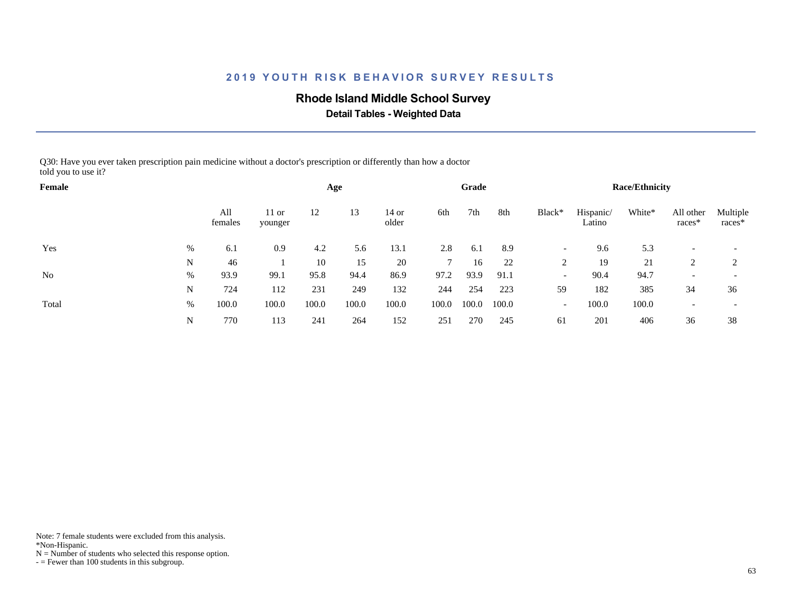## **Rhode Island Middle School Survey**

 **Detail Tables - Weighted Data**

Q30: Have you ever taken prescription pain medicine without a doctor's prescription or differently than how a doctor told you to use it?

| Female |      |                |                    |       | Age   |                  |       | Grade |       |                          |                     | <b>Race/Ethnicity</b> |                     |                      |
|--------|------|----------------|--------------------|-------|-------|------------------|-------|-------|-------|--------------------------|---------------------|-----------------------|---------------------|----------------------|
|        |      | All<br>females | $11$ or<br>younger | 12    | 13    | $14$ or<br>older | 6th   | 7th   | 8th   | Black*                   | Hispanic/<br>Latino | White*                | All other<br>races* | Multiple<br>$races*$ |
| Yes    | $\%$ | 6.1            | 0.9                | 4.2   | 5.6   | 13.1             | 2.8   | 6.1   | 8.9   | $\overline{\phantom{a}}$ | 9.6                 | 5.3                   |                     |                      |
|        | N    | 46             |                    | 10    | 15    | 20               |       | 16    | 22    |                          | 19                  | 21                    |                     | 2                    |
| No     | %    | 93.9           | 99.1               | 95.8  | 94.4  | 86.9             | 97.2  | 93.9  | 91.1  | $\overline{\phantom{a}}$ | 90.4                | 94.7                  |                     |                      |
|        | N    | 724            | 112                | 231   | 249   | 132              | 244   | 254   | 223   | 59                       | 182                 | 385                   | 34                  | 36                   |
| Total  | %    | 100.0          | 100.0              | 100.0 | 100.0 | 100.0            | 100.0 | 100.0 | 100.0 | $\overline{\phantom{a}}$ | 100.0               | 100.0                 |                     |                      |
|        | N    | 770            | 113                | 241   | 264   | 152              | 251   | 270   | 245   | 61                       | 201                 | 406                   | 36                  | 38                   |

Note: 7 female students were excluded from this analysis.

\*Non-Hispanic.

 $N =$  Number of students who selected this response option.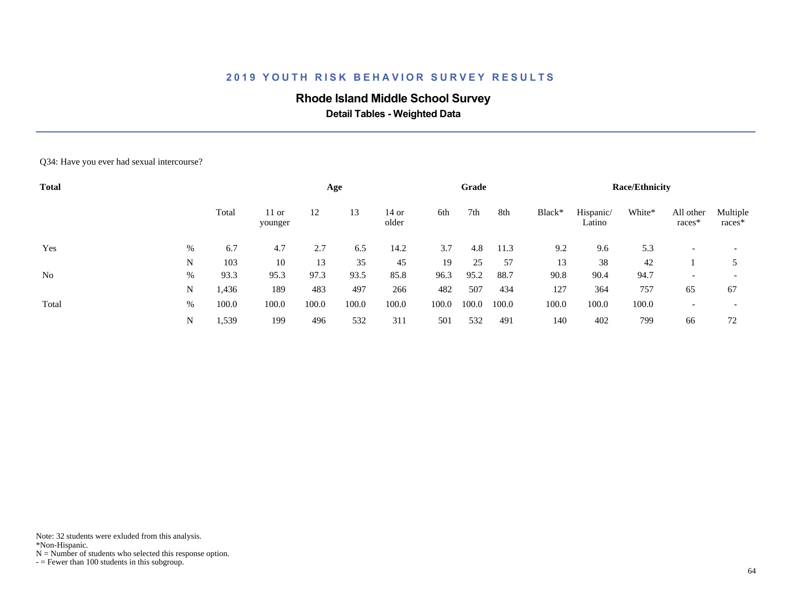## **Rhode Island Middle School Survey**

 **Detail Tables - Weighted Data**

#### Q34: Have you ever had sexual intercourse?

| <b>Total</b> |   |       |                    |       | Age   |                |       | Grade |       |        |                     | <b>Race/Ethnicity</b> |                     |                          |
|--------------|---|-------|--------------------|-------|-------|----------------|-------|-------|-------|--------|---------------------|-----------------------|---------------------|--------------------------|
|              |   | Total | $11$ or<br>younger | 12    | 13    | 14 or<br>older | 6th   | 7th   | 8th   | Black* | Hispanic/<br>Latino | White*                | All other<br>races* | Multiple<br>races*       |
| Yes          | % | 6.7   | 4.7                | 2.7   | 6.5   | 14.2           | 3.7   | 4.8   | 11.3  | 9.2    | 9.6                 | 5.3                   |                     | $\overline{\phantom{a}}$ |
|              | N | 103   | 10                 | 13    | 35    | 45             | 19    | 25    | 57    | 13     | 38                  | 42                    |                     |                          |
| No           | % | 93.3  | 95.3               | 97.3  | 93.5  | 85.8           | 96.3  | 95.2  | 88.7  | 90.8   | 90.4                | 94.7                  |                     | $\overline{\phantom{a}}$ |
|              | N | 1,436 | 189                | 483   | 497   | 266            | 482   | 507   | 434   | 127    | 364                 | 757                   | 65                  | 67                       |
| Total        | % | 100.0 | 100.0              | 100.0 | 100.0 | 100.0          | 100.0 | 100.0 | 100.0 | 100.0  | 100.0               | 100.0                 |                     | $\overline{\phantom{0}}$ |
|              | N | 1,539 | 199                | 496   | 532   | 311            | 501   | 532   | 491   | 140    | 402                 | 799                   | 66                  | 72                       |

Note: 32 students were exluded from this analysis.

\*Non-Hispanic.

 $N =$  Number of students who selected this response option.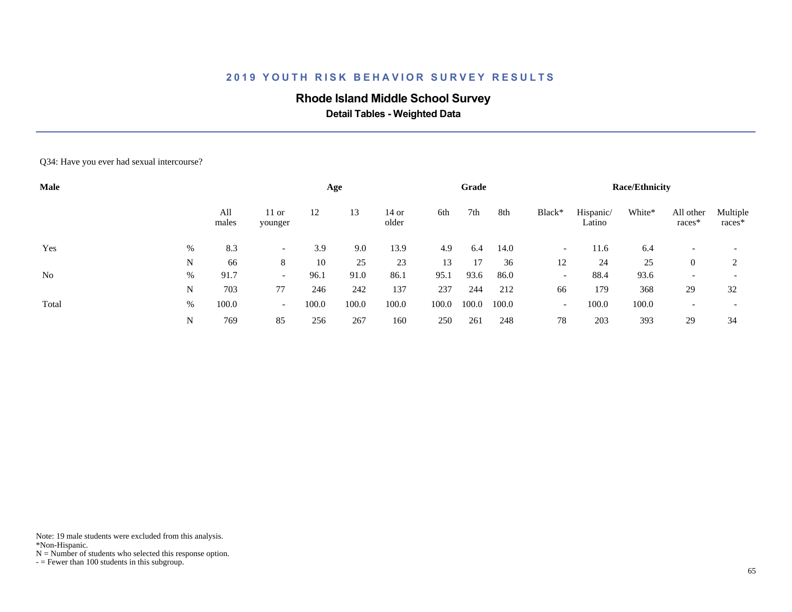## **Rhode Island Middle School Survey**

 **Detail Tables - Weighted Data**

#### Q34: Have you ever had sexual intercourse?

| Male  |   |              |                          |       | Age   |                |       | Grade |       |                          |                     | <b>Race/Ethnicity</b> |                          |                          |
|-------|---|--------------|--------------------------|-------|-------|----------------|-------|-------|-------|--------------------------|---------------------|-----------------------|--------------------------|--------------------------|
|       |   | All<br>males | $11$ or<br>younger       | 12    | 13    | 14 or<br>older | 6th   | 7th   | 8th   | Black*                   | Hispanic/<br>Latino | White*                | All other<br>races*      | Multiple<br>races*       |
| Yes   | % | 8.3          |                          | 3.9   | 9.0   | 13.9           | 4.9   | 6.4   | 14.0  | $\overline{\phantom{a}}$ | 11.6                | 6.4                   |                          | $\overline{\phantom{a}}$ |
|       | N | 66           | 8                        | 10    | 25    | 23             | 13    | 17    | 36    | 12                       | 24                  | 25                    | $\overline{0}$           | ◠                        |
| No    | % | 91.7         | $\overline{\phantom{0}}$ | 96.1  | 91.0  | 86.1           | 95.1  | 93.6  | 86.0  | $\overline{\phantom{a}}$ | 88.4                | 93.6                  | $\overline{\phantom{0}}$ |                          |
|       | N | 703          | 77                       | 246   | 242   | 137            | 237   | 244   | 212   | 66                       | 179                 | 368                   | 29                       | 32                       |
| Total | % | 100.0        | $\overline{\phantom{0}}$ | 100.0 | 100.0 | 100.0          | 100.0 | 100.0 | 100.0 | $\overline{\phantom{0}}$ | 100.0               | 100.0                 |                          | $\overline{\phantom{0}}$ |
|       | N | 769          | 85                       | 256   | 267   | 160            | 250   | 261   | 248   | 78                       | 203                 | 393                   | 29                       | 34                       |

Note: 19 male students were excluded from this analysis.

\*Non-Hispanic.

 $N =$  Number of students who selected this response option.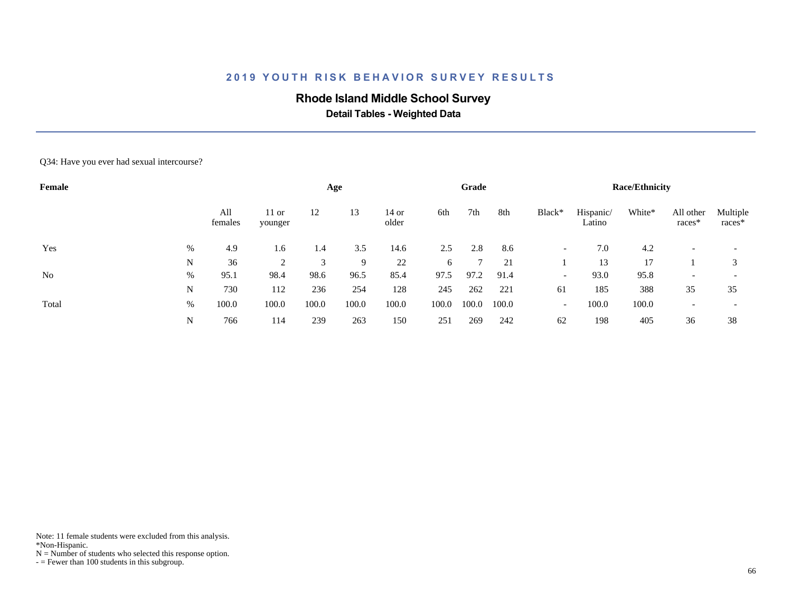## **Rhode Island Middle School Survey**

 **Detail Tables - Weighted Data**

#### Q34: Have you ever had sexual intercourse?

| Female         |      |                |                    |       | Age   |                |       | Grade |       |                          |                     | <b>Race/Ethnicity</b> |                       |                    |
|----------------|------|----------------|--------------------|-------|-------|----------------|-------|-------|-------|--------------------------|---------------------|-----------------------|-----------------------|--------------------|
|                |      | All<br>females | $11$ or<br>younger | 12    | 13    | 14 or<br>older | 6th   | 7th   | 8th   | Black*                   | Hispanic/<br>Latino | White*                | All other<br>$races*$ | Multiple<br>races* |
| Yes            | $\%$ | 4.9            | 1.6                | 1.4   | 3.5   | 14.6           | 2.5   | 2.8   | 8.6   | $\overline{\phantom{a}}$ | 7.0                 | 4.2                   |                       |                    |
|                | N    | 36             | 2                  | 3     | 9     | 22             | 6     |       | 21    |                          | 13                  | 17                    |                       | 3                  |
| N <sub>0</sub> | %    | 95.1           | 98.4               | 98.6  | 96.5  | 85.4           | 97.5  | 97.2  | 91.4  | $\overline{\phantom{a}}$ | 93.0                | 95.8                  |                       |                    |
|                | N    | 730            | 112                | 236   | 254   | 128            | 245   | 262   | 221   | 61                       | 185                 | 388                   | 35                    | 35                 |
| Total          | $\%$ | 100.0          | 100.0              | 100.0 | 100.0 | 100.0          | 100.0 | 100.0 | 100.0 | $\overline{\phantom{0}}$ | 100.0               | 100.0                 |                       |                    |
|                | N    | 766            | 114                | 239   | 263   | 150            | 251   | 269   | 242   | 62                       | 198                 | 405                   | 36                    | 38                 |

Note: 11 female students were excluded from this analysis.

\*Non-Hispanic.

 $N =$  Number of students who selected this response option.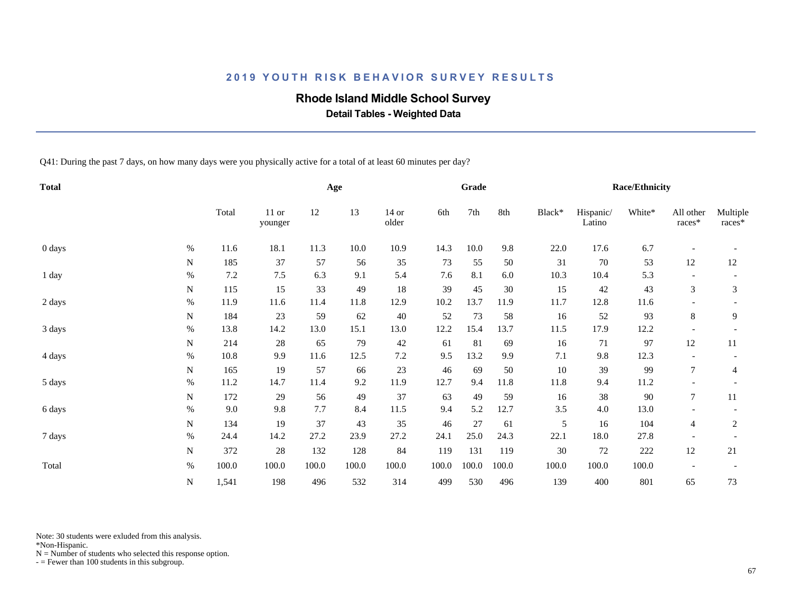### **Rhode Island Middle School Survey**

 **Detail Tables - Weighted Data**

Q41: During the past 7 days, on how many days were you physically active for a total of at least 60 minutes per day?

| <b>Total</b> |           |         |                  |       | Age   |                  |       | Grade |       |        |                     | <b>Race/Ethnicity</b> |                          |                    |
|--------------|-----------|---------|------------------|-------|-------|------------------|-------|-------|-------|--------|---------------------|-----------------------|--------------------------|--------------------|
|              |           | Total   | 11 or<br>younger | 12    | 13    | $14$ or<br>older | 6th   | 7th   | 8th   | Black* | Hispanic/<br>Latino | White*                | All other<br>races*      | Multiple<br>races* |
| 0 days       | $\%$      | 11.6    | 18.1             | 11.3  | 10.0  | 10.9             | 14.3  | 10.0  | 9.8   | 22.0   | 17.6                | 6.7                   |                          |                    |
|              | N         | 185     | 37               | 57    | 56    | 35               | 73    | 55    | 50    | 31     | 70                  | 53                    | 12                       | 12                 |
| 1 day        | $\%$      | $7.2\,$ | 7.5              | 6.3   | 9.1   | 5.4              | 7.6   | 8.1   | 6.0   | 10.3   | 10.4                | 5.3                   |                          |                    |
|              | N         | 115     | 15               | 33    | 49    | $18\,$           | 39    | 45    | 30    | 15     | 42                  | 43                    | 3                        | 3                  |
| 2 days       | $\%$      | 11.9    | 11.6             | 11.4  | 11.8  | 12.9             | 10.2  | 13.7  | 11.9  | 11.7   | 12.8                | 11.6                  |                          |                    |
|              | N         | 184     | 23               | 59    | 62    | 40               | 52    | 73    | 58    | 16     | 52                  | 93                    | 8                        | 9                  |
| 3 days       | $\%$      | 13.8    | 14.2             | 13.0  | 15.1  | 13.0             | 12.2  | 15.4  | 13.7  | 11.5   | 17.9                | 12.2                  | $\overline{\phantom{a}}$ |                    |
|              | N         | 214     | 28               | 65    | 79    | $42\,$           | 61    | 81    | 69    | 16     | 71                  | 97                    | 12                       | 11                 |
| 4 days       | $\%$      | 10.8    | 9.9              | 11.6  | 12.5  | $7.2\,$          | 9.5   | 13.2  | 9.9   | 7.1    | 9.8                 | 12.3                  | $\overline{\phantom{a}}$ |                    |
|              | ${\bf N}$ | 165     | 19               | 57    | 66    | 23               | 46    | 69    | 50    | 10     | 39                  | 99                    | $\tau$                   | 4                  |
| 5 days       | $\%$      | 11.2    | 14.7             | 11.4  | 9.2   | 11.9             | 12.7  | 9.4   | 11.8  | 11.8   | 9.4                 | 11.2                  |                          |                    |
|              | N         | 172     | 29               | 56    | 49    | 37               | 63    | 49    | 59    | 16     | 38                  | 90                    | $\tau$                   | 11                 |
| 6 days       | $\%$      | 9.0     | 9.8              | 7.7   | 8.4   | 11.5             | 9.4   | 5.2   | 12.7  | 3.5    | 4.0                 | 13.0                  |                          |                    |
|              | N         | 134     | 19               | 37    | 43    | 35               | 46    | 27    | 61    | 5      | 16                  | 104                   | $\overline{4}$           | $\overline{c}$     |
| 7 days       | $\%$      | 24.4    | 14.2             | 27.2  | 23.9  | 27.2             | 24.1  | 25.0  | 24.3  | 22.1   | 18.0                | 27.8                  | $\overline{\phantom{a}}$ |                    |
|              | ${\bf N}$ | 372     | 28               | 132   | 128   | 84               | 119   | 131   | 119   | 30     | $72\,$              | 222                   | 12                       | 21                 |
| Total        | $\%$      | 100.0   | 100.0            | 100.0 | 100.0 | 100.0            | 100.0 | 100.0 | 100.0 | 100.0  | 100.0               | 100.0                 |                          |                    |
|              | ${\bf N}$ | 1,541   | 198              | 496   | 532   | 314              | 499   | 530   | 496   | 139    | 400                 | 801                   | 65                       | 73                 |

Note: 30 students were exluded from this analysis.

\*Non-Hispanic.

 $N =$  Number of students who selected this response option.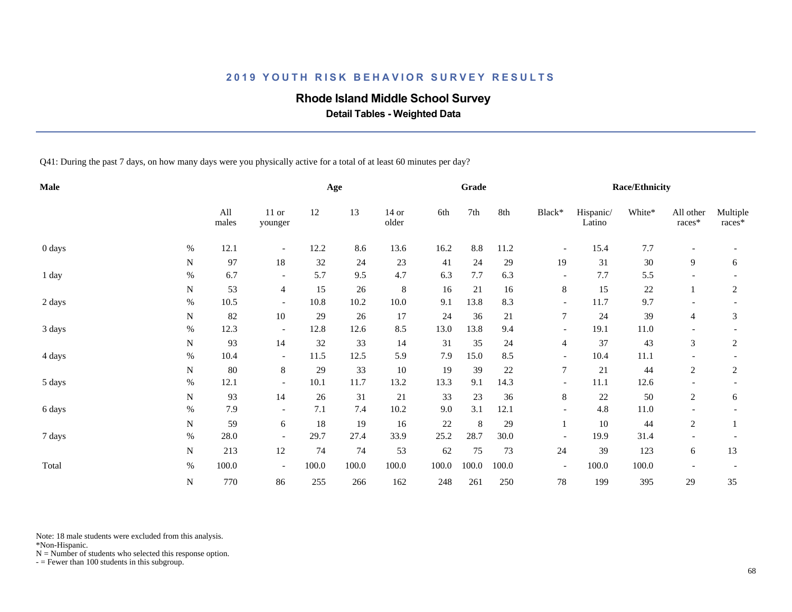### **Rhode Island Middle School Survey**

 **Detail Tables - Weighted Data**

Q41: During the past 7 days, on how many days were you physically active for a total of at least 60 minutes per day?

| Male   |             |              |                          |       | Age   |                  |       | <b>Grade</b> |       |                          |                     | <b>Race/Ethnicity</b> |                          |                      |
|--------|-------------|--------------|--------------------------|-------|-------|------------------|-------|--------------|-------|--------------------------|---------------------|-----------------------|--------------------------|----------------------|
|        |             | All<br>males | $11$ or<br>younger       | 12    | 13    | $14$ or<br>older | 6th   | 7th          | 8th   | Black*                   | Hispanic/<br>Latino | White*                | All other<br>races*      | Multiple<br>$races*$ |
| 0 days | $\%$        | 12.1         | $\overline{\phantom{a}}$ | 12.2  | 8.6   | 13.6             | 16.2  | 8.8          | 11.2  | $\overline{\phantom{a}}$ | 15.4                | 7.7                   |                          |                      |
|        | N           | 97           | 18                       | 32    | 24    | 23               | 41    | 24           | 29    | 19                       | 31                  | 30                    | 9                        | 6                    |
| 1 day  | $\%$        | 6.7          | $\overline{\phantom{a}}$ | 5.7   | 9.5   | 4.7              | 6.3   | 7.7          | 6.3   | $\overline{\phantom{a}}$ | 7.7                 | 5.5                   | $\overline{\phantom{0}}$ |                      |
|        | N           | 53           | $\overline{4}$           | 15    | 26    | $\,8\,$          | 16    | 21           | 16    | $8\,$                    | 15                  | $22\,$                |                          | $\boldsymbol{2}$     |
| 2 days | $\%$        | 10.5         | $\overline{\phantom{a}}$ | 10.8  | 10.2  | 10.0             | 9.1   | 13.8         | 8.3   | $\overline{\phantom{a}}$ | 11.7                | 9.7                   |                          |                      |
|        | N           | 82           | $10\,$                   | 29    | 26    | 17               | 24    | 36           | 21    | $\overline{7}$           | 24                  | 39                    | $\overline{4}$           | 3                    |
| 3 days | $\%$        | 12.3         | $-$                      | 12.8  | 12.6  | 8.5              | 13.0  | 13.8         | 9.4   | $\overline{\phantom{a}}$ | 19.1                | 11.0                  |                          |                      |
|        | N           | 93           | 14                       | 32    | 33    | 14               | 31    | 35           | 24    | $\overline{4}$           | 37                  | 43                    | 3                        | 2                    |
| 4 days | $\%$        | 10.4         | $\overline{\phantom{a}}$ | 11.5  | 12.5  | 5.9              | 7.9   | 15.0         | 8.5   | $\overline{\phantom{a}}$ | 10.4                | $11.1\,$              |                          |                      |
|        | N           | $80\,$       | 8                        | 29    | 33    | 10               | 19    | 39           | 22    | $\overline{7}$           | 21                  | 44                    | 2                        | 2                    |
| 5 days | $\%$        | 12.1         | $\overline{a}$           | 10.1  | 11.7  | 13.2             | 13.3  | 9.1          | 14.3  | $\overline{\phantom{a}}$ | 11.1                | 12.6                  |                          |                      |
|        | $\mathbf N$ | 93           | 14                       | 26    | 31    | 21               | 33    | 23           | 36    | 8                        | $22\,$              | 50                    | $\overline{2}$           | 6                    |
| 6 days | $\%$        | 7.9          | $\overline{\phantom{a}}$ | 7.1   | 7.4   | 10.2             | 9.0   | 3.1          | 12.1  | $\overline{\phantom{a}}$ | 4.8                 | 11.0                  |                          |                      |
|        | N           | 59           | 6                        | 18    | 19    | 16               | 22    | 8            | 29    |                          | 10                  | 44                    | 2                        |                      |
| 7 days | $\%$        | 28.0         | $\overline{\phantom{a}}$ | 29.7  | 27.4  | 33.9             | 25.2  | 28.7         | 30.0  | $\overline{\phantom{a}}$ | 19.9                | 31.4                  |                          |                      |
|        | ${\bf N}$   | 213          | $12\,$                   | 74    | 74    | 53               | 62    | 75           | 73    | 24                       | 39                  | 123                   | 6                        | 13                   |
| Total  | $\%$        | 100.0        | $\overline{\phantom{0}}$ | 100.0 | 100.0 | 100.0            | 100.0 | 100.0        | 100.0 | $\overline{\phantom{a}}$ | 100.0               | 100.0                 |                          |                      |
|        | N           | 770          | 86                       | 255   | 266   | 162              | 248   | 261          | 250   | 78                       | 199                 | 395                   | 29                       | 35                   |

Note: 18 male students were excluded from this analysis.

\*Non-Hispanic.

 $N =$  Number of students who selected this response option.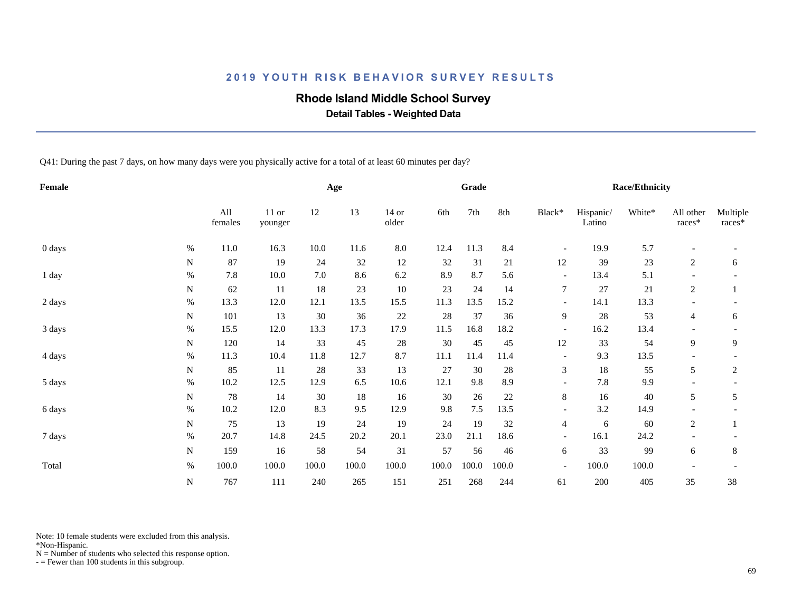### **Rhode Island Middle School Survey**

 **Detail Tables - Weighted Data**

Q41: During the past 7 days, on how many days were you physically active for a total of at least 60 minutes per day?

| Female |             |                |                    |         | Age   |                  |       | Grade |       |                          |                     | Race/Ethnicity |                          |                    |
|--------|-------------|----------------|--------------------|---------|-------|------------------|-------|-------|-------|--------------------------|---------------------|----------------|--------------------------|--------------------|
|        |             | All<br>females | $11$ or<br>younger | 12      | 13    | $14$ or<br>older | 6th   | 7th   | 8th   | Black*                   | Hispanic/<br>Latino | White*         | All other<br>races*      | Multiple<br>races* |
| 0 days | $\%$        | 11.0           | 16.3               | 10.0    | 11.6  | $8.0\,$          | 12.4  | 11.3  | 8.4   | $\overline{\phantom{a}}$ | 19.9                | 5.7            | $\overline{\phantom{a}}$ |                    |
|        | ${\bf N}$   | 87             | 19                 | 24      | 32    | 12               | 32    | 31    | 21    | 12                       | 39                  | 23             | $\overline{c}$           | 6                  |
| 1 day  | $\%$        | 7.8            | 10.0               | $7.0\,$ | 8.6   | 6.2              | 8.9   | 8.7   | 5.6   | $\overline{\phantom{a}}$ | 13.4                | 5.1            |                          |                    |
|        | N           | 62             | 11                 | 18      | 23    | 10               | 23    | 24    | 14    | $\tau$                   | 27                  | 21             | 2                        |                    |
| 2 days | $\%$        | 13.3           | 12.0               | 12.1    | 13.5  | 15.5             | 11.3  | 13.5  | 15.2  | $\overline{\phantom{a}}$ | 14.1                | 13.3           |                          |                    |
|        | N           | 101            | 13                 | 30      | 36    | $22\,$           | 28    | 37    | 36    | 9                        | 28                  | 53             | 4                        | 6                  |
| 3 days | $\%$        | 15.5           | 12.0               | 13.3    | 17.3  | 17.9             | 11.5  | 16.8  | 18.2  | $\overline{\phantom{a}}$ | 16.2                | 13.4           |                          |                    |
|        | N           | 120            | 14                 | 33      | 45    | $28\,$           | 30    | 45    | 45    | 12                       | 33                  | 54             | 9                        | 9                  |
| 4 days | $\%$        | 11.3           | 10.4               | 11.8    | 12.7  | 8.7              | 11.1  | 11.4  | 11.4  | $\overline{\phantom{a}}$ | 9.3                 | 13.5           |                          |                    |
|        | N           | 85             | 11                 | 28      | 33    | 13               | 27    | 30    | 28    | 3                        | $18\,$              | 55             | 5                        | 2                  |
| 5 days | $\%$        | 10.2           | 12.5               | 12.9    | 6.5   | 10.6             | 12.1  | 9.8   | 8.9   | $\overline{\phantom{a}}$ | 7.8                 | 9.9            |                          |                    |
|        | N           | $78\,$         | 14                 | 30      | 18    | 16               | 30    | 26    | 22    | $8\,$                    | 16                  | 40             | 5                        | 5                  |
| 6 days | $\%$        | 10.2           | 12.0               | 8.3     | 9.5   | 12.9             | 9.8   | 7.5   | 13.5  | $\overline{\phantom{a}}$ | 3.2                 | 14.9           |                          |                    |
|        | N           | 75             | 13                 | 19      | 24    | 19               | 24    | 19    | 32    | 4                        | 6                   | 60             | 2                        |                    |
| 7 days | $\%$        | 20.7           | 14.8               | 24.5    | 20.2  | 20.1             | 23.0  | 21.1  | 18.6  | $\overline{\phantom{a}}$ | 16.1                | 24.2           |                          |                    |
|        | $\mathbf N$ | 159            | 16                 | 58      | 54    | 31               | 57    | 56    | 46    | 6                        | 33                  | 99             | 6                        | $\,8\,$            |
| Total  | $\%$        | 100.0          | 100.0              | 100.0   | 100.0 | 100.0            | 100.0 | 100.0 | 100.0 | $\overline{\phantom{a}}$ | 100.0               | 100.0          | $\overline{\phantom{a}}$ |                    |
|        | N           | 767            | 111                | 240     | 265   | 151              | 251   | 268   | 244   | 61                       | 200                 | 405            | 35                       | 38                 |

Note: 10 female students were excluded from this analysis.

\*Non-Hispanic.

 $N =$  Number of students who selected this response option.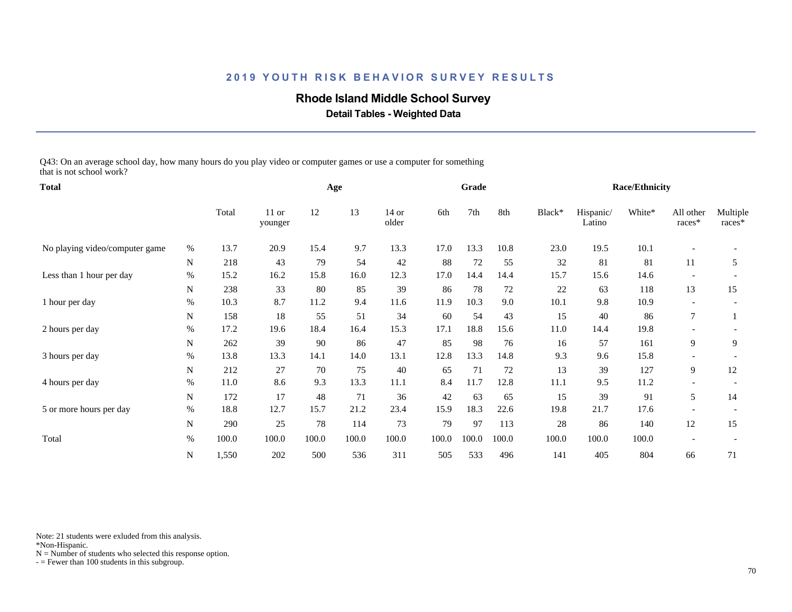### **Rhode Island Middle School Survey**

 **Detail Tables - Weighted Data**

Q43: On an average school day, how many hours do you play video or computer games or use a computer for something that is not school work?

| <b>Total</b>                   |             |       |                    |       | Age   |                  |       | Grade |        |        |                     | <b>Race/Ethnicity</b> |                          |                    |
|--------------------------------|-------------|-------|--------------------|-------|-------|------------------|-------|-------|--------|--------|---------------------|-----------------------|--------------------------|--------------------|
|                                |             | Total | $11$ or<br>younger | 12    | 13    | $14$ or<br>older | 6th   | 7th   | 8th    | Black* | Hispanic/<br>Latino | White*                | All other<br>races*      | Multiple<br>races* |
| No playing video/computer game | $\%$        | 13.7  | 20.9               | 15.4  | 9.7   | 13.3             | 17.0  | 13.3  | 10.8   | 23.0   | 19.5                | 10.1                  |                          |                    |
|                                | ${\bf N}$   | 218   | 43                 | 79    | 54    | 42               | 88    | 72    | 55     | 32     | 81                  | 81                    | 11                       | 5                  |
| Less than 1 hour per day       | %           | 15.2  | 16.2               | 15.8  | 16.0  | 12.3             | 17.0  | 14.4  | 14.4   | 15.7   | 15.6                | 14.6                  |                          |                    |
|                                | N           | 238   | 33                 | 80    | 85    | 39               | 86    | 78    | $72\,$ | $22\,$ | 63                  | 118                   | 13                       | 15                 |
| 1 hour per day                 | $\%$        | 10.3  | 8.7                | 11.2  | 9.4   | 11.6             | 11.9  | 10.3  | 9.0    | 10.1   | 9.8                 | 10.9                  | $\overline{\phantom{a}}$ |                    |
|                                | N           | 158   | 18                 | 55    | 51    | 34               | 60    | 54    | 43     | 15     | 40                  | 86                    | $\overline{7}$           |                    |
| 2 hours per day                | %           | 17.2  | 19.6               | 18.4  | 16.4  | 15.3             | 17.1  | 18.8  | 15.6   | 11.0   | 14.4                | 19.8                  |                          |                    |
|                                | N           | 262   | 39                 | 90    | 86    | 47               | 85    | 98    | 76     | 16     | 57                  | 161                   | 9                        | 9                  |
| 3 hours per day                | %           | 13.8  | 13.3               | 14.1  | 14.0  | 13.1             | 12.8  | 13.3  | 14.8   | 9.3    | 9.6                 | 15.8                  |                          |                    |
|                                | N           | 212   | 27                 | 70    | 75    | 40               | 65    | 71    | 72     | 13     | 39                  | 127                   | 9                        | 12                 |
| 4 hours per day                | $\%$        | 11.0  | 8.6                | 9.3   | 13.3  | 11.1             | 8.4   | 11.7  | 12.8   | 11.1   | 9.5                 | 11.2                  |                          |                    |
|                                | $\mathbf N$ | 172   | 17                 | 48    | 71    | 36               | 42    | 63    | 65     | 15     | 39                  | 91                    | 5                        | 14                 |
| 5 or more hours per day        | %           | 18.8  | 12.7               | 15.7  | 21.2  | 23.4             | 15.9  | 18.3  | 22.6   | 19.8   | 21.7                | 17.6                  |                          |                    |
|                                | N           | 290   | 25                 | 78    | 114   | 73               | 79    | 97    | 113    | 28     | 86                  | 140                   | 12                       | 15                 |
| Total                          | $\%$        | 100.0 | 100.0              | 100.0 | 100.0 | 100.0            | 100.0 | 100.0 | 100.0  | 100.0  | 100.0               | 100.0                 |                          |                    |
|                                | N           | 1,550 | 202                | 500   | 536   | 311              | 505   | 533   | 496    | 141    | 405                 | 804                   | 66                       | 71                 |

Note: 21 students were exluded from this analysis.

\*Non-Hispanic.

 $N =$  Number of students who selected this response option.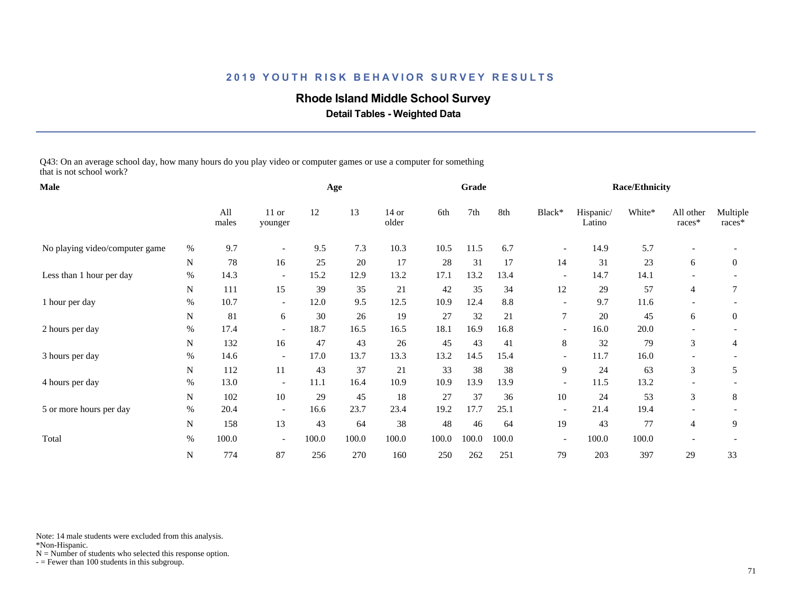### **Rhode Island Middle School Survey**

 **Detail Tables - Weighted Data**

Q43: On an average school day, how many hours do you play video or computer games or use a computer for something that is not school work?

| Male                           |      |              |                          |       | Age   |                  |       | Grade |       |                          |                     | <b>Race/Ethnicity</b> |                          |                    |
|--------------------------------|------|--------------|--------------------------|-------|-------|------------------|-------|-------|-------|--------------------------|---------------------|-----------------------|--------------------------|--------------------|
|                                |      | All<br>males | $11$ or<br>younger       | 12    | 13    | $14$ or<br>older | 6th   | 7th   | 8th   | Black*                   | Hispanic/<br>Latino | White*                | All other<br>races*      | Multiple<br>races* |
| No playing video/computer game | $\%$ | 9.7          | $\overline{\phantom{a}}$ | 9.5   | 7.3   | 10.3             | 10.5  | 11.5  | 6.7   | $\overline{\phantom{a}}$ | 14.9                | 5.7                   |                          |                    |
|                                | N    | 78           | 16                       | 25    | 20    | 17               | 28    | 31    | 17    | 14                       | 31                  | 23                    | 6                        | $\overline{0}$     |
| Less than 1 hour per day       | %    | 14.3         | $\overline{\phantom{a}}$ | 15.2  | 12.9  | 13.2             | 17.1  | 13.2  | 13.4  | $\overline{\phantom{a}}$ | 14.7                | 14.1                  |                          |                    |
|                                | N    | 111          | 15                       | 39    | 35    | 21               | 42    | 35    | 34    | 12                       | 29                  | 57                    | 4                        | 7                  |
| 1 hour per day                 | %    | 10.7         | $\overline{\phantom{0}}$ | 12.0  | 9.5   | 12.5             | 10.9  | 12.4  | 8.8   | $\overline{\phantom{a}}$ | 9.7                 | 11.6                  | $\overline{\phantom{a}}$ |                    |
|                                | N    | 81           | 6                        | 30    | 26    | 19               | 27    | 32    | 21    | 7                        | 20                  | 45                    | 6                        | $\boldsymbol{0}$   |
| 2 hours per day                | $\%$ | 17.4         | $\overline{\phantom{0}}$ | 18.7  | 16.5  | 16.5             | 18.1  | 16.9  | 16.8  | $\overline{\phantom{a}}$ | 16.0                | 20.0                  |                          |                    |
|                                | N    | 132          | 16                       | 47    | 43    | 26               | 45    | 43    | 41    | 8                        | 32                  | 79                    | 3                        | 4                  |
| 3 hours per day                | $\%$ | 14.6         | $\overline{\phantom{a}}$ | 17.0  | 13.7  | 13.3             | 13.2  | 14.5  | 15.4  | $\overline{\phantom{a}}$ | 11.7                | 16.0                  |                          |                    |
|                                | N    | 112          | 11                       | 43    | 37    | 21               | 33    | 38    | 38    | 9                        | 24                  | 63                    | 3                        | 5                  |
| 4 hours per day                | $\%$ | 13.0         | $\overline{\phantom{a}}$ | 11.1  | 16.4  | 10.9             | 10.9  | 13.9  | 13.9  | $\overline{\phantom{a}}$ | 11.5                | 13.2                  |                          |                    |
|                                | N    | 102          | 10                       | 29    | 45    | 18               | 27    | 37    | 36    | 10                       | 24                  | 53                    | 3                        | 8                  |
| 5 or more hours per day        | $\%$ | 20.4         | $\overline{\phantom{a}}$ | 16.6  | 23.7  | 23.4             | 19.2  | 17.7  | 25.1  | $\overline{\phantom{a}}$ | 21.4                | 19.4                  |                          |                    |
|                                | N    | 158          | 13                       | 43    | 64    | 38               | 48    | 46    | 64    | 19                       | 43                  | 77                    | 4                        | 9                  |
| Total                          | $\%$ | 100.0        | $\overline{\phantom{0}}$ | 100.0 | 100.0 | 100.0            | 100.0 | 100.0 | 100.0 | $\overline{\phantom{a}}$ | 100.0               | 100.0                 |                          |                    |
|                                | N    | 774          | 87                       | 256   | 270   | 160              | 250   | 262   | 251   | 79                       | 203                 | 397                   | 29                       | 33                 |

Note: 14 male students were excluded from this analysis.

\*Non-Hispanic.

 $N =$  Number of students who selected this response option.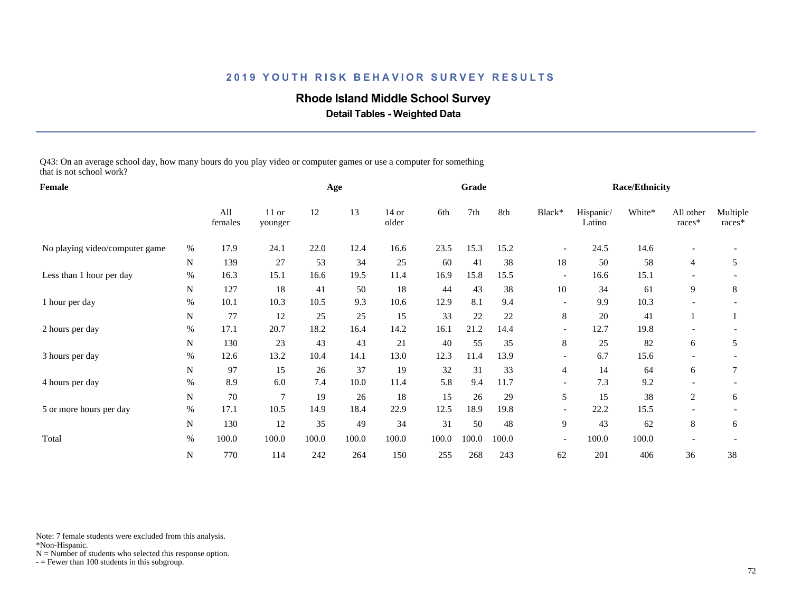### **Rhode Island Middle School Survey**

 **Detail Tables - Weighted Data**

Q43: On an average school day, how many hours do you play video or computer games or use a computer for something that is not school work?

| Female                         |             |                |                    |       | Age   |                  |       | Grade |       |                          |                     | <b>Race/Ethnicity</b> |                          |                    |
|--------------------------------|-------------|----------------|--------------------|-------|-------|------------------|-------|-------|-------|--------------------------|---------------------|-----------------------|--------------------------|--------------------|
|                                |             | All<br>females | $11$ or<br>younger | 12    | 13    | $14$ or<br>older | 6th   | 7th   | 8th   | Black*                   | Hispanic/<br>Latino | White*                | All other<br>races*      | Multiple<br>races* |
| No playing video/computer game | $\%$        | 17.9           | 24.1               | 22.0  | 12.4  | 16.6             | 23.5  | 15.3  | 15.2  | $\overline{\phantom{a}}$ | 24.5                | 14.6                  |                          |                    |
|                                | $\mathbf N$ | 139            | 27                 | 53    | 34    | 25               | 60    | 41    | 38    | 18                       | 50                  | 58                    | 4                        | 5                  |
| Less than 1 hour per day       | %           | 16.3           | 15.1               | 16.6  | 19.5  | 11.4             | 16.9  | 15.8  | 15.5  | $\overline{\phantom{a}}$ | 16.6                | 15.1                  |                          |                    |
|                                | N           | 127            | 18                 | 41    | 50    | 18               | 44    | 43    | 38    | 10                       | 34                  | 61                    | 9                        | 8                  |
| 1 hour per day                 | %           | 10.1           | 10.3               | 10.5  | 9.3   | 10.6             | 12.9  | 8.1   | 9.4   | $\overline{\phantom{a}}$ | 9.9                 | 10.3                  | $\overline{\phantom{a}}$ |                    |
|                                | $\mathbf N$ | 77             | 12                 | 25    | 25    | 15               | 33    | 22    | 22    | 8                        | 20                  | 41                    |                          |                    |
| 2 hours per day                | %           | 17.1           | 20.7               | 18.2  | 16.4  | 14.2             | 16.1  | 21.2  | 14.4  | $\overline{\phantom{a}}$ | 12.7                | 19.8                  |                          |                    |
|                                | N           | 130            | 23                 | 43    | 43    | 21               | 40    | 55    | 35    | 8                        | 25                  | 82                    | 6                        | 5                  |
| 3 hours per day                | $\%$        | 12.6           | 13.2               | 10.4  | 14.1  | 13.0             | 12.3  | 11.4  | 13.9  | $\overline{\phantom{a}}$ | 6.7                 | 15.6                  |                          |                    |
|                                | N           | 97             | 15                 | 26    | 37    | 19               | 32    | 31    | 33    | 4                        | 14                  | 64                    | 6                        | 7                  |
| 4 hours per day                | %           | 8.9            | 6.0                | 7.4   | 10.0  | 11.4             | 5.8   | 9.4   | 11.7  | $\overline{\phantom{a}}$ | 7.3                 | 9.2                   |                          |                    |
|                                | $\mathbf N$ | 70             | $\overline{7}$     | 19    | 26    | 18               | 15    | 26    | 29    | 5                        | 15                  | 38                    | 2                        | 6                  |
| 5 or more hours per day        | $\%$        | 17.1           | 10.5               | 14.9  | 18.4  | 22.9             | 12.5  | 18.9  | 19.8  |                          | 22.2                | 15.5                  |                          |                    |
|                                | N           | 130            | 12                 | 35    | 49    | 34               | 31    | 50    | 48    | 9                        | 43                  | 62                    | 8                        | 6                  |
| Total                          | $\%$        | 100.0          | 100.0              | 100.0 | 100.0 | 100.0            | 100.0 | 100.0 | 100.0 | $\overline{\phantom{a}}$ | 100.0               | 100.0                 |                          |                    |
|                                | N           | 770            | 114                | 242   | 264   | 150              | 255   | 268   | 243   | 62                       | 201                 | 406                   | 36                       | 38                 |

Note: 7 female students were excluded from this analysis.

\*Non-Hispanic.

 $N =$  Number of students who selected this response option.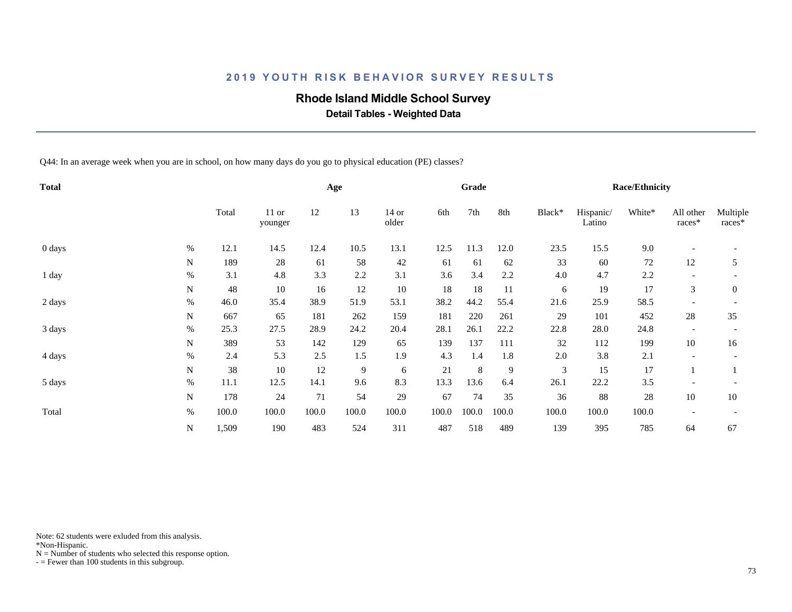### **Rhode Island Middle School Survey**

 **Detail Tables - Weighted Data**

Q44: In an average week when you are in school, on how many days do you go to physical education (PE) classes?

| <b>Total</b> |      |       |                    |       | Age   |                  |       | Grade |       |        |                     | <b>Race/Ethnicity</b> |                          |                    |
|--------------|------|-------|--------------------|-------|-------|------------------|-------|-------|-------|--------|---------------------|-----------------------|--------------------------|--------------------|
|              |      | Total | $11$ or<br>younger | 12    | 13    | $14$ or<br>older | 6th   | 7th   | 8th   | Black* | Hispanic/<br>Latino | White*                | All other<br>races*      | Multiple<br>races* |
| 0 days       | $\%$ | 12.1  | 14.5               | 12.4  | 10.5  | 13.1             | 12.5  | 11.3  | 12.0  | 23.5   | 15.5                | 9.0                   | $\overline{\phantom{a}}$ |                    |
|              | N    | 189   | 28                 | 61    | 58    | 42               | 61    | 61    | 62    | 33     | 60                  | $72\,$                | 12                       | 5                  |
| 1 day        | $\%$ | 3.1   | 4.8                | 3.3   | 2.2   | 3.1              | 3.6   | 3.4   | 2.2   | 4.0    | 4.7                 | 2.2                   | $\overline{\phantom{a}}$ |                    |
|              | N    | 48    | 10                 | 16    | 12    | 10               | 18    | 18    | 11    | 6      | 19                  | 17                    | 3                        | $\overline{0}$     |
| 2 days       | $\%$ | 46.0  | 35.4               | 38.9  | 51.9  | 53.1             | 38.2  | 44.2  | 55.4  | 21.6   | 25.9                | 58.5                  |                          |                    |
|              | N    | 667   | 65                 | 181   | 262   | 159              | 181   | 220   | 261   | 29     | 101                 | 452                   | 28                       | 35                 |
| 3 days       | $\%$ | 25.3  | 27.5               | 28.9  | 24.2  | 20.4             | 28.1  | 26.1  | 22.2  | 22.8   | 28.0                | 24.8                  |                          |                    |
|              | N    | 389   | 53                 | 142   | 129   | 65               | 139   | 137   | 111   | 32     | 112                 | 199                   | 10                       | 16                 |
| 4 days       | $\%$ | 2.4   | 5.3                | 2.5   | 1.5   | 1.9              | 4.3   | 1.4   | 1.8   | 2.0    | 3.8                 | 2.1                   |                          |                    |
|              | N    | 38    | 10                 | 12    | 9     | 6                | 21    | 8     | 9     | 3      | 15                  | 17                    |                          |                    |
| 5 days       | $\%$ | 11.1  | 12.5               | 14.1  | 9.6   | 8.3              | 13.3  | 13.6  | 6.4   | 26.1   | 22.2                | 3.5                   |                          |                    |
|              | N    | 178   | 24                 | 71    | 54    | 29               | 67    | 74    | 35    | 36     | 88                  | 28                    | 10                       | 10                 |
| Total        | $\%$ | 100.0 | 100.0              | 100.0 | 100.0 | 100.0            | 100.0 | 100.0 | 100.0 | 100.0  | 100.0               | 100.0                 |                          |                    |
|              | N    | 1,509 | 190                | 483   | 524   | 311              | 487   | 518   | 489   | 139    | 395                 | 785                   | 64                       | 67                 |

Note: 62 students were exluded from this analysis.

\*Non-Hispanic.

 $N =$  Number of students who selected this response option.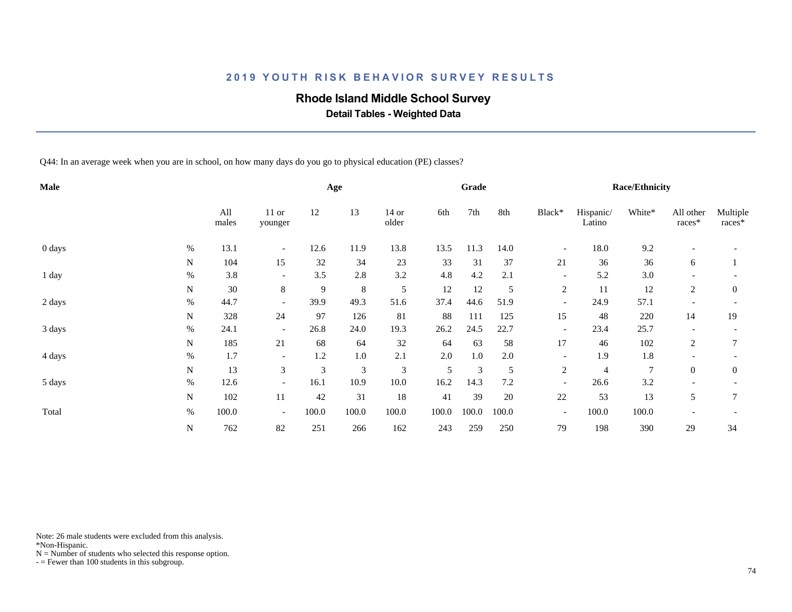### **Rhode Island Middle School Survey**

 **Detail Tables - Weighted Data**

Q44: In an average week when you are in school, on how many days do you go to physical education (PE) classes?

| Male   |      |              |                          |       | Age           |                  |       | Grade   |       |                          |                     | <b>Race/Ethnicity</b> |                          |                    |
|--------|------|--------------|--------------------------|-------|---------------|------------------|-------|---------|-------|--------------------------|---------------------|-----------------------|--------------------------|--------------------|
|        |      | All<br>males | $11$ or<br>younger       | 12    | 13            | $14$ or<br>older | 6th   | 7th     | 8th   | Black*                   | Hispanic/<br>Latino | White*                | All other<br>races*      | Multiple<br>races* |
| 0 days | $\%$ | 13.1         | $\overline{\phantom{a}}$ | 12.6  | 11.9          | 13.8             | 13.5  | 11.3    | 14.0  | $\overline{\phantom{a}}$ | 18.0                | 9.2                   |                          |                    |
|        | N    | 104          | 15                       | 32    | 34            | 23               | 33    | 31      | 37    | 21                       | 36                  | 36                    | 6                        |                    |
| 1 day  | $\%$ | 3.8          | $\overline{\phantom{a}}$ | 3.5   | 2.8           | 3.2              | 4.8   | 4.2     | 2.1   | $\overline{\phantom{a}}$ | 5.2                 | 3.0                   |                          |                    |
|        | N    | $30\,$       | 8                        | 9     | $\,8\,$       | $\mathfrak s$    | 12    | 12      | 5     | $\overline{c}$           | 11                  | 12                    | 2                        | $\mathbf{0}$       |
| 2 days | $\%$ | 44.7         | $\overline{\phantom{a}}$ | 39.9  | 49.3          | 51.6             | 37.4  | 44.6    | 51.9  | $\overline{\phantom{a}}$ | 24.9                | 57.1                  | $\overline{\phantom{a}}$ |                    |
|        | N    | 328          | 24                       | 97    | 126           | 81               | 88    | 111     | 125   | 15                       | 48                  | 220                   | 14                       | 19                 |
| 3 days | $\%$ | 24.1         | $\overline{\phantom{a}}$ | 26.8  | 24.0          | 19.3             | 26.2  | 24.5    | 22.7  | $\overline{\phantom{a}}$ | 23.4                | 25.7                  |                          |                    |
|        | N    | 185          | 21                       | 68    | 64            | 32               | 64    | 63      | 58    | 17                       | 46                  | 102                   | 2                        | 7                  |
| 4 days | $\%$ | 1.7          | $\overline{\phantom{a}}$ | 1.2   | 1.0           | 2.1              | 2.0   | $1.0\,$ | 2.0   | $\overline{\phantom{a}}$ | 1.9                 | 1.8                   |                          |                    |
|        | N    | 13           | 3                        | 3     | $\mathfrak 3$ | 3                | 5     | 3       | 5     | $\overline{c}$           | $\overline{4}$      | 7                     | $\overline{0}$           | $\overline{0}$     |
| 5 days | $\%$ | 12.6         | $\overline{\phantom{a}}$ | 16.1  | 10.9          | 10.0             | 16.2  | 14.3    | 7.2   | $\overline{\phantom{a}}$ | 26.6                | 3.2                   |                          |                    |
|        | N    | 102          | 11                       | 42    | 31            | 18               | 41    | 39      | 20    | 22                       | 53                  | 13                    | 5                        | 7                  |
| Total  | $\%$ | 100.0        | $\overline{\phantom{a}}$ | 100.0 | 100.0         | 100.0            | 100.0 | 100.0   | 100.0 | $\overline{\phantom{a}}$ | 100.0               | 100.0                 |                          |                    |
|        | N    | 762          | 82                       | 251   | 266           | 162              | 243   | 259     | 250   | 79                       | 198                 | 390                   | 29                       | 34                 |

Note: 26 male students were excluded from this analysis.

\*Non-Hispanic.

 $N =$  Number of students who selected this response option.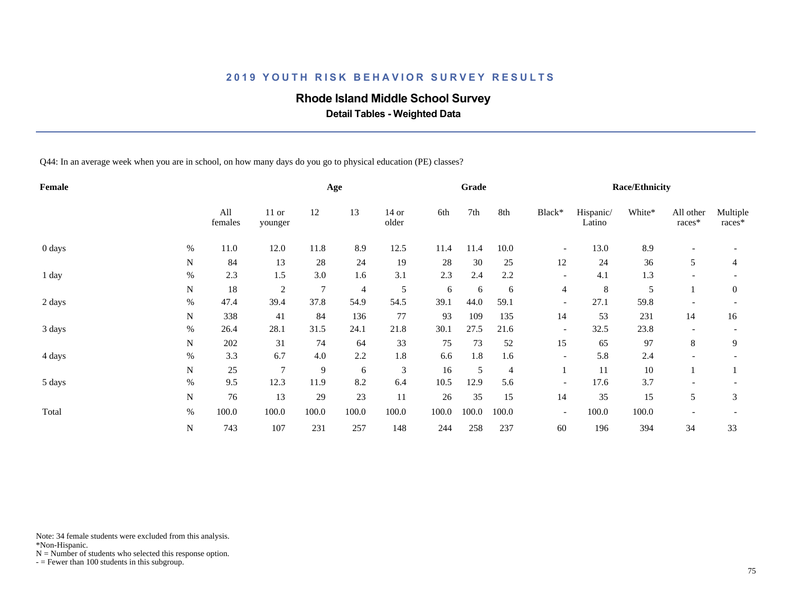### **Rhode Island Middle School Survey**

 **Detail Tables - Weighted Data**

Q44: In an average week when you are in school, on how many days do you go to physical education (PE) classes?

| Female |      |                |                    |       | Age   |                  |       | Grade |                |                          |                     | <b>Race/Ethnicity</b> |                          |                    |
|--------|------|----------------|--------------------|-------|-------|------------------|-------|-------|----------------|--------------------------|---------------------|-----------------------|--------------------------|--------------------|
|        |      | All<br>females | $11$ or<br>younger | 12    | 13    | $14$ or<br>older | 6th   | 7th   | 8th            | Black*                   | Hispanic/<br>Latino | White*                | All other<br>races*      | Multiple<br>races* |
| 0 days | %    | 11.0           | 12.0               | 11.8  | 8.9   | 12.5             | 11.4  | 11.4  | 10.0           | $\overline{\phantom{a}}$ | 13.0                | 8.9                   |                          |                    |
|        | N    | 84             | 13                 | 28    | 24    | 19               | 28    | 30    | 25             | 12                       | 24                  | 36                    | 5                        | 4                  |
| 1 day  | $\%$ | 2.3            | 1.5                | 3.0   | 1.6   | 3.1              | 2.3   | 2.4   | 2.2            | $\overline{\phantom{a}}$ | 4.1                 | 1.3                   |                          |                    |
|        | N    | 18             | 2                  | 7     | 4     | 5                | 6     | 6     | 6              | $\overline{4}$           | 8                   | 5                     |                          | $\mathbf{0}$       |
| 2 days | $\%$ | 47.4           | 39.4               | 37.8  | 54.9  | 54.5             | 39.1  | 44.0  | 59.1           | $\overline{\phantom{a}}$ | 27.1                | 59.8                  | $\overline{\phantom{a}}$ |                    |
|        | N    | 338            | 41                 | 84    | 136   | 77               | 93    | 109   | 135            | 14                       | 53                  | 231                   | 14                       | 16                 |
| 3 days | $\%$ | 26.4           | 28.1               | 31.5  | 24.1  | 21.8             | 30.1  | 27.5  | 21.6           | $\overline{\phantom{a}}$ | 32.5                | 23.8                  |                          |                    |
|        | N    | 202            | 31                 | 74    | 64    | 33               | 75    | 73    | 52             | 15                       | 65                  | 97                    | 8                        | 9                  |
| 4 days | $\%$ | 3.3            | 6.7                | 4.0   | 2.2   | 1.8              | 6.6   | 1.8   | 1.6            | $\overline{\phantom{a}}$ | 5.8                 | 2.4                   |                          |                    |
|        | N    | 25             | $\tau$             | 9     | 6     | 3                | 16    | 5     | $\overline{4}$ |                          | 11                  | 10                    |                          |                    |
| 5 days | $\%$ | 9.5            | 12.3               | 11.9  | 8.2   | 6.4              | 10.5  | 12.9  | 5.6            | $\overline{\phantom{a}}$ | 17.6                | 3.7                   |                          |                    |
|        | N    | 76             | 13                 | 29    | 23    | 11               | 26    | 35    | 15             | 14                       | 35                  | 15                    | 5                        | 3                  |
| Total  | $\%$ | 100.0          | 100.0              | 100.0 | 100.0 | 100.0            | 100.0 | 100.0 | 100.0          | $\overline{\phantom{a}}$ | 100.0               | 100.0                 |                          |                    |
|        | N    | 743            | 107                | 231   | 257   | 148              | 244   | 258   | 237            | 60                       | 196                 | 394                   | 34                       | 33                 |

Note: 34 female students were excluded from this analysis.

\*Non-Hispanic.

 $N =$  Number of students who selected this response option.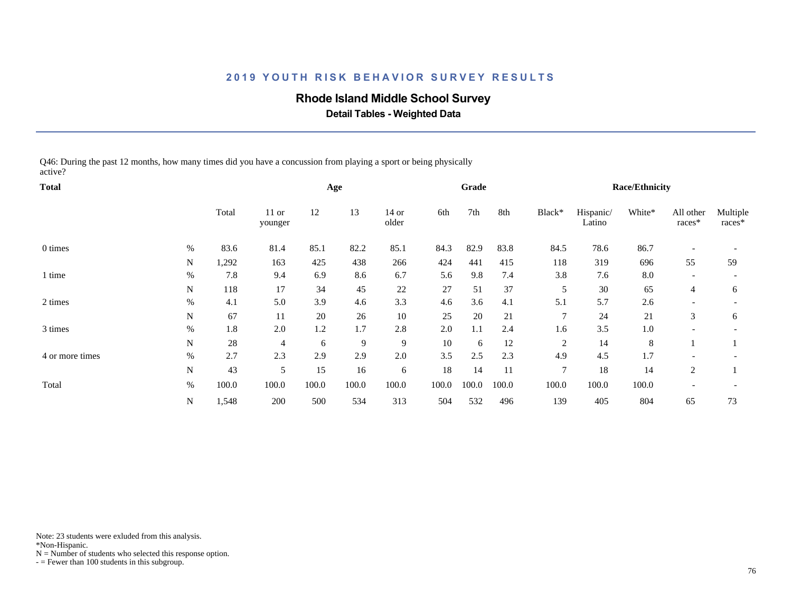### **Rhode Island Middle School Survey**

 **Detail Tables - Weighted Data**

Q46: During the past 12 months, how many times did you have a concussion from playing a sport or being physically active?

| <b>Total</b>    |      |       |                    |       | Age   |                  |       | Grade |       |                |                     | <b>Race/Ethnicity</b> |                          |                          |
|-----------------|------|-------|--------------------|-------|-------|------------------|-------|-------|-------|----------------|---------------------|-----------------------|--------------------------|--------------------------|
|                 |      | Total | $11$ or<br>younger | 12    | 13    | $14$ or<br>older | 6th   | 7th   | 8th   | Black*         | Hispanic/<br>Latino | White*                | All other<br>races*      | Multiple<br>races*       |
| 0 times         | $\%$ | 83.6  | 81.4               | 85.1  | 82.2  | 85.1             | 84.3  | 82.9  | 83.8  | 84.5           | 78.6                | 86.7                  |                          |                          |
|                 | N    | 1,292 | 163                | 425   | 438   | 266              | 424   | 441   | 415   | 118            | 319                 | 696                   | 55                       | 59                       |
| 1 time          | $\%$ | 7.8   | 9.4                | 6.9   | 8.6   | 6.7              | 5.6   | 9.8   | 7.4   | 3.8            | 7.6                 | 8.0                   | $\overline{\phantom{a}}$ |                          |
|                 | N    | 118   | 17                 | 34    | 45    | 22               | 27    | 51    | 37    | 5              | 30                  | 65                    | $\overline{4}$           | 6                        |
| 2 times         | $\%$ | 4.1   | 5.0                | 3.9   | 4.6   | 3.3              | 4.6   | 3.6   | 4.1   | 5.1            | 5.7                 | 2.6                   |                          |                          |
|                 | N    | 67    | 11                 | 20    | 26    | $10\,$           | 25    | 20    | 21    | $\overline{7}$ | 24                  | 21                    | 3                        | 6                        |
| 3 times         | $\%$ | 1.8   | 2.0                | 1.2   | 1.7   | 2.8              | 2.0   | 1.1   | 2.4   | 1.6            | 3.5                 | 1.0                   | $\overline{\phantom{a}}$ | $\overline{\phantom{a}}$ |
|                 | N    | 28    | $\overline{4}$     | 6     | 9     | 9                | 10    | 6     | 12    | 2              | 14                  | 8                     |                          |                          |
| 4 or more times | %    | 2.7   | 2.3                | 2.9   | 2.9   | 2.0              | 3.5   | 2.5   | 2.3   | 4.9            | 4.5                 | 1.7                   |                          |                          |
|                 | N    | 43    | 5                  | 15    | 16    | 6                | 18    | 14    | 11    | $\tau$         | 18                  | 14                    | 2                        |                          |
| Total           | $\%$ | 100.0 | 100.0              | 100.0 | 100.0 | 100.0            | 100.0 | 100.0 | 100.0 | 100.0          | 100.0               | 100.0                 |                          |                          |
|                 | N    | 1,548 | 200                | 500   | 534   | 313              | 504   | 532   | 496   | 139            | 405                 | 804                   | 65                       | 73                       |

Note: 23 students were exluded from this analysis.

\*Non-Hispanic.

 $N =$  Number of students who selected this response option.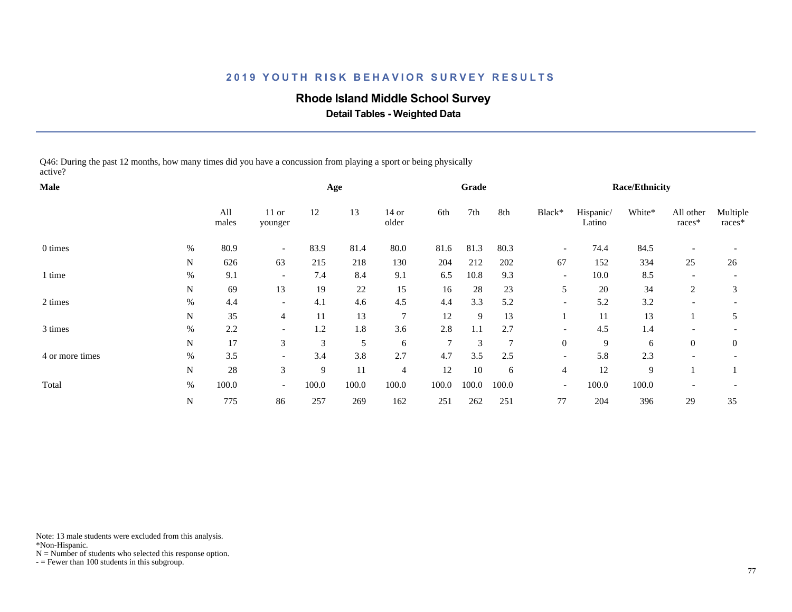### **Rhode Island Middle School Survey**

 **Detail Tables - Weighted Data**

Q46: During the past 12 months, how many times did you have a concussion from playing a sport or being physically active?

| Male            |             |              |                          |       | Age   |                |                | Grade |                 |                          |                     | <b>Race/Ethnicity</b> |                          |                    |
|-----------------|-------------|--------------|--------------------------|-------|-------|----------------|----------------|-------|-----------------|--------------------------|---------------------|-----------------------|--------------------------|--------------------|
|                 |             | All<br>males | $11$ or<br>younger       | 12    | 13    | 14 or<br>older | 6th            | 7th   | 8th             | Black*                   | Hispanic/<br>Latino | White*                | All other<br>$races*$    | Multiple<br>races* |
| 0 times         | %           | 80.9         | $\overline{\phantom{0}}$ | 83.9  | 81.4  | 80.0           | 81.6           | 81.3  | 80.3            | $\overline{\phantom{a}}$ | 74.4                | 84.5                  |                          |                    |
|                 | N           | 626          | 63                       | 215   | 218   | 130            | 204            | 212   | 202             | 67                       | 152                 | 334                   | 25                       | 26                 |
| 1 time          | %           | 9.1          | $\overline{\phantom{a}}$ | 7.4   | 8.4   | 9.1            | 6.5            | 10.8  | 9.3             | $\overline{\phantom{a}}$ | 10.0                | 8.5                   | $\overline{\phantom{a}}$ |                    |
|                 | N           | 69           | 13                       | 19    | 22    | 15             | 16             | 28    | 23              | 5                        | 20                  | 34                    | $\overline{c}$           | 3                  |
| 2 times         | %           | 4.4          | $\overline{\phantom{a}}$ | 4.1   | 4.6   | 4.5            | 4.4            | 3.3   | 5.2             | $\overline{\phantom{a}}$ | 5.2                 | 3.2                   |                          |                    |
|                 | N           | 35           | $\overline{4}$           | 11    | 13    | $\overline{7}$ | 12             | 9     | 13              |                          | 11                  | 13                    |                          | 5                  |
| 3 times         | $\%$        | 2.2          | $\overline{\phantom{a}}$ | 1.2   | 1.8   | 3.6            | 2.8            | 1.1   | 2.7             | $\overline{\phantom{a}}$ | 4.5                 | 1.4                   | $\overline{\phantom{a}}$ |                    |
|                 | N           | 17           | 3                        | 3     | 5     | 6              | $\overline{7}$ | 3     | $7\phantom{.0}$ | $\boldsymbol{0}$         | 9                   | 6                     | $\theta$                 | $\theta$           |
| 4 or more times | $\%$        | 3.5          | $\overline{\phantom{a}}$ | 3.4   | 3.8   | 2.7            | 4.7            | 3.5   | 2.5             | $\overline{\phantom{a}}$ | 5.8                 | 2.3                   |                          |                    |
|                 | N           | 28           | 3                        | 9     | 11    | $\overline{4}$ | 12             | 10    | 6               | $\overline{4}$           | 12                  | 9                     |                          |                    |
| Total           | $\%$        | 100.0        | $\overline{\phantom{a}}$ | 100.0 | 100.0 | 100.0          | 100.0          | 100.0 | 100.0           | $\overline{\phantom{a}}$ | 100.0               | 100.0                 | $\overline{\phantom{a}}$ |                    |
|                 | $\mathbf N$ | 775          | 86                       | 257   | 269   | 162            | 251            | 262   | 251             | 77                       | 204                 | 396                   | 29                       | 35                 |

Note: 13 male students were excluded from this analysis.

\*Non-Hispanic.

 $N =$  Number of students who selected this response option.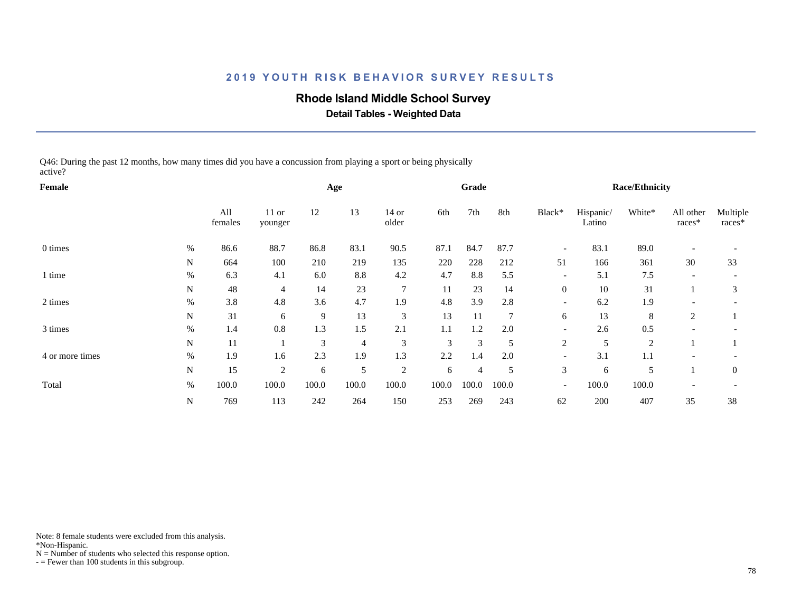### **Rhode Island Middle School Survey**

 **Detail Tables - Weighted Data**

Q46: During the past 12 months, how many times did you have a concussion from playing a sport or being physically active?

| Female          |             |                |                    |       | Age            |                |       | Grade          |       |                          |                     | <b>Race/Ethnicity</b> |                          |                    |
|-----------------|-------------|----------------|--------------------|-------|----------------|----------------|-------|----------------|-------|--------------------------|---------------------|-----------------------|--------------------------|--------------------|
|                 |             | All<br>females | $11$ or<br>younger | 12    | 13             | 14 or<br>older | 6th   | 7th            | 8th   | Black*                   | Hispanic/<br>Latino | White*                | All other<br>$races*$    | Multiple<br>races* |
| 0 times         | %           | 86.6           | 88.7               | 86.8  | 83.1           | 90.5           | 87.1  | 84.7           | 87.7  | $\overline{\phantom{a}}$ | 83.1                | 89.0                  |                          |                    |
|                 | N           | 664            | 100                | 210   | 219            | 135            | 220   | 228            | 212   | 51                       | 166                 | 361                   | 30                       | 33                 |
| 1 time          | %           | 6.3            | 4.1                | 6.0   | 8.8            | 4.2            | 4.7   | 8.8            | 5.5   | $\overline{\phantom{a}}$ | 5.1                 | 7.5                   | $\overline{\phantom{a}}$ |                    |
|                 | N           | 48             | $\overline{4}$     | 14    | 23             | 7              | 11    | 23             | 14    | $\overline{0}$           | 10                  | 31                    |                          | 3                  |
| 2 times         | %           | 3.8            | 4.8                | 3.6   | 4.7            | 1.9            | 4.8   | 3.9            | 2.8   | $\overline{\phantom{a}}$ | 6.2                 | 1.9                   |                          |                    |
|                 | N           | 31             | 6                  | 9     | 13             | 3              | 13    | 11             | 7     | 6                        | 13                  | 8                     | 2                        |                    |
| 3 times         | $\%$        | 1.4            | 0.8                | 1.3   | 1.5            | 2.1            | 1.1   | 1.2            | 2.0   | $\overline{\phantom{a}}$ | 2.6                 | 0.5                   | $\overline{\phantom{a}}$ |                    |
|                 | N           | 11             |                    | 3     | $\overline{4}$ | 3              | 3     | 3              | 5     | $\mathfrak{2}$           | 5                   | $\overline{2}$        |                          |                    |
| 4 or more times | $\%$        | 1.9            | 1.6                | 2.3   | 1.9            | 1.3            | 2.2   | 1.4            | 2.0   | $\overline{\phantom{0}}$ | 3.1                 | 1.1                   |                          |                    |
|                 | N           | 15             | $\overline{2}$     | 6     | 5              | 2              | 6     | $\overline{4}$ | 5     | 3                        | 6                   | 5                     |                          | $\overline{0}$     |
| Total           | $\%$        | 100.0          | 100.0              | 100.0 | 100.0          | 100.0          | 100.0 | 100.0          | 100.0 | $\overline{\phantom{a}}$ | 100.0               | 100.0                 | $\overline{\phantom{a}}$ |                    |
|                 | $\mathbf N$ | 769            | 113                | 242   | 264            | 150            | 253   | 269            | 243   | 62                       | 200                 | 407                   | 35                       | 38                 |

Note: 8 female students were excluded from this analysis.

\*Non-Hispanic.

 $N =$  Number of students who selected this response option.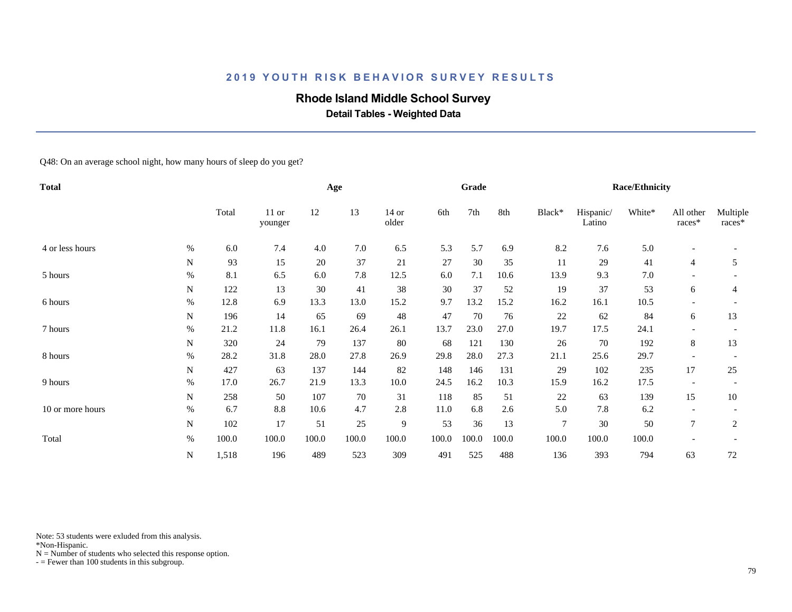## **Rhode Island Middle School Survey**

 **Detail Tables - Weighted Data**

Q48: On an average school night, how many hours of sleep do you get?

| <b>Total</b>     |      |       |                  |       | Age    |                  |       | Grade |       |                |                     | <b>Race/Ethnicity</b> |                          |                          |
|------------------|------|-------|------------------|-------|--------|------------------|-------|-------|-------|----------------|---------------------|-----------------------|--------------------------|--------------------------|
|                  |      | Total | 11 or<br>younger | 12    | 13     | $14$ or<br>older | 6th   | 7th   | 8th   | Black*         | Hispanic/<br>Latino | White*                | All other<br>races*      | Multiple<br>races*       |
| 4 or less hours  | %    | 6.0   | 7.4              | 4.0   | 7.0    | 6.5              | 5.3   | 5.7   | 6.9   | 8.2            | 7.6                 | 5.0                   | $\overline{\phantom{a}}$ |                          |
|                  | N    | 93    | 15               | 20    | 37     | 21               | 27    | 30    | 35    | 11             | 29                  | 41                    | $\overline{4}$           | 5                        |
| 5 hours          | $\%$ | 8.1   | 6.5              | 6.0   | 7.8    | 12.5             | 6.0   | 7.1   | 10.6  | 13.9           | 9.3                 | 7.0                   |                          |                          |
|                  | N    | 122   | 13               | 30    | 41     | 38               | 30    | 37    | 52    | 19             | 37                  | 53                    | 6                        | 4                        |
| 6 hours          | $\%$ | 12.8  | 6.9              | 13.3  | 13.0   | 15.2             | 9.7   | 13.2  | 15.2  | 16.2           | 16.1                | 10.5                  |                          |                          |
|                  | N    | 196   | 14               | 65    | 69     | 48               | 47    | 70    | 76    | 22             | 62                  | 84                    | 6                        | 13                       |
| 7 hours          | $\%$ | 21.2  | 11.8             | 16.1  | 26.4   | 26.1             | 13.7  | 23.0  | 27.0  | 19.7           | 17.5                | 24.1                  |                          |                          |
|                  | N    | 320   | 24               | 79    | 137    | 80               | 68    | 121   | 130   | 26             | 70                  | 192                   | 8                        | 13                       |
| 8 hours          | $\%$ | 28.2  | 31.8             | 28.0  | 27.8   | 26.9             | 29.8  | 28.0  | 27.3  | 21.1           | 25.6                | 29.7                  |                          |                          |
|                  | N    | 427   | 63               | 137   | 144    | 82               | 148   | 146   | 131   | 29             | 102                 | 235                   | 17                       | 25                       |
| 9 hours          | $\%$ | 17.0  | 26.7             | 21.9  | 13.3   | 10.0             | 24.5  | 16.2  | 10.3  | 15.9           | 16.2                | 17.5                  | $\overline{\phantom{a}}$ | $\overline{\phantom{a}}$ |
|                  | N    | 258   | 50               | 107   | 70     | 31               | 118   | 85    | 51    | 22             | 63                  | 139                   | 15                       | 10                       |
| 10 or more hours | %    | 6.7   | 8.8              | 10.6  | 4.7    | 2.8              | 11.0  | 6.8   | 2.6   | 5.0            | 7.8                 | 6.2                   |                          |                          |
|                  | N    | 102   | 17               | 51    | $25\,$ | $\overline{9}$   | 53    | 36    | 13    | $\overline{7}$ | $30\,$              | 50                    | $\overline{7}$           | $\overline{c}$           |
| Total            | $\%$ | 100.0 | 100.0            | 100.0 | 100.0  | 100.0            | 100.0 | 100.0 | 100.0 | 100.0          | 100.0               | 100.0                 |                          |                          |
|                  | N    | 1,518 | 196              | 489   | 523    | 309              | 491   | 525   | 488   | 136            | 393                 | 794                   | 63                       | 72                       |

Note: 53 students were exluded from this analysis.

\*Non-Hispanic.

 $N =$  Number of students who selected this response option.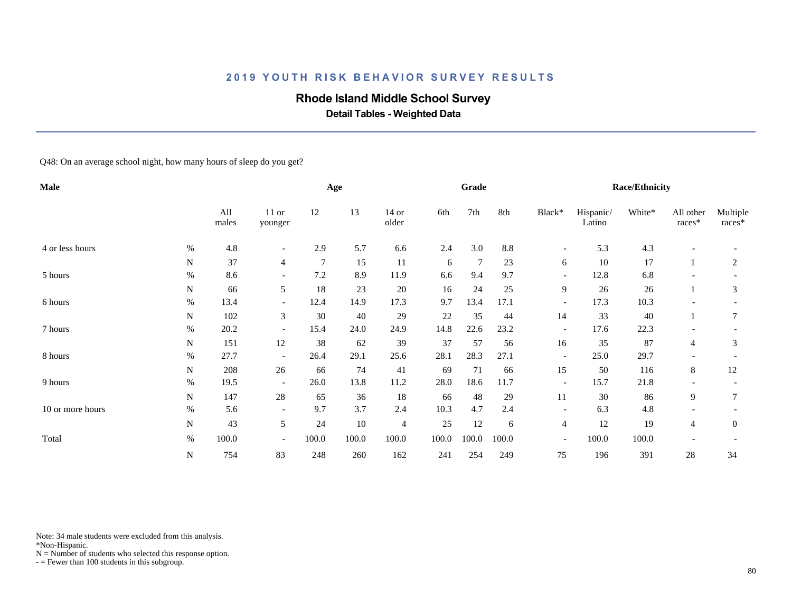## **Rhode Island Middle School Survey**

 **Detail Tables - Weighted Data**

Q48: On an average school night, how many hours of sleep do you get?

| <b>Male</b>      |           |              |                          |                | Age   |                |       | Grade |       |                          |                     | <b>Race/Ethnicity</b> |                     |                    |
|------------------|-----------|--------------|--------------------------|----------------|-------|----------------|-------|-------|-------|--------------------------|---------------------|-----------------------|---------------------|--------------------|
|                  |           | All<br>males | 11 or<br>younger         | 12             | 13    | 14 or<br>older | 6th   | 7th   | 8th   | Black*                   | Hispanic/<br>Latino | White*                | All other<br>races* | Multiple<br>races* |
| 4 or less hours  | %         | 4.8          |                          | 2.9            | 5.7   | 6.6            | 2.4   | 3.0   | 8.8   | $\overline{\phantom{a}}$ | 5.3                 | 4.3                   |                     |                    |
|                  | N         | 37           | 4                        | $\overline{7}$ | 15    | 11             | 6     | 7     | 23    | 6                        | 10                  | 17                    |                     | $\overline{c}$     |
| 5 hours          | %         | 8.6          |                          | 7.2            | 8.9   | 11.9           | 6.6   | 9.4   | 9.7   | $\overline{\phantom{a}}$ | 12.8                | 6.8                   |                     |                    |
|                  | N         | 66           | 5                        | 18             | 23    | 20             | 16    | 24    | 25    | 9                        | 26                  | 26                    |                     | 3                  |
| 6 hours          | $\%$      | 13.4         | $\overline{\phantom{a}}$ | 12.4           | 14.9  | 17.3           | 9.7   | 13.4  | 17.1  | $\overline{\phantom{a}}$ | 17.3                | 10.3                  |                     |                    |
|                  | N         | 102          | 3                        | 30             | 40    | 29             | 22    | 35    | 44    | 14                       | 33                  | 40                    |                     | 7                  |
| 7 hours          | $\%$      | 20.2         |                          | 15.4           | 24.0  | 24.9           | 14.8  | 22.6  | 23.2  | $\overline{\phantom{a}}$ | 17.6                | 22.3                  |                     |                    |
|                  | N         | 151          | 12                       | 38             | 62    | 39             | 37    | 57    | 56    | 16                       | 35                  | 87                    | 4                   | 3                  |
| 8 hours          | %         | 27.7         | $\overline{\phantom{a}}$ | 26.4           | 29.1  | 25.6           | 28.1  | 28.3  | 27.1  | $\overline{\phantom{a}}$ | 25.0                | 29.7                  |                     |                    |
|                  | N         | 208          | 26                       | 66             | 74    | 41             | 69    | 71    | 66    | 15                       | 50                  | 116                   | 8                   | 12                 |
| 9 hours          | $\%$      | 19.5         | $\overline{\phantom{a}}$ | 26.0           | 13.8  | 11.2           | 28.0  | 18.6  | 11.7  | $\overline{\phantom{a}}$ | 15.7                | 21.8                  |                     |                    |
|                  | ${\bf N}$ | 147          | 28                       | 65             | 36    | 18             | 66    | 48    | 29    | 11                       | 30                  | 86                    | 9                   | 7                  |
| 10 or more hours | %         | 5.6          | $\overline{\phantom{a}}$ | 9.7            | 3.7   | 2.4            | 10.3  | 4.7   | 2.4   | $\overline{\phantom{a}}$ | 6.3                 | 4.8                   |                     |                    |
|                  | N         | 43           | 5                        | 24             | 10    | 4              | 25    | 12    | 6     | $\overline{4}$           | 12                  | 19                    | 4                   | $\mathbf{0}$       |
| Total            | $\%$      | 100.0        | $\overline{\phantom{a}}$ | 100.0          | 100.0 | 100.0          | 100.0 | 100.0 | 100.0 | $\overline{\phantom{a}}$ | 100.0               | 100.0                 |                     |                    |
|                  | N         | 754          | 83                       | 248            | 260   | 162            | 241   | 254   | 249   | 75                       | 196                 | 391                   | 28                  | 34                 |

Note: 34 male students were excluded from this analysis.

\*Non-Hispanic.

 $N =$  Number of students who selected this response option.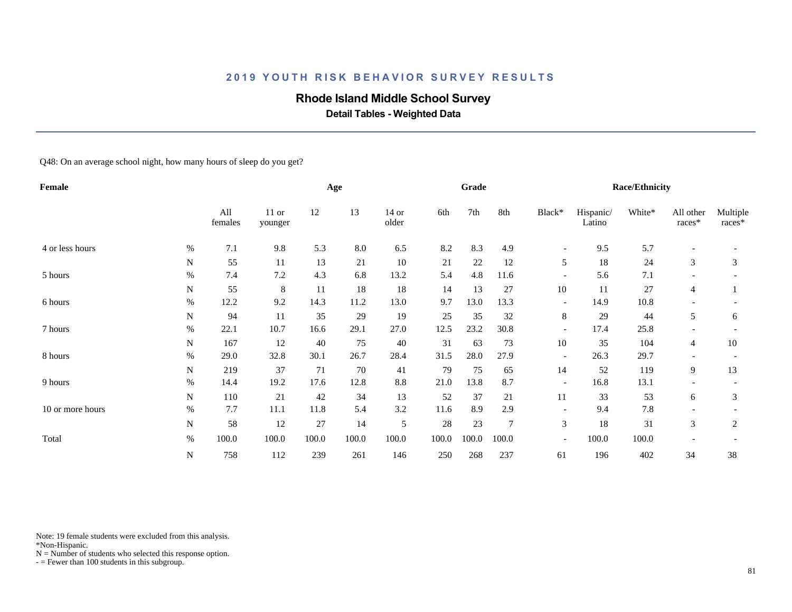## **Rhode Island Middle School Survey**

 **Detail Tables - Weighted Data**

Q48: On an average school night, how many hours of sleep do you get?

| Female           |      |                |                    |       | Age   |                  |        | Grade |                 |                          |                     | <b>Race/Ethnicity</b> |                     |                    |
|------------------|------|----------------|--------------------|-------|-------|------------------|--------|-------|-----------------|--------------------------|---------------------|-----------------------|---------------------|--------------------|
|                  |      | All<br>females | $11$ or<br>younger | 12    | 13    | $14$ or<br>older | 6th    | 7th   | 8th             | Black*                   | Hispanic/<br>Latino | White*                | All other<br>races* | Multiple<br>races* |
| 4 or less hours  | $\%$ | $7.1\,$        | 9.8                | 5.3   | 8.0   | 6.5              | 8.2    | 8.3   | 4.9             | $\overline{\phantom{a}}$ | 9.5                 | 5.7                   |                     |                    |
|                  | N    | 55             | 11                 | 13    | 21    | 10               | 21     | 22    | 12              | 5                        | 18                  | 24                    | 3                   | 3                  |
| 5 hours          | $\%$ | 7.4            | 7.2                | 4.3   | 6.8   | 13.2             | 5.4    | 4.8   | 11.6            | $\overline{a}$           | 5.6                 | 7.1                   |                     |                    |
|                  | N    | 55             | 8                  | 11    | 18    | 18               | 14     | 13    | 27              | 10                       | 11                  | 27                    | $\overline{4}$      |                    |
| 6 hours          | $\%$ | 12.2           | 9.2                | 14.3  | 11.2  | 13.0             | 9.7    | 13.0  | 13.3            | $\overline{\phantom{a}}$ | 14.9                | 10.8                  |                     |                    |
|                  | N    | 94             | 11                 | 35    | 29    | 19               | 25     | 35    | 32              | 8                        | 29                  | 44                    | 5                   | 6                  |
| 7 hours          | $\%$ | 22.1           | 10.7               | 16.6  | 29.1  | 27.0             | 12.5   | 23.2  | 30.8            | $\overline{\phantom{a}}$ | 17.4                | 25.8                  |                     |                    |
|                  | N    | 167            | 12                 | 40    | 75    | 40               | 31     | 63    | 73              | 10                       | 35                  | 104                   | $\overline{4}$      | 10                 |
| 8 hours          | $\%$ | 29.0           | 32.8               | 30.1  | 26.7  | 28.4             | 31.5   | 28.0  | 27.9            | $\overline{\phantom{a}}$ | 26.3                | 29.7                  |                     |                    |
|                  | N    | 219            | 37                 | 71    | 70    | 41               | 79     | 75    | 65              | 14                       | 52                  | 119                   | 9                   | 13                 |
| 9 hours          | $\%$ | 14.4           | 19.2               | 17.6  | 12.8  | $8.8\,$          | 21.0   | 13.8  | 8.7             | $\overline{\phantom{a}}$ | 16.8                | 13.1                  |                     |                    |
|                  | N    | 110            | 21                 | 42    | 34    | 13               | 52     | 37    | 21              | 11                       | 33                  | 53                    | 6                   | 3                  |
| 10 or more hours | $\%$ | 7.7            | 11.1               | 11.8  | 5.4   | 3.2              | 11.6   | 8.9   | 2.9             | $\overline{\phantom{a}}$ | 9.4                 | 7.8                   |                     |                    |
|                  | N    | 58             | 12                 | 27    | 14    | 5                | $28\,$ | 23    | $7\phantom{.0}$ | 3                        | 18                  | 31                    | 3                   | 2                  |
| Total            | $\%$ | 100.0          | 100.0              | 100.0 | 100.0 | 100.0            | 100.0  | 100.0 | 100.0           | $\overline{\phantom{a}}$ | 100.0               | 100.0                 |                     |                    |
|                  | N    | 758            | 112                | 239   | 261   | 146              | 250    | 268   | 237             | 61                       | 196                 | 402                   | 34                  | 38                 |

Note: 19 female students were excluded from this analysis.

\*Non-Hispanic.

 $N =$  Number of students who selected this response option.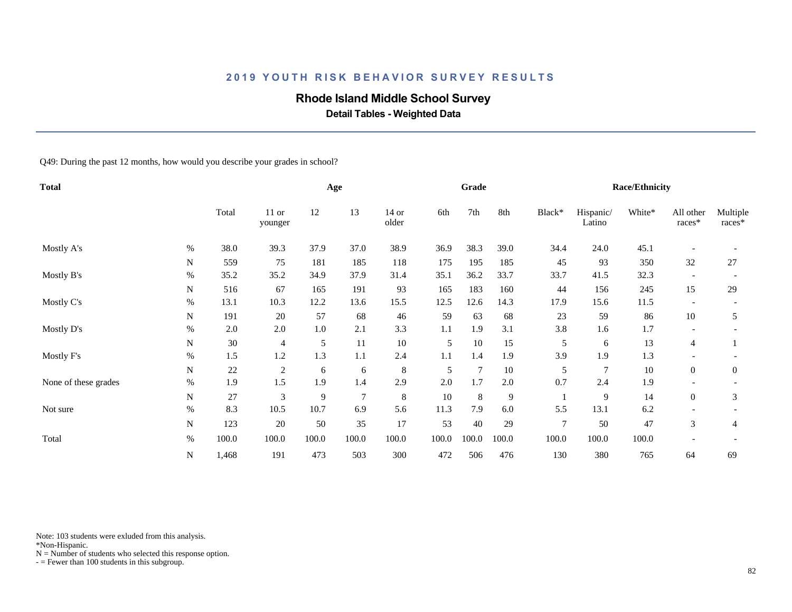# **Rhode Island Middle School Survey**

 **Detail Tables - Weighted Data**

Q49: During the past 12 months, how would you describe your grades in school?

| <b>Total</b>         |      |       |                  |       | Age    |                |       | Grade          |       |                |                     | <b>Race/Ethnicity</b> |                          |                    |
|----------------------|------|-------|------------------|-------|--------|----------------|-------|----------------|-------|----------------|---------------------|-----------------------|--------------------------|--------------------|
|                      |      | Total | 11 or<br>younger | 12    | 13     | 14 or<br>older | 6th   | 7th            | 8th   | Black*         | Hispanic/<br>Latino | White*                | All other<br>races*      | Multiple<br>races* |
| Mostly A's           | $\%$ | 38.0  | 39.3             | 37.9  | 37.0   | 38.9           | 36.9  | 38.3           | 39.0  | 34.4           | 24.0                | 45.1                  |                          |                    |
|                      | N    | 559   | 75               | 181   | 185    | 118            | 175   | 195            | 185   | 45             | 93                  | 350                   | 32                       | 27                 |
| Mostly B's           | $\%$ | 35.2  | 35.2             | 34.9  | 37.9   | 31.4           | 35.1  | 36.2           | 33.7  | 33.7           | 41.5                | 32.3                  |                          |                    |
|                      | N    | 516   | 67               | 165   | 191    | 93             | 165   | 183            | 160   | 44             | 156                 | 245                   | 15                       | 29                 |
| Mostly C's           | $\%$ | 13.1  | 10.3             | 12.2  | 13.6   | 15.5           | 12.5  | 12.6           | 14.3  | 17.9           | 15.6                | 11.5                  | $\overline{\phantom{a}}$ |                    |
|                      | N    | 191   | 20               | 57    | 68     | 46             | 59    | 63             | 68    | 23             | 59                  | 86                    | 10                       | 5                  |
| Mostly D's           | %    | 2.0   | 2.0              | 1.0   | 2.1    | 3.3            | 1.1   | 1.9            | 3.1   | 3.8            | 1.6                 | 1.7                   |                          |                    |
|                      | N    | 30    | $\overline{4}$   | 5     | 11     | $10\,$         | 5     | 10             | 15    | 5              | 6                   | 13                    | 4                        |                    |
| Mostly F's           | $\%$ | 1.5   | 1.2              | 1.3   | 1.1    | 2.4            | 1.1   | 1.4            | 1.9   | 3.9            | 1.9                 | 1.3                   |                          |                    |
|                      | N    | 22    | $\overline{2}$   | 6     | 6      | 8              | 5     | $\overline{7}$ | 10    | 5              | $\overline{7}$      | $10\,$                | $\overline{0}$           | $\overline{0}$     |
| None of these grades | $\%$ | 1.9   | 1.5              | 1.9   | 1.4    | 2.9            | 2.0   | 1.7            | 2.0   | 0.7            | 2.4                 | 1.9                   |                          |                    |
|                      | N    | 27    | 3                | 9     | $\tau$ | $\,8\,$        | 10    | 8              | 9     |                | 9                   | 14                    | $\overline{0}$           | 3                  |
| Not sure             | $\%$ | 8.3   | 10.5             | 10.7  | 6.9    | 5.6            | 11.3  | 7.9            | 6.0   | 5.5            | 13.1                | 6.2                   |                          |                    |
|                      | N    | 123   | 20               | 50    | 35     | 17             | 53    | $40\,$         | 29    | $\overline{7}$ | 50                  | 47                    | 3                        | 4                  |
| Total                | $\%$ | 100.0 | 100.0            | 100.0 | 100.0  | 100.0          | 100.0 | 100.0          | 100.0 | 100.0          | 100.0               | 100.0                 |                          |                    |
|                      | N    | 1,468 | 191              | 473   | 503    | 300            | 472   | 506            | 476   | 130            | 380                 | 765                   | 64                       | 69                 |

Note: 103 students were exluded from this analysis.

\*Non-Hispanic.

 $N =$  Number of students who selected this response option.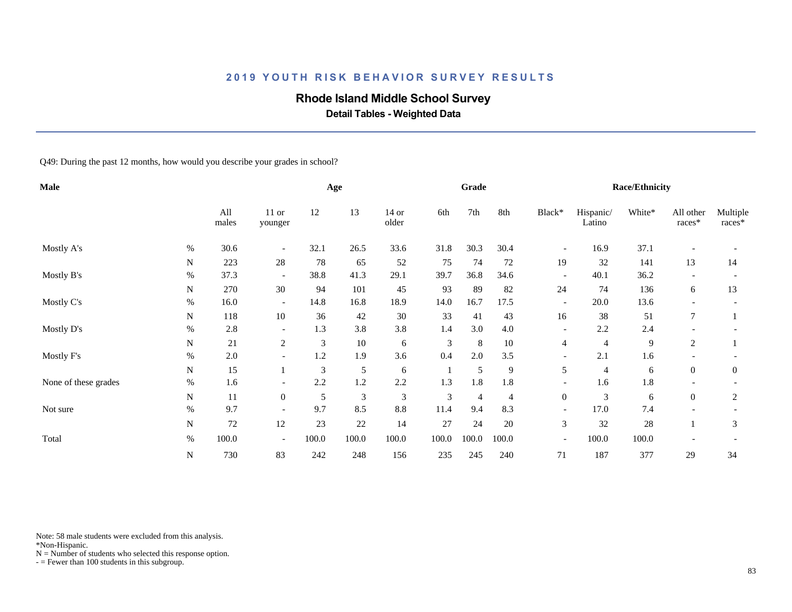# **Rhode Island Middle School Survey**

 **Detail Tables - Weighted Data**

Q49: During the past 12 months, how would you describe your grades in school?

| <b>Male</b>          |      |              |                          |       | Age    |                  |                | Grade          |        |                          |                     | <b>Race/Ethnicity</b> |                     |                    |
|----------------------|------|--------------|--------------------------|-------|--------|------------------|----------------|----------------|--------|--------------------------|---------------------|-----------------------|---------------------|--------------------|
|                      |      | All<br>males | $11$ or<br>younger       | 12    | 13     | $14$ or<br>older | 6th            | 7th            | 8th    | Black*                   | Hispanic/<br>Latino | White*                | All other<br>races* | Multiple<br>races* |
| Mostly A's           | %    | 30.6         | $\overline{\phantom{a}}$ | 32.1  | 26.5   | 33.6             | 31.8           | 30.3           | 30.4   | $\overline{\phantom{a}}$ | 16.9                | 37.1                  |                     |                    |
|                      | N    | 223          | 28                       | 78    | 65     | 52               | 75             | 74             | 72     | 19                       | 32                  | 141                   | 13                  | 14                 |
| Mostly B's           | $\%$ | 37.3         | $\overline{\phantom{a}}$ | 38.8  | 41.3   | 29.1             | 39.7           | 36.8           | 34.6   | $\overline{\phantom{a}}$ | 40.1                | 36.2                  |                     |                    |
|                      | N    | 270          | 30                       | 94    | 101    | 45               | 93             | 89             | 82     | 24                       | 74                  | 136                   | 6                   | 13                 |
| Mostly C's           | $\%$ | 16.0         | $\overline{\phantom{a}}$ | 14.8  | 16.8   | 18.9             | 14.0           | 16.7           | 17.5   | $\overline{\phantom{a}}$ | 20.0                | 13.6                  |                     |                    |
|                      | N    | 118          | 10                       | 36    | 42     | 30               | 33             | 41             | 43     | 16                       | 38                  | 51                    | $\tau$              |                    |
| Mostly D's           | $\%$ | 2.8          | $\overline{\phantom{a}}$ | 1.3   | 3.8    | 3.8              | 1.4            | 3.0            | 4.0    | $\overline{\phantom{a}}$ | 2.2                 | 2.4                   |                     |                    |
|                      | N    | 21           | $\overline{c}$           | 3     | $10\,$ | 6                | $\mathfrak{Z}$ | 8              | $10\,$ | 4                        | $\overline{4}$      | 9                     | 2                   |                    |
| Mostly F's           | $\%$ | 2.0          | $\overline{\phantom{a}}$ | 1.2   | 1.9    | 3.6              | 0.4            | $2.0\,$        | 3.5    | $\overline{\phantom{a}}$ | 2.1                 | 1.6                   |                     |                    |
|                      | N    | 15           |                          | 3     | 5      | 6                |                | 5              | 9      | 5                        | $\overline{4}$      | 6                     | $\overline{0}$      | $\overline{0}$     |
| None of these grades | $\%$ | 1.6          | $\overline{\phantom{a}}$ | 2.2   | 1.2    | 2.2              | 1.3            | 1.8            | 1.8    | $\overline{\phantom{a}}$ | 1.6                 | 1.8                   |                     |                    |
|                      | N    | 11           | $\overline{0}$           | 5     | 3      | 3                | 3              | $\overline{4}$ | 4      | $\overline{0}$           | 3                   | 6                     | $\overline{0}$      | $\overline{c}$     |
| Not sure             | $\%$ | 9.7          |                          | 9.7   | 8.5    | $\!\!\!\!\!8.8$  | 11.4           | 9.4            | 8.3    | $\overline{\phantom{a}}$ | 17.0                | 7.4                   |                     |                    |
|                      | N    | 72           | 12                       | 23    | 22     | 14               | 27             | 24             | 20     | 3                        | 32                  | $28\,$                |                     | 3                  |
| Total                | $\%$ | 100.0        | $\overline{\phantom{a}}$ | 100.0 | 100.0  | 100.0            | 100.0          | 100.0          | 100.0  | $\overline{\phantom{a}}$ | 100.0               | 100.0                 |                     |                    |
|                      | N    | 730          | 83                       | 242   | 248    | 156              | 235            | 245            | 240    | 71                       | 187                 | 377                   | 29                  | 34                 |

Note: 58 male students were excluded from this analysis.

\*Non-Hispanic.

 $N =$  Number of students who selected this response option.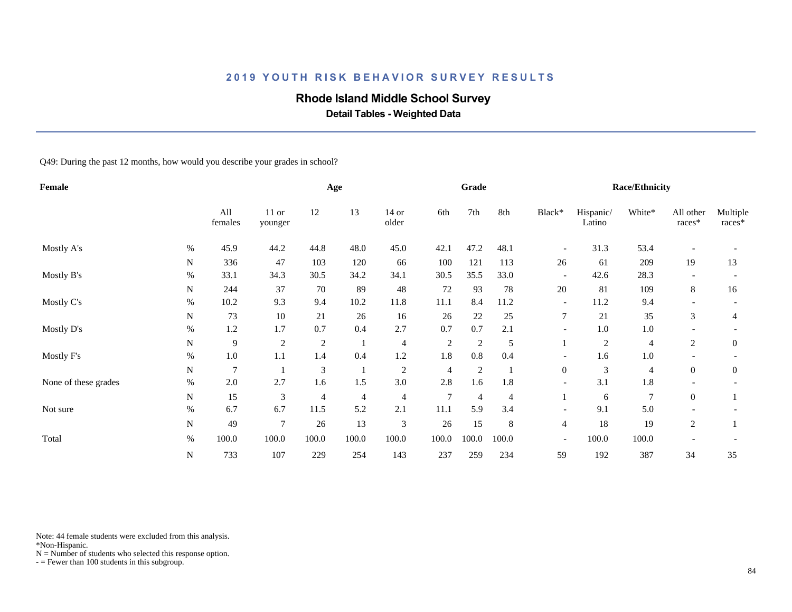# **Rhode Island Middle School Survey**

 **Detail Tables - Weighted Data**

Q49: During the past 12 months, how would you describe your grades in school?

| Female               |      |                |                  |                | Age            |                |            | Grade          |       |                          |                     | <b>Race/Ethnicity</b> |                     |                    |
|----------------------|------|----------------|------------------|----------------|----------------|----------------|------------|----------------|-------|--------------------------|---------------------|-----------------------|---------------------|--------------------|
|                      |      | All<br>females | 11 or<br>younger | 12             | 13             | 14 or<br>older | 6th        | 7th            | 8th   | Black*                   | Hispanic/<br>Latino | White*                | All other<br>races* | Multiple<br>races* |
| Mostly A's           | %    | 45.9           | 44.2             | 44.8           | 48.0           | 45.0           | 42.1       | 47.2           | 48.1  | $\overline{\phantom{a}}$ | 31.3                | 53.4                  |                     |                    |
|                      | N    | 336            | 47               | 103            | 120            | 66             | 100        | 121            | 113   | 26                       | 61                  | 209                   | 19                  | 13                 |
| Mostly B's           | %    | 33.1           | 34.3             | 30.5           | 34.2           | 34.1           | 30.5       | 35.5           | 33.0  | $\overline{\phantom{a}}$ | 42.6                | 28.3                  |                     |                    |
|                      | N    | 244            | 37               | 70             | 89             | $\sqrt{48}$    | 72         | 93             | 78    | 20                       | 81                  | 109                   | 8                   | 16                 |
| Mostly C's           | %    | 10.2           | 9.3              | 9.4            | 10.2           | 11.8           | 11.1       | 8.4            | 11.2  | $\overline{\phantom{a}}$ | 11.2                | 9.4                   |                     |                    |
|                      | N    | 73             | 10               | 21             | 26             | 16             | 26         | $22\,$         | 25    | 7                        | 21                  | 35                    | 3                   | 4                  |
| Mostly D's           | $\%$ | 1.2            | 1.7              | 0.7            | 0.4            | 2.7            | 0.7        | 0.7            | 2.1   | $\overline{\phantom{0}}$ | 1.0                 | $1.0\,$               |                     |                    |
|                      | N    | $\overline{9}$ | $\overline{c}$   | 2              |                | $\overline{4}$ | $\sqrt{2}$ | $\overline{2}$ | 5     |                          | $\overline{c}$      | $\overline{4}$        | $\overline{c}$      | $\mathbf{0}$       |
| Mostly F's           | $\%$ | $1.0\,$        | 1.1              | 1.4            | 0.4            | 1.2            | 1.8        | 0.8            | 0.4   |                          | 1.6                 | $1.0\,$               |                     |                    |
|                      | N    | $\overline{7}$ |                  | 3              |                | 2              | 4          | $\overline{2}$ |       | $\overline{0}$           | 3                   | 4                     | $\overline{0}$      | $\theta$           |
| None of these grades | $\%$ | 2.0            | 2.7              | 1.6            | 1.5            | 3.0            | 2.8        | 1.6            | 1.8   | $\overline{\phantom{a}}$ | 3.1                 | 1.8                   |                     |                    |
|                      | N    | 15             | 3                | $\overline{4}$ | $\overline{4}$ | $\overline{4}$ | 7          | $\overline{4}$ | 4     |                          | 6                   | $\overline{7}$        | $\overline{0}$      |                    |
| Not sure             | $\%$ | 6.7            | 6.7              | 11.5           | 5.2            | 2.1            | 11.1       | 5.9            | 3.4   | $\overline{\phantom{a}}$ | 9.1                 | 5.0                   |                     |                    |
|                      | N    | 49             | $\overline{7}$   | 26             | 13             | $\mathfrak{Z}$ | 26         | 15             | 8     | $\overline{4}$           | 18                  | 19                    | 2                   |                    |
| Total                | $\%$ | 100.0          | 100.0            | 100.0          | 100.0          | 100.0          | 100.0      | 100.0          | 100.0 | $\overline{\phantom{a}}$ | 100.0               | 100.0                 |                     |                    |
|                      | N    | 733            | 107              | 229            | 254            | 143            | 237        | 259            | 234   | 59                       | 192                 | 387                   | 34                  | 35                 |

Note: 44 female students were excluded from this analysis.

\*Non-Hispanic.

 $N =$  Number of students who selected this response option.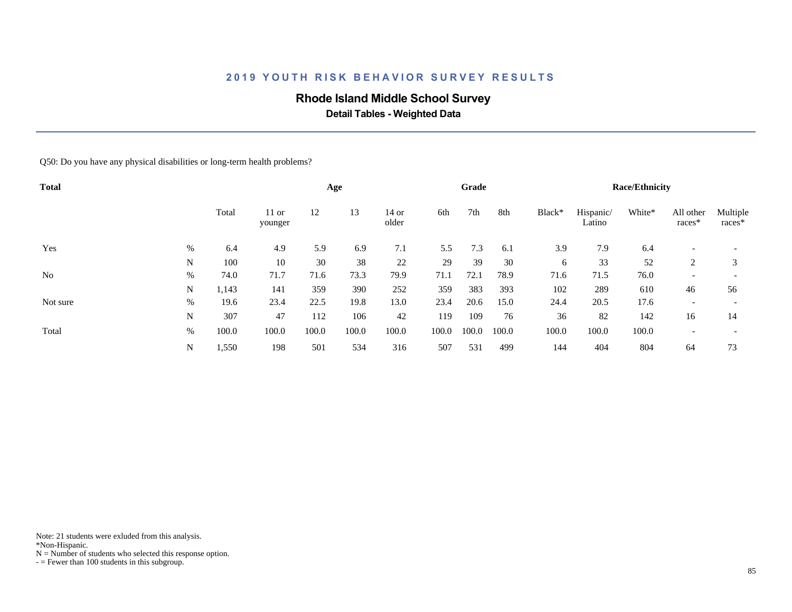## **Rhode Island Middle School Survey**

 **Detail Tables - Weighted Data**

Q50: Do you have any physical disabilities or long-term health problems?

| <b>Total</b>   |      |       |                    |       | Age   |                  |       | Grade |       |        |                     | <b>Race/Ethnicity</b> |                          |                          |
|----------------|------|-------|--------------------|-------|-------|------------------|-------|-------|-------|--------|---------------------|-----------------------|--------------------------|--------------------------|
|                |      | Total | $11$ or<br>younger | 12    | 13    | $14$ or<br>older | 6th   | 7th   | 8th   | Black* | Hispanic/<br>Latino | White*                | All other<br>races*      | Multiple<br>races*       |
| Yes            | %    | 6.4   | 4.9                | 5.9   | 6.9   | 7.1              | 5.5   | 7.3   | 6.1   | 3.9    | 7.9                 | 6.4                   |                          |                          |
|                | N    | 100   | 10                 | 30    | 38    | 22               | 29    | 39    | 30    | 6      | 33                  | 52                    | 2                        | 3                        |
| N <sub>o</sub> | %    | 74.0  | 71.7               | 71.6  | 73.3  | 79.9             | 71.1  | 72.1  | 78.9  | 71.6   | 71.5                | 76.0                  | $\overline{\phantom{0}}$ | $\overline{\phantom{0}}$ |
|                | N    | 1,143 | 141                | 359   | 390   | 252              | 359   | 383   | 393   | 102    | 289                 | 610                   | 46                       | 56                       |
| Not sure       | $\%$ | 19.6  | 23.4               | 22.5  | 19.8  | 13.0             | 23.4  | 20.6  | 15.0  | 24.4   | 20.5                | 17.6                  | $\overline{\phantom{a}}$ | $\overline{\phantom{a}}$ |
|                | N    | 307   | 47                 | 112   | 106   | 42               | 119   | 109   | 76    | 36     | 82                  | 142                   | 16                       | 14                       |
| Total          | %    | 100.0 | 100.0              | 100.0 | 100.0 | 100.0            | 100.0 | 100.0 | 100.0 | 100.0  | 100.0               | 100.0                 | $\overline{\phantom{a}}$ |                          |
|                | N    | 1,550 | 198                | 501   | 534   | 316              | 507   | 531   | 499   | 144    | 404                 | 804                   | 64                       | 73                       |

Note: 21 students were exluded from this analysis.

\*Non-Hispanic.

 $N =$  Number of students who selected this response option.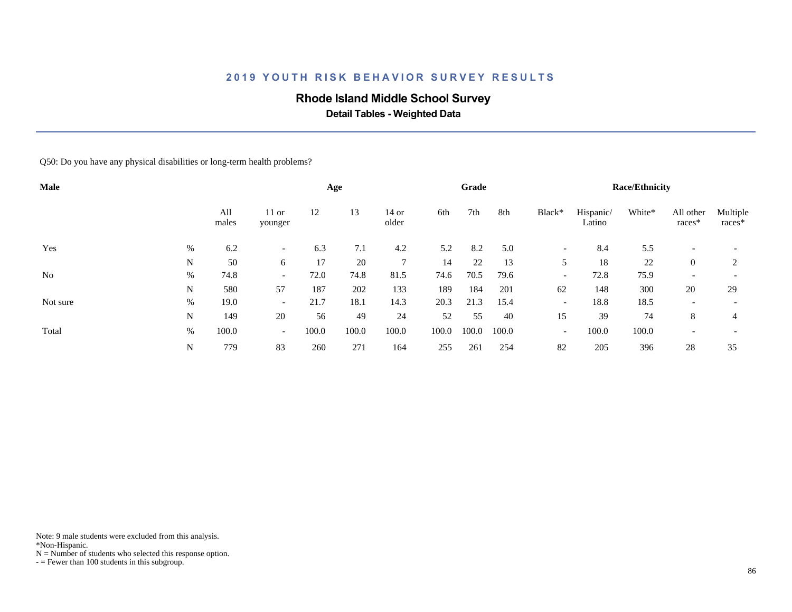## **Rhode Island Middle School Survey**

 **Detail Tables - Weighted Data**

Q50: Do you have any physical disabilities or long-term health problems?

| Male           |      |              |                          |       | Age   |                  |       | Grade |       |                          |                     | <b>Race/Ethnicity</b> |                          |                          |
|----------------|------|--------------|--------------------------|-------|-------|------------------|-------|-------|-------|--------------------------|---------------------|-----------------------|--------------------------|--------------------------|
|                |      | All<br>males | $11$ or<br>younger       | 12    | 13    | $14$ or<br>older | 6th   | 7th   | 8th   | Black*                   | Hispanic/<br>Latino | White*                | All other<br>races*      | Multiple<br>races*       |
| Yes            | %    | 6.2          |                          | 6.3   | 7.1   | 4.2              | 5.2   | 8.2   | 5.0   | $\overline{\phantom{a}}$ | 8.4                 | 5.5                   |                          |                          |
|                | N    | 50           | 6                        | 17    | 20    | 7                | 14    | 22    | 13    | 5                        | 18                  | 22                    | $\theta$                 | 2                        |
| N <sub>o</sub> | %    | 74.8         | $\overline{\phantom{0}}$ | 72.0  | 74.8  | 81.5             | 74.6  | 70.5  | 79.6  | $\overline{\phantom{a}}$ | 72.8                | 75.9                  | $\overline{\phantom{a}}$ |                          |
|                | N    | 580          | 57                       | 187   | 202   | 133              | 189   | 184   | 201   | 62                       | 148                 | 300                   | 20                       | 29                       |
| Not sure       | $\%$ | 19.0         | $\overline{\phantom{0}}$ | 21.7  | 18.1  | 14.3             | 20.3  | 21.3  | 15.4  | $\overline{\phantom{a}}$ | 18.8                | 18.5                  | $\overline{\phantom{a}}$ | $\overline{\phantom{0}}$ |
|                | N    | 149          | 20                       | 56    | 49    | 24               | 52    | 55    | 40    | 15                       | 39                  | 74                    | 8                        | 4                        |
| Total          | %    | 100.0        | $\sim$                   | 100.0 | 100.0 | 100.0            | 100.0 | 100.0 | 100.0 | $\overline{\phantom{a}}$ | 100.0               | 100.0                 | $\overline{\phantom{a}}$ |                          |
|                | N    | 779          | 83                       | 260   | 271   | 164              | 255   | 261   | 254   | 82                       | 205                 | 396                   | 28                       | 35                       |

Note: 9 male students were excluded from this analysis.

\*Non-Hispanic.

 $N =$  Number of students who selected this response option.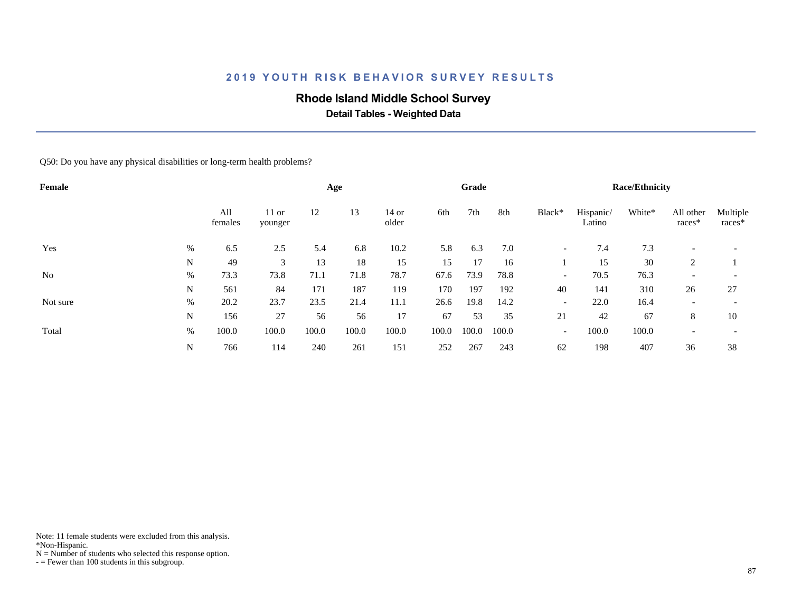## **Rhode Island Middle School Survey**

 **Detail Tables - Weighted Data**

Q50: Do you have any physical disabilities or long-term health problems?

| Female         |   |                |                    |       | Age   |                  |       | Grade |       |                          |                     | <b>Race/Ethnicity</b> |                          |                          |
|----------------|---|----------------|--------------------|-------|-------|------------------|-------|-------|-------|--------------------------|---------------------|-----------------------|--------------------------|--------------------------|
|                |   | All<br>females | $11$ or<br>younger | 12    | 13    | $14$ or<br>older | 6th   | 7th   | 8th   | Black*                   | Hispanic/<br>Latino | White*                | All other<br>races*      | Multiple<br>races*       |
| Yes            | % | 6.5            | 2.5                | 5.4   | 6.8   | 10.2             | 5.8   | 6.3   | 7.0   | $\overline{\phantom{a}}$ | 7.4                 | 7.3                   |                          |                          |
|                | N | 49             | 3                  | 13    | 18    | 15               | 15    | 17    | 16    |                          | 15                  | 30                    | 2                        |                          |
| N <sub>0</sub> | % | 73.3           | 73.8               | 71.1  | 71.8  | 78.7             | 67.6  | 73.9  | 78.8  | $\overline{\phantom{a}}$ | 70.5                | 76.3                  | $\overline{\phantom{a}}$ | $\overline{\phantom{a}}$ |
|                | N | 561            | 84                 | 171   | 187   | 119              | 170   | 197   | 192   | 40                       | 141                 | 310                   | 26                       | 27                       |
| Not sure       | % | 20.2           | 23.7               | 23.5  | 21.4  | 11.1             | 26.6  | 19.8  | 14.2  | $\overline{\phantom{a}}$ | 22.0                | 16.4                  | $\overline{\phantom{a}}$ | $\overline{\phantom{a}}$ |
|                | N | 156            | 27                 | 56    | 56    | 17               | 67    | 53    | 35    | 21                       | 42                  | 67                    | 8                        | 10                       |
| Total          | % | 100.0          | 100.0              | 100.0 | 100.0 | 100.0            | 100.0 | 100.0 | 100.0 | $\overline{\phantom{a}}$ | 100.0               | 100.0                 | $\overline{\phantom{a}}$ |                          |
|                | N | 766            | 114                | 240   | 261   | 151              | 252   | 267   | 243   | 62                       | 198                 | 407                   | 36                       | 38                       |

Note: 11 female students were excluded from this analysis.

\*Non-Hispanic.

 $N =$  Number of students who selected this response option.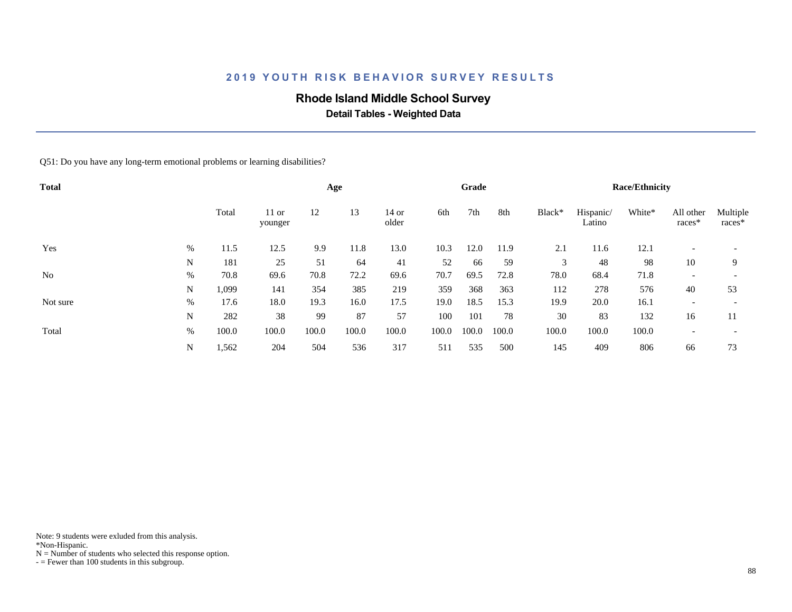## **Rhode Island Middle School Survey**

 **Detail Tables - Weighted Data**

Q51: Do you have any long-term emotional problems or learning disabilities?

| <b>Total</b>   |      |       |                    |       | Age   |                  |       | Grade |       |        |                     | <b>Race/Ethnicity</b> |                          |                          |
|----------------|------|-------|--------------------|-------|-------|------------------|-------|-------|-------|--------|---------------------|-----------------------|--------------------------|--------------------------|
|                |      | Total | $11$ or<br>younger | 12    | 13    | $14$ or<br>older | 6th   | 7th   | 8th   | Black* | Hispanic/<br>Latino | White*                | All other<br>races*      | Multiple<br>races*       |
| Yes            | %    | 11.5  | 12.5               | 9.9   | 11.8  | 13.0             | 10.3  | 12.0  | 11.9  | 2.1    | 11.6                | 12.1                  |                          |                          |
|                | N    | 181   | 25                 | 51    | 64    | 41               | 52    | 66    | 59    | 3      | 48                  | 98                    | 10                       | 9                        |
| N <sub>o</sub> | %    | 70.8  | 69.6               | 70.8  | 72.2  | 69.6             | 70.7  | 69.5  | 72.8  | 78.0   | 68.4                | 71.8                  | $\overline{\phantom{a}}$ | $\overline{\phantom{0}}$ |
|                | N    | 1,099 | 141                | 354   | 385   | 219              | 359   | 368   | 363   | 112    | 278                 | 576                   | 40                       | 53                       |
| Not sure       | $\%$ | 17.6  | 18.0               | 19.3  | 16.0  | 17.5             | 19.0  | 18.5  | 15.3  | 19.9   | 20.0                | 16.1                  | $\overline{\phantom{a}}$ | $\overline{\phantom{a}}$ |
|                | N    | 282   | 38                 | 99    | 87    | 57               | 100   | 101   | 78    | 30     | 83                  | 132                   | 16                       | 11                       |
| Total          | %    | 100.0 | 100.0              | 100.0 | 100.0 | 100.0            | 100.0 | 100.0 | 100.0 | 100.0  | 100.0               | 100.0                 | $\overline{\phantom{a}}$ |                          |
|                | N    | 1,562 | 204                | 504   | 536   | 317              | 511   | 535   | 500   | 145    | 409                 | 806                   | 66                       | 73                       |

Note: 9 students were exluded from this analysis.

\*Non-Hispanic.

 $N =$  Number of students who selected this response option.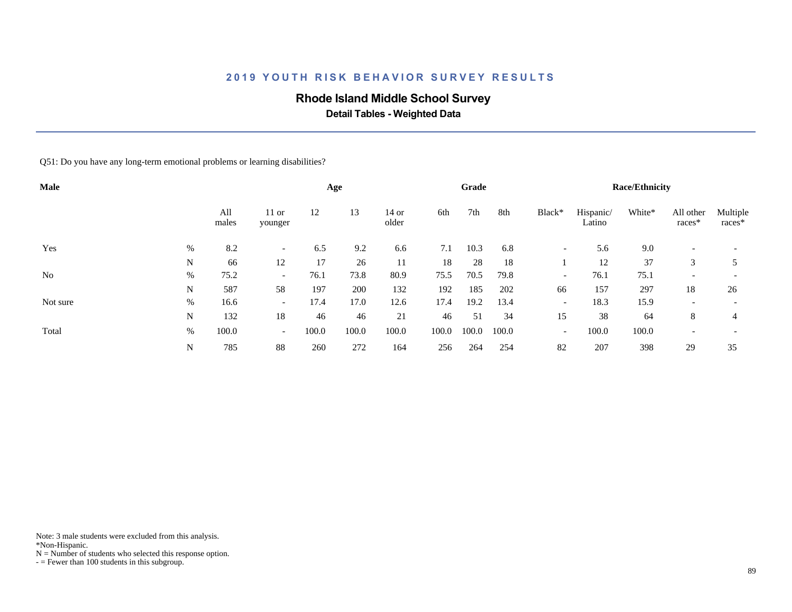## **Rhode Island Middle School Survey**

 **Detail Tables - Weighted Data**

Q51: Do you have any long-term emotional problems or learning disabilities?

| Male           |   |              |                          |       | Age   |                  |       | Grade |       |                          |                     | <b>Race/Ethnicity</b> |                          |                          |
|----------------|---|--------------|--------------------------|-------|-------|------------------|-------|-------|-------|--------------------------|---------------------|-----------------------|--------------------------|--------------------------|
|                |   | All<br>males | $11$ or<br>younger       | 12    | 13    | $14$ or<br>older | 6th   | 7th   | 8th   | Black*                   | Hispanic/<br>Latino | White*                | All other<br>races*      | Multiple<br>races*       |
| Yes            | % | 8.2          | $\overline{\phantom{0}}$ | 6.5   | 9.2   | 6.6              | 7.1   | 10.3  | 6.8   | $\overline{\phantom{a}}$ | 5.6                 | 9.0                   |                          |                          |
|                | N | 66           | 12                       | 17    | 26    | 11               | 18    | 28    | 18    |                          | 12                  | 37                    | 3                        |                          |
| N <sub>0</sub> | % | 75.2         | $\overline{\phantom{0}}$ | 76.1  | 73.8  | 80.9             | 75.5  | 70.5  | 79.8  | $\overline{\phantom{0}}$ | 76.1                | 75.1                  | $\overline{\phantom{a}}$ |                          |
|                | N | 587          | 58                       | 197   | 200   | 132              | 192   | 185   | 202   | 66                       | 157                 | 297                   | 18                       | 26                       |
| Not sure       | % | 16.6         | $\overline{\phantom{a}}$ | 17.4  | 17.0  | 12.6             | 17.4  | 19.2  | 13.4  | $\overline{\phantom{a}}$ | 18.3                | 15.9                  | $\overline{\phantom{a}}$ | $\overline{\phantom{0}}$ |
|                | N | 132          | 18                       | 46    | 46    | 21               | 46    | 51    | 34    | 15                       | 38                  | 64                    | 8                        | 4                        |
| Total          | % | 100.0        | $\sim$                   | 100.0 | 100.0 | 100.0            | 100.0 | 100.0 | 100.0 | $\overline{\phantom{a}}$ | 100.0               | 100.0                 | $\overline{\phantom{a}}$ |                          |
|                | N | 785          | 88                       | 260   | 272   | 164              | 256   | 264   | 254   | 82                       | 207                 | 398                   | 29                       | 35                       |

Note: 3 male students were excluded from this analysis.

\*Non-Hispanic.

 $N =$  Number of students who selected this response option.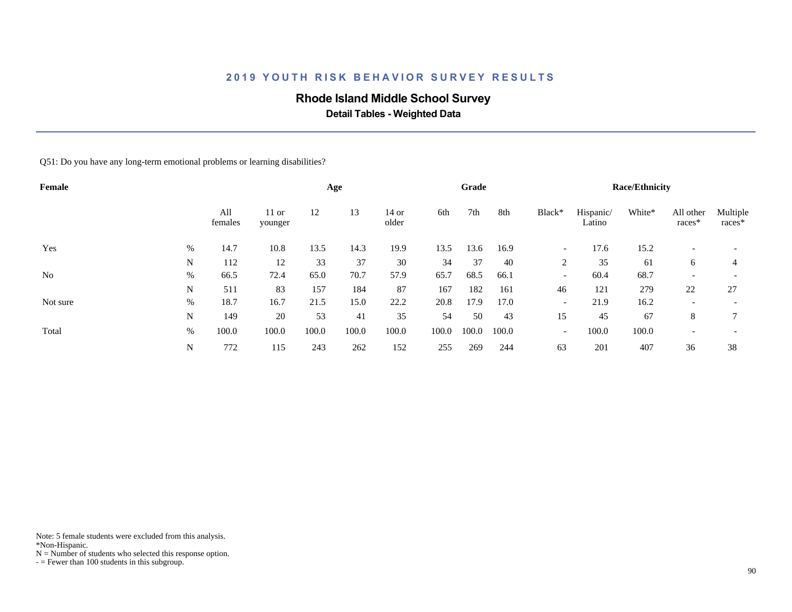## **Rhode Island Middle School Survey**

 **Detail Tables - Weighted Data**

Q51: Do you have any long-term emotional problems or learning disabilities?

| Female         |   |                |                    |       | Age   |                  |       | Grade |       |                          |                     | <b>Race/Ethnicity</b> |                          |                          |
|----------------|---|----------------|--------------------|-------|-------|------------------|-------|-------|-------|--------------------------|---------------------|-----------------------|--------------------------|--------------------------|
|                |   | All<br>females | $11$ or<br>younger | 12    | 13    | $14$ or<br>older | 6th   | 7th   | 8th   | Black*                   | Hispanic/<br>Latino | White*                | All other<br>races*      | Multiple<br>races*       |
| Yes            | % | 14.7           | 10.8               | 13.5  | 14.3  | 19.9             | 13.5  | 13.6  | 16.9  | $\overline{\phantom{a}}$ | 17.6                | 15.2                  |                          |                          |
|                | N | 112            | 12                 | 33    | 37    | 30               | 34    | 37    | 40    | 2                        | 35                  | 61                    | 6                        | 4                        |
| N <sub>0</sub> | % | 66.5           | 72.4               | 65.0  | 70.7  | 57.9             | 65.7  | 68.5  | 66.1  | $\overline{\phantom{a}}$ | 60.4                | 68.7                  | $\overline{\phantom{a}}$ | $\overline{\phantom{0}}$ |
|                | N | 511            | 83                 | 157   | 184   | 87               | 167   | 182   | 161   | 46                       | 121                 | 279                   | 22                       | 27                       |
| Not sure       | % | 18.7           | 16.7               | 21.5  | 15.0  | 22.2             | 20.8  | 17.9  | 17.0  | $\overline{\phantom{a}}$ | 21.9                | 16.2                  | $\overline{\phantom{a}}$ | $\overline{\phantom{a}}$ |
|                | N | 149            | 20                 | 53    | 41    | 35               | 54    | 50    | 43    | 15                       | 45                  | 67                    | 8                        | 7                        |
| Total          | % | 100.0          | 100.0              | 100.0 | 100.0 | 100.0            | 100.0 | 100.0 | 100.0 | $\overline{\phantom{a}}$ | 100.0               | 100.0                 | $\overline{\phantom{a}}$ | $\overline{\phantom{a}}$ |
|                | N | 772            | 115                | 243   | 262   | 152              | 255   | 269   | 244   | 63                       | 201                 | 407                   | 36                       | 38                       |

Note: 5 female students were excluded from this analysis.

\*Non-Hispanic.

 $N =$  Number of students who selected this response option.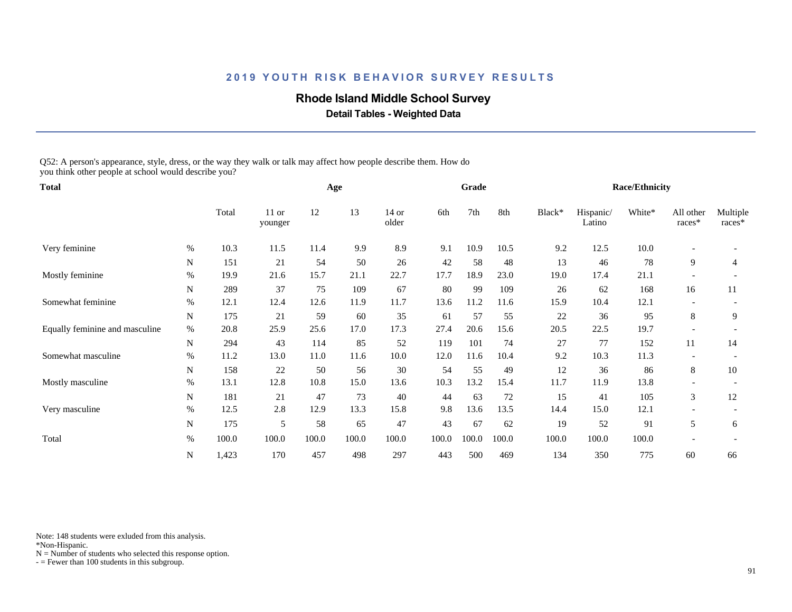### **Rhode Island Middle School Survey**

 **Detail Tables - Weighted Data**

Q52: A person's appearance, style, dress, or the way they walk or talk may affect how people describe them. How do you think other people at school would describe you?

| <b>Total</b>                   |             |       |                    |       | Age   |                  |       | Grade |       |        |                     | <b>Race/Ethnicity</b> |                     |                    |
|--------------------------------|-------------|-------|--------------------|-------|-------|------------------|-------|-------|-------|--------|---------------------|-----------------------|---------------------|--------------------|
|                                |             | Total | $11$ or<br>younger | 12    | 13    | $14$ or<br>older | 6th   | 7th   | 8th   | Black* | Hispanic/<br>Latino | White*                | All other<br>races* | Multiple<br>races* |
| Very feminine                  | %           | 10.3  | 11.5               | 11.4  | 9.9   | 8.9              | 9.1   | 10.9  | 10.5  | 9.2    | 12.5                | 10.0                  |                     |                    |
|                                | N           | 151   | 21                 | 54    | 50    | 26               | 42    | 58    | 48    | 13     | 46                  | 78                    | 9                   | 4                  |
| Mostly feminine                | %           | 19.9  | 21.6               | 15.7  | 21.1  | 22.7             | 17.7  | 18.9  | 23.0  | 19.0   | 17.4                | 21.1                  |                     |                    |
|                                | N           | 289   | 37                 | 75    | 109   | 67               | 80    | 99    | 109   | 26     | 62                  | 168                   | 16                  | 11                 |
| Somewhat feminine              | $\%$        | 12.1  | 12.4               | 12.6  | 11.9  | 11.7             | 13.6  | 11.2  | 11.6  | 15.9   | 10.4                | 12.1                  |                     |                    |
|                                | $\mathbf N$ | 175   | 21                 | 59    | 60    | 35               | 61    | 57    | 55    | 22     | 36                  | 95                    | 8                   | 9                  |
| Equally feminine and masculine | $\%$        | 20.8  | 25.9               | 25.6  | 17.0  | 17.3             | 27.4  | 20.6  | 15.6  | 20.5   | 22.5                | 19.7                  |                     |                    |
|                                | N           | 294   | 43                 | 114   | 85    | 52               | 119   | 101   | 74    | 27     | 77                  | 152                   | 11                  | 14                 |
| Somewhat masculine             | %           | 11.2  | 13.0               | 11.0  | 11.6  | 10.0             | 12.0  | 11.6  | 10.4  | 9.2    | 10.3                | 11.3                  |                     |                    |
|                                | N           | 158   | 22                 | 50    | 56    | 30               | 54    | 55    | 49    | 12     | 36                  | 86                    | 8                   | 10                 |
| Mostly masculine               | $\%$        | 13.1  | 12.8               | 10.8  | 15.0  | 13.6             | 10.3  | 13.2  | 15.4  | 11.7   | 11.9                | 13.8                  |                     |                    |
|                                | $\mathbf N$ | 181   | 21                 | 47    | 73    | 40               | 44    | 63    | 72    | 15     | 41                  | 105                   | 3                   | 12                 |
| Very masculine                 | %           | 12.5  | 2.8                | 12.9  | 13.3  | 15.8             | 9.8   | 13.6  | 13.5  | 14.4   | 15.0                | 12.1                  |                     |                    |
|                                | N           | 175   | 5                  | 58    | 65    | 47               | 43    | 67    | 62    | 19     | 52                  | 91                    | 5                   | 6                  |
| Total                          | $\%$        | 100.0 | 100.0              | 100.0 | 100.0 | 100.0            | 100.0 | 100.0 | 100.0 | 100.0  | 100.0               | 100.0                 |                     |                    |
|                                | N           | 1,423 | 170                | 457   | 498   | 297              | 443   | 500   | 469   | 134    | 350                 | 775                   | 60                  | 66                 |

Note: 148 students were exluded from this analysis.

\*Non-Hispanic.

 $N =$  Number of students who selected this response option.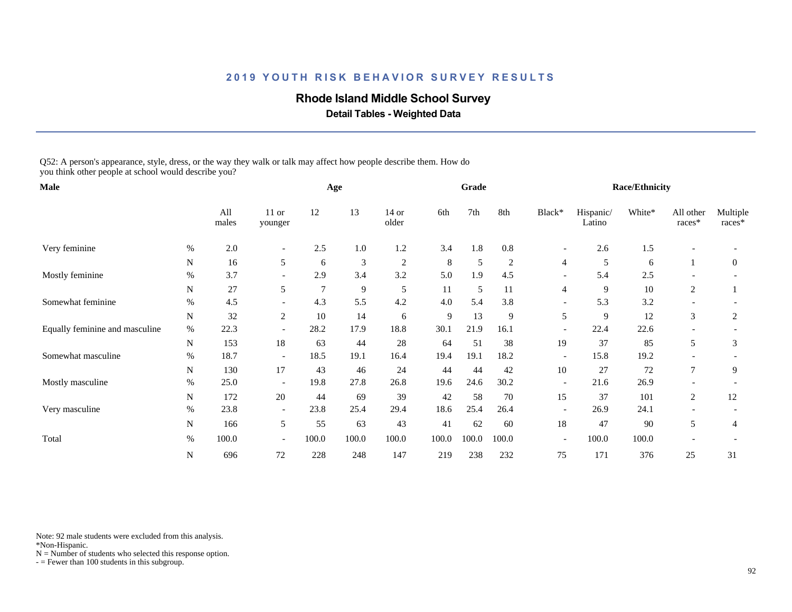### **Rhode Island Middle School Survey**

 **Detail Tables - Weighted Data**

Q52: A person's appearance, style, dress, or the way they walk or talk may affect how people describe them. How do you think other people at school would describe you?

| Male                           |      |              |                          |       | Age     |                  |       | Grade      |       |                          |                     | <b>Race/Ethnicity</b> |                     |                    |
|--------------------------------|------|--------------|--------------------------|-------|---------|------------------|-------|------------|-------|--------------------------|---------------------|-----------------------|---------------------|--------------------|
|                                |      | All<br>males | $11$ or<br>younger       | 12    | 13      | $14$ or<br>older | 6th   | 7th        | 8th   | Black*                   | Hispanic/<br>Latino | White*                | All other<br>races* | Multiple<br>races* |
| Very feminine                  | $\%$ | 2.0          | $\overline{\phantom{a}}$ | 2.5   | $1.0\,$ | 1.2              | 3.4   | 1.8        | 0.8   | $\overline{\phantom{a}}$ | 2.6                 | 1.5                   |                     |                    |
|                                | N    | 16           | 5                        | 6     | 3       | 2                | 8     | $\sqrt{5}$ | 2     | $\overline{4}$           | 5                   | 6                     |                     | $\boldsymbol{0}$   |
| Mostly feminine                | %    | 3.7          | $\overline{\phantom{a}}$ | 2.9   | 3.4     | 3.2              | 5.0   | 1.9        | 4.5   | $\overline{\phantom{a}}$ | 5.4                 | 2.5                   |                     |                    |
|                                | N    | 27           | 5                        | 7     | 9       | 5                | 11    | 5          | 11    | 4                        | 9                   | 10                    | 2                   |                    |
| Somewhat feminine              | %    | 4.5          | $\overline{\phantom{a}}$ | 4.3   | 5.5     | 4.2              | 4.0   | 5.4        | 3.8   | $\overline{\phantom{a}}$ | 5.3                 | 3.2                   |                     |                    |
|                                | N    | 32           | $\mathfrak{2}$           | 10    | 14      | 6                | 9     | 13         | 9     | 5                        | 9                   | 12                    | 3                   | $\overline{c}$     |
| Equally feminine and masculine | $\%$ | 22.3         |                          | 28.2  | 17.9    | 18.8             | 30.1  | 21.9       | 16.1  |                          | 22.4                | 22.6                  |                     |                    |
|                                | N    | 153          | 18                       | 63    | 44      | 28               | 64    | 51         | 38    | 19                       | 37                  | 85                    | 5                   | 3                  |
| Somewhat masculine             | $\%$ | 18.7         | $\overline{\phantom{a}}$ | 18.5  | 19.1    | 16.4             | 19.4  | 19.1       | 18.2  | $\overline{\phantom{a}}$ | 15.8                | 19.2                  |                     |                    |
|                                | N    | 130          | 17                       | 43    | 46      | 24               | 44    | 44         | 42    | 10                       | 27                  | 72                    | $\tau$              | 9                  |
| Mostly masculine               | %    | 25.0         | $\overline{\phantom{a}}$ | 19.8  | 27.8    | 26.8             | 19.6  | 24.6       | 30.2  | $\overline{\phantom{a}}$ | 21.6                | 26.9                  |                     |                    |
|                                | N    | 172          | 20                       | 44    | 69      | 39               | 42    | 58         | 70    | 15                       | 37                  | 101                   | 2                   | 12                 |
| Very masculine                 | $\%$ | 23.8         | $\overline{\phantom{a}}$ | 23.8  | 25.4    | 29.4             | 18.6  | 25.4       | 26.4  | $\overline{\phantom{a}}$ | 26.9                | 24.1                  |                     |                    |
|                                | N    | 166          | 5                        | 55    | 63      | 43               | 41    | 62         | 60    | 18                       | 47                  | 90                    | 5                   | 4                  |
| Total                          | %    | 100.0        | $\overline{\phantom{0}}$ | 100.0 | 100.0   | 100.0            | 100.0 | 100.0      | 100.0 | $\overline{\phantom{a}}$ | 100.0               | 100.0                 |                     |                    |
|                                | N    | 696          | 72                       | 228   | 248     | 147              | 219   | 238        | 232   | 75                       | 171                 | 376                   | 25                  | 31                 |

Note: 92 male students were excluded from this analysis.

\*Non-Hispanic.

 $N =$  Number of students who selected this response option.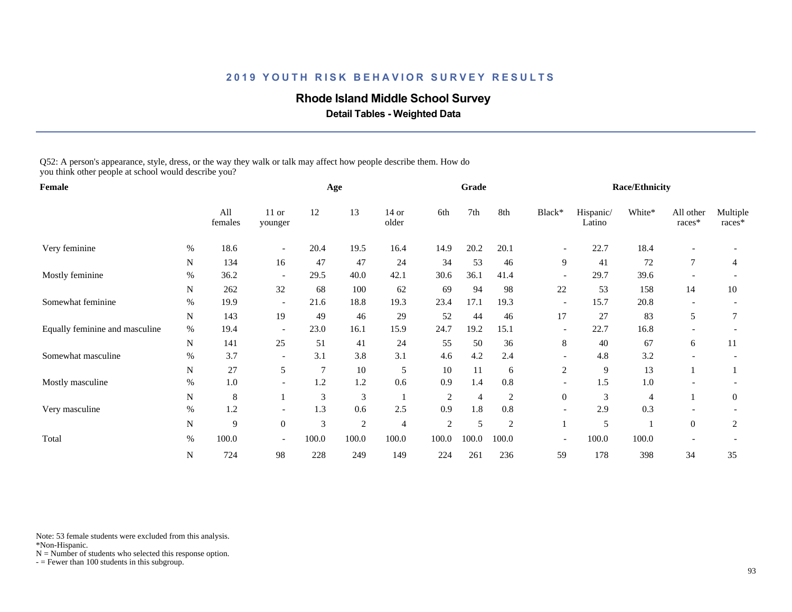### **Rhode Island Middle School Survey**

 **Detail Tables - Weighted Data**

Q52: A person's appearance, style, dress, or the way they walk or talk may affect how people describe them. How do you think other people at school would describe you?

| Female                         |             |                |                          |       | Age            |                  |                | Grade          |                |                          |                     | <b>Race/Ethnicity</b> |                     |                    |
|--------------------------------|-------------|----------------|--------------------------|-------|----------------|------------------|----------------|----------------|----------------|--------------------------|---------------------|-----------------------|---------------------|--------------------|
|                                |             | All<br>females | $11$ or<br>younger       | 12    | 13             | $14$ or<br>older | 6th            | 7th            | 8th            | Black*                   | Hispanic/<br>Latino | White*                | All other<br>races* | Multiple<br>races* |
| Very feminine                  | $\%$        | 18.6           | $\overline{\phantom{a}}$ | 20.4  | 19.5           | 16.4             | 14.9           | 20.2           | 20.1           | $\overline{\phantom{a}}$ | 22.7                | 18.4                  |                     |                    |
|                                | $\mathbf N$ | 134            | 16                       | 47    | 47             | 24               | 34             | 53             | 46             | 9                        | 41                  | 72                    | $\overline{7}$      | 4                  |
| Mostly feminine                | $\%$        | 36.2           | $\overline{\phantom{a}}$ | 29.5  | 40.0           | 42.1             | 30.6           | 36.1           | 41.4           | $\overline{\phantom{a}}$ | 29.7                | 39.6                  |                     |                    |
|                                | N           | 262            | 32                       | 68    | 100            | 62               | 69             | 94             | 98             | 22                       | 53                  | 158                   | 14                  | 10                 |
| Somewhat feminine              | %           | 19.9           | $\overline{\phantom{a}}$ | 21.6  | 18.8           | 19.3             | 23.4           | 17.1           | 19.3           | $\overline{\phantom{a}}$ | 15.7                | 20.8                  |                     |                    |
|                                | $\mathbf N$ | 143            | 19                       | 49    | 46             | 29               | 52             | 44             | 46             | 17                       | 27                  | 83                    | 5                   |                    |
| Equally feminine and masculine | $\%$        | 19.4           | $\overline{\phantom{a}}$ | 23.0  | 16.1           | 15.9             | 24.7           | 19.2           | 15.1           | $\overline{\phantom{a}}$ | 22.7                | 16.8                  |                     |                    |
|                                | N           | 141            | 25                       | 51    | 41             | 24               | 55             | 50             | 36             | 8                        | 40                  | 67                    | 6                   | 11                 |
| Somewhat masculine             | $\%$        | 3.7            | $\overline{\phantom{a}}$ | 3.1   | 3.8            | 3.1              | 4.6            | 4.2            | 2.4            | $\overline{\phantom{a}}$ | 4.8                 | 3.2                   |                     |                    |
|                                | N           | $27\,$         | 5                        | 7     | 10             | 5                | 10             | 11             | 6              | 2                        | 9                   | 13                    |                     |                    |
| Mostly masculine               | %           | 1.0            | $\overline{\phantom{a}}$ | 1.2   | 1.2            | 0.6              | 0.9            | 1.4            | $0.8\,$        | $\overline{\phantom{a}}$ | 1.5                 | 1.0                   |                     |                    |
|                                | N           | $\,8\,$        |                          | 3     | 3              | -1               | $\overline{c}$ | $\overline{4}$ | 2              | $\boldsymbol{0}$         | 3                   | 4                     |                     | $\theta$           |
| Very masculine                 | $\%$        | 1.2            | $\overline{\phantom{a}}$ | 1.3   | 0.6            | 2.5              | 0.9            | 1.8            | 0.8            | $\overline{\phantom{a}}$ | 2.9                 | 0.3                   |                     |                    |
|                                | N           | 9              | $\mathbf{0}$             | 3     | $\overline{c}$ | $\overline{4}$   | $\overline{2}$ | 5              | $\overline{2}$ |                          | 5                   |                       | $\overline{0}$      | 2                  |
| Total                          | $\%$        | 100.0          | $\overline{\phantom{a}}$ | 100.0 | 100.0          | 100.0            | 100.0          | 100.0          | 100.0          | $\overline{\phantom{a}}$ | 100.0               | 100.0                 |                     |                    |
|                                | N           | 724            | 98                       | 228   | 249            | 149              | 224            | 261            | 236            | 59                       | 178                 | 398                   | 34                  | 35                 |

Note: 53 female students were excluded from this analysis.

\*Non-Hispanic.

 $N =$  Number of students who selected this response option.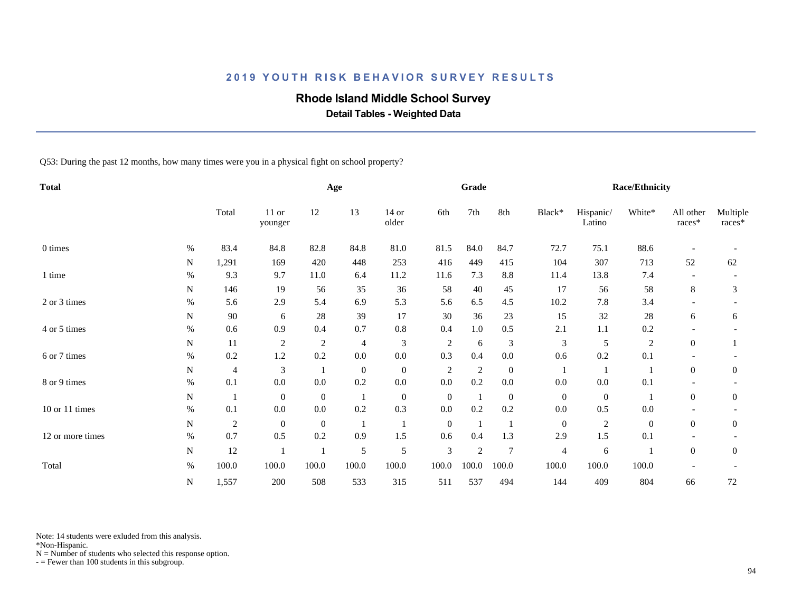# **Rhode Island Middle School Survey**

 **Detail Tables - Weighted Data**

Q53: During the past 12 months, how many times were you in a physical fight on school property?

| <b>Total</b>     |      |                |                    |              | Age              |                  |                  | Grade                    |                  |                |                     | <b>Race/Ethnicity</b> |                     |                    |
|------------------|------|----------------|--------------------|--------------|------------------|------------------|------------------|--------------------------|------------------|----------------|---------------------|-----------------------|---------------------|--------------------|
|                  |      | Total          | $11$ or<br>younger | 12           | 13               | $14$ or<br>older | 6th              | 7th                      | 8th              | Black*         | Hispanic/<br>Latino | White*                | All other<br>races* | Multiple<br>races* |
| 0 times          | $\%$ | 83.4           | 84.8               | 82.8         | 84.8             | 81.0             | 81.5             | 84.0                     | 84.7             | 72.7           | 75.1                | 88.6                  |                     |                    |
|                  | N    | 1,291          | 169                | 420          | 448              | 253              | 416              | 449                      | 415              | 104            | 307                 | 713                   | 52                  | 62                 |
| 1 time           | %    | 9.3            | 9.7                | 11.0         | 6.4              | 11.2             | 11.6             | 7.3                      | 8.8              | 11.4           | 13.8                | 7.4                   |                     |                    |
|                  | N    | 146            | 19                 | 56           | 35               | 36               | 58               | 40                       | 45               | 17             | 56                  | 58                    | 8                   | 3                  |
| 2 or 3 times     | $\%$ | 5.6            | 2.9                | 5.4          | 6.9              | 5.3              | 5.6              | 6.5                      | 4.5              | 10.2           | 7.8                 | 3.4                   |                     |                    |
|                  | N    | 90             | 6                  | 28           | 39               | 17               | 30               | 36                       | 23               | 15             | 32                  | 28                    | 6                   | 6                  |
| 4 or 5 times     | $\%$ | 0.6            | 0.9                | 0.4          | 0.7              | $0.8\,$          | 0.4              | 1.0                      | 0.5              | 2.1            | 1.1                 | 0.2                   |                     |                    |
|                  | N    | 11             | $\sqrt{2}$         | $\sqrt{2}$   | 4                | $\sqrt{3}$       | $\sqrt{2}$       | 6                        | 3                | 3              | 5                   | $\sqrt{2}$            | $\boldsymbol{0}$    |                    |
| 6 or 7 times     | $\%$ | 0.2            | 1.2                | 0.2          | $0.0\,$          | $0.0\,$          | 0.3              | 0.4                      | $0.0\,$          | 0.6            | 0.2                 | 0.1                   |                     |                    |
|                  | N    | 4              | 3                  |              | $\boldsymbol{0}$ | $\overline{0}$   | $\overline{2}$   | $\overline{2}$           | $\overline{0}$   |                | $\overline{1}$      |                       | $\boldsymbol{0}$    | $\mathbf{0}$       |
| 8 or 9 times     | $\%$ | 0.1            | 0.0                | 0.0          | 0.2              | $0.0\,$          | 0.0              | 0.2                      | $0.0\,$          | 0.0            | 0.0                 | 0.1                   |                     |                    |
|                  | N    | $\overline{1}$ | $\overline{0}$     | $\mathbf{0}$ | -1               | $\overline{0}$   | $\boldsymbol{0}$ | $\overline{1}$           | $\boldsymbol{0}$ | $\overline{0}$ | $\boldsymbol{0}$    | $\overline{1}$        | $\overline{0}$      | $\mathbf{0}$       |
| 10 or 11 times   | $\%$ | 0.1            | 0.0                | 0.0          | 0.2              | 0.3              | 0.0              | 0.2                      | 0.2              | 0.0            | 0.5                 | 0.0                   |                     |                    |
|                  | N    | $\sqrt{2}$     | $\overline{0}$     | $\theta$     |                  |                  | $\mathbf{0}$     | $\overline{\phantom{0}}$ |                  | $\overline{0}$ | $\mathfrak{2}$      | $\overline{0}$        | $\overline{0}$      | $\mathbf{0}$       |
| 12 or more times | $\%$ | 0.7            | 0.5                | 0.2          | 0.9              | 1.5              | 0.6              | 0.4                      | 1.3              | 2.9            | $1.5$               | 0.1                   |                     |                    |
|                  | N    | 12             |                    |              | $\mathfrak{S}$   | $\mathfrak s$    | 3                | $\sqrt{2}$               | $\overline{7}$   | 4              | 6                   |                       | $\boldsymbol{0}$    | $\mathbf{0}$       |
| Total            | $\%$ | 100.0          | 100.0              | 100.0        | 100.0            | 100.0            | 100.0            | 100.0                    | 100.0            | 100.0          | 100.0               | 100.0                 |                     |                    |
|                  | N    | 1,557          | 200                | 508          | 533              | 315              | 511              | 537                      | 494              | 144            | 409                 | 804                   | 66                  | 72                 |

Note: 14 students were exluded from this analysis.

\*Non-Hispanic.

 $N =$  Number of students who selected this response option.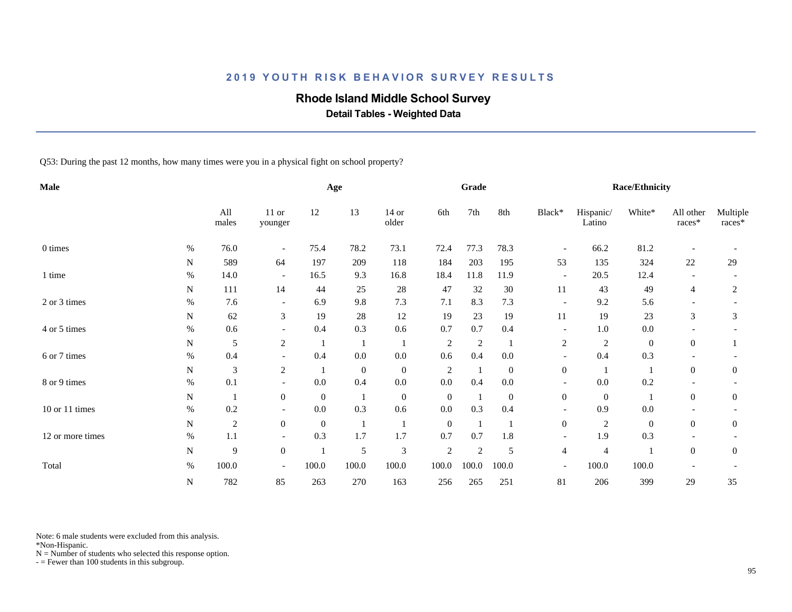# **Rhode Island Middle School Survey**

 **Detail Tables - Weighted Data**

Q53: During the past 12 months, how many times were you in a physical fight on school property?

| Male               |           |                |                          |                  | Age              |                  |                | Grade          |                  |                          |                     | <b>Race/Ethnicity</b> |                          |                    |
|--------------------|-----------|----------------|--------------------------|------------------|------------------|------------------|----------------|----------------|------------------|--------------------------|---------------------|-----------------------|--------------------------|--------------------|
|                    |           | All<br>males   | $11$ or<br>younger       | 12               | 13               | $14$ or<br>older | 6th            | 7th            | 8th              | Black*                   | Hispanic/<br>Latino | White*                | All other<br>races*      | Multiple<br>races* |
| 0 times            | $\%$      | 76.0           | $\overline{\phantom{a}}$ | 75.4             | 78.2             | 73.1             | 72.4           | 77.3           | 78.3             | $\overline{\phantom{a}}$ | 66.2                | 81.2                  |                          |                    |
|                    | N         | 589            | 64                       | 197              | 209              | 118              | 184            | 203            | 195              | 53                       | 135                 | 324                   | 22                       | 29                 |
| 1 time             | $\%$      | 14.0           | $\overline{\phantom{a}}$ | 16.5             | 9.3              | 16.8             | 18.4           | 11.8           | 11.9             | $\overline{\phantom{a}}$ | 20.5                | 12.4                  | $\overline{\phantom{a}}$ |                    |
|                    | N         | 111            | 14                       | 44               | 25               | $28\,$           | 47             | 32             | 30               | 11                       | 43                  | 49                    | 4                        | $\overline{2}$     |
| 2 or 3 times       | $\%$      | 7.6            | $\overline{\phantom{a}}$ | 6.9              | 9.8              | 7.3              | 7.1            | 8.3            | 7.3              | $\overline{\phantom{a}}$ | 9.2                 | 5.6                   |                          |                    |
|                    | N         | 62             | $\mathfrak{Z}$           | 19               | 28               | 12               | 19             | 23             | 19               | 11                       | 19                  | 23                    | 3                        | 3                  |
| 4 or 5 times       | $\%$      | 0.6            | $\overline{\phantom{a}}$ | 0.4              | 0.3              | 0.6              | 0.7            | 0.7            | 0.4              | $\overline{\phantom{a}}$ | 1.0                 | 0.0                   |                          |                    |
|                    | N         | $\mathfrak s$  | $\sqrt{2}$               |                  |                  | -1               | $\sqrt{2}$     | $\overline{2}$ |                  | $\sqrt{2}$               | $\overline{c}$      | $\boldsymbol{0}$      | $\overline{0}$           |                    |
| 6 or 7 times       | $\%$      | 0.4            | $\overline{\phantom{a}}$ | 0.4              | $0.0\,$          | $0.0\,$          | 0.6            | 0.4            | $0.0\,$          | $\overline{\phantom{a}}$ | 0.4                 | 0.3                   |                          |                    |
|                    | N         | $\mathfrak{Z}$ | $\overline{c}$           |                  | $\boldsymbol{0}$ | $\boldsymbol{0}$ | $\overline{2}$ | $\mathbf{1}$   | $\boldsymbol{0}$ | $\boldsymbol{0}$         |                     | -1                    | $\mathbf{0}$             | $\mathbf{0}$       |
| 8 or 9 times       | $\%$      | 0.1            | $\overline{\phantom{a}}$ | 0.0              | 0.4              | $0.0\,$          | 0.0            | 0.4            | $0.0\,$          | $\overline{\phantom{a}}$ | 0.0                 | 0.2                   |                          |                    |
|                    | N         | $\mathbf{1}$   | $\mathbf{0}$             | $\boldsymbol{0}$ | -1               | $\boldsymbol{0}$ | $\mathbf{0}$   | $\mathbf{1}$   | $\overline{0}$   | $\boldsymbol{0}$         | $\mathbf{0}$        |                       | $\overline{0}$           | $\mathbf{0}$       |
| $10$ or $11$ times | $\%$      | 0.2            |                          | 0.0              | 0.3              | 0.6              | 0.0            | 0.3            | 0.4              |                          | 0.9                 | 0.0                   |                          |                    |
|                    | N         | $\sqrt{2}$     | $\overline{0}$           | $\mathbf{0}$     |                  | -1               | $\overline{0}$ |                |                  | $\overline{0}$           | 2                   | $\overline{0}$        | $\overline{0}$           | $\overline{0}$     |
| 12 or more times   | %         | 1.1            | $\overline{\phantom{a}}$ | 0.3              | 1.7              | 1.7              | 0.7            | 0.7            | 1.8              | $\overline{\phantom{a}}$ | 1.9                 | 0.3                   |                          |                    |
|                    | ${\bf N}$ | 9              | $\boldsymbol{0}$         |                  | 5                | $\mathfrak{Z}$   | $\sqrt{2}$     | $\overline{2}$ | 5                | 4                        | $\overline{4}$      | $\mathbf{I}$          | $\boldsymbol{0}$         | $\mathbf{0}$       |
| Total              | $\%$      | 100.0          |                          | 100.0            | 100.0            | 100.0            | 100.0          | 100.0          | 100.0            | $\overline{\phantom{a}}$ | 100.0               | 100.0                 |                          |                    |
|                    | N         | 782            | 85                       | 263              | 270              | 163              | 256            | 265            | 251              | 81                       | 206                 | 399                   | 29                       | 35                 |

Note: 6 male students were excluded from this analysis.

\*Non-Hispanic.

 $N =$  Number of students who selected this response option.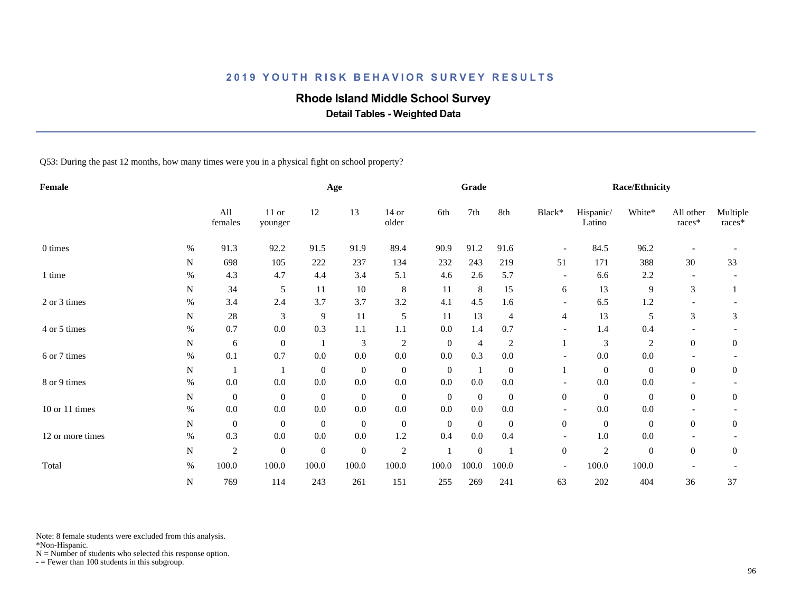# **Rhode Island Middle School Survey**

 **Detail Tables - Weighted Data**

Q53: During the past 12 months, how many times were you in a physical fight on school property?

| Female                  |             |                  |                    |              | Age              |                  |                  | Grade            |                |                          |                     | <b>Race/Ethnicity</b> |                     |                      |
|-------------------------|-------------|------------------|--------------------|--------------|------------------|------------------|------------------|------------------|----------------|--------------------------|---------------------|-----------------------|---------------------|----------------------|
|                         |             | All<br>females   | $11$ or<br>younger | 12           | 13               | $14$ or<br>older | 6th              | 7th              | 8th            | Black*                   | Hispanic/<br>Latino | White*                | All other<br>races* | Multiple<br>$races*$ |
| 0 times                 | $\%$        | 91.3             | 92.2               | 91.5         | 91.9             | 89.4             | 90.9             | 91.2             | 91.6           | $\overline{\phantom{a}}$ | 84.5                | 96.2                  |                     |                      |
|                         | N           | 698              | 105                | 222          | 237              | 134              | 232              | 243              | 219            | 51                       | 171                 | 388                   | 30                  | 33                   |
| 1 time                  | $\%$        | 4.3              | 4.7                | 4.4          | 3.4              | 5.1              | 4.6              | 2.6              | 5.7            | $\overline{\phantom{a}}$ | 6.6                 | 2.2                   |                     |                      |
|                         | N           | 34               | 5                  | 11           | $10\,$           | 8                | 11               | 8                | 15             | 6                        | 13                  | 9                     | 3                   |                      |
| 2 or 3 times            | $\%$        | 3.4              | 2.4                | 3.7          | 3.7              | 3.2              | 4.1              | 4.5              | 1.6            | $\overline{\phantom{a}}$ | 6.5                 | 1.2                   |                     |                      |
|                         | N           | 28               | 3                  | 9            | 11               | 5                | 11               | 13               | $\overline{4}$ | $\overline{4}$           | 13                  | 5                     | 3                   | 3                    |
| 4 or 5 times            | $\%$        | 0.7              | 0.0                | 0.3          | 1.1              | 1.1              | 0.0              | 1.4              | 0.7            | $\overline{\phantom{a}}$ | 1.4                 | 0.4                   |                     |                      |
|                         | N           | 6                | $\mathbf{0}$       |              | $\mathfrak{Z}$   | $\sqrt{2}$       | $\boldsymbol{0}$ | $\overline{4}$   | $\overline{2}$ |                          | $\mathfrak{Z}$      | $\sqrt{2}$            | $\overline{0}$      | $\overline{0}$       |
| 6 or 7 times            | $\%$        | 0.1              | 0.7                | 0.0          | 0.0              | $0.0\,$          | 0.0              | 0.3              | 0.0            | $\overline{\phantom{a}}$ | 0.0                 | 0.0                   |                     |                      |
|                         | N           | $\mathbf{1}$     |                    | $\mathbf{0}$ | $\boldsymbol{0}$ | $\boldsymbol{0}$ | $\overline{0}$   | -1               | $\mathbf{0}$   |                          | $\overline{0}$      | $\overline{0}$        | $\overline{0}$      | $\overline{0}$       |
| 8 or 9 times            | $\%$        | $0.0\,$          | 0.0                | $0.0\,$      | 0.0              | $0.0\,$          | 0.0              | 0.0              | $0.0\,$        | $\overline{\phantom{a}}$ | $0.0\,$             | $0.0\,$               |                     |                      |
|                         | N           | $\boldsymbol{0}$ | $\overline{0}$     | $\mathbf{0}$ | $\boldsymbol{0}$ | $\boldsymbol{0}$ | $\overline{0}$   | $\mathbf{0}$     | $\overline{0}$ | $\boldsymbol{0}$         | $\overline{0}$      | $\overline{0}$        | $\overline{0}$      | $\overline{0}$       |
| $10$ or $11$ times $\,$ | $\%$        | $0.0\,$          | 0.0                | 0.0          | $0.0\,$          | $0.0\,$          | 0.0              | 0.0              | $0.0\,$        |                          | 0.0                 | $0.0\,$               |                     |                      |
|                         | N           | $\boldsymbol{0}$ | $\overline{0}$     | $\mathbf{0}$ | $\boldsymbol{0}$ | $\boldsymbol{0}$ | $\boldsymbol{0}$ | $\mathbf{0}$     | $\overline{0}$ | $\overline{0}$           | $\overline{0}$      | $\overline{0}$        | $\overline{0}$      | $\overline{0}$       |
| 12 or more times        | $\%$        | 0.3              | 0.0                | 0.0          | 0.0              | $1.2\,$          | 0.4              | $0.0\,$          | 0.4            | $\overline{\phantom{a}}$ | $1.0\,$             | $0.0\,$               |                     |                      |
|                         | $\mathbf N$ | $\sqrt{2}$       | $\mathbf{0}$       | $\mathbf{0}$ | $\mathbf{0}$     | $\sqrt{2}$       | $\mathbf{1}$     | $\boldsymbol{0}$ |                | $\boldsymbol{0}$         | $\sqrt{2}$          | $\overline{0}$        | $\overline{0}$      | $\overline{0}$       |
| Total                   | %           | 100.0            | 100.0              | 100.0        | 100.0            | 100.0            | 100.0            | 100.0            | 100.0          | $\overline{\phantom{a}}$ | 100.0               | 100.0                 |                     |                      |
|                         | N           | 769              | 114                | 243          | 261              | 151              | 255              | 269              | 241            | 63                       | 202                 | 404                   | 36                  | 37                   |

Note: 8 female students were excluded from this analysis.

\*Non-Hispanic.

 $N =$  Number of students who selected this response option.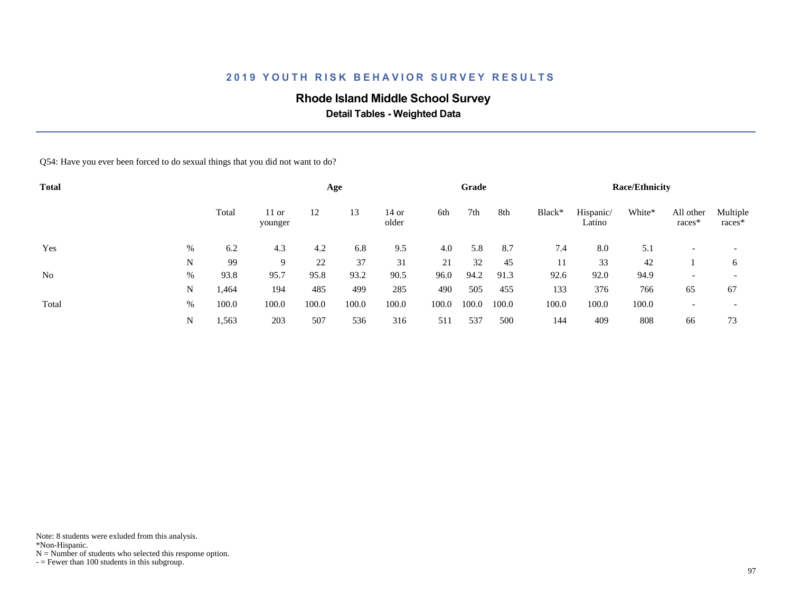## **Rhode Island Middle School Survey**

 **Detail Tables - Weighted Data**

Q54: Have you ever been forced to do sexual things that you did not want to do?

| <b>Total</b>   |   |       |                    |       | Age   |                |       | Grade |       |        |                     | <b>Race/Ethnicity</b> |                     |                          |
|----------------|---|-------|--------------------|-------|-------|----------------|-------|-------|-------|--------|---------------------|-----------------------|---------------------|--------------------------|
|                |   | Total | $11$ or<br>younger | 12    | 13    | 14 or<br>older | 6th   | 7th   | 8th   | Black* | Hispanic/<br>Latino | White*                | All other<br>races* | Multiple<br>races*       |
| Yes            | % | 6.2   | 4.3                | 4.2   | 6.8   | 9.5            | 4.0   | 5.8   | 8.7   | 7.4    | 8.0                 | 5.1                   |                     | $\overline{\phantom{a}}$ |
|                | N | 99    | 9                  | 22    | 37    | 31             | 21    | 32    | 45    | 11     | 33                  | 42                    |                     | 6                        |
| N <sub>o</sub> | % | 93.8  | 95.7               | 95.8  | 93.2  | 90.5           | 96.0  | 94.2  | 91.3  | 92.6   | 92.0                | 94.9                  |                     | $\overline{\phantom{0}}$ |
|                | N | 1,464 | 194                | 485   | 499   | 285            | 490   | 505   | 455   | 133    | 376                 | 766                   | 65                  | 67                       |
| Total          | % | 100.0 | 100.0              | 100.0 | 100.0 | 100.0          | 100.0 | 100.0 | 100.0 | 100.0  | 100.0               | 100.0                 |                     |                          |
|                | N | 1,563 | 203                | 507   | 536   | 316            | 511   | 537   | 500   | 144    | 409                 | 808                   | 66                  | 73                       |

Note: 8 students were exluded from this analysis.

\*Non-Hispanic.

 $N =$  Number of students who selected this response option.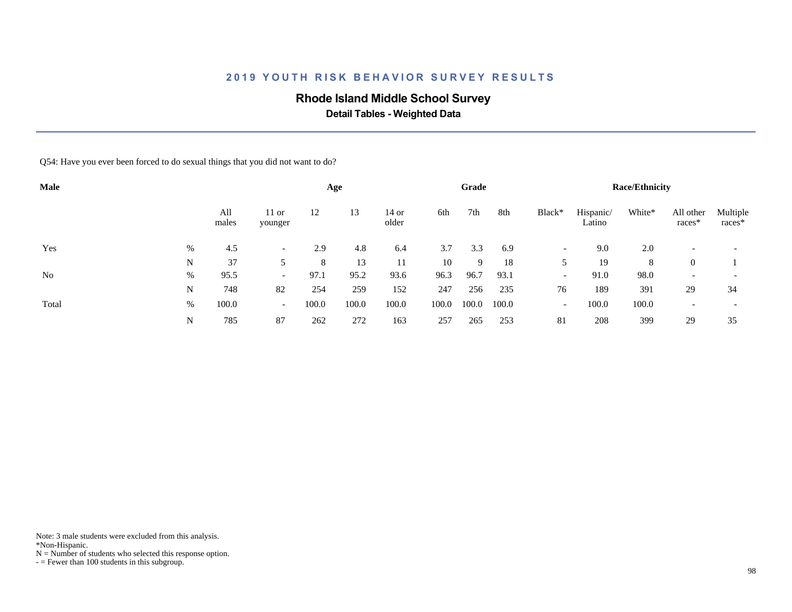## **Rhode Island Middle School Survey**

 **Detail Tables - Weighted Data**

Q54: Have you ever been forced to do sexual things that you did not want to do?

| Male           |      |              |                          |       | Age   |                |       | Grade |       |                          |                     | <b>Race/Ethnicity</b> |                          |                          |
|----------------|------|--------------|--------------------------|-------|-------|----------------|-------|-------|-------|--------------------------|---------------------|-----------------------|--------------------------|--------------------------|
|                |      | All<br>males | $11$ or<br>younger       | 12    | 13    | 14 or<br>older | 6th   | 7th   | 8th   | Black*                   | Hispanic/<br>Latino | White*                | All other<br>races*      | Multiple<br>races*       |
| Yes            | $\%$ | 4.5          | $\overline{\phantom{0}}$ | 2.9   | 4.8   | 6.4            | 3.7   | 3.3   | 6.9   | $\overline{\phantom{a}}$ | 9.0                 | 2.0                   |                          | $\overline{\phantom{a}}$ |
|                | N    | 37           |                          | 8     | 13    | 11             | 10    | 9     | 18    |                          | 19                  | 8                     | $\theta$                 |                          |
| N <sub>o</sub> | %    | 95.5         | $\overline{\phantom{0}}$ | 97.1  | 95.2  | 93.6           | 96.3  | 96.7  | 93.1  | $\overline{\phantom{a}}$ | 91.0                | 98.0                  | $\overline{\phantom{a}}$ | $\overline{\phantom{0}}$ |
|                | N    | 748          | 82                       | 254   | 259   | 152            | 247   | 256   | 235   | 76                       | 189                 | 391                   | 29                       | 34                       |
| Total          | %    | 100.0        | $\overline{\phantom{0}}$ | 100.0 | 100.0 | 100.0          | 100.0 | 100.0 | 100.0 | $\overline{\phantom{a}}$ | 100.0               | 100.0                 |                          |                          |
|                | N    | 785          | 87                       | 262   | 272   | 163            | 257   | 265   | 253   | 81                       | 208                 | 399                   | 29                       | 35                       |

Note: 3 male students were excluded from this analysis.

\*Non-Hispanic.

 $N =$  Number of students who selected this response option.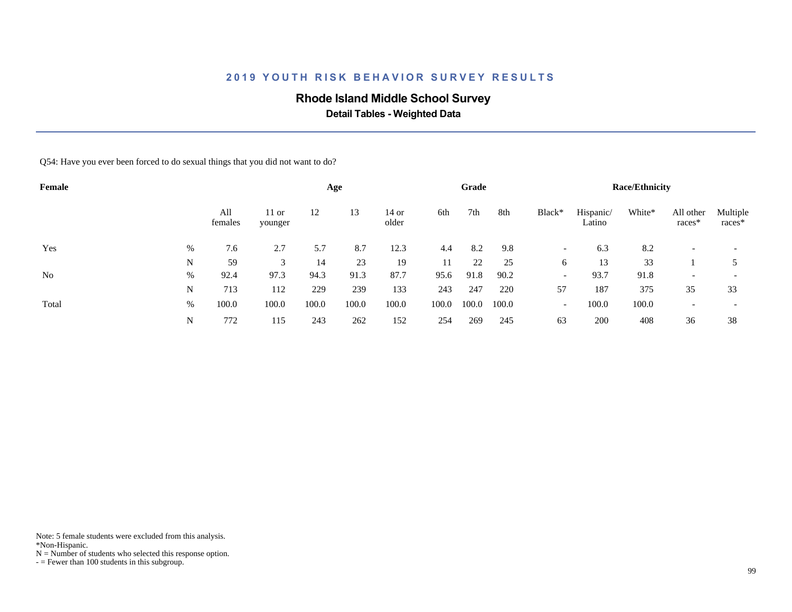## **Rhode Island Middle School Survey**

 **Detail Tables - Weighted Data**

Q54: Have you ever been forced to do sexual things that you did not want to do?

| Female         |   |                |                    |       | Age   |                |       | Grade |       |                          |                     | <b>Race/Ethnicity</b> |                     |                          |
|----------------|---|----------------|--------------------|-------|-------|----------------|-------|-------|-------|--------------------------|---------------------|-----------------------|---------------------|--------------------------|
|                |   | All<br>females | $11$ or<br>younger | 12    | 13    | 14 or<br>older | 6th   | 7th   | 8th   | Black*                   | Hispanic/<br>Latino | White*                | All other<br>races* | Multiple<br>races*       |
| Yes            | % | 7.6            | 2.7                | 5.7   | 8.7   | 12.3           | 4.4   | 8.2   | 9.8   | $\overline{\phantom{0}}$ | 6.3                 | 8.2                   |                     | $\overline{\phantom{0}}$ |
|                | N | 59             | 3                  | 14    | 23    | 19             | 11    | 22    | 25    | 6                        | 13                  | 33                    |                     |                          |
| N <sub>o</sub> | % | 92.4           | 97.3               | 94.3  | 91.3  | 87.7           | 95.6  | 91.8  | 90.2  | $\overline{\phantom{a}}$ | 93.7                | 91.8                  |                     | $\overline{\phantom{0}}$ |
|                | N | 713            | 112                | 229   | 239   | 133            | 243   | 247   | 220   | 57                       | 187                 | 375                   | 35                  | 33                       |
| Total          | % | 100.0          | 100.0              | 100.0 | 100.0 | 100.0          | 100.0 | 100.0 | 100.0 | $\overline{\phantom{a}}$ | 100.0               | 100.0                 |                     |                          |
|                | N | 772            | 115                | 243   | 262   | 152            | 254   | 269   | 245   | 63                       | 200                 | 408                   | 36                  | 38                       |

Note: 5 female students were excluded from this analysis.

\*Non-Hispanic.

 $N =$  Number of students who selected this response option.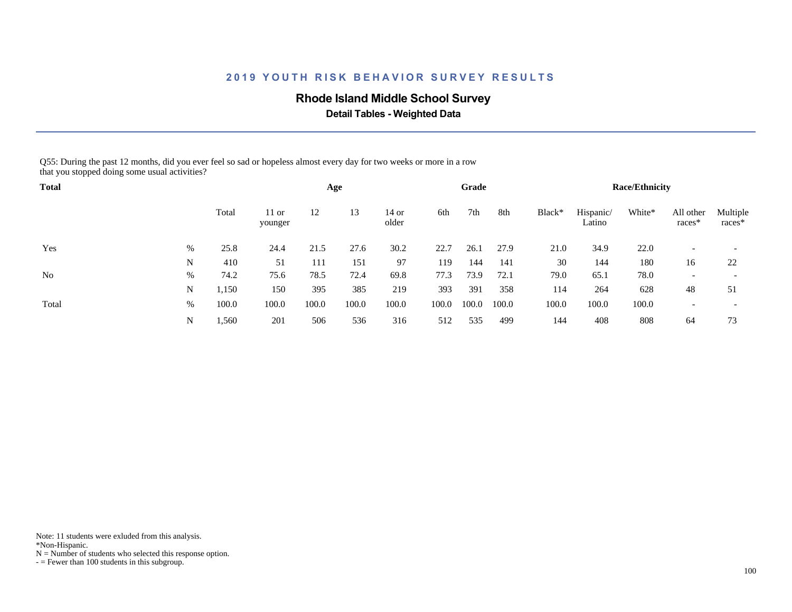### **Rhode Island Middle School Survey**

 **Detail Tables - Weighted Data**

Q55: During the past 12 months, did you ever feel so sad or hopeless almost every day for two weeks or more in a row that you stopped doing some usual activities?

| <b>Total</b> |      |       |                    |       | Age   |                |       | Grade |       |        |                     | <b>Race/Ethnicity</b> |                          |                          |
|--------------|------|-------|--------------------|-------|-------|----------------|-------|-------|-------|--------|---------------------|-----------------------|--------------------------|--------------------------|
|              |      | Total | $11$ or<br>younger | 12    | 13    | 14 or<br>older | 6th   | 7th   | 8th   | Black* | Hispanic/<br>Latino | White*                | All other<br>races*      | Multiple<br>races*       |
| Yes          | $\%$ | 25.8  | 24.4               | 21.5  | 27.6  | 30.2           | 22.7  | 26.1  | 27.9  | 21.0   | 34.9                | 22.0                  |                          | $\overline{\phantom{0}}$ |
|              | N    | 410   | 51                 | 111   | 151   | 97             | 119   | 144   | 141   | 30     | 144                 | 180                   | 16                       | 22                       |
| No           | %    | 74.2  | 75.6               | 78.5  | 72.4  | 69.8           | 77.3  | 73.9  | 72.1  | 79.0   | 65.1                | 78.0                  | $\overline{\phantom{a}}$ | $\overline{\phantom{0}}$ |
|              | N    | 1,150 | 150                | 395   | 385   | 219            | 393   | 391   | 358   | 114    | 264                 | 628                   | 48                       | 51                       |
| Total        | %    | 100.0 | 100.0              | 100.0 | 100.0 | 100.0          | 100.0 | 100.0 | 100.0 | 100.0  | 100.0               | 100.0                 |                          | $\overline{\phantom{0}}$ |
|              | N    | 1,560 | 201                | 506   | 536   | 316            | 512   | 535   | 499   | 144    | 408                 | 808                   | 64                       | 73                       |

Note: 11 students were exluded from this analysis.

\*Non-Hispanic.

 $N =$  Number of students who selected this response option.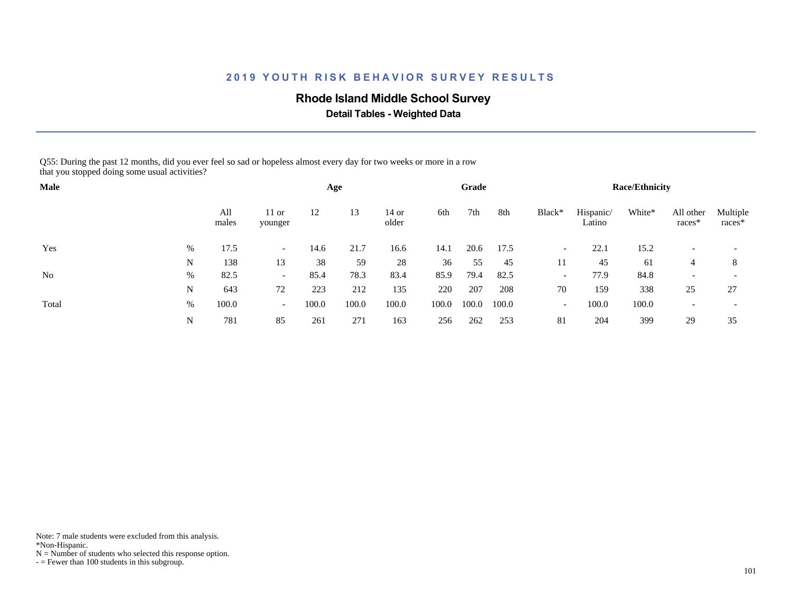### **Rhode Island Middle School Survey**

 **Detail Tables - Weighted Data**

Q55: During the past 12 months, did you ever feel so sad or hopeless almost every day for two weeks or more in a row that you stopped doing some usual activities?

| Male           |   |              |                          |       | Age   |                |       | Grade |       |                          |                     | <b>Race/Ethnicity</b> |                     |                          |
|----------------|---|--------------|--------------------------|-------|-------|----------------|-------|-------|-------|--------------------------|---------------------|-----------------------|---------------------|--------------------------|
|                |   | All<br>males | $11$ or<br>younger       | 12    | 13    | 14 or<br>older | 6th   | 7th   | 8th   | Black*                   | Hispanic/<br>Latino | White*                | All other<br>races* | Multiple<br>races*       |
| Yes            | % | 17.5         | $\overline{\phantom{a}}$ | 14.6  | 21.7  | 16.6           | 14.1  | 20.6  | 17.5  | $\overline{\phantom{a}}$ | 22.1                | 15.2                  |                     | $\overline{\phantom{a}}$ |
|                | N | 138          | 13                       | 38    | 59    | 28             | 36    | 55    | 45    | 11                       | 45                  | 61                    | 4                   | 8                        |
| N <sub>0</sub> | % | 82.5         | $\overline{\phantom{0}}$ | 85.4  | 78.3  | 83.4           | 85.9  | 79.4  | 82.5  | $\overline{\phantom{a}}$ | 77.9                | 84.8                  |                     | $\overline{\phantom{a}}$ |
|                | N | 643          | 72                       | 223   | 212   | 135            | 220   | 207   | 208   | 70                       | 159                 | 338                   | 25                  | 27                       |
| Total          | % | 100.0        | $\overline{\phantom{0}}$ | 100.0 | 100.0 | 100.0          | 100.0 | 100.0 | 100.0 | $\overline{\phantom{a}}$ | 100.0               | 100.0                 |                     | $\overline{\phantom{a}}$ |
|                | N | 781          | 85                       | 261   | 271   | 163            | 256   | 262   | 253   | 81                       | 204                 | 399                   | 29                  | 35                       |

Note: 7 male students were excluded from this analysis.

\*Non-Hispanic.

 $N =$  Number of students who selected this response option.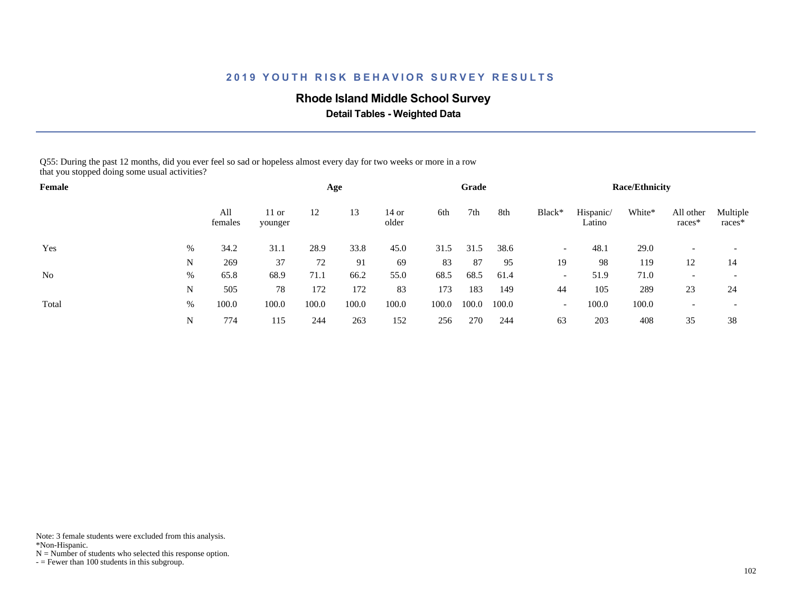### **Rhode Island Middle School Survey**

 **Detail Tables - Weighted Data**

Q55: During the past 12 months, did you ever feel so sad or hopeless almost every day for two weeks or more in a row that you stopped doing some usual activities?

| Female         |      |                |                    |       | Age   |                  |       | Grade |       |                          |                     | <b>Race/Ethnicity</b> |                          |                          |
|----------------|------|----------------|--------------------|-------|-------|------------------|-------|-------|-------|--------------------------|---------------------|-----------------------|--------------------------|--------------------------|
|                |      | All<br>females | $11$ or<br>younger | 12    | 13    | $14$ or<br>older | 6th   | 7th   | 8th   | Black*                   | Hispanic/<br>Latino | White*                | All other<br>races*      | Multiple<br>races*       |
| Yes            | $\%$ | 34.2           | 31.1               | 28.9  | 33.8  | 45.0             | 31.5  | 31.5  | 38.6  | $\overline{\phantom{a}}$ | 48.1                | 29.0                  |                          |                          |
|                | N    | 269            | 37                 | 72    | 91    | 69               | 83    | 87    | 95    | 19                       | 98                  | 119                   | 12                       | 14                       |
| N <sub>0</sub> | %    | 65.8           | 68.9               | 71.1  | 66.2  | 55.0             | 68.5  | 68.5  | 61.4  | $\overline{\phantom{a}}$ | 51.9                | 71.0                  | $\overline{\phantom{a}}$ | $\overline{\phantom{a}}$ |
|                | N    | 505            | 78                 | 172   | 172   | 83               | 173   | 183   | 149   | 44                       | 105                 | 289                   | 23                       | 24                       |
| Total          | $\%$ | 100.0          | 100.0              | 100.0 | 100.0 | 100.0            | 100.0 | 100.0 | 100.0 | $\overline{\phantom{a}}$ | 100.0               | 100.0                 |                          |                          |
|                | N    | 774            | 115                | 244   | 263   | 152              | 256   | 270   | 244   | 63                       | 203                 | 408                   | 35                       | 38                       |

Note: 3 female students were excluded from this analysis.

\*Non-Hispanic.

 $N =$  Number of students who selected this response option.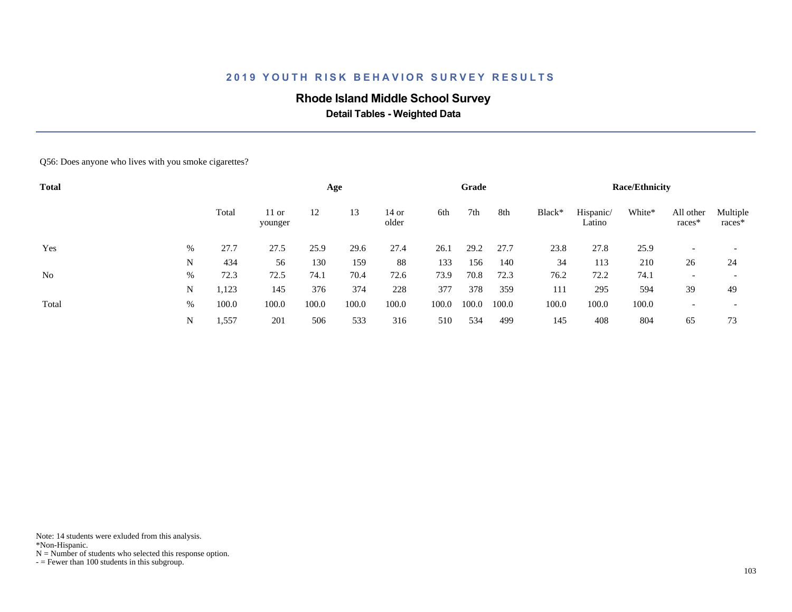## **Rhode Island Middle School Survey**

 **Detail Tables - Weighted Data**

#### Q56: Does anyone who lives with you smoke cigarettes?

| <b>Total</b> |   |       |                  |       | Age   |                  |       | Grade |       |        |                     | <b>Race/Ethnicity</b> |                     |                    |
|--------------|---|-------|------------------|-------|-------|------------------|-------|-------|-------|--------|---------------------|-----------------------|---------------------|--------------------|
|              |   | Total | 11 or<br>younger | 12    | 13    | $14$ or<br>older | 6th   | 7th   | 8th   | Black* | Hispanic/<br>Latino | White*                | All other<br>races* | Multiple<br>races* |
| Yes          | % | 27.7  | 27.5             | 25.9  | 29.6  | 27.4             | 26.1  | 29.2  | 27.7  | 23.8   | 27.8                | 25.9                  |                     |                    |
|              | N | 434   | 56               | 130   | 159   | 88               | 133   | 156   | 140   | 34     | 113                 | 210                   | 26                  | 24                 |
| No           | % | 72.3  | 72.5             | 74.1  | 70.4  | 72.6             | 73.9  | 70.8  | 72.3  | 76.2   | 72.2                | 74.1                  |                     |                    |
|              | N | 1,123 | 145              | 376   | 374   | 228              | 377   | 378   | 359   | 111    | 295                 | 594                   | 39                  | 49                 |
| Total        | % | 100.0 | 100.0            | 100.0 | 100.0 | 100.0            | 100.0 | 100.0 | 100.0 | 100.0  | 100.0               | 100.0                 |                     |                    |
|              | N | 1,557 | 201              | 506   | 533   | 316              | 510   | 534   | 499   | 145    | 408                 | 804                   | 65                  | 73                 |

Note: 14 students were exluded from this analysis.

\*Non-Hispanic.

 $N =$  Number of students who selected this response option.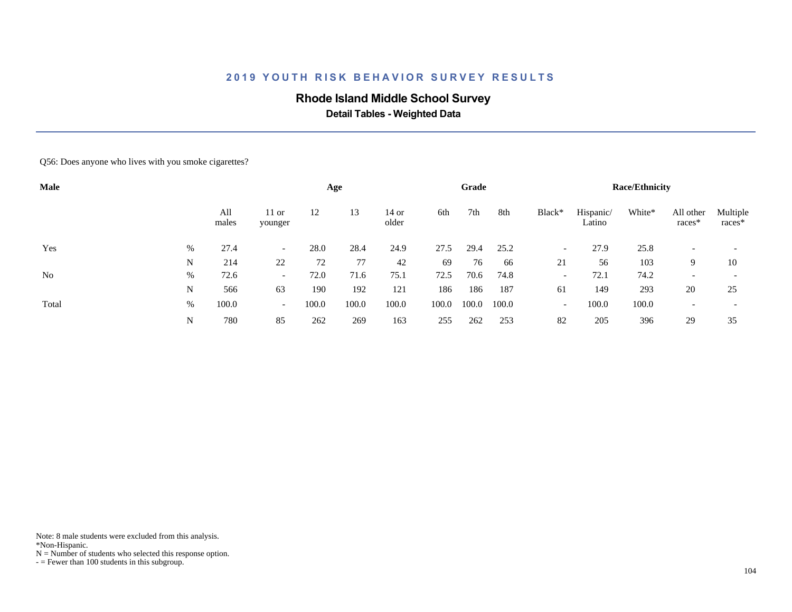## **Rhode Island Middle School Survey**

 **Detail Tables - Weighted Data**

#### Q56: Does anyone who lives with you smoke cigarettes?

| Male  |   |              |                          |       | Age   |                |       | Grade |       |                          |                     | <b>Race/Ethnicity</b> |                     |                          |
|-------|---|--------------|--------------------------|-------|-------|----------------|-------|-------|-------|--------------------------|---------------------|-----------------------|---------------------|--------------------------|
|       |   | All<br>males | $11$ or<br>younger       | 12    | 13    | 14 or<br>older | 6th   | 7th   | 8th   | Black*                   | Hispanic/<br>Latino | White*                | All other<br>races* | Multiple<br>races*       |
| Yes   | % | 27.4         | $\overline{\phantom{0}}$ | 28.0  | 28.4  | 24.9           | 27.5  | 29.4  | 25.2  | $\overline{\phantom{a}}$ | 27.9                | 25.8                  |                     |                          |
|       | N | 214          | 22                       | 72    | 77    | 42             | 69    | 76    | -66   | 21                       | 56                  | 103                   | 9.                  | 10                       |
| No    | % | 72.6         | $\overline{\phantom{0}}$ | 72.0  | 71.6  | 75.1           | 72.5  | 70.6  | 74.8  | $\overline{\phantom{a}}$ | 72.1                | 74.2                  |                     |                          |
|       | N | 566          | 63                       | 190   | 192   | 121            | 186   | 186   | 187   | 61                       | 149                 | 293                   | 20                  | 25                       |
| Total | % | 100.0        | $\overline{\phantom{0}}$ | 100.0 | 100.0 | 100.0          | 100.0 | 100.0 | 100.0 | $\overline{\phantom{0}}$ | 100.0               | 100.0                 |                     | $\overline{\phantom{0}}$ |
|       | N | 780          | 85                       | 262   | 269   | 163            | 255   | 262   | 253   | 82                       | 205                 | 396                   | 29                  | 35                       |

Note: 8 male students were excluded from this analysis.

\*Non-Hispanic.

 $N =$  Number of students who selected this response option.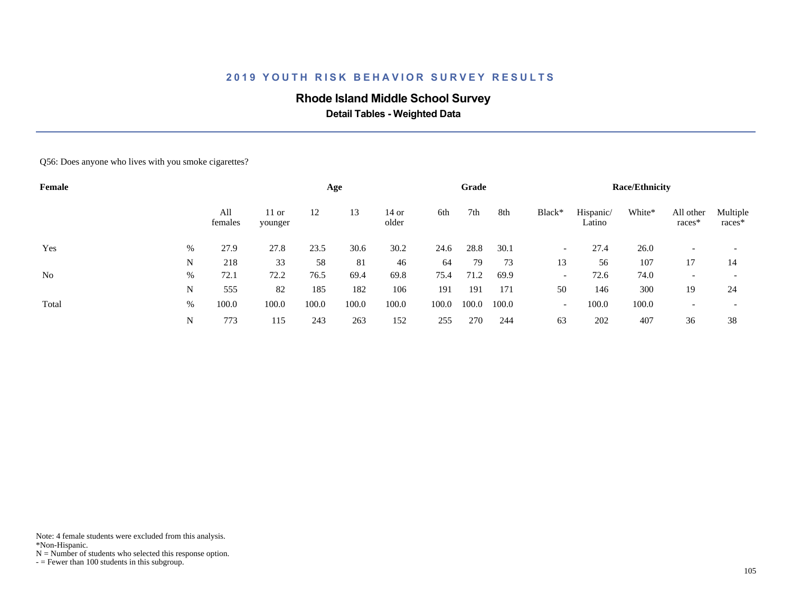## **Rhode Island Middle School Survey**

 **Detail Tables - Weighted Data**

Q56: Does anyone who lives with you smoke cigarettes?

| Female         |   |                |                    |       | Age   |                  |       | Grade |       |                          |                     | <b>Race/Ethnicity</b> |                          |                    |
|----------------|---|----------------|--------------------|-------|-------|------------------|-------|-------|-------|--------------------------|---------------------|-----------------------|--------------------------|--------------------|
|                |   | All<br>females | $11$ or<br>younger | 12    | 13    | $14$ or<br>older | 6th   | 7th   | 8th   | Black*                   | Hispanic/<br>Latino | White*                | All other<br>races*      | Multiple<br>races* |
| Yes            | % | 27.9           | 27.8               | 23.5  | 30.6  | 30.2             | 24.6  | 28.8  | 30.1  | $\overline{\phantom{a}}$ | 27.4                | 26.0                  |                          |                    |
|                | N | 218            | 33                 | 58    | 81    | 46               | 64    | 79    | 73    | 13                       | 56                  | 107                   | 17                       | 14                 |
| N <sub>o</sub> | % | 72.1           | 72.2               | 76.5  | 69.4  | 69.8             | 75.4  | 71.2  | 69.9  | $\overline{\phantom{a}}$ | 72.6                | 74.0                  | $\overline{\phantom{0}}$ |                    |
|                | N | 555            | 82                 | 185   | 182   | 106              | 191   | 191   | 171   | 50                       | 146                 | 300                   | 19                       | 24                 |
| Total          | % | 100.0          | 100.0              | 100.0 | 100.0 | 100.0            | 100.0 | 100.0 | 100.0 | $\overline{\phantom{a}}$ | 100.0               | 100.0                 |                          |                    |
|                | N | 773            | 115                | 243   | 263   | 152              | 255   | 270   | 244   | 63                       | 202                 | 407                   | 36                       | 38                 |

Note: 4 female students were excluded from this analysis.

\*Non-Hispanic.

 $N =$  Number of students who selected this response option.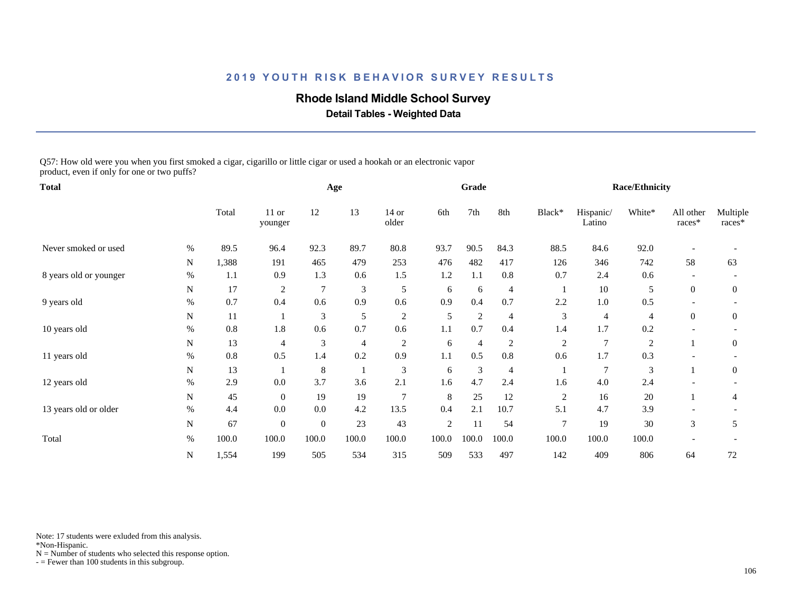### **Rhode Island Middle School Survey**

 **Detail Tables - Weighted Data**

Q57: How old were you when you first smoked a cigar, cigarillo or little cigar or used a hookah or an electronic vapor product, even if only for one or two puffs?

| <b>Total</b>           |      |       |                    |                | Age            |                  |            | Grade          |                |                |                     | <b>Race/Ethnicity</b> |                          |                    |
|------------------------|------|-------|--------------------|----------------|----------------|------------------|------------|----------------|----------------|----------------|---------------------|-----------------------|--------------------------|--------------------|
|                        |      | Total | $11$ or<br>younger | 12             | 13             | $14$ or<br>older | 6th        | 7th            | 8th            | Black*         | Hispanic/<br>Latino | White*                | All other<br>races*      | Multiple<br>races* |
| Never smoked or used   | $\%$ | 89.5  | 96.4               | 92.3           | 89.7           | 80.8             | 93.7       | 90.5           | 84.3           | 88.5           | 84.6                | 92.0                  |                          |                    |
|                        | N    | 1,388 | 191                | 465            | 479            | 253              | 476        | 482            | 417            | 126            | 346                 | 742                   | 58                       | 63                 |
| 8 years old or younger | $\%$ | 1.1   | 0.9                | 1.3            | 0.6            | 1.5              | 1.2        | 1.1            | 0.8            | 0.7            | 2.4                 | 0.6                   |                          |                    |
|                        | N    | 17    | $\overline{2}$     | $\overline{7}$ | $\mathfrak{Z}$ | 5                | 6          | 6              | $\overline{4}$ | $\mathbf{1}$   | 10                  | 5                     | $\overline{0}$           | $\overline{0}$     |
| 9 years old            | $\%$ | 0.7   | 0.4                | 0.6            | 0.9            | 0.6              | 0.9        | 0.4            | 0.7            | 2.2            | 1.0                 | 0.5                   | $\overline{\phantom{0}}$ |                    |
|                        | N    | 11    |                    | 3              | 5              | $\overline{2}$   | 5          | 2              | $\overline{4}$ | 3              | 4                   | 4                     | $\overline{0}$           | $\overline{0}$     |
| 10 years old           | $\%$ | 0.8   | 1.8                | 0.6            | 0.7            | 0.6              | 1.1        | 0.7            | 0.4            | 1.4            | 1.7                 | 0.2                   |                          |                    |
|                        | N    | 13    | $\overline{4}$     | 3              | $\overline{4}$ | 2                | 6          | 4              | $\overline{2}$ | $\overline{2}$ | $\overline{7}$      | $\overline{c}$        |                          | 0                  |
| 11 years old           | %    | 0.8   | 0.5                | 1.4            | 0.2            | 0.9              | 1.1        | 0.5            | 0.8            | 0.6            | 1.7                 | 0.3                   |                          |                    |
|                        | N    | 13    |                    | 8              |                | 3                | 6          | $\mathfrak{Z}$ | $\overline{4}$ |                | $7\phantom{.0}$     | 3                     |                          | $\overline{0}$     |
| 12 years old           | $\%$ | 2.9   | 0.0                | 3.7            | 3.6            | 2.1              | 1.6        | 4.7            | 2.4            | 1.6            | 4.0                 | 2.4                   |                          |                    |
|                        | N    | 45    | $\overline{0}$     | 19             | 19             | $\overline{7}$   | 8          | 25             | 12             | $\overline{c}$ | 16                  | $20\,$                |                          | 4                  |
| 13 years old or older  | $\%$ | 4.4   | 0.0                | 0.0            | 4.2            | 13.5             | 0.4        | 2.1            | 10.7           | 5.1            | 4.7                 | 3.9                   |                          |                    |
|                        | N    | 67    | $\boldsymbol{0}$   | $\mathbf{0}$   | 23             | 43               | $\sqrt{2}$ | 11             | 54             | $\overline{7}$ | 19                  | 30                    | 3                        | 5                  |
| Total                  | $\%$ | 100.0 | 100.0              | 100.0          | 100.0          | 100.0            | 100.0      | 100.0          | 100.0          | 100.0          | 100.0               | 100.0                 |                          |                    |
|                        | N    | 1,554 | 199                | 505            | 534            | 315              | 509        | 533            | 497            | 142            | 409                 | 806                   | 64                       | 72                 |

Note: 17 students were exluded from this analysis.

\*Non-Hispanic.

 $N =$  Number of students who selected this response option.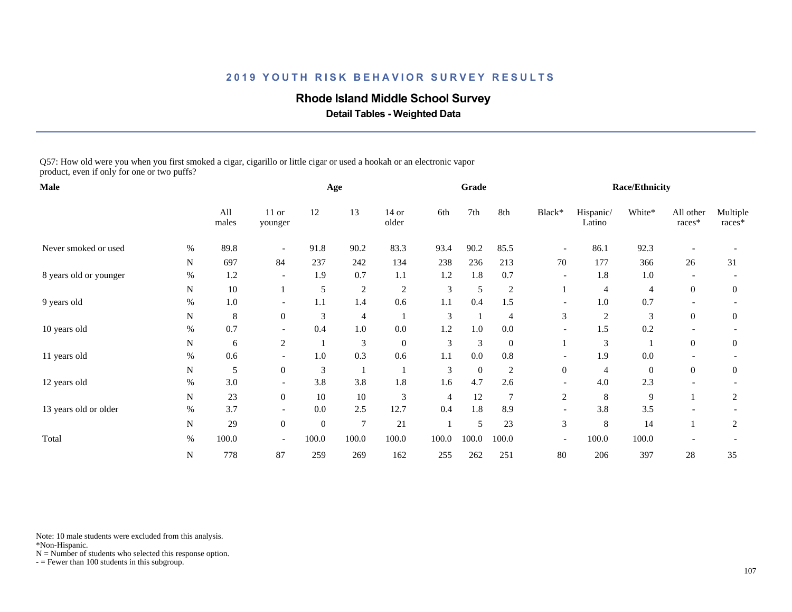### **Rhode Island Middle School Survey**

 **Detail Tables - Weighted Data**

Q57: How old were you when you first smoked a cigar, cigarillo or little cigar or used a hookah or an electronic vapor product, even if only for one or two puffs?

| Male                   |      |              |                          |                  | Age            |                  |                | Grade            |                 |                          |                     | <b>Race/Ethnicity</b> |                     |                    |
|------------------------|------|--------------|--------------------------|------------------|----------------|------------------|----------------|------------------|-----------------|--------------------------|---------------------|-----------------------|---------------------|--------------------|
|                        |      | All<br>males | $11$ or<br>younger       | 12               | 13             | $14$ or<br>older | 6th            | 7th              | 8th             | Black*                   | Hispanic/<br>Latino | White*                | All other<br>races* | Multiple<br>races* |
| Never smoked or used   | $\%$ | 89.8         |                          | 91.8             | 90.2           | 83.3             | 93.4           | 90.2             | 85.5            | $\overline{\phantom{a}}$ | 86.1                | 92.3                  |                     |                    |
|                        | N    | 697          | 84                       | 237              | 242            | 134              | 238            | 236              | 213             | 70                       | 177                 | 366                   | 26                  | 31                 |
| 8 years old or younger | $\%$ | 1.2          | $\overline{\phantom{a}}$ | 1.9              | 0.7            | 1.1              | 1.2            | 1.8              | 0.7             | $\overline{\phantom{a}}$ | 1.8                 | 1.0                   |                     |                    |
|                        | N    | 10           |                          | 5                | $\sqrt{2}$     | $\overline{2}$   | 3              | 5                | $\overline{c}$  |                          | 4                   | 4                     | $\overline{0}$      | $\overline{0}$     |
| 9 years old            | $\%$ | 1.0          | $\overline{\phantom{a}}$ | 1.1              | 1.4            | 0.6              | 1.1            | 0.4              | 1.5             | $\overline{\phantom{a}}$ | $1.0\,$             | 0.7                   |                     |                    |
|                        | N    | 8            | $\overline{0}$           | 3                | 4              |                  | 3              |                  | 4               | 3                        | $\overline{c}$      | 3                     | $\overline{0}$      | $\overline{0}$     |
| 10 years old           | $\%$ | 0.7          |                          | 0.4              | $1.0\,$        | 0.0              | 1.2            | 1.0              | 0.0             |                          | 1.5                 | 0.2                   |                     |                    |
|                        | N    | 6            | $\mathfrak{2}$           |                  | 3              | $\boldsymbol{0}$ | 3              | $\mathfrak{Z}$   | $\mathbf{0}$    |                          | 3                   |                       | $\overline{0}$      | $\boldsymbol{0}$   |
| 11 years old           | $\%$ | 0.6          | $\overline{\phantom{a}}$ | 1.0              | 0.3            | 0.6              | 1.1            | 0.0              | 0.8             | $\overline{\phantom{a}}$ | 1.9                 | 0.0                   |                     |                    |
|                        | N    | 5            | $\overline{0}$           | 3                |                |                  | 3              | $\boldsymbol{0}$ | 2               | $\overline{0}$           | $\overline{4}$      | $\mathbf{0}$          | $\overline{0}$      | $\boldsymbol{0}$   |
| 12 years old           | $\%$ | 3.0          | $\overline{\phantom{a}}$ | 3.8              | 3.8            | 1.8              | 1.6            | 4.7              | 2.6             |                          | 4.0                 | 2.3                   |                     |                    |
|                        | N    | $23\,$       | $\overline{0}$           | 10               | 10             | $\mathfrak{Z}$   | $\overline{4}$ | 12               | $7\phantom{.0}$ | $\overline{c}$           | 8                   | 9                     |                     | 2                  |
| 13 years old or older  | %    | 3.7          |                          | 0.0              | 2.5            | 12.7             | 0.4            | 1.8              | 8.9             |                          | 3.8                 | 3.5                   |                     |                    |
|                        | N    | 29           | $\boldsymbol{0}$         | $\boldsymbol{0}$ | $\overline{7}$ | 21               |                | 5                | 23              | 3                        | 8                   | 14                    |                     | $\overline{2}$     |
| Total                  | $\%$ | 100.0        | $\overline{\phantom{a}}$ | 100.0            | 100.0          | 100.0            | 100.0          | 100.0            | 100.0           | $\overline{\phantom{a}}$ | 100.0               | 100.0                 |                     |                    |
|                        | N    | 778          | 87                       | 259              | 269            | 162              | 255            | 262              | 251             | 80                       | 206                 | 397                   | 28                  | 35                 |

Note: 10 male students were excluded from this analysis.

\*Non-Hispanic.

 $N =$  Number of students who selected this response option.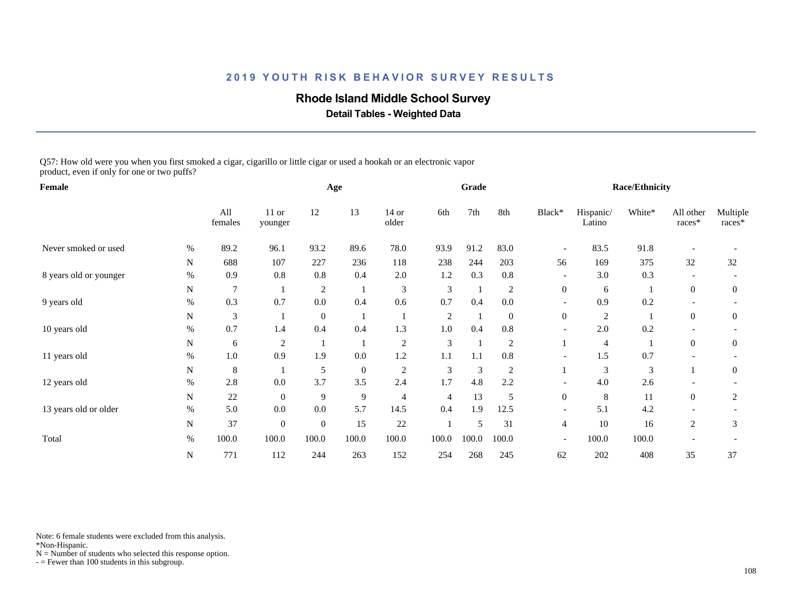### **Rhode Island Middle School Survey**

 **Detail Tables - Weighted Data**

Q57: How old were you when you first smoked a cigar, cigarillo or little cigar or used a hookah or an electronic vapor product, even if only for one or two puffs?

| Female                 |      |                |                    |              | Age              |                  |                | Grade          |                |                          |                     | <b>Race/Ethnicity</b> |                     |                    |
|------------------------|------|----------------|--------------------|--------------|------------------|------------------|----------------|----------------|----------------|--------------------------|---------------------|-----------------------|---------------------|--------------------|
|                        |      | All<br>females | $11$ or<br>younger | 12           | 13               | $14$ or<br>older | 6th            | 7th            | 8th            | Black*                   | Hispanic/<br>Latino | White*                | All other<br>races* | Multiple<br>races* |
| Never smoked or used   | $\%$ | 89.2           | 96.1               | 93.2         | 89.6             | 78.0             | 93.9           | 91.2           | 83.0           | $\overline{\phantom{a}}$ | 83.5                | 91.8                  |                     |                    |
|                        | N    | 688            | 107                | 227          | 236              | 118              | 238            | 244            | 203            | 56                       | 169                 | 375                   | 32                  | 32                 |
| 8 years old or younger | $\%$ | 0.9            | 0.8                | 0.8          | 0.4              | $2.0\,$          | 1.2            | 0.3            | $0.8\,$        | $\overline{\phantom{a}}$ | 3.0                 | 0.3                   |                     |                    |
|                        | N    | $\overline{7}$ |                    | 2            |                  | 3                | 3              |                | $\overline{c}$ | $\overline{0}$           | 6                   |                       | $\overline{0}$      | $\overline{0}$     |
| 9 years old            | $\%$ | 0.3            | 0.7                | 0.0          | 0.4              | 0.6              | 0.7            | 0.4            | 0.0            | $\overline{\phantom{a}}$ | 0.9                 | 0.2                   |                     |                    |
|                        | N    | 3              |                    | $\mathbf{0}$ |                  |                  | $\overline{c}$ |                | $\mathbf{0}$   | $\overline{0}$           | $\overline{c}$      |                       | $\overline{0}$      | $\overline{0}$     |
| 10 years old           | $\%$ | 0.7            | 1.4                | 0.4          | 0.4              | 1.3              | 1.0            | 0.4            | $0.8\,$        |                          | 2.0                 | 0.2                   |                     |                    |
|                        | N    | 6              | $\overline{2}$     |              |                  | $\overline{2}$   | 3              |                | $\overline{2}$ |                          | 4                   |                       | $\overline{0}$      | $\boldsymbol{0}$   |
| 11 years old           | $\%$ | 1.0            | 0.9                | 1.9          | 0.0              | 1.2              | 1.1            | 1.1            | 0.8            | $\overline{\phantom{0}}$ | 1.5                 | 0.7                   |                     |                    |
|                        | N    | 8              |                    | 5            | $\boldsymbol{0}$ | $\overline{2}$   | 3              | $\mathfrak{Z}$ | 2              |                          | 3                   | 3                     |                     | $\boldsymbol{0}$   |
| 12 years old           | $\%$ | 2.8            | 0.0                | 3.7          | 3.5              | 2.4              | 1.7            | 4.8            | 2.2            |                          | 4.0                 | 2.6                   |                     |                    |
|                        | N    | $22\,$         | $\mathbf{0}$       | 9            | 9                | $\overline{4}$   | 4              | 13             | 5              | $\boldsymbol{0}$         | 8                   | 11                    | $\overline{0}$      | 2                  |
| 13 years old or older  | %    | 5.0            | 0.0                | 0.0          | 5.7              | 14.5             | 0.4            | 1.9            | 12.5           | $\overline{\phantom{0}}$ | 5.1                 | 4.2                   |                     |                    |
|                        | N    | 37             | $\boldsymbol{0}$   | $\mathbf{0}$ | 15               | 22               |                | 5              | 31             | 4                        | 10                  | 16                    | $\mathfrak{2}$      | 3                  |
| Total                  | $\%$ | 100.0          | 100.0              | 100.0        | 100.0            | 100.0            | 100.0          | 100.0          | 100.0          | $\overline{\phantom{a}}$ | 100.0               | 100.0                 |                     |                    |
|                        | N    | 771            | 112                | 244          | 263              | 152              | 254            | 268            | 245            | 62                       | 202                 | 408                   | 35                  | 37                 |

Note: 6 female students were excluded from this analysis.

\*Non-Hispanic.

 $N =$  Number of students who selected this response option.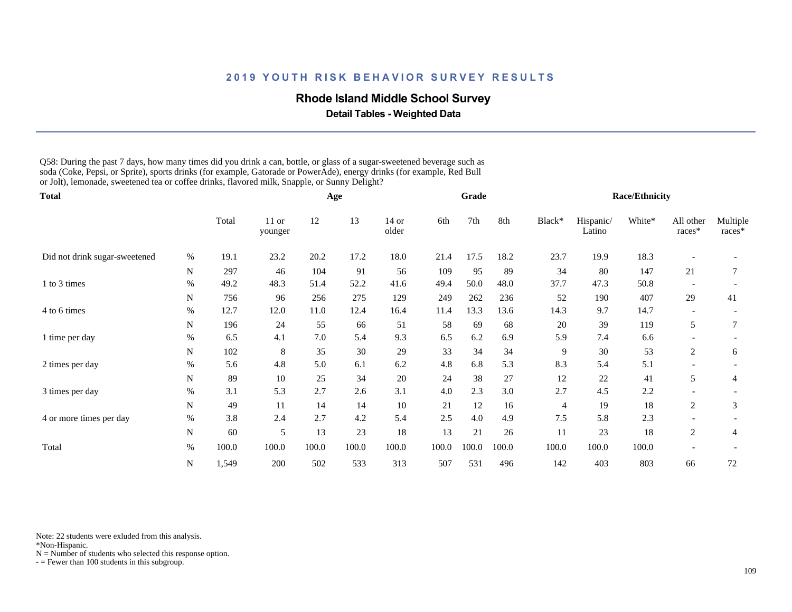#### **Rhode Island Middle School Survey**

 **Detail Tables - Weighted Data**

Q58: During the past 7 days, how many times did you drink a can, bottle, or glass of a sugar-sweetened beverage such as soda (Coke, Pepsi, or Sprite), sports drinks (for example, Gatorade or PowerAde), energy drinks (for example, Red Bull or Jolt), lemonade, sweetened tea or coffee drinks, flavored milk, Snapple, or Sunny Delight?

| <b>Total</b>                  |           |       |                  |       | Age   |                  |       | Grade |       |                |                     | <b>Race/Ethnicity</b> |                          |                    |
|-------------------------------|-----------|-------|------------------|-------|-------|------------------|-------|-------|-------|----------------|---------------------|-----------------------|--------------------------|--------------------|
|                               |           | Total | 11 or<br>younger | 12    | 13    | $14$ or<br>older | 6th   | 7th   | 8th   | Black*         | Hispanic/<br>Latino | White*                | All other<br>races*      | Multiple<br>races* |
| Did not drink sugar-sweetened | $\%$      | 19.1  | 23.2             | 20.2  | 17.2  | 18.0             | 21.4  | 17.5  | 18.2  | 23.7           | 19.9                | 18.3                  |                          |                    |
|                               | N         | 297   | 46               | 104   | 91    | 56               | 109   | 95    | 89    | 34             | 80                  | 147                   | 21                       | 7                  |
| 1 to 3 times                  | %         | 49.2  | 48.3             | 51.4  | 52.2  | 41.6             | 49.4  | 50.0  | 48.0  | 37.7           | 47.3                | 50.8                  |                          |                    |
|                               | N         | 756   | 96               | 256   | 275   | 129              | 249   | 262   | 236   | 52             | 190                 | 407                   | 29                       | 41                 |
| 4 to 6 times                  | $\%$      | 12.7  | 12.0             | 11.0  | 12.4  | 16.4             | 11.4  | 13.3  | 13.6  | 14.3           | 9.7                 | 14.7                  |                          |                    |
|                               | N         | 196   | 24               | 55    | 66    | 51               | 58    | 69    | 68    | 20             | 39                  | 119                   | 5                        | 7                  |
| 1 time per day                | $\%$      | 6.5   | 4.1              | 7.0   | 5.4   | 9.3              | 6.5   | 6.2   | 6.9   | 5.9            | 7.4                 | 6.6                   |                          |                    |
|                               | N         | 102   | 8                | 35    | 30    | 29               | 33    | 34    | 34    | 9              | 30                  | 53                    | $\overline{c}$           | 6                  |
| 2 times per day               | $\%$      | 5.6   | 4.8              | 5.0   | 6.1   | 6.2              | 4.8   | 6.8   | 5.3   | 8.3            | 5.4                 | 5.1                   | $\overline{\phantom{0}}$ |                    |
|                               | N         | 89    | 10               | 25    | 34    | 20               | 24    | 38    | 27    | 12             | 22                  | 41                    | 5                        | 4                  |
| 3 times per day               | $\%$      | 3.1   | 5.3              | 2.7   | 2.6   | 3.1              | 4.0   | 2.3   | 3.0   | 2.7            | 4.5                 | 2.2                   |                          |                    |
|                               | N         | 49    | 11               | 14    | 14    | $10\,$           | 21    | 12    | 16    | $\overline{4}$ | 19                  | 18                    | 2                        | 3                  |
| 4 or more times per day       | $\%$      | 3.8   | 2.4              | 2.7   | 4.2   | 5.4              | 2.5   | 4.0   | 4.9   | 7.5            | 5.8                 | 2.3                   |                          |                    |
|                               | N         | 60    | 5                | 13    | 23    | 18               | 13    | 21    | 26    | 11             | 23                  | 18                    | 2                        | 4                  |
| Total                         | $\%$      | 100.0 | 100.0            | 100.0 | 100.0 | 100.0            | 100.0 | 100.0 | 100.0 | 100.0          | 100.0               | 100.0                 |                          |                    |
|                               | ${\bf N}$ | 1,549 | 200              | 502   | 533   | 313              | 507   | 531   | 496   | 142            | 403                 | 803                   | 66                       | 72                 |

Note: 22 students were exluded from this analysis.

\*Non-Hispanic.

 $N =$  Number of students who selected this response option.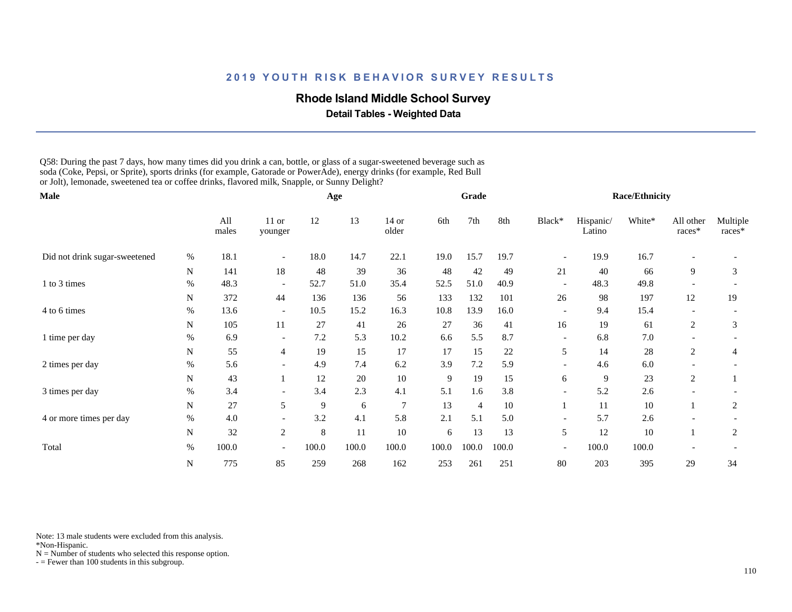#### **Rhode Island Middle School Survey**

 **Detail Tables - Weighted Data**

Q58: During the past 7 days, how many times did you drink a can, bottle, or glass of a sugar-sweetened beverage such as soda (Coke, Pepsi, or Sprite), sports drinks (for example, Gatorade or PowerAde), energy drinks (for example, Red Bull or Jolt), lemonade, sweetened tea or coffee drinks, flavored milk, Snapple, or Sunny Delight?

| Male                          |           |              |                          |       | Age   |                |       | Grade          |       |                          |                     | <b>Race/Ethnicity</b> |                          |                    |
|-------------------------------|-----------|--------------|--------------------------|-------|-------|----------------|-------|----------------|-------|--------------------------|---------------------|-----------------------|--------------------------|--------------------|
|                               |           | All<br>males | $11$ or<br>younger       | 12    | 13    | 14 or<br>older | 6th   | 7th            | 8th   | Black*                   | Hispanic/<br>Latino | White*                | All other<br>races*      | Multiple<br>races* |
| Did not drink sugar-sweetened | $\%$      | 18.1         |                          | 18.0  | 14.7  | 22.1           | 19.0  | 15.7           | 19.7  |                          | 19.9                | 16.7                  |                          |                    |
|                               | N         | 141          | 18                       | 48    | 39    | 36             | 48    | 42             | 49    | 21                       | 40                  | 66                    | 9                        | 3                  |
| 1 to 3 times                  | $\%$      | 48.3         | $\overline{\phantom{a}}$ | 52.7  | 51.0  | 35.4           | 52.5  | 51.0           | 40.9  | $\overline{\phantom{a}}$ | 48.3                | 49.8                  |                          |                    |
|                               | N         | 372          | 44                       | 136   | 136   | 56             | 133   | 132            | 101   | 26                       | 98                  | 197                   | 12                       | 19                 |
| 4 to 6 times                  | $\%$      | 13.6         | $\overline{\phantom{a}}$ | 10.5  | 15.2  | 16.3           | 10.8  | 13.9           | 16.0  | $\overline{\phantom{a}}$ | 9.4                 | 15.4                  |                          |                    |
|                               | N         | 105          | 11                       | 27    | 41    | 26             | 27    | 36             | 41    | 16                       | 19                  | 61                    | 2                        | 3                  |
| 1 time per day                | $\%$      | 6.9          | $\overline{\phantom{a}}$ | 7.2   | 5.3   | 10.2           | 6.6   | 5.5            | 8.7   | $\overline{\phantom{a}}$ | 6.8                 | 7.0                   |                          |                    |
|                               | N         | 55           | $\overline{4}$           | 19    | 15    | 17             | 17    | 15             | 22    | 5                        | 14                  | 28                    | 2                        | 4                  |
| 2 times per day               | $\%$      | 5.6          | $\overline{\phantom{a}}$ | 4.9   | 7.4   | 6.2            | 3.9   | 7.2            | 5.9   | $\overline{\phantom{a}}$ | 4.6                 | 6.0                   | $\overline{\phantom{0}}$ |                    |
|                               | N         | 43           |                          | 12    | 20    | $10\,$         | 9     | 19             | 15    | 6                        | 9                   | 23                    | 2                        |                    |
| 3 times per day               | %         | 3.4          |                          | 3.4   | 2.3   | 4.1            | 5.1   | 1.6            | 3.8   | $\overline{\phantom{a}}$ | 5.2                 | 2.6                   |                          |                    |
|                               | N         | $27\,$       | 5                        | 9     | 6     | $\overline{7}$ | 13    | $\overline{4}$ | 10    | $\mathbf{1}$             | 11                  | 10                    |                          | $\overline{2}$     |
| 4 or more times per day       | $\%$      | 4.0          |                          | 3.2   | 4.1   | 5.8            | 2.1   | 5.1            | 5.0   | $\overline{\phantom{0}}$ | 5.7                 | 2.6                   |                          |                    |
|                               | N         | 32           | $\overline{2}$           | 8     | 11    | 10             | 6     | 13             | 13    | 5 <sup>5</sup>           | 12                  | 10                    |                          | 2                  |
| Total                         | $\%$      | 100.0        | $\overline{\phantom{0}}$ | 100.0 | 100.0 | 100.0          | 100.0 | 100.0          | 100.0 | $\overline{\phantom{a}}$ | 100.0               | 100.0                 |                          |                    |
|                               | ${\bf N}$ | 775          | 85                       | 259   | 268   | 162            | 253   | 261            | 251   | 80                       | 203                 | 395                   | 29                       | 34                 |

Note: 13 male students were excluded from this analysis.

\*Non-Hispanic.

 $N =$  Number of students who selected this response option.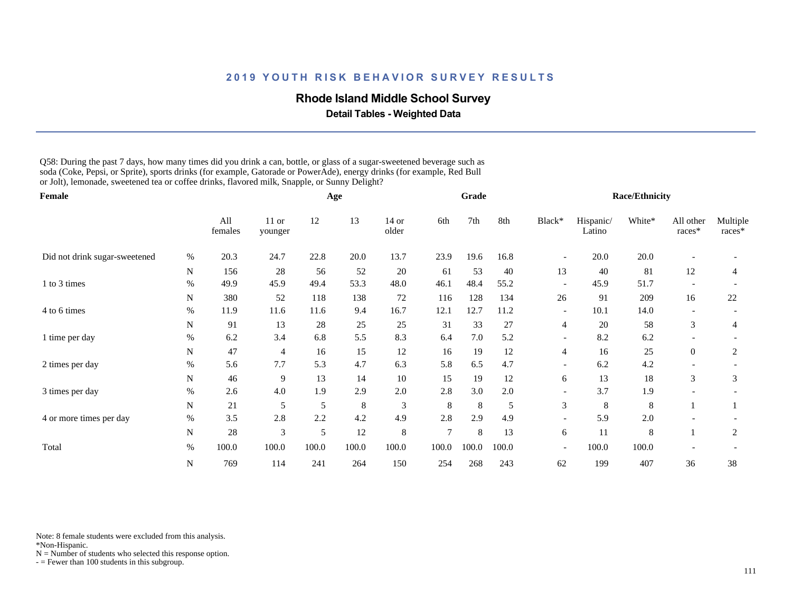#### **Rhode Island Middle School Survey**

 **Detail Tables - Weighted Data**

Q58: During the past 7 days, how many times did you drink a can, bottle, or glass of a sugar-sweetened beverage such as soda (Coke, Pepsi, or Sprite), sports drinks (for example, Gatorade or PowerAde), energy drinks (for example, Red Bull or Jolt), lemonade, sweetened tea or coffee drinks, flavored milk, Snapple, or Sunny Delight?

| Female                        |      |                |                    |       | Age     |                             |                | Grade |       |                          |                     | <b>Race/Ethnicity</b> |                          |                    |
|-------------------------------|------|----------------|--------------------|-------|---------|-----------------------------|----------------|-------|-------|--------------------------|---------------------|-----------------------|--------------------------|--------------------|
|                               |      | All<br>females | $11$ or<br>younger | 12    | 13      | $14$ or<br>older            | 6th            | 7th   | 8th   | Black*                   | Hispanic/<br>Latino | White*                | All other<br>races*      | Multiple<br>races* |
| Did not drink sugar-sweetened | $\%$ | 20.3           | 24.7               | 22.8  | 20.0    | 13.7                        | 23.9           | 19.6  | 16.8  |                          | 20.0                | 20.0                  |                          |                    |
|                               | N    | 156            | 28                 | 56    | 52      | 20                          | 61             | 53    | 40    | 13                       | 40                  | 81                    | 12                       | 4                  |
| 1 to 3 times                  | %    | 49.9           | 45.9               | 49.4  | 53.3    | 48.0                        | 46.1           | 48.4  | 55.2  | $\overline{\phantom{a}}$ | 45.9                | 51.7                  |                          |                    |
|                               | N    | 380            | 52                 | 118   | 138     | 72                          | 116            | 128   | 134   | 26                       | 91                  | 209                   | 16                       | 22                 |
| 4 to 6 times                  | $\%$ | 11.9           | 11.6               | 11.6  | 9.4     | 16.7                        | 12.1           | 12.7  | 11.2  | $\overline{\phantom{a}}$ | 10.1                | 14.0                  | $\overline{\phantom{a}}$ |                    |
|                               | N    | 91             | 13                 | 28    | 25      | 25                          | 31             | 33    | 27    | 4                        | 20                  | 58                    | 3                        | 4                  |
| 1 time per day                | $\%$ | 6.2            | 3.4                | 6.8   | 5.5     | 8.3                         | 6.4            | 7.0   | 5.2   | $\overline{\phantom{a}}$ | 8.2                 | 6.2                   |                          |                    |
|                               | N    | 47             | $\overline{4}$     | 16    | 15      | 12                          | 16             | 19    | 12    | 4                        | 16                  | 25                    | $\overline{0}$           | $\overline{2}$     |
| 2 times per day               | $\%$ | 5.6            | 7.7                | 5.3   | 4.7     | 6.3                         | 5.8            | 6.5   | 4.7   | $\overline{\phantom{a}}$ | 6.2                 | 4.2                   |                          |                    |
|                               | N    | 46             | 9                  | 13    | 14      | $10\,$                      | 15             | 19    | 12    | 6                        | 13                  | 18                    | 3                        | 3                  |
| 3 times per day               | $\%$ | 2.6            | 4.0                | 1.9   | 2.9     | 2.0                         | 2.8            | 3.0   | 2.0   | $\overline{\phantom{0}}$ | 3.7                 | 1.9                   |                          |                    |
|                               | N    | 21             | 5                  | 5     | $\,8\,$ | $\ensuremath{\mathfrak{Z}}$ | 8              | 8     | 5     | 3                        | 8                   | 8                     |                          |                    |
| 4 or more times per day       | $\%$ | 3.5            | 2.8                | 2.2   | 4.2     | 4.9                         | 2.8            | 2.9   | 4.9   |                          | 5.9                 | $2.0\,$               |                          |                    |
|                               | N    | 28             | 3                  | 5     | 12      | $\,8\,$                     | $\overline{7}$ | 8     | 13    | 6                        | 11                  | 8                     |                          | 2                  |
| Total                         | $\%$ | 100.0          | 100.0              | 100.0 | 100.0   | 100.0                       | 100.0          | 100.0 | 100.0 | $\overline{\phantom{a}}$ | 100.0               | 100.0                 |                          |                    |
|                               | N    | 769            | 114                | 241   | 264     | 150                         | 254            | 268   | 243   | 62                       | 199                 | 407                   | 36                       | 38                 |

Note: 8 female students were excluded from this analysis.

\*Non-Hispanic.

 $N =$  Number of students who selected this response option.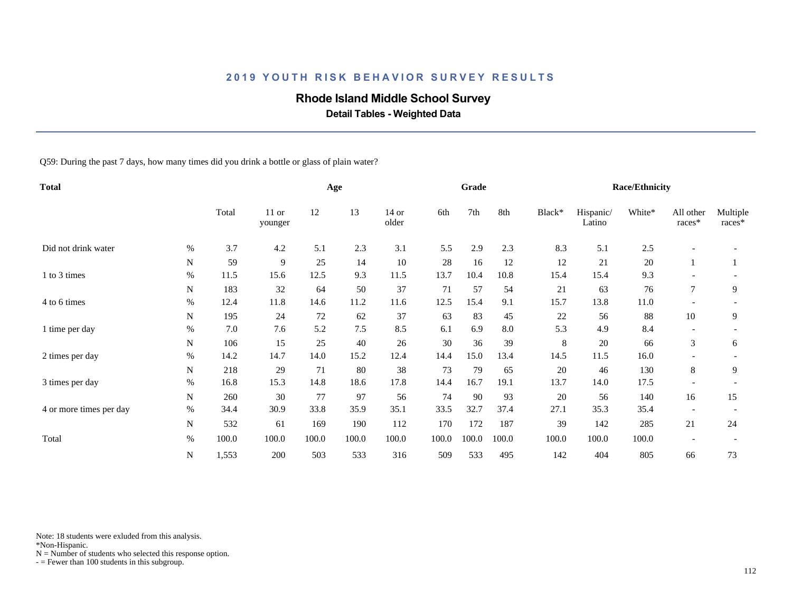## **Rhode Island Middle School Survey**

 **Detail Tables - Weighted Data**

Q59: During the past 7 days, how many times did you drink a bottle or glass of plain water?

| <b>Total</b>            |      |         |                    |       | Age   |                  |       | Grade |       |        |                     | <b>Race/Ethnicity</b> |                          |                    |
|-------------------------|------|---------|--------------------|-------|-------|------------------|-------|-------|-------|--------|---------------------|-----------------------|--------------------------|--------------------|
|                         |      | Total   | $11$ or<br>younger | 12    | 13    | $14$ or<br>older | 6th   | 7th   | 8th   | Black* | Hispanic/<br>Latino | White*                | All other<br>races*      | Multiple<br>races* |
| Did not drink water     | %    | 3.7     | 4.2                | 5.1   | 2.3   | 3.1              | 5.5   | 2.9   | 2.3   | 8.3    | 5.1                 | 2.5                   |                          |                    |
|                         | N    | 59      | 9                  | 25    | 14    | $10\,$           | 28    | 16    | 12    | 12     | 21                  | 20                    |                          |                    |
| 1 to 3 times            | $\%$ | 11.5    | 15.6               | 12.5  | 9.3   | 11.5             | 13.7  | 10.4  | 10.8  | 15.4   | 15.4                | 9.3                   |                          |                    |
|                         | N    | 183     | 32                 | 64    | 50    | 37               | 71    | 57    | 54    | 21     | 63                  | 76                    | $\tau$                   | 9                  |
| 4 to 6 times            | $\%$ | 12.4    | 11.8               | 14.6  | 11.2  | 11.6             | 12.5  | 15.4  | 9.1   | 15.7   | 13.8                | 11.0                  |                          |                    |
|                         | N    | 195     | 24                 | 72    | 62    | 37               | 63    | 83    | 45    | 22     | 56                  | 88                    | 10                       | 9                  |
| 1 time per day          | $\%$ | $7.0\,$ | 7.6                | 5.2   | 7.5   | 8.5              | 6.1   | 6.9   | 8.0   | 5.3    | 4.9                 | 8.4                   |                          |                    |
|                         | N    | 106     | 15                 | 25    | 40    | 26               | 30    | 36    | 39    | 8      | 20                  | 66                    | 3                        | 6                  |
| 2 times per day         | %    | 14.2    | 14.7               | 14.0  | 15.2  | 12.4             | 14.4  | 15.0  | 13.4  | 14.5   | 11.5                | 16.0                  |                          |                    |
|                         | N    | 218     | 29                 | 71    | 80    | 38               | 73    | 79    | 65    | 20     | 46                  | 130                   | 8                        | 9                  |
| 3 times per day         | $\%$ | 16.8    | 15.3               | 14.8  | 18.6  | 17.8             | 14.4  | 16.7  | 19.1  | 13.7   | 14.0                | 17.5                  | $\overline{\phantom{0}}$ |                    |
|                         | N    | 260     | 30                 | 77    | 97    | 56               | 74    | 90    | 93    | 20     | 56                  | 140                   | 16                       | 15                 |
| 4 or more times per day | $\%$ | 34.4    | 30.9               | 33.8  | 35.9  | 35.1             | 33.5  | 32.7  | 37.4  | 27.1   | 35.3                | 35.4                  | $\overline{\phantom{0}}$ |                    |
|                         | N    | 532     | 61                 | 169   | 190   | 112              | 170   | 172   | 187   | 39     | 142                 | 285                   | 21                       | 24                 |
| Total                   | $\%$ | 100.0   | 100.0              | 100.0 | 100.0 | 100.0            | 100.0 | 100.0 | 100.0 | 100.0  | 100.0               | 100.0                 |                          |                    |
|                         | N    | 1,553   | 200                | 503   | 533   | 316              | 509   | 533   | 495   | 142    | 404                 | 805                   | 66                       | 73                 |

Note: 18 students were exluded from this analysis.

\*Non-Hispanic.

 $N =$  Number of students who selected this response option.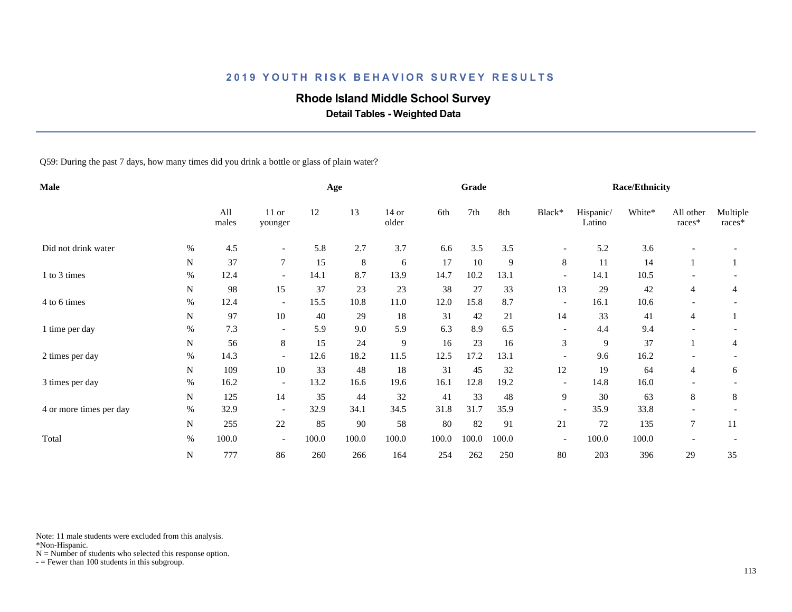# **Rhode Island Middle School Survey**

 **Detail Tables - Weighted Data**

Q59: During the past 7 days, how many times did you drink a bottle or glass of plain water?

| Male                    |      |              |                          |       | Age   |                  |        | Grade |       |                          |                     | <b>Race/Ethnicity</b> |                     |                    |
|-------------------------|------|--------------|--------------------------|-------|-------|------------------|--------|-------|-------|--------------------------|---------------------|-----------------------|---------------------|--------------------|
|                         |      | All<br>males | $11$ or<br>younger       | 12    | 13    | $14$ or<br>older | 6th    | 7th   | 8th   | Black*                   | Hispanic/<br>Latino | White*                | All other<br>races* | Multiple<br>races* |
| Did not drink water     | %    | 4.5          | $\overline{\phantom{a}}$ | 5.8   | 2.7   | 3.7              | 6.6    | 3.5   | 3.5   | $\overline{\phantom{a}}$ | 5.2                 | 3.6                   |                     |                    |
|                         | N    | 37           | $\tau$                   | 15    | 8     | 6                | 17     | 10    | 9     | 8                        | 11                  | 14                    |                     |                    |
| 1 to 3 times            | $\%$ | 12.4         | $\overline{\phantom{a}}$ | 14.1  | 8.7   | 13.9             | 14.7   | 10.2  | 13.1  | $\overline{\phantom{a}}$ | 14.1                | 10.5                  |                     |                    |
|                         | N    | 98           | 15                       | 37    | 23    | 23               | 38     | 27    | 33    | 13                       | 29                  | 42                    | $\overline{4}$      | 4                  |
| 4 to 6 times            | $\%$ | 12.4         | $\overline{\phantom{a}}$ | 15.5  | 10.8  | 11.0             | 12.0   | 15.8  | 8.7   | $\overline{\phantom{a}}$ | 16.1                | 10.6                  |                     |                    |
|                         | N    | 97           | 10                       | 40    | 29    | 18               | 31     | 42    | 21    | 14                       | 33                  | 41                    | $\overline{4}$      |                    |
| 1 time per day          | $\%$ | 7.3          | $\overline{\phantom{a}}$ | 5.9   | 9.0   | 5.9              | 6.3    | 8.9   | 6.5   | $\overline{\phantom{a}}$ | 4.4                 | 9.4                   |                     |                    |
|                         | N    | 56           | 8                        | 15    | 24    | $\overline{9}$   | 16     | 23    | 16    | 3                        | 9                   | 37                    |                     | 4                  |
| 2 times per day         | %    | 14.3         | $\overline{\phantom{a}}$ | 12.6  | 18.2  | 11.5             | 12.5   | 17.2  | 13.1  | $\overline{\phantom{a}}$ | 9.6                 | 16.2                  |                     |                    |
|                         | N    | 109          | 10                       | 33    | 48    | 18               | 31     | 45    | 32    | 12                       | 19                  | 64                    | 4                   | 6                  |
| 3 times per day         | $\%$ | 16.2         | $\overline{\phantom{a}}$ | 13.2  | 16.6  | 19.6             | 16.1   | 12.8  | 19.2  | $\overline{\phantom{a}}$ | 14.8                | 16.0                  |                     |                    |
|                         | N    | 125          | 14                       | 35    | 44    | 32               | 41     | 33    | 48    | 9                        | 30                  | 63                    | 8                   | 8                  |
| 4 or more times per day | $\%$ | 32.9         | $\overline{\phantom{a}}$ | 32.9  | 34.1  | 34.5             | 31.8   | 31.7  | 35.9  | $\overline{\phantom{0}}$ | 35.9                | 33.8                  |                     |                    |
|                         | N    | 255          | 22                       | 85    | 90    | 58               | $80\,$ | 82    | 91    | 21                       | 72                  | 135                   | $\overline{7}$      | 11                 |
| Total                   | $\%$ | 100.0        | $\overline{\phantom{a}}$ | 100.0 | 100.0 | 100.0            | 100.0  | 100.0 | 100.0 | $\overline{\phantom{a}}$ | 100.0               | 100.0                 |                     |                    |
|                         | N    | 777          | 86                       | 260   | 266   | 164              | 254    | 262   | 250   | 80                       | 203                 | 396                   | 29                  | 35                 |

Note: 11 male students were excluded from this analysis.

\*Non-Hispanic.

 $N =$  Number of students who selected this response option.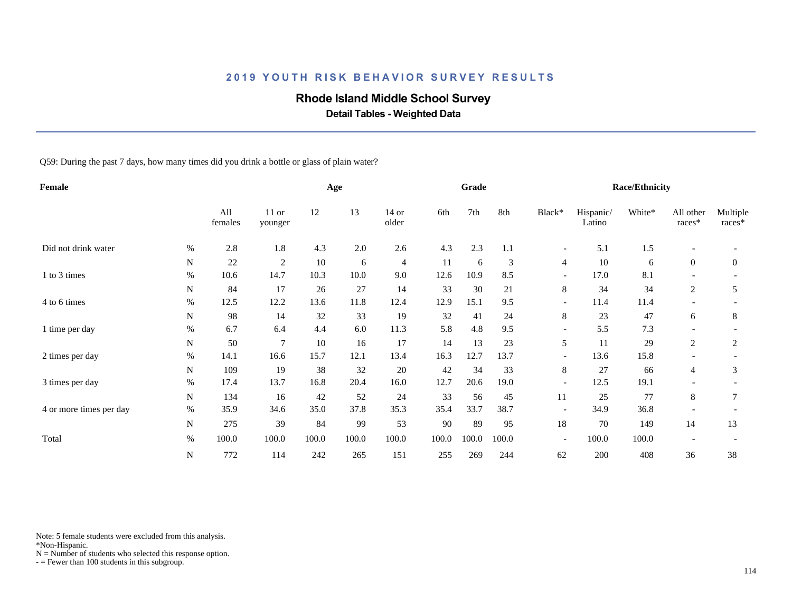# **Rhode Island Middle School Survey**

 **Detail Tables - Weighted Data**

Q59: During the past 7 days, how many times did you drink a bottle or glass of plain water?

| Female                  |             |                |                    |       | Age   |                  |       | Grade |       |                          |                     | <b>Race/Ethnicity</b> |                          |                    |
|-------------------------|-------------|----------------|--------------------|-------|-------|------------------|-------|-------|-------|--------------------------|---------------------|-----------------------|--------------------------|--------------------|
|                         |             | All<br>females | $11$ or<br>younger | 12    | 13    | $14$ or<br>older | 6th   | 7th   | 8th   | Black*                   | Hispanic/<br>Latino | White*                | All other<br>races*      | Multiple<br>races* |
| Did not drink water     | %           | 2.8            | 1.8                | 4.3   | 2.0   | 2.6              | 4.3   | 2.3   | 1.1   | $\overline{\phantom{a}}$ | 5.1                 | 1.5                   | $\overline{\phantom{a}}$ |                    |
|                         | N           | 22             | $\overline{2}$     | 10    | 6     | $\overline{4}$   | 11    | 6     | 3     | 4                        | 10                  | 6                     | $\overline{0}$           | $\boldsymbol{0}$   |
| 1 to 3 times            | $\%$        | 10.6           | 14.7               | 10.3  | 10.0  | 9.0              | 12.6  | 10.9  | 8.5   | $\overline{\phantom{a}}$ | 17.0                | 8.1                   |                          |                    |
|                         | N           | 84             | 17                 | 26    | 27    | 14               | 33    | 30    | 21    | 8                        | 34                  | 34                    | 2                        | 5                  |
| 4 to 6 times            | %           | 12.5           | 12.2               | 13.6  | 11.8  | 12.4             | 12.9  | 15.1  | 9.5   | $\overline{\phantom{a}}$ | 11.4                | 11.4                  |                          |                    |
|                         | N           | 98             | 14                 | 32    | 33    | 19               | 32    | 41    | 24    | 8                        | 23                  | 47                    | 6                        | 8                  |
| 1 time per day          | $\%$        | 6.7            | 6.4                | 4.4   | 6.0   | 11.3             | 5.8   | 4.8   | 9.5   | $\overline{\phantom{a}}$ | 5.5                 | 7.3                   |                          |                    |
|                         | N           | 50             | $\overline{7}$     | 10    | 16    | 17               | 14    | 13    | 23    | 5                        | 11                  | 29                    | $\overline{c}$           | 2                  |
| 2 times per day         | $\%$        | 14.1           | 16.6               | 15.7  | 12.1  | 13.4             | 16.3  | 12.7  | 13.7  | $\overline{\phantom{a}}$ | 13.6                | 15.8                  |                          |                    |
|                         | N           | 109            | 19                 | 38    | 32    | 20               | 42    | 34    | 33    | $\,8\,$                  | 27                  | 66                    | $\overline{4}$           | 3                  |
| 3 times per day         | $\%$        | 17.4           | 13.7               | 16.8  | 20.4  | 16.0             | 12.7  | 20.6  | 19.0  | $\overline{\phantom{a}}$ | 12.5                | 19.1                  |                          |                    |
|                         | $\mathbf N$ | 134            | 16                 | 42    | 52    | 24               | 33    | 56    | 45    | 11                       | 25                  | 77                    | 8                        | 7                  |
| 4 or more times per day | $\%$        | 35.9           | 34.6               | 35.0  | 37.8  | 35.3             | 35.4  | 33.7  | 38.7  | $\overline{\phantom{a}}$ | 34.9                | 36.8                  |                          |                    |
|                         | N           | 275            | 39                 | 84    | 99    | 53               | 90    | 89    | 95    | 18                       | 70                  | 149                   | 14                       | 13                 |
| Total                   | $\%$        | 100.0          | 100.0              | 100.0 | 100.0 | 100.0            | 100.0 | 100.0 | 100.0 | $\overline{\phantom{a}}$ | 100.0               | 100.0                 |                          |                    |
|                         | N           | 772            | 114                | 242   | 265   | 151              | 255   | 269   | 244   | 62                       | 200                 | 408                   | 36                       | 38                 |

Note: 5 female students were excluded from this analysis.

\*Non-Hispanic.

 $N =$  Number of students who selected this response option.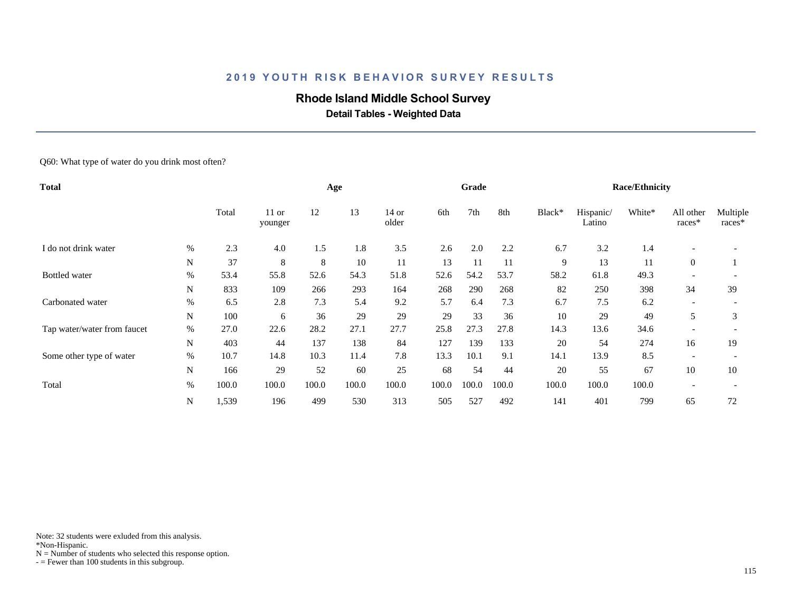### **Rhode Island Middle School Survey**

 **Detail Tables - Weighted Data**

Q60: What type of water do you drink most often?

| <b>Total</b>                |             |       |                    |       | Age   |                |       | Grade |       |        |                     | <b>Race/Ethnicity</b> |                          |                    |
|-----------------------------|-------------|-------|--------------------|-------|-------|----------------|-------|-------|-------|--------|---------------------|-----------------------|--------------------------|--------------------|
|                             |             | Total | $11$ or<br>younger | 12    | 13    | 14 or<br>older | 6th   | 7th   | 8th   | Black* | Hispanic/<br>Latino | White*                | All other<br>races*      | Multiple<br>races* |
| I do not drink water        | %           | 2.3   | 4.0                | 1.5   | 1.8   | 3.5            | 2.6   | 2.0   | 2.2   | 6.7    | 3.2                 | 1.4                   |                          |                    |
|                             | N           | 37    | 8                  | 8     | 10    | 11             | 13    | 11    | 11    | 9      | 13                  | 11                    | $\overline{0}$           |                    |
| <b>Bottled</b> water        | $\%$        | 53.4  | 55.8               | 52.6  | 54.3  | 51.8           | 52.6  | 54.2  | 53.7  | 58.2   | 61.8                | 49.3                  | $\overline{\phantom{a}}$ |                    |
|                             | N           | 833   | 109                | 266   | 293   | 164            | 268   | 290   | 268   | 82     | 250                 | 398                   | 34                       | 39                 |
| Carbonated water            | $\%$        | 6.5   | 2.8                | 7.3   | 5.4   | 9.2            | 5.7   | 6.4   | 7.3   | 6.7    | 7.5                 | 6.2                   | $\overline{\phantom{a}}$ |                    |
|                             | N           | 100   | 6                  | 36    | 29    | 29             | 29    | 33    | 36    | 10     | 29                  | 49                    | 5                        | 3                  |
| Tap water/water from faucet | $\%$        | 27.0  | 22.6               | 28.2  | 27.1  | 27.7           | 25.8  | 27.3  | 27.8  | 14.3   | 13.6                | 34.6                  |                          |                    |
|                             | $\mathbf N$ | 403   | 44                 | 137   | 138   | 84             | 127   | 139   | 133   | 20     | 54                  | 274                   | 16                       | 19                 |
| Some other type of water    | %           | 10.7  | 14.8               | 10.3  | 11.4  | 7.8            | 13.3  | 10.1  | 9.1   | 14.1   | 13.9                | 8.5                   | $\overline{\phantom{a}}$ |                    |
|                             | N           | 166   | 29                 | 52    | 60    | 25             | 68    | 54    | 44    | 20     | 55                  | 67                    | 10                       | 10                 |
| Total                       | $\%$        | 100.0 | 100.0              | 100.0 | 100.0 | 100.0          | 100.0 | 100.0 | 100.0 | 100.0  | 100.0               | 100.0                 | $\overline{\phantom{a}}$ |                    |
|                             | N           | 1,539 | 196                | 499   | 530   | 313            | 505   | 527   | 492   | 141    | 401                 | 799                   | 65                       | 72                 |

Note: 32 students were exluded from this analysis.

\*Non-Hispanic.

 $N =$  Number of students who selected this response option.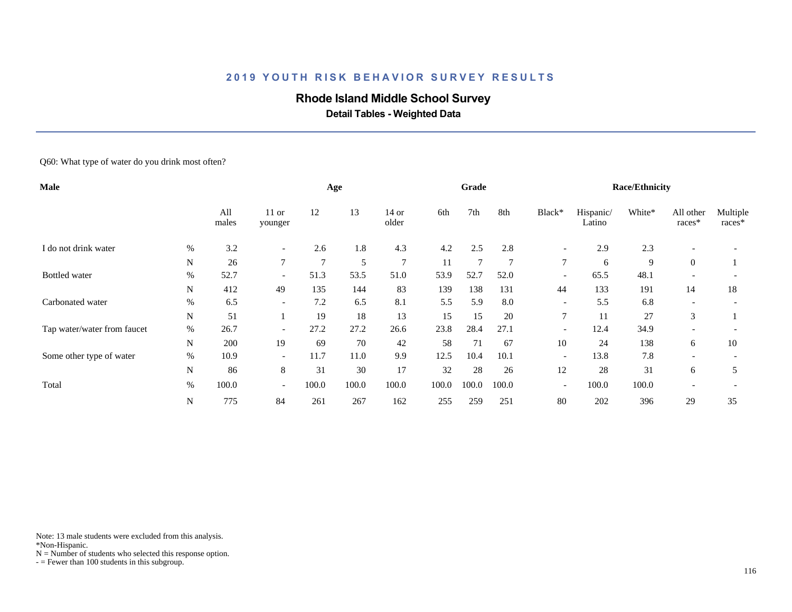### **Rhode Island Middle School Survey**

 **Detail Tables - Weighted Data**

Q60: What type of water do you drink most often?

| Male                        |      |              |                          |               | Age   |                |       | Grade  |                |                          |                     | <b>Race/Ethnicity</b> |                          |                    |
|-----------------------------|------|--------------|--------------------------|---------------|-------|----------------|-------|--------|----------------|--------------------------|---------------------|-----------------------|--------------------------|--------------------|
|                             |      | All<br>males | $11$ or<br>younger       | 12            | 13    | 14 or<br>older | 6th   | 7th    | 8th            | Black*                   | Hispanic/<br>Latino | White*                | All other<br>races*      | Multiple<br>races* |
| I do not drink water        | %    | 3.2          | $\overline{\phantom{0}}$ | 2.6           | 1.8   | 4.3            | 4.2   | 2.5    | 2.8            | $\overline{\phantom{a}}$ | 2.9                 | 2.3                   | $\overline{\phantom{a}}$ |                    |
|                             | N    | 26           | $\tau$                   | $\mathcal{I}$ | 5     | $\overline{7}$ | 11    | $\tau$ | $\overline{7}$ | $\tau$                   | 6                   | 9                     | $\overline{0}$           |                    |
| <b>Bottled</b> water        | $\%$ | 52.7         | $\overline{\phantom{a}}$ | 51.3          | 53.5  | 51.0           | 53.9  | 52.7   | 52.0           | $\overline{\phantom{a}}$ | 65.5                | 48.1                  |                          |                    |
|                             | N    | 412          | 49                       | 135           | 144   | 83             | 139   | 138    | 131            | 44                       | 133                 | 191                   | 14                       | 18                 |
| Carbonated water            | %    | 6.5          | $\overline{\phantom{a}}$ | 7.2           | 6.5   | 8.1            | 5.5   | 5.9    | 8.0            | $\overline{\phantom{a}}$ | 5.5                 | 6.8                   | $\overline{\phantom{a}}$ |                    |
|                             | N    | 51           |                          | 19            | 18    | 13             | 15    | 15     | 20             | 7                        | 11                  | 27                    | 3                        |                    |
| Tap water/water from faucet | %    | 26.7         | $\overline{\phantom{a}}$ | 27.2          | 27.2  | 26.6           | 23.8  | 28.4   | 27.1           | $\overline{\phantom{0}}$ | 12.4                | 34.9                  | $\overline{\phantom{a}}$ |                    |
|                             | N    | 200          | 19                       | 69            | 70    | 42             | 58    | 71     | 67             | 10                       | 24                  | 138                   | 6                        | 10                 |
| Some other type of water    | $\%$ | 10.9         | $\overline{\phantom{a}}$ | 11.7          | 11.0  | 9.9            | 12.5  | 10.4   | 10.1           | $\overline{\phantom{a}}$ | 13.8                | 7.8                   | $\overline{\phantom{a}}$ |                    |
|                             | N    | 86           | 8                        | 31            | 30    | 17             | 32    | 28     | 26             | 12                       | 28                  | 31                    | 6                        | 5                  |
| Total                       | $\%$ | 100.0        | $\overline{\phantom{a}}$ | 100.0         | 100.0 | 100.0          | 100.0 | 100.0  | 100.0          | $\overline{\phantom{a}}$ | 100.0               | 100.0                 | $\overline{\phantom{a}}$ |                    |
|                             | N    | 775          | 84                       | 261           | 267   | 162            | 255   | 259    | 251            | 80                       | 202                 | 396                   | 29                       | 35                 |

Note: 13 male students were excluded from this analysis.

\*Non-Hispanic.

 $N =$  Number of students who selected this response option.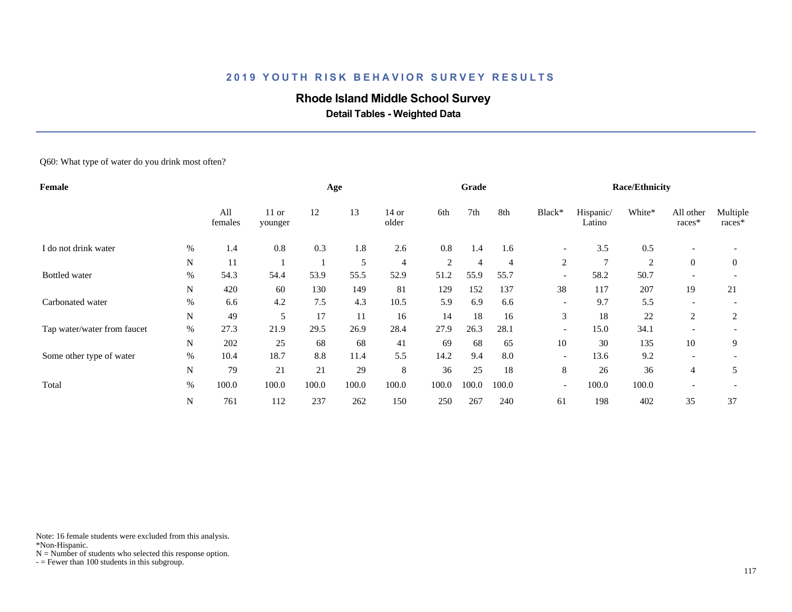### **Rhode Island Middle School Survey**

 **Detail Tables - Weighted Data**

Q60: What type of water do you drink most often?

| <b>Female</b>               |      |                |                    | Age   |       |                | Grade          |                |                |                          | <b>Race/Ethnicity</b> |                |                          |                    |
|-----------------------------|------|----------------|--------------------|-------|-------|----------------|----------------|----------------|----------------|--------------------------|-----------------------|----------------|--------------------------|--------------------|
|                             |      | All<br>females | $11$ or<br>younger | 12    | 13    | 14 or<br>older | 6th            | 7th            | 8th            | Black*                   | Hispanic/<br>Latino   | White*         | All other<br>races*      | Multiple<br>races* |
| I do not drink water        | %    | 1.4            | 0.8                | 0.3   | 1.8   | 2.6            | 0.8            | 1.4            | 1.6            | $\overline{\phantom{a}}$ | 3.5                   | 0.5            | $\overline{\phantom{a}}$ |                    |
|                             | N    | 11             |                    |       | 5     | $\overline{4}$ | $\overline{2}$ | $\overline{4}$ | $\overline{4}$ | 2                        | $\tau$                | $\overline{2}$ | $\mathbf{0}$             | $\theta$           |
| <b>Bottled</b> water        | $\%$ | 54.3           | 54.4               | 53.9  | 55.5  | 52.9           | 51.2           | 55.9           | 55.7           | $\overline{\phantom{a}}$ | 58.2                  | 50.7           | $\overline{\phantom{a}}$ |                    |
|                             | N    | 420            | 60                 | 130   | 149   | 81             | 129            | 152            | 137            | 38                       | 117                   | 207            | 19                       | 21                 |
| Carbonated water            | %    | 6.6            | 4.2                | 7.5   | 4.3   | 10.5           | 5.9            | 6.9            | 6.6            | $\overline{\phantom{a}}$ | 9.7                   | 5.5            | $\overline{\phantom{a}}$ |                    |
|                             | N    | 49             | 5                  | 17    | 11    | 16             | 14             | 18             | 16             | 3                        | 18                    | 22             | 2                        | 2                  |
| Tap water/water from faucet | $\%$ | 27.3           | 21.9               | 29.5  | 26.9  | 28.4           | 27.9           | 26.3           | 28.1           | $\overline{\phantom{a}}$ | 15.0                  | 34.1           |                          |                    |
|                             | N    | 202            | 25                 | 68    | 68    | 41             | 69             | 68             | 65             | 10                       | 30                    | 135            | 10                       | 9                  |
| Some other type of water    | $\%$ | 10.4           | 18.7               | 8.8   | 11.4  | 5.5            | 14.2           | 9.4            | 8.0            | $\overline{\phantom{a}}$ | 13.6                  | 9.2            |                          |                    |
|                             | N    | 79             | 21                 | 21    | 29    | 8              | 36             | 25             | 18             | 8                        | 26                    | 36             | 4                        | 5                  |
| Total                       | $\%$ | 100.0          | 100.0              | 100.0 | 100.0 | 100.0          | 100.0          | 100.0          | 100.0          | $\overline{\phantom{a}}$ | 100.0                 | 100.0          |                          |                    |
|                             | N    | 761            | 112                | 237   | 262   | 150            | 250            | 267            | 240            | 61                       | 198                   | 402            | 35                       | 37                 |

Note: 16 female students were excluded from this analysis.

\*Non-Hispanic.

 $N =$  Number of students who selected this response option.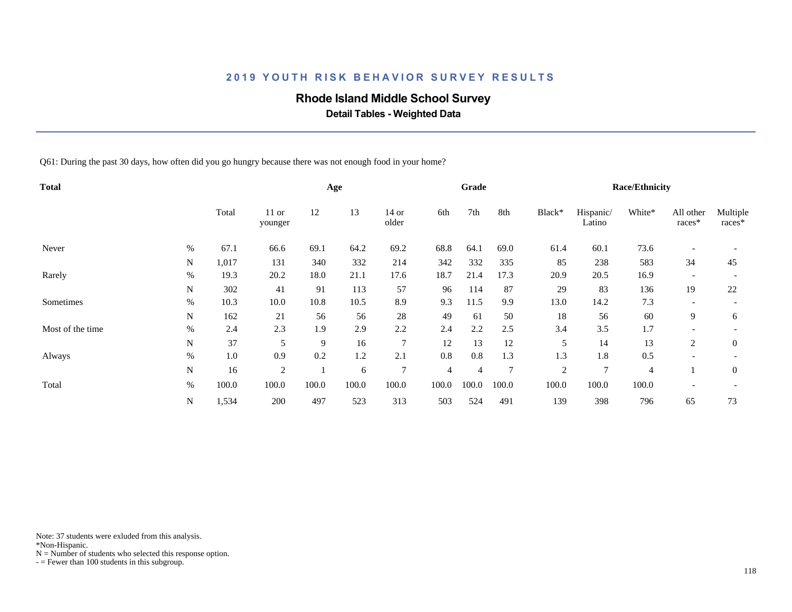#### **Rhode Island Middle School Survey**

 **Detail Tables - Weighted Data**

Q61: During the past 30 days, how often did you go hungry because there was not enough food in your home?

| <b>Total</b>     |      |         |                    |       | Age   |                  |                | Grade          |                |                |                     | <b>Race/Ethnicity</b> |                          |                    |
|------------------|------|---------|--------------------|-------|-------|------------------|----------------|----------------|----------------|----------------|---------------------|-----------------------|--------------------------|--------------------|
|                  |      | Total   | $11$ or<br>younger | 12    | 13    | $14$ or<br>older | 6th            | 7th            | 8th            | Black*         | Hispanic/<br>Latino | White*                | All other<br>races*      | Multiple<br>races* |
| Never            | $\%$ | 67.1    | 66.6               | 69.1  | 64.2  | 69.2             | 68.8           | 64.1           | 69.0           | 61.4           | 60.1                | 73.6                  | $\overline{\phantom{a}}$ |                    |
|                  | N    | 1,017   | 131                | 340   | 332   | 214              | 342            | 332            | 335            | 85             | 238                 | 583                   | 34                       | 45                 |
| Rarely           | %    | 19.3    | 20.2               | 18.0  | 21.1  | 17.6             | 18.7           | 21.4           | 17.3           | 20.9           | 20.5                | 16.9                  | $\overline{\phantom{a}}$ |                    |
|                  | N    | 302     | 41                 | 91    | 113   | 57               | 96             | 114            | 87             | 29             | 83                  | 136                   | 19                       | 22                 |
| Sometimes        | $\%$ | 10.3    | 10.0               | 10.8  | 10.5  | 8.9              | 9.3            | 11.5           | 9.9            | 13.0           | 14.2                | 7.3                   | $\overline{\phantom{a}}$ |                    |
|                  | N    | 162     | 21                 | 56    | 56    | 28               | 49             | 61             | 50             | 18             | 56                  | 60                    | 9                        | 6                  |
| Most of the time | $\%$ | 2.4     | 2.3                | 1.9   | 2.9   | 2.2              | 2.4            | 2.2            | 2.5            | 3.4            | 3.5                 | 1.7                   |                          |                    |
|                  | N    | 37      | 5                  | 9     | 16    | $\overline{7}$   | 12             | 13             | 12             | 5              | 14                  | 13                    | 2                        | $\overline{0}$     |
| Always           | $\%$ | $1.0\,$ | 0.9                | 0.2   | 1.2   | 2.1              | 0.8            | 0.8            | 1.3            | 1.3            | 1.8                 | 0.5                   | $\overline{\phantom{a}}$ |                    |
|                  | N    | 16      | $\overline{2}$     |       | 6     | $\tau$           | $\overline{4}$ | $\overline{4}$ | $\overline{7}$ | $\overline{2}$ | 7                   | $\overline{4}$        |                          | $\theta$           |
| Total            | %    | 100.0   | 100.0              | 100.0 | 100.0 | 100.0            | 100.0          | 100.0          | 100.0          | 100.0          | 100.0               | 100.0                 | $\overline{\phantom{a}}$ |                    |
|                  | N    | 1,534   | 200                | 497   | 523   | 313              | 503            | 524            | 491            | 139            | 398                 | 796                   | 65                       | 73                 |

Note: 37 students were exluded from this analysis.

\*Non-Hispanic.

 $N =$  Number of students who selected this response option.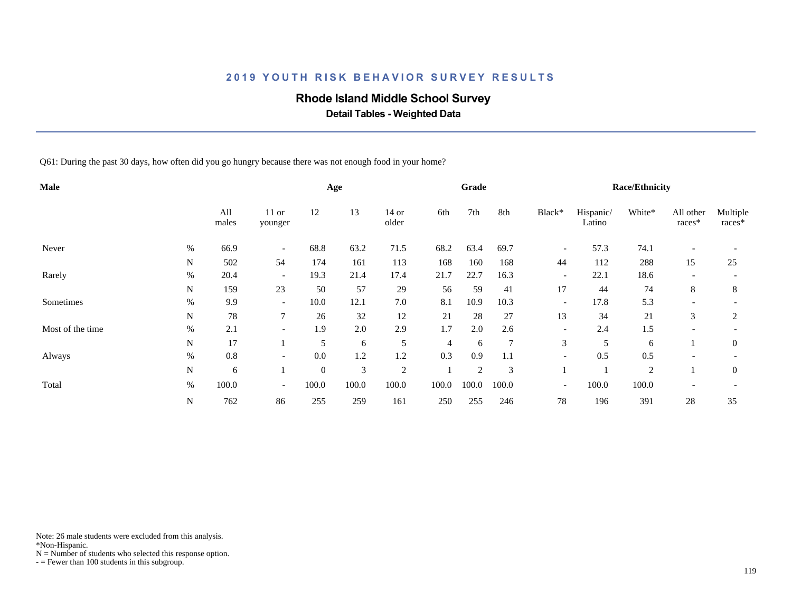#### **Rhode Island Middle School Survey**

 **Detail Tables - Weighted Data**

Q61: During the past 30 days, how often did you go hungry because there was not enough food in your home?

| Male             |      |              |                          |              | Age   |                  |                | Grade          |                |                          |                     | <b>Race/Ethnicity</b> |                          |                    |
|------------------|------|--------------|--------------------------|--------------|-------|------------------|----------------|----------------|----------------|--------------------------|---------------------|-----------------------|--------------------------|--------------------|
|                  |      | All<br>males | 11 or<br>younger         | 12           | 13    | $14$ or<br>older | 6th            | 7th            | 8th            | Black*                   | Hispanic/<br>Latino | White*                | All other<br>races*      | Multiple<br>races* |
| Never            | $\%$ | 66.9         | $\overline{\phantom{a}}$ | 68.8         | 63.2  | 71.5             | 68.2           | 63.4           | 69.7           | $\overline{\phantom{a}}$ | 57.3                | 74.1                  |                          |                    |
|                  | N    | 502          | 54                       | 174          | 161   | 113              | 168            | 160            | 168            | 44                       | 112                 | 288                   | 15                       | 25                 |
| Rarely           | $\%$ | 20.4         | $\overline{\phantom{0}}$ | 19.3         | 21.4  | 17.4             | 21.7           | 22.7           | 16.3           | $\overline{\phantom{a}}$ | 22.1                | 18.6                  | $\overline{\phantom{a}}$ |                    |
|                  | N    | 159          | 23                       | 50           | 57    | 29               | 56             | 59             | 41             | 17                       | 44                  | 74                    | 8                        | 8                  |
| Sometimes        | $\%$ | 9.9          | $\overline{\phantom{a}}$ | 10.0         | 12.1  | $7.0\,$          | 8.1            | 10.9           | 10.3           | $\overline{\phantom{a}}$ | 17.8                | 5.3                   | $\overline{\phantom{a}}$ |                    |
|                  | N    | 78           | $\overline{7}$           | 26           | 32    | 12               | 21             | 28             | 27             | 13                       | 34                  | 21                    | 3                        | 2                  |
| Most of the time | $\%$ | 2.1          | $\overline{\phantom{a}}$ | 1.9          | 2.0   | 2.9              | 1.7            | 2.0            | 2.6            | $\overline{\phantom{a}}$ | 2.4                 | 1.5                   |                          |                    |
|                  | N    | 17           |                          | 5            | 6     | 5                | $\overline{4}$ | 6              | $\overline{7}$ | 3                        | 5                   | 6                     |                          | $\theta$           |
| Always           | %    | 0.8          | $\overline{\phantom{a}}$ | 0.0          | 1.2   | 1.2              | 0.3            | 0.9            | 1.1            | $\overline{\phantom{a}}$ | 0.5                 | 0.5                   |                          |                    |
|                  | N    | 6            |                          | $\mathbf{0}$ | 3     | $\overline{2}$   |                | $\mathfrak{2}$ | 3              |                          |                     | $\overline{2}$        |                          | $\overline{0}$     |
| Total            | $\%$ | 100.0        | $\overline{\phantom{0}}$ | 100.0        | 100.0 | 100.0            | 100.0          | 100.0          | 100.0          | $\overline{\phantom{a}}$ | 100.0               | 100.0                 |                          |                    |
|                  | N    | 762          | 86                       | 255          | 259   | 161              | 250            | 255            | 246            | 78                       | 196                 | 391                   | 28                       | 35                 |

Note: 26 male students were excluded from this analysis.

\*Non-Hispanic.

 $N =$  Number of students who selected this response option.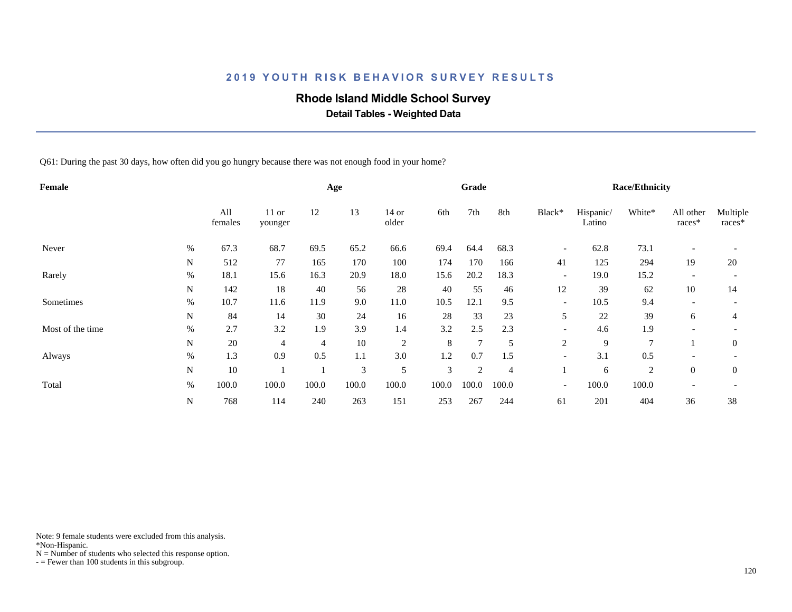## **Rhode Island Middle School Survey**

 **Detail Tables - Weighted Data**

Q61: During the past 30 days, how often did you go hungry because there was not enough food in your home?

| Female           |             |                |                    |       | Age   |                |       | Grade          |                |                          |                     | <b>Race/Ethnicity</b> |                          |                    |
|------------------|-------------|----------------|--------------------|-------|-------|----------------|-------|----------------|----------------|--------------------------|---------------------|-----------------------|--------------------------|--------------------|
|                  |             | All<br>females | $11$ or<br>younger | 12    | 13    | 14 or<br>older | 6th   | 7th            | 8th            | Black*                   | Hispanic/<br>Latino | White*                | All other<br>races*      | Multiple<br>races* |
| Never            | %           | 67.3           | 68.7               | 69.5  | 65.2  | 66.6           | 69.4  | 64.4           | 68.3           | $\overline{\phantom{a}}$ | 62.8                | 73.1                  |                          |                    |
|                  | N           | 512            | 77                 | 165   | 170   | 100            | 174   | 170            | 166            | 41                       | 125                 | 294                   | 19                       | 20                 |
| Rarely           | %           | 18.1           | 15.6               | 16.3  | 20.9  | 18.0           | 15.6  | 20.2           | 18.3           | $\overline{\phantom{a}}$ | 19.0                | 15.2                  |                          |                    |
|                  | N           | 142            | 18                 | 40    | 56    | 28             | 40    | 55             | 46             | 12                       | 39                  | 62                    | 10                       | 14                 |
| Sometimes        | %           | 10.7           | 11.6               | 11.9  | 9.0   | 11.0           | 10.5  | 12.1           | 9.5            | $\overline{\phantom{a}}$ | 10.5                | 9.4                   | $\overline{\phantom{a}}$ |                    |
|                  | N           | 84             | 14                 | 30    | 24    | 16             | 28    | 33             | 23             | 5                        | 22                  | 39                    | 6                        | 4                  |
| Most of the time | $\%$        | 2.7            | 3.2                | 1.9   | 3.9   | 1.4            | 3.2   | 2.5            | 2.3            | $\overline{\phantom{a}}$ | 4.6                 | 1.9                   |                          |                    |
|                  | N           | 20             | $\overline{4}$     | 4     | 10    | $\sqrt{2}$     | 8     | $\overline{7}$ | 5              | 2                        | 9                   | $\overline{7}$        |                          | $\theta$           |
| Always           | $\%$        | 1.3            | 0.9                | 0.5   | 1.1   | 3.0            | 1.2   | 0.7            | 1.5            | $\overline{\phantom{a}}$ | 3.1                 | 0.5                   |                          |                    |
|                  | N           | 10             |                    |       | 3     | 5              | 3     | 2              | $\overline{4}$ |                          | 6                   | $\overline{2}$        | $\theta$                 | $\overline{0}$     |
| Total            | $\%$        | 100.0          | 100.0              | 100.0 | 100.0 | 100.0          | 100.0 | 100.0          | 100.0          | $\overline{\phantom{a}}$ | 100.0               | 100.0                 | $\overline{\phantom{a}}$ |                    |
|                  | $\mathbf N$ | 768            | 114                | 240   | 263   | 151            | 253   | 267            | 244            | 61                       | 201                 | 404                   | 36                       | 38                 |

Note: 9 female students were excluded from this analysis.

\*Non-Hispanic.

 $N =$  Number of students who selected this response option.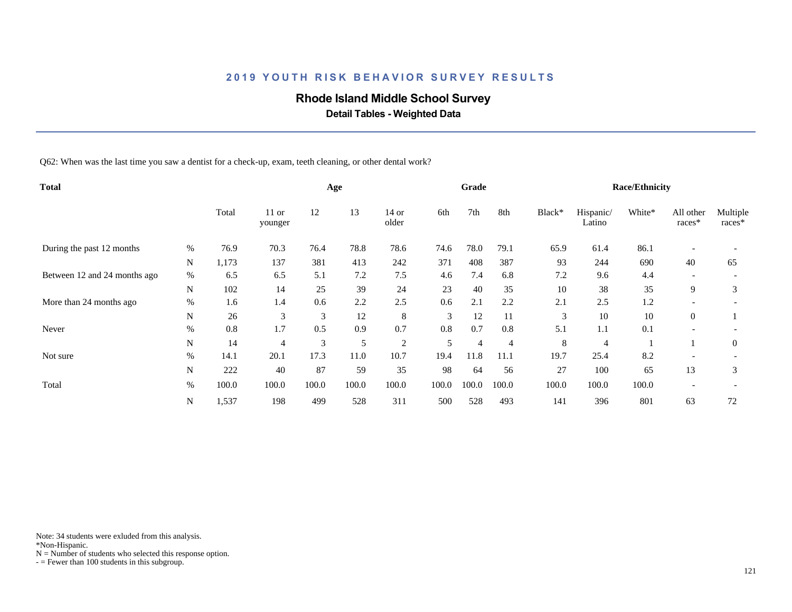## **Rhode Island Middle School Survey**

 **Detail Tables - Weighted Data**

Q62: When was the last time you saw a dentist for a check-up, exam, teeth cleaning, or other dental work?

| <b>Total</b>                 |             |       |                    |       | Age   |                |       | Grade          |                |        |                     | <b>Race/Ethnicity</b> |                          |                    |
|------------------------------|-------------|-------|--------------------|-------|-------|----------------|-------|----------------|----------------|--------|---------------------|-----------------------|--------------------------|--------------------|
|                              |             | Total | $11$ or<br>younger | 12    | 13    | 14 or<br>older | 6th   | 7th            | 8th            | Black* | Hispanic/<br>Latino | White*                | All other<br>races*      | Multiple<br>races* |
| During the past 12 months    | %           | 76.9  | 70.3               | 76.4  | 78.8  | 78.6           | 74.6  | 78.0           | 79.1           | 65.9   | 61.4                | 86.1                  | $\overline{\phantom{0}}$ |                    |
|                              | N           | 1,173 | 137                | 381   | 413   | 242            | 371   | 408            | 387            | 93     | 244                 | 690                   | 40                       | 65                 |
| Between 12 and 24 months ago | $\%$        | 6.5   | 6.5                | 5.1   | 7.2   | 7.5            | 4.6   | 7.4            | 6.8            | 7.2    | 9.6                 | 4.4                   | $\overline{\phantom{a}}$ |                    |
|                              | $\mathbf N$ | 102   | 14                 | 25    | 39    | 24             | 23    | 40             | 35             | 10     | 38                  | 35                    | 9                        | 3                  |
| More than 24 months ago      | $\%$        | 1.6   | 1.4                | 0.6   | 2.2   | 2.5            | 0.6   | 2.1            | 2.2            | 2.1    | 2.5                 | 1.2                   |                          |                    |
|                              | N           | 26    | 3                  | 3     | 12    | 8              | 3     | 12             | 11             | 3      | 10                  | 10                    | $\overline{0}$           |                    |
| Never                        | $\%$        | 0.8   | 1.7                | 0.5   | 0.9   | 0.7            | 0.8   | 0.7            | 0.8            | 5.1    | 1.1                 | 0.1                   |                          |                    |
|                              | N           | 14    | $\overline{4}$     | 3     | 5     | $\overline{2}$ | 5     | $\overline{4}$ | $\overline{4}$ | 8      | $\overline{4}$      |                       |                          | $\theta$           |
| Not sure                     | %           | 14.1  | 20.1               | 17.3  | 11.0  | 10.7           | 19.4  | 11.8           | 11.1           | 19.7   | 25.4                | 8.2                   |                          |                    |
|                              | N           | 222   | 40                 | 87    | 59    | 35             | 98    | 64             | 56             | 27     | 100                 | 65                    | 13                       | 3                  |
| Total                        | $\%$        | 100.0 | 100.0              | 100.0 | 100.0 | 100.0          | 100.0 | 100.0          | 100.0          | 100.0  | 100.0               | 100.0                 |                          |                    |
|                              | N           | 1,537 | 198                | 499   | 528   | 311            | 500   | 528            | 493            | 141    | 396                 | 801                   | 63                       | 72                 |

Note: 34 students were exluded from this analysis.

\*Non-Hispanic.

 $N =$  Number of students who selected this response option.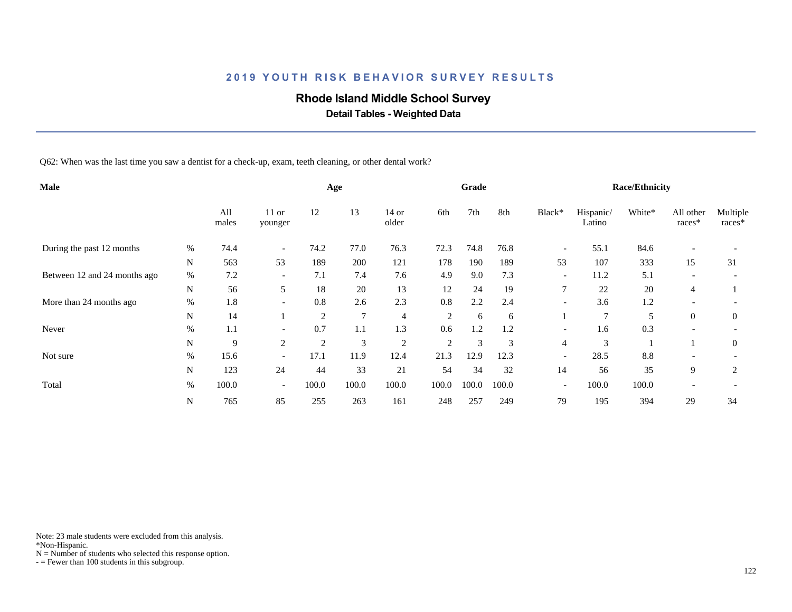## **Rhode Island Middle School Survey**

 **Detail Tables - Weighted Data**

Q62: When was the last time you saw a dentist for a check-up, exam, teeth cleaning, or other dental work?

| Male                         |      |              |                          |       | Age            |                  |                | Grade |       |                          |                     | <b>Race/Ethnicity</b> |                          |                    |
|------------------------------|------|--------------|--------------------------|-------|----------------|------------------|----------------|-------|-------|--------------------------|---------------------|-----------------------|--------------------------|--------------------|
|                              |      | All<br>males | $11$ or<br>younger       | 12    | 13             | $14$ or<br>older | 6th            | 7th   | 8th   | Black*                   | Hispanic/<br>Latino | White*                | All other<br>races*      | Multiple<br>races* |
| During the past 12 months    | %    | 74.4         | $\overline{\phantom{a}}$ | 74.2  | 77.0           | 76.3             | 72.3           | 74.8  | 76.8  | $\overline{\phantom{a}}$ | 55.1                | 84.6                  |                          |                    |
|                              | N    | 563          | 53                       | 189   | 200            | 121              | 178            | 190   | 189   | 53                       | 107                 | 333                   | 15                       | 31                 |
| Between 12 and 24 months ago | $\%$ | 7.2          | $\overline{\phantom{a}}$ | 7.1   | 7.4            | 7.6              | 4.9            | 9.0   | 7.3   | $\overline{\phantom{a}}$ | 11.2                | 5.1                   | $\overline{\phantom{a}}$ |                    |
|                              | N    | 56           | 5                        | 18    | 20             | 13               | 12             | 24    | 19    | 7                        | 22                  | 20                    | 4                        |                    |
| More than 24 months ago      | $\%$ | 1.8          | $\overline{\phantom{a}}$ | 0.8   | 2.6            | 2.3              | 0.8            | 2.2   | 2.4   | $\overline{\phantom{a}}$ | 3.6                 | 1.2                   |                          |                    |
|                              | N    | 14           |                          | 2     | $\overline{7}$ | 4                | $\overline{2}$ | 6     | 6     |                          | 7                   | 5                     | $\overline{0}$           | $\theta$           |
| Never                        | $\%$ | 1.1          | $\overline{\phantom{0}}$ | 0.7   | 1.1            | 1.3              | 0.6            | 1.2   | 1.2   | $\overline{\phantom{a}}$ | 1.6                 | 0.3                   |                          |                    |
|                              | N    | 9            | $\overline{2}$           | 2     | 3              | $\overline{2}$   | $\overline{c}$ | 3     | 3     | $\overline{4}$           | 3                   |                       |                          | $\theta$           |
| Not sure                     | $\%$ | 15.6         | $\overline{a}$           | 17.1  | 11.9           | 12.4             | 21.3           | 12.9  | 12.3  | $\overline{\phantom{a}}$ | 28.5                | 8.8                   |                          |                    |
|                              | N    | 123          | 24                       | 44    | 33             | 21               | 54             | 34    | 32    | 14                       | 56                  | 35                    | 9                        | 2                  |
| Total                        | $\%$ | 100.0        | $\overline{\phantom{a}}$ | 100.0 | 100.0          | 100.0            | 100.0          | 100.0 | 100.0 | $\overline{\phantom{a}}$ | 100.0               | 100.0                 |                          |                    |
|                              | N    | 765          | 85                       | 255   | 263            | 161              | 248            | 257   | 249   | 79                       | 195                 | 394                   | 29                       | 34                 |

Note: 23 male students were excluded from this analysis.

\*Non-Hispanic.

 $N =$  Number of students who selected this response option.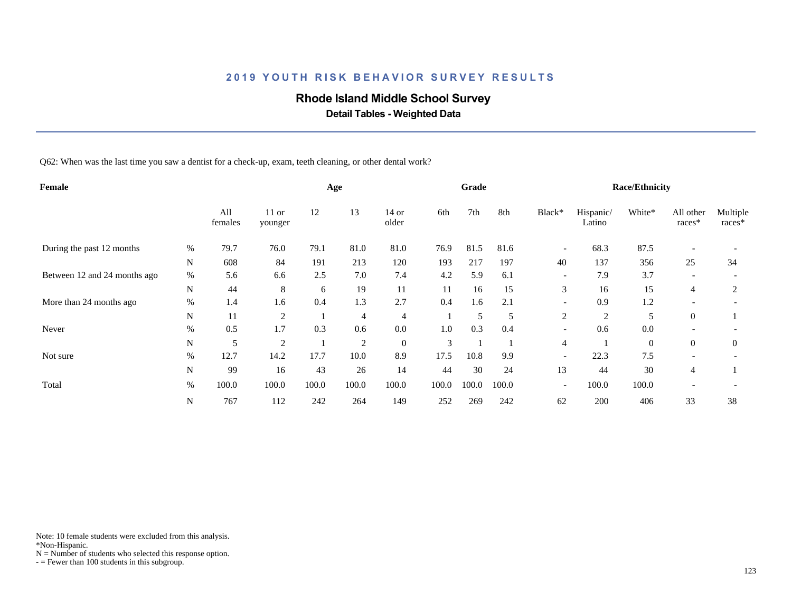## **Rhode Island Middle School Survey**

 **Detail Tables - Weighted Data**

Q62: When was the last time you saw a dentist for a check-up, exam, teeth cleaning, or other dental work?

| Female                       |             |                |                    |       | Age            |                  |       | Grade |       |                          |                     | <b>Race/Ethnicity</b> |                          |                    |
|------------------------------|-------------|----------------|--------------------|-------|----------------|------------------|-------|-------|-------|--------------------------|---------------------|-----------------------|--------------------------|--------------------|
|                              |             | All<br>females | $11$ or<br>younger | 12    | 13             | 14 or<br>older   | 6th   | 7th   | 8th   | Black*                   | Hispanic/<br>Latino | White*                | All other<br>races*      | Multiple<br>races* |
| During the past 12 months    | %           | 79.7           | 76.0               | 79.1  | 81.0           | 81.0             | 76.9  | 81.5  | 81.6  | $\overline{\phantom{a}}$ | 68.3                | 87.5                  | $\overline{\phantom{a}}$ |                    |
|                              | N           | 608            | 84                 | 191   | 213            | 120              | 193   | 217   | 197   | 40                       | 137                 | 356                   | 25                       | 34                 |
| Between 12 and 24 months ago | $\%$        | 5.6            | 6.6                | 2.5   | 7.0            | 7.4              | 4.2   | 5.9   | 6.1   | $\overline{\phantom{a}}$ | 7.9                 | 3.7                   | $\overline{\phantom{a}}$ |                    |
|                              | $\mathbf N$ | 44             | 8                  | 6     | 19             | 11               | 11    | 16    | 15    | 3                        | 16                  | 15                    | 4                        | 2                  |
| More than 24 months ago      | $\%$        | 1.4            | 1.6                | 0.4   | 1.3            | 2.7              | 0.4   | 1.6   | 2.1   | $\overline{\phantom{a}}$ | 0.9                 | 1.2                   |                          |                    |
|                              | N           | 11             | $\overline{2}$     |       | 4              | $\overline{4}$   |       | 5     | 5     | 2                        | $\overline{c}$      | 5                     | $\overline{0}$           |                    |
| Never                        | $\%$        | 0.5            | 1.7                | 0.3   | 0.6            | 0.0              | 1.0   | 0.3   | 0.4   | $\overline{\phantom{a}}$ | 0.6                 | 0.0                   |                          |                    |
|                              | $\mathbf N$ | 5              | $\overline{2}$     |       | $\overline{2}$ | $\boldsymbol{0}$ | 3     |       |       | 4                        |                     | $\theta$              | $\overline{0}$           | $\theta$           |
| Not sure                     | %           | 12.7           | 14.2               | 17.7  | 10.0           | 8.9              | 17.5  | 10.8  | 9.9   | $\overline{\phantom{a}}$ | 22.3                | 7.5                   |                          |                    |
|                              | N           | 99             | 16                 | 43    | 26             | 14               | 44    | 30    | 24    | 13                       | 44                  | 30                    | 4                        |                    |
| Total                        | $\%$        | 100.0          | 100.0              | 100.0 | 100.0          | 100.0            | 100.0 | 100.0 | 100.0 | $\overline{\phantom{a}}$ | 100.0               | 100.0                 |                          |                    |
|                              | N           | 767            | 112                | 242   | 264            | 149              | 252   | 269   | 242   | 62                       | 200                 | 406                   | 33                       | 38                 |

Note: 10 female students were excluded from this analysis.

\*Non-Hispanic.

 $N =$  Number of students who selected this response option.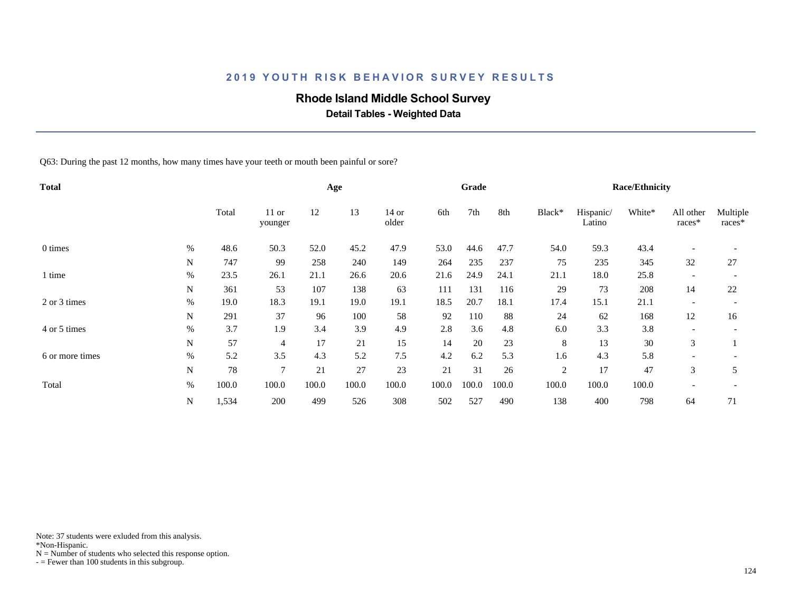## **Rhode Island Middle School Survey**

 **Detail Tables - Weighted Data**

Q63: During the past 12 months, how many times have your teeth or mouth been painful or sore?

| <b>Total</b>    |      |       |                    |       | Age   |                  |       | Grade |       |        |                     | <b>Race/Ethnicity</b> |                          |                    |
|-----------------|------|-------|--------------------|-------|-------|------------------|-------|-------|-------|--------|---------------------|-----------------------|--------------------------|--------------------|
|                 |      | Total | $11$ or<br>younger | 12    | 13    | $14$ or<br>older | 6th   | 7th   | 8th   | Black* | Hispanic/<br>Latino | White*                | All other<br>races*      | Multiple<br>races* |
| 0 times         | %    | 48.6  | 50.3               | 52.0  | 45.2  | 47.9             | 53.0  | 44.6  | 47.7  | 54.0   | 59.3                | 43.4                  | $\overline{\phantom{a}}$ |                    |
|                 | N    | 747   | 99                 | 258   | 240   | 149              | 264   | 235   | 237   | 75     | 235                 | 345                   | 32                       | 27                 |
| 1 time          | $\%$ | 23.5  | 26.1               | 21.1  | 26.6  | 20.6             | 21.6  | 24.9  | 24.1  | 21.1   | 18.0                | 25.8                  | $\overline{\phantom{a}}$ |                    |
|                 | N    | 361   | 53                 | 107   | 138   | 63               | 111   | 131   | 116   | 29     | 73                  | 208                   | 14                       | 22                 |
| 2 or 3 times    | $\%$ | 19.0  | 18.3               | 19.1  | 19.0  | 19.1             | 18.5  | 20.7  | 18.1  | 17.4   | 15.1                | 21.1                  | $\overline{\phantom{a}}$ |                    |
|                 | N    | 291   | 37                 | 96    | 100   | 58               | 92    | 110   | 88    | 24     | 62                  | 168                   | 12                       | 16                 |
| 4 or 5 times    | %    | 3.7   | 1.9                | 3.4   | 3.9   | 4.9              | 2.8   | 3.6   | 4.8   | 6.0    | 3.3                 | 3.8                   |                          |                    |
|                 | N    | 57    | 4                  | 17    | 21    | 15               | 14    | 20    | 23    | 8      | 13                  | 30                    | 3                        |                    |
| 6 or more times | %    | 5.2   | 3.5                | 4.3   | 5.2   | 7.5              | 4.2   | 6.2   | 5.3   | 1.6    | 4.3                 | 5.8                   |                          |                    |
|                 | N    | 78    | 7                  | 21    | 27    | 23               | 21    | 31    | 26    | 2      | 17                  | 47                    | 3                        | 5                  |
| Total           | %    | 100.0 | 100.0              | 100.0 | 100.0 | 100.0            | 100.0 | 100.0 | 100.0 | 100.0  | 100.0               | 100.0                 | $\overline{\phantom{a}}$ |                    |
|                 | N    | 1,534 | 200                | 499   | 526   | 308              | 502   | 527   | 490   | 138    | 400                 | 798                   | 64                       | 71                 |

Note: 37 students were exluded from this analysis.

\*Non-Hispanic.

 $N =$  Number of students who selected this response option.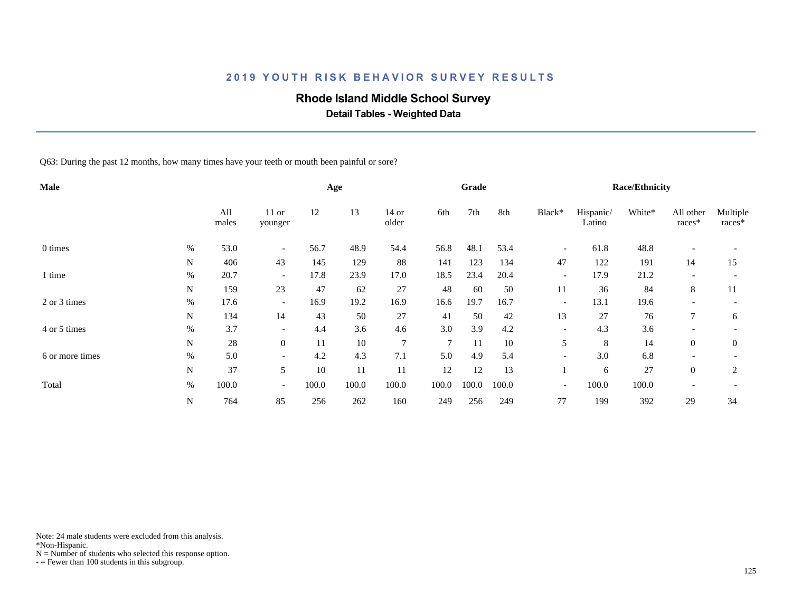## **Rhode Island Middle School Survey**

 **Detail Tables - Weighted Data**

Q63: During the past 12 months, how many times have your teeth or mouth been painful or sore?

| Male            |      |              |                          |       | Age    |                  |                | Grade |       |                          |                     | <b>Race/Ethnicity</b> |                     |                    |
|-----------------|------|--------------|--------------------------|-------|--------|------------------|----------------|-------|-------|--------------------------|---------------------|-----------------------|---------------------|--------------------|
|                 |      | All<br>males | $11$ or<br>younger       | 12    | 13     | $14$ or<br>older | 6th            | 7th   | 8th   | Black*                   | Hispanic/<br>Latino | White*                | All other<br>races* | Multiple<br>races* |
| 0 times         | %    | 53.0         | $\overline{\phantom{a}}$ | 56.7  | 48.9   | 54.4             | 56.8           | 48.1  | 53.4  | $\overline{\phantom{a}}$ | 61.8                | 48.8                  |                     |                    |
|                 | N    | 406          | 43                       | 145   | 129    | 88               | 141            | 123   | 134   | 47                       | 122                 | 191                   | 14                  | 15                 |
| 1 time          | %    | 20.7         | $\overline{\phantom{a}}$ | 17.8  | 23.9   | 17.0             | 18.5           | 23.4  | 20.4  | $\overline{\phantom{a}}$ | 17.9                | 21.2                  |                     |                    |
|                 | N    | 159          | 23                       | 47    | 62     | 27               | 48             | 60    | 50    | 11                       | 36                  | 84                    | 8                   | 11                 |
| 2 or 3 times    | $\%$ | 17.6         | $\overline{\phantom{a}}$ | 16.9  | 19.2   | 16.9             | 16.6           | 19.7  | 16.7  | $\overline{\phantom{a}}$ | 13.1                | 19.6                  |                     |                    |
|                 | N    | 134          | 14                       | 43    | 50     | 27               | 41             | 50    | 42    | 13                       | 27                  | 76                    | 7                   | 6                  |
| 4 or 5 times    | $\%$ | 3.7          | $\overline{\phantom{a}}$ | 4.4   | 3.6    | 4.6              | 3.0            | 3.9   | 4.2   | $\overline{\phantom{a}}$ | 4.3                 | 3.6                   |                     |                    |
|                 | N    | $28\,$       | $\overline{0}$           | 11    | $10\,$ | 7                | $\overline{7}$ | 11    | 10    | 5                        | 8                   | 14                    | $\overline{0}$      | $\overline{0}$     |
| 6 or more times | %    | 5.0          | $\overline{\phantom{a}}$ | 4.2   | 4.3    | 7.1              | 5.0            | 4.9   | 5.4   | $\overline{a}$           | 3.0                 | 6.8                   |                     |                    |
|                 | N    | 37           | 5                        | 10    | 11     | 11               | 12             | 12    | 13    |                          | 6                   | 27                    | $\theta$            | 2                  |
| Total           | %    | 100.0        | $\overline{\phantom{a}}$ | 100.0 | 100.0  | 100.0            | 100.0          | 100.0 | 100.0 | $\overline{\phantom{a}}$ | 100.0               | 100.0                 |                     |                    |
|                 | N    | 764          | 85                       | 256   | 262    | 160              | 249            | 256   | 249   | 77                       | 199                 | 392                   | 29                  | 34                 |

Note: 24 male students were excluded from this analysis.

\*Non-Hispanic.

 $N =$  Number of students who selected this response option.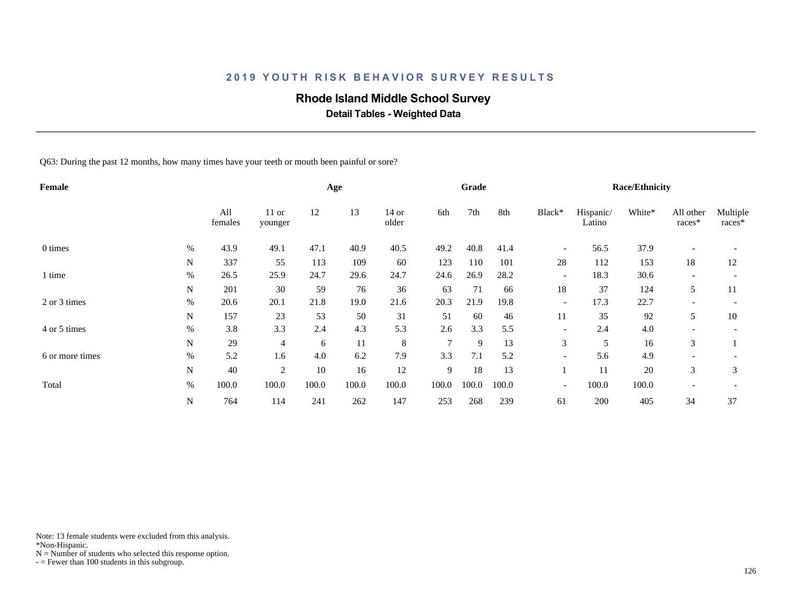## **Rhode Island Middle School Survey**

 **Detail Tables - Weighted Data**

Q63: During the past 12 months, how many times have your teeth or mouth been painful or sore?

| Female          |      |                |                    |       | Age   |                  |               | Grade |       |                          |                     | <b>Race/Ethnicity</b> |                          |                    |
|-----------------|------|----------------|--------------------|-------|-------|------------------|---------------|-------|-------|--------------------------|---------------------|-----------------------|--------------------------|--------------------|
|                 |      | All<br>females | $11$ or<br>younger | 12    | 13    | $14$ or<br>older | 6th           | 7th   | 8th   | Black*                   | Hispanic/<br>Latino | White*                | All other<br>races*      | Multiple<br>races* |
| 0 times         | %    | 43.9           | 49.1               | 47.1  | 40.9  | 40.5             | 49.2          | 40.8  | 41.4  | $\overline{\phantom{a}}$ | 56.5                | 37.9                  | $\overline{\phantom{a}}$ |                    |
|                 | N    | 337            | 55                 | 113   | 109   | 60               | 123           | 110   | 101   | 28                       | 112                 | 153                   | 18                       | 12                 |
| 1 time          | $\%$ | 26.5           | 25.9               | 24.7  | 29.6  | 24.7             | 24.6          | 26.9  | 28.2  | $\overline{\phantom{a}}$ | 18.3                | 30.6                  | $\overline{\phantom{a}}$ |                    |
|                 | N    | 201            | 30                 | 59    | 76    | 36               | 63            | 71    | 66    | 18                       | 37                  | 124                   | 5                        | 11                 |
| 2 or 3 times    | %    | 20.6           | 20.1               | 21.8  | 19.0  | 21.6             | 20.3          | 21.9  | 19.8  | $\overline{\phantom{a}}$ | 17.3                | 22.7                  |                          |                    |
|                 | N    | 157            | 23                 | 53    | 50    | 31               | 51            | 60    | 46    | 11                       | 35                  | 92                    | 5                        | 10                 |
| 4 or 5 times    | %    | 3.8            | 3.3                | 2.4   | 4.3   | 5.3              | 2.6           | 3.3   | 5.5   | $\overline{\phantom{a}}$ | 2.4                 | 4.0                   |                          |                    |
|                 | N    | 29             | 4                  | 6     | 11    | 8                | $\mathcal{I}$ | 9     | 13    | 3                        | 5                   | 16                    | 3                        |                    |
| 6 or more times | %    | 5.2            | 1.6                | 4.0   | 6.2   | 7.9              | 3.3           | 7.1   | 5.2   | $\overline{\phantom{a}}$ | 5.6                 | 4.9                   |                          |                    |
|                 | N    | 40             | 2                  | 10    | 16    | 12               | 9             | 18    | 13    |                          | 11                  | 20                    | 3                        | 3                  |
| Total           | %    | 100.0          | 100.0              | 100.0 | 100.0 | 100.0            | 100.0         | 100.0 | 100.0 | $\overline{\phantom{a}}$ | 100.0               | 100.0                 |                          |                    |
|                 | N    | 764            | 114                | 241   | 262   | 147              | 253           | 268   | 239   | 61                       | 200                 | 405                   | 34                       | 37                 |

Note: 13 female students were excluded from this analysis.

\*Non-Hispanic.

 $N =$  Number of students who selected this response option.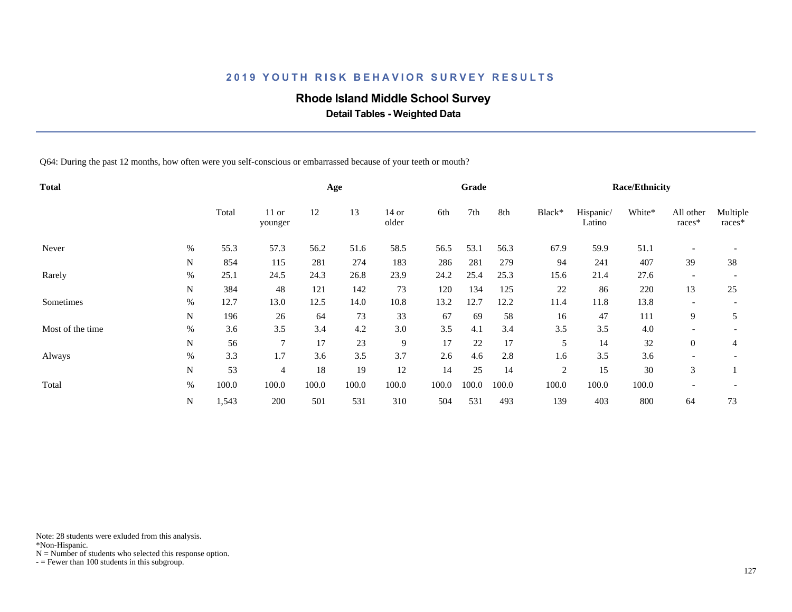## **Rhode Island Middle School Survey**

 **Detail Tables - Weighted Data**

Q64: During the past 12 months, how often were you self-conscious or embarrassed because of your teeth or mouth?

| <b>Total</b>     |      |       |                    |       | Age   |                  |       | Grade |       |                |                     | <b>Race/Ethnicity</b> |                          |                    |
|------------------|------|-------|--------------------|-------|-------|------------------|-------|-------|-------|----------------|---------------------|-----------------------|--------------------------|--------------------|
|                  |      | Total | $11$ or<br>younger | 12    | 13    | $14$ or<br>older | 6th   | 7th   | 8th   | Black*         | Hispanic/<br>Latino | White*                | All other<br>races*      | Multiple<br>races* |
| Never            | $\%$ | 55.3  | 57.3               | 56.2  | 51.6  | 58.5             | 56.5  | 53.1  | 56.3  | 67.9           | 59.9                | 51.1                  | $\overline{\phantom{a}}$ |                    |
|                  | N    | 854   | 115                | 281   | 274   | 183              | 286   | 281   | 279   | 94             | 241                 | 407                   | 39                       | 38                 |
| Rarely           | $\%$ | 25.1  | 24.5               | 24.3  | 26.8  | 23.9             | 24.2  | 25.4  | 25.3  | 15.6           | 21.4                | 27.6                  | $\overline{\phantom{a}}$ |                    |
|                  | N    | 384   | 48                 | 121   | 142   | 73               | 120   | 134   | 125   | 22             | 86                  | 220                   | 13                       | 25                 |
| Sometimes        | $\%$ | 12.7  | 13.0               | 12.5  | 14.0  | 10.8             | 13.2  | 12.7  | 12.2  | 11.4           | 11.8                | 13.8                  | $\overline{\phantom{a}}$ |                    |
|                  | N    | 196   | 26                 | 64    | 73    | 33               | 67    | 69    | 58    | 16             | 47                  | 111                   | 9                        | 5                  |
| Most of the time | $\%$ | 3.6   | 3.5                | 3.4   | 4.2   | 3.0              | 3.5   | 4.1   | 3.4   | 3.5            | 3.5                 | 4.0                   | $\overline{\phantom{a}}$ |                    |
|                  | N    | 56    | $\overline{7}$     | 17    | 23    | 9                | 17    | 22    | 17    | 5              | 14                  | 32                    | $\overline{0}$           | 4                  |
| Always           | $\%$ | 3.3   | 1.7                | 3.6   | 3.5   | 3.7              | 2.6   | 4.6   | 2.8   | 1.6            | 3.5                 | 3.6                   |                          |                    |
|                  | N    | 53    | $\overline{4}$     | 18    | 19    | 12               | 14    | 25    | 14    | $\overline{2}$ | 15                  | 30                    | 3                        |                    |
| Total            | %    | 100.0 | 100.0              | 100.0 | 100.0 | 100.0            | 100.0 | 100.0 | 100.0 | 100.0          | 100.0               | 100.0                 | $\overline{\phantom{a}}$ |                    |
|                  | N    | 1,543 | 200                | 501   | 531   | 310              | 504   | 531   | 493   | 139            | 403                 | 800                   | 64                       | 73                 |

Note: 28 students were exluded from this analysis.

\*Non-Hispanic.

 $N =$  Number of students who selected this response option.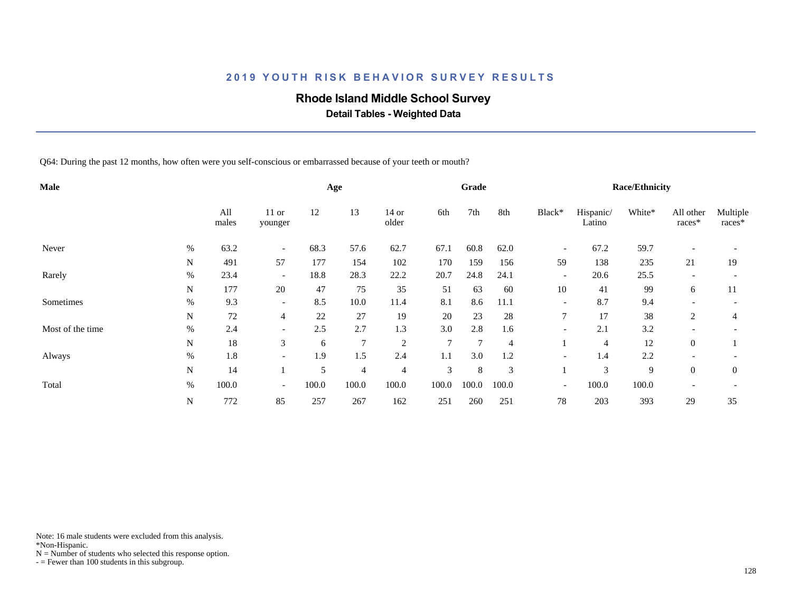## **Rhode Island Middle School Survey**

 **Detail Tables - Weighted Data**

Q64: During the past 12 months, how often were you self-conscious or embarrassed because of your teeth or mouth?

| Male             |      |              |                          |       | Age            |                  |                | Grade          |                |                          |                     | <b>Race/Ethnicity</b> |                          |                    |
|------------------|------|--------------|--------------------------|-------|----------------|------------------|----------------|----------------|----------------|--------------------------|---------------------|-----------------------|--------------------------|--------------------|
|                  |      | All<br>males | $11$ or<br>younger       | 12    | 13             | $14$ or<br>older | 6th            | 7th            | 8th            | Black*                   | Hispanic/<br>Latino | White*                | All other<br>races*      | Multiple<br>races* |
| Never            | $\%$ | 63.2         | $\overline{\phantom{a}}$ | 68.3  | 57.6           | 62.7             | 67.1           | 60.8           | 62.0           | $\overline{\phantom{a}}$ | 67.2                | 59.7                  | $\overline{\phantom{a}}$ |                    |
|                  | N    | 491          | 57                       | 177   | 154            | 102              | 170            | 159            | 156            | 59                       | 138                 | 235                   | 21                       | 19                 |
| Rarely           | $\%$ | 23.4         | $\overline{\phantom{0}}$ | 18.8  | 28.3           | 22.2             | 20.7           | 24.8           | 24.1           | $\overline{\phantom{a}}$ | 20.6                | 25.5                  | $\overline{\phantom{a}}$ |                    |
|                  | N    | 177          | 20                       | 47    | 75             | 35               | 51             | 63             | 60             | 10                       | 41                  | 99                    | 6                        | 11                 |
| Sometimes        | $\%$ | 9.3          | $\overline{\phantom{0}}$ | 8.5   | 10.0           | 11.4             | 8.1            | 8.6            | 11.1           | $\overline{\phantom{a}}$ | 8.7                 | 9.4                   | $\overline{\phantom{a}}$ |                    |
|                  | N    | $72\,$       | $\overline{4}$           | 22    | 27             | 19               | 20             | 23             | 28             | 7                        | 17                  | 38                    | $\overline{c}$           | 4                  |
| Most of the time | $\%$ | 2.4          | $\overline{\phantom{0}}$ | 2.5   | 2.7            | 1.3              | 3.0            | 2.8            | 1.6            | $\overline{\phantom{a}}$ | 2.1                 | 3.2                   |                          |                    |
|                  | N    | 18           | 3                        | 6     | $\overline{7}$ | $\sqrt{2}$       | $\overline{7}$ | $\overline{7}$ | $\overline{4}$ |                          | $\overline{4}$      | 12                    | $\overline{0}$           |                    |
| Always           | $\%$ | 1.8          | $\overline{\phantom{a}}$ | 1.9   | 1.5            | 2.4              | 1.1            | 3.0            | 1.2            | $\overline{\phantom{a}}$ | 1.4                 | 2.2                   |                          |                    |
|                  | N    | 14           |                          | 5     | $\overline{4}$ | $\overline{4}$   | 3              | 8              | 3              |                          | 3                   | 9                     | $\overline{0}$           | $\theta$           |
| Total            | %    | 100.0        | $\overline{\phantom{a}}$ | 100.0 | 100.0          | 100.0            | 100.0          | 100.0          | 100.0          | $\overline{\phantom{a}}$ | 100.0               | 100.0                 | $\overline{\phantom{a}}$ |                    |
|                  | N    | 772          | 85                       | 257   | 267            | 162              | 251            | 260            | 251            | 78                       | 203                 | 393                   | 29                       | 35                 |

Note: 16 male students were excluded from this analysis.

\*Non-Hispanic.

 $N =$  Number of students who selected this response option.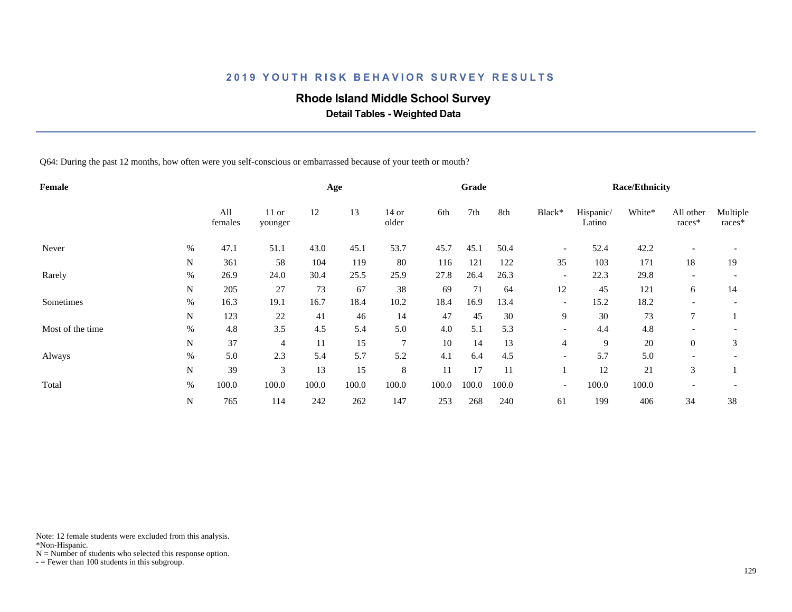## **Rhode Island Middle School Survey**

 **Detail Tables - Weighted Data**

Q64: During the past 12 months, how often were you self-conscious or embarrassed because of your teeth or mouth?

| Female           |             |                |                    |       | Age   |                |       | Grade |       |                          |                     | <b>Race/Ethnicity</b> |                          |                    |
|------------------|-------------|----------------|--------------------|-------|-------|----------------|-------|-------|-------|--------------------------|---------------------|-----------------------|--------------------------|--------------------|
|                  |             | All<br>females | $11$ or<br>younger | 12    | 13    | 14 or<br>older | 6th   | 7th   | 8th   | Black*                   | Hispanic/<br>Latino | White*                | All other<br>races*      | Multiple<br>races* |
| Never            | %           | 47.1           | 51.1               | 43.0  | 45.1  | 53.7           | 45.7  | 45.1  | 50.4  | $\overline{\phantom{a}}$ | 52.4                | 42.2                  | $\overline{\phantom{a}}$ |                    |
|                  | N           | 361            | 58                 | 104   | 119   | 80             | 116   | 121   | 122   | 35                       | 103                 | 171                   | 18                       | 19                 |
| Rarely           | $\%$        | 26.9           | 24.0               | 30.4  | 25.5  | 25.9           | 27.8  | 26.4  | 26.3  | $\overline{\phantom{a}}$ | 22.3                | 29.8                  | $\overline{\phantom{a}}$ |                    |
|                  | N           | 205            | 27                 | 73    | 67    | 38             | 69    | 71    | 64    | 12                       | 45                  | 121                   | 6                        | 14                 |
| Sometimes        | %           | 16.3           | 19.1               | 16.7  | 18.4  | 10.2           | 18.4  | 16.9  | 13.4  | $\overline{\phantom{a}}$ | 15.2                | 18.2                  | $\overline{\phantom{a}}$ |                    |
|                  | N           | 123            | 22                 | 41    | 46    | 14             | 47    | 45    | 30    | 9                        | 30                  | 73                    | $\tau$                   |                    |
| Most of the time | %           | 4.8            | 3.5                | 4.5   | 5.4   | 5.0            | 4.0   | 5.1   | 5.3   | $\overline{\phantom{a}}$ | 4.4                 | 4.8                   |                          |                    |
|                  | N           | 37             | $\overline{4}$     | 11    | 15    | $\overline{7}$ | 10    | 14    | 13    | $\overline{4}$           | 9                   | 20                    | $\theta$                 | 3                  |
| Always           | $\%$        | 5.0            | 2.3                | 5.4   | 5.7   | 5.2            | 4.1   | 6.4   | 4.5   | $\overline{\phantom{a}}$ | 5.7                 | 5.0                   |                          |                    |
|                  | N           | 39             | 3                  | 13    | 15    | 8              | 11    | 17    | 11    |                          | 12                  | 21                    | 3                        |                    |
| Total            | %           | 100.0          | 100.0              | 100.0 | 100.0 | 100.0          | 100.0 | 100.0 | 100.0 | $\overline{\phantom{a}}$ | 100.0               | 100.0                 | $\overline{\phantom{a}}$ |                    |
|                  | $\mathbf N$ | 765            | 114                | 242   | 262   | 147            | 253   | 268   | 240   | 61                       | 199                 | 406                   | 34                       | 38                 |

Note: 12 female students were excluded from this analysis.

\*Non-Hispanic.

 $N =$  Number of students who selected this response option.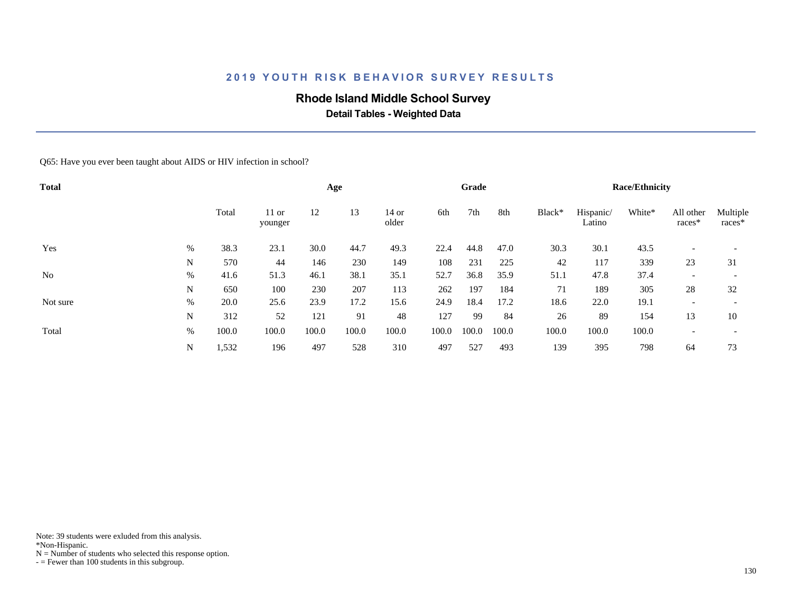### **Rhode Island Middle School Survey**

 **Detail Tables - Weighted Data**

Q65: Have you ever been taught about AIDS or HIV infection in school?

| <b>Total</b>   |      |       |                    |       | Age   |                |       | Grade |       |        |                     | <b>Race/Ethnicity</b> |                          |                          |
|----------------|------|-------|--------------------|-------|-------|----------------|-------|-------|-------|--------|---------------------|-----------------------|--------------------------|--------------------------|
|                |      | Total | $11$ or<br>younger | 12    | 13    | 14 or<br>older | 6th   | 7th   | 8th   | Black* | Hispanic/<br>Latino | White*                | All other<br>races*      | Multiple<br>races*       |
| Yes            | $\%$ | 38.3  | 23.1               | 30.0  | 44.7  | 49.3           | 22.4  | 44.8  | 47.0  | 30.3   | 30.1                | 43.5                  |                          |                          |
|                | N    | 570   | 44                 | 146   | 230   | 149            | 108   | 231   | 225   | 42     | 117                 | 339                   | 23                       | 31                       |
| N <sub>0</sub> | $\%$ | 41.6  | 51.3               | 46.1  | 38.1  | 35.1           | 52.7  | 36.8  | 35.9  | 51.1   | 47.8                | 37.4                  | $\overline{\phantom{a}}$ | $\overline{\phantom{a}}$ |
|                | N    | 650   | 100                | 230   | 207   | 113            | 262   | 197   | 184   | 71     | 189                 | 305                   | 28                       | 32                       |
| Not sure       | $\%$ | 20.0  | 25.6               | 23.9  | 17.2  | 15.6           | 24.9  | 18.4  | 17.2  | 18.6   | 22.0                | 19.1                  | $\overline{\phantom{a}}$ | $\overline{\phantom{a}}$ |
|                | N    | 312   | 52                 | 121   | 91    | 48             | 127   | 99    | 84    | 26     | 89                  | 154                   | 13                       | 10                       |
| Total          | %    | 100.0 | 100.0              | 100.0 | 100.0 | 100.0          | 100.0 | 100.0 | 100.0 | 100.0  | 100.0               | 100.0                 | $\overline{\phantom{a}}$ |                          |
|                | N    | 1,532 | 196                | 497   | 528   | 310            | 497   | 527   | 493   | 139    | 395                 | 798                   | 64                       | 73                       |

Note: 39 students were exluded from this analysis.

\*Non-Hispanic.

 $N =$  Number of students who selected this response option.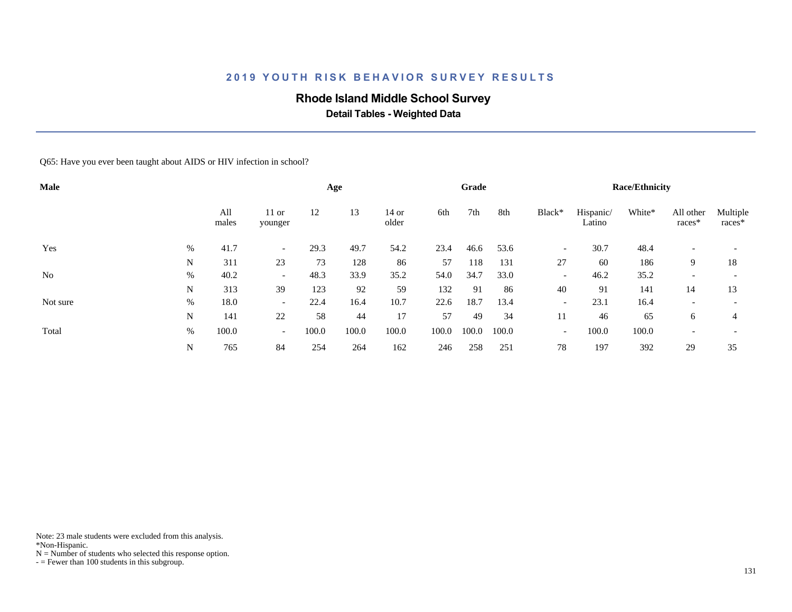### **Rhode Island Middle School Survey**

 **Detail Tables - Weighted Data**

Q65: Have you ever been taught about AIDS or HIV infection in school?

| Male           |      |              |                          |       | Age   |                |       | Grade |       |                          |                     | <b>Race/Ethnicity</b> |                     |                          |
|----------------|------|--------------|--------------------------|-------|-------|----------------|-------|-------|-------|--------------------------|---------------------|-----------------------|---------------------|--------------------------|
|                |      | All<br>males | $11$ or<br>younger       | 12    | 13    | 14 or<br>older | 6th   | 7th   | 8th   | Black*                   | Hispanic/<br>Latino | White*                | All other<br>races* | Multiple<br>races*       |
| Yes            | $\%$ | 41.7         | $\overline{\phantom{0}}$ | 29.3  | 49.7  | 54.2           | 23.4  | 46.6  | 53.6  | $\overline{\phantom{a}}$ | 30.7                | 48.4                  |                     |                          |
|                | N    | 311          | 23                       | 73    | 128   | 86             | 57    | 118   | 131   | 27                       | 60                  | 186                   | 9                   | 18                       |
| N <sub>0</sub> | %    | 40.2         | $\overline{\phantom{0}}$ | 48.3  | 33.9  | 35.2           | 54.0  | 34.7  | 33.0  | $\overline{\phantom{a}}$ | 46.2                | 35.2                  |                     | $\overline{\phantom{0}}$ |
|                | N    | 313          | 39                       | 123   | 92    | 59             | 132   | 91    | 86    | 40                       | 91                  | 141                   | 14                  | 13                       |
| Not sure       | %    | 18.0         | $\overline{\phantom{0}}$ | 22.4  | 16.4  | 10.7           | 22.6  | 18.7  | 13.4  | $\overline{\phantom{a}}$ | 23.1                | 16.4                  |                     |                          |
|                | N    | 141          | 22                       | 58    | 44    | 17             | 57    | 49    | 34    | 11                       | 46                  | 65                    | 6                   | 4                        |
| Total          | $\%$ | 100.0        | $\overline{\phantom{0}}$ | 100.0 | 100.0 | 100.0          | 100.0 | 100.0 | 100.0 | $\overline{\phantom{a}}$ | 100.0               | 100.0                 |                     |                          |
|                | N    | 765          | 84                       | 254   | 264   | 162            | 246   | 258   | 251   | 78                       | 197                 | 392                   | 29                  | 35                       |

Note: 23 male students were excluded from this analysis.

\*Non-Hispanic.

 $N =$  Number of students who selected this response option.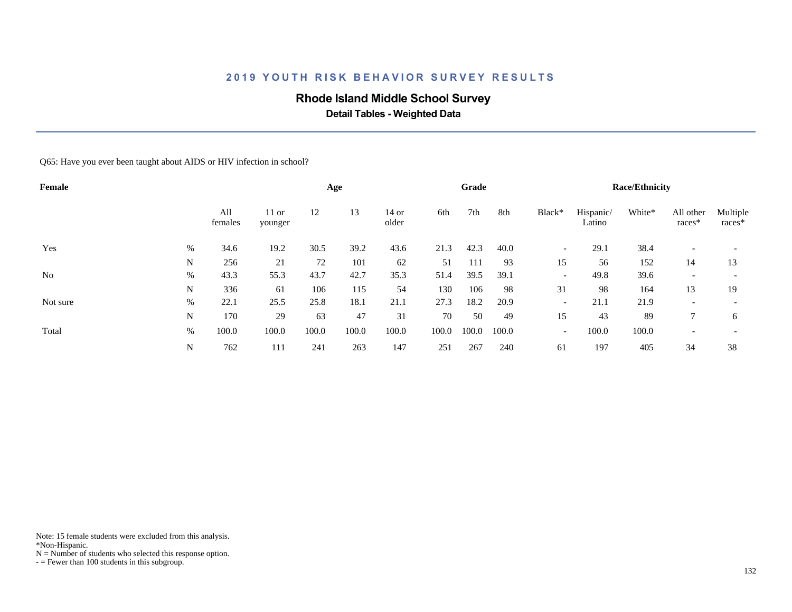### **Rhode Island Middle School Survey**

 **Detail Tables - Weighted Data**

Q65: Have you ever been taught about AIDS or HIV infection in school?

| Female         |      |                |                    |       | Age   |                |       | Grade |       |                          |                     | <b>Race/Ethnicity</b> |                          |                          |
|----------------|------|----------------|--------------------|-------|-------|----------------|-------|-------|-------|--------------------------|---------------------|-----------------------|--------------------------|--------------------------|
|                |      | All<br>females | $11$ or<br>younger | 12    | 13    | 14 or<br>older | 6th   | 7th   | 8th   | Black*                   | Hispanic/<br>Latino | White*                | All other<br>races*      | Multiple<br>races*       |
| Yes            | %    | 34.6           | 19.2               | 30.5  | 39.2  | 43.6           | 21.3  | 42.3  | 40.0  | $\overline{\phantom{a}}$ | 29.1                | 38.4                  |                          |                          |
|                | N    | 256            | 21                 | 72    | 101   | 62             | 51    | 111   | 93    | 15                       | 56                  | 152                   | 14                       | 13                       |
| N <sub>0</sub> | $\%$ | 43.3           | 55.3               | 43.7  | 42.7  | 35.3           | 51.4  | 39.5  | 39.1  | $\overline{\phantom{a}}$ | 49.8                | 39.6                  | $\overline{\phantom{a}}$ | $\overline{\phantom{0}}$ |
|                | N    | 336            | 61                 | 106   | 115   | 54             | 130   | 106   | 98    | 31                       | 98                  | 164                   | 13                       | 19                       |
| Not sure       | $\%$ | 22.1           | 25.5               | 25.8  | 18.1  | 21.1           | 27.3  | 18.2  | 20.9  | $\overline{\phantom{a}}$ | 21.1                | 21.9                  | $\overline{\phantom{a}}$ | $\overline{\phantom{0}}$ |
|                | N    | 170            | 29                 | 63    | 47    | 31             | 70    | 50    | 49    | 15                       | 43                  | 89                    | $\mathcal{I}$            | 6                        |
| Total          | %    | 100.0          | 100.0              | 100.0 | 100.0 | 100.0          | 100.0 | 100.0 | 100.0 | $\overline{\phantom{a}}$ | 100.0               | 100.0                 | $\overline{\phantom{a}}$ | $\overline{\phantom{a}}$ |
|                | N    | 762            | 111                | 241   | 263   | 147            | 251   | 267   | 240   | 61                       | 197                 | 405                   | 34                       | 38                       |

Note: 15 female students were excluded from this analysis.

\*Non-Hispanic.

 $N =$  Number of students who selected this response option.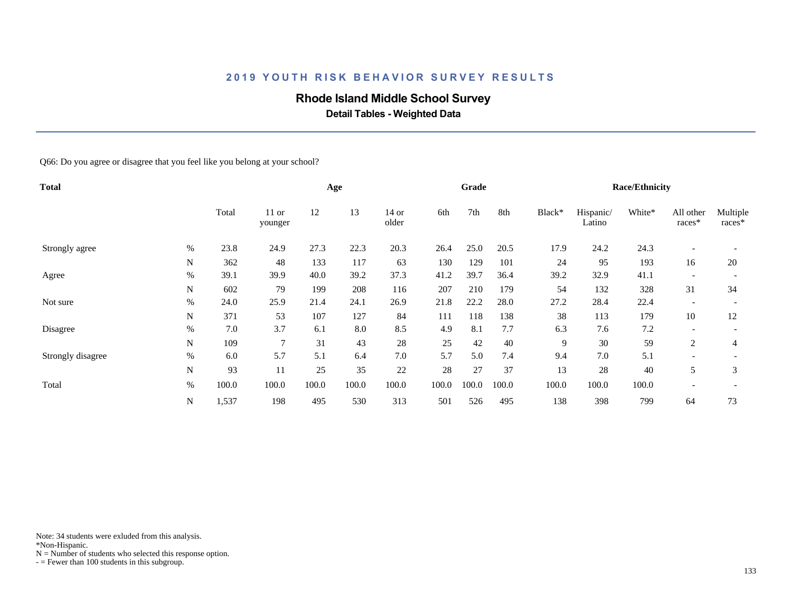### **Rhode Island Middle School Survey**

 **Detail Tables - Weighted Data**

Q66: Do you agree or disagree that you feel like you belong at your school?

| <b>Total</b>      |      |       |                    |       | Age   |                  |       | Grade |       |        | <b>Race/Ethnicity</b> |        |                          |                    |  |  |
|-------------------|------|-------|--------------------|-------|-------|------------------|-------|-------|-------|--------|-----------------------|--------|--------------------------|--------------------|--|--|
|                   |      | Total | $11$ or<br>younger | 12    | 13    | $14$ or<br>older | 6th   | 7th   | 8th   | Black* | Hispanic/<br>Latino   | White* | All other<br>races*      | Multiple<br>races* |  |  |
| Strongly agree    | %    | 23.8  | 24.9               | 27.3  | 22.3  | 20.3             | 26.4  | 25.0  | 20.5  | 17.9   | 24.2                  | 24.3   | $\overline{\phantom{a}}$ |                    |  |  |
|                   | N    | 362   | 48                 | 133   | 117   | 63               | 130   | 129   | 101   | 24     | 95                    | 193    | 16                       | 20                 |  |  |
| Agree             | $\%$ | 39.1  | 39.9               | 40.0  | 39.2  | 37.3             | 41.2  | 39.7  | 36.4  | 39.2   | 32.9                  | 41.1   |                          |                    |  |  |
|                   | N    | 602   | 79                 | 199   | 208   | 116              | 207   | 210   | 179   | 54     | 132                   | 328    | 31                       | 34                 |  |  |
| Not sure          | $\%$ | 24.0  | 25.9               | 21.4  | 24.1  | 26.9             | 21.8  | 22.2  | 28.0  | 27.2   | 28.4                  | 22.4   | $\overline{\phantom{a}}$ |                    |  |  |
|                   | N    | 371   | 53                 | 107   | 127   | 84               | 111   | 118   | 138   | 38     | 113                   | 179    | 10                       | 12                 |  |  |
| Disagree          | $\%$ | 7.0   | 3.7                | 6.1   | 8.0   | 8.5              | 4.9   | 8.1   | 7.7   | 6.3    | 7.6                   | 7.2    | $\overline{\phantom{a}}$ |                    |  |  |
|                   | N    | 109   | 7                  | 31    | 43    | $28\,$           | 25    | 42    | 40    | 9      | 30                    | 59     | 2                        | 4                  |  |  |
| Strongly disagree | %    | 6.0   | 5.7                | 5.1   | 6.4   | 7.0              | 5.7   | 5.0   | 7.4   | 9.4    | 7.0                   | 5.1    | $\overline{\phantom{a}}$ |                    |  |  |
|                   | N    | 93    | 11                 | 25    | 35    | 22               | 28    | 27    | 37    | 13     | 28                    | 40     | 5                        | 3                  |  |  |
| Total             | $\%$ | 100.0 | 100.0              | 100.0 | 100.0 | 100.0            | 100.0 | 100.0 | 100.0 | 100.0  | 100.0                 | 100.0  |                          |                    |  |  |
|                   | N    | 1,537 | 198                | 495   | 530   | 313              | 501   | 526   | 495   | 138    | 398                   | 799    | 64                       | 73                 |  |  |

Note: 34 students were exluded from this analysis.

\*Non-Hispanic.

 $N =$  Number of students who selected this response option.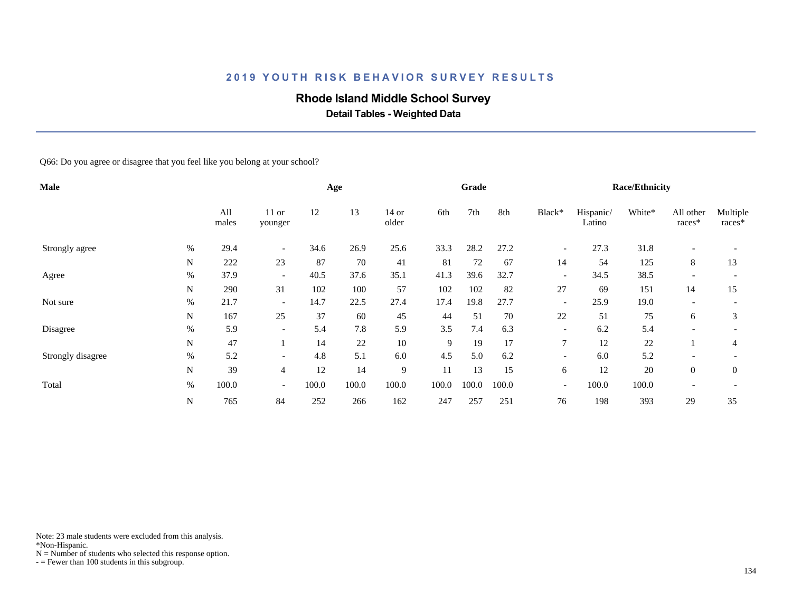### **Rhode Island Middle School Survey**

 **Detail Tables - Weighted Data**

Q66: Do you agree or disagree that you feel like you belong at your school?

| Male              |      |              |                          |       | Age   |                  |       | Grade |       |                          | <b>Race/Ethnicity</b> |        |                          |                    |  |  |
|-------------------|------|--------------|--------------------------|-------|-------|------------------|-------|-------|-------|--------------------------|-----------------------|--------|--------------------------|--------------------|--|--|
|                   |      | All<br>males | $11$ or<br>younger       | 12    | 13    | $14$ or<br>older | 6th   | 7th   | 8th   | Black*                   | Hispanic/<br>Latino   | White* | All other<br>races*      | Multiple<br>races* |  |  |
| Strongly agree    | %    | 29.4         | $\overline{\phantom{a}}$ | 34.6  | 26.9  | 25.6             | 33.3  | 28.2  | 27.2  | $\overline{\phantom{a}}$ | 27.3                  | 31.8   |                          |                    |  |  |
|                   | N    | 222          | 23                       | 87    | 70    | 41               | 81    | 72    | 67    | 14                       | 54                    | 125    | 8                        | 13                 |  |  |
| Agree             | %    | 37.9         | $\overline{\phantom{0}}$ | 40.5  | 37.6  | 35.1             | 41.3  | 39.6  | 32.7  | $\overline{\phantom{a}}$ | 34.5                  | 38.5   |                          |                    |  |  |
|                   | N    | 290          | 31                       | 102   | 100   | 57               | 102   | 102   | 82    | 27                       | 69                    | 151    | 14                       | 15                 |  |  |
| Not sure          | %    | 21.7         | $\overline{\phantom{a}}$ | 14.7  | 22.5  | 27.4             | 17.4  | 19.8  | 27.7  | $\overline{\phantom{a}}$ | 25.9                  | 19.0   | $\overline{\phantom{a}}$ |                    |  |  |
|                   | N    | 167          | 25                       | 37    | 60    | 45               | 44    | 51    | 70    | 22                       | 51                    | 75     | 6                        | 3                  |  |  |
| Disagree          | %    | 5.9          |                          | 5.4   | 7.8   | 5.9              | 3.5   | 7.4   | 6.3   | $\overline{\phantom{a}}$ | 6.2                   | 5.4    |                          |                    |  |  |
|                   | N    | 47           |                          | 14    | 22    | $10\,$           | 9     | 19    | 17    | $\overline{7}$           | 12                    | 22     |                          | 4                  |  |  |
| Strongly disagree | %    | 5.2          | $\overline{\phantom{0}}$ | 4.8   | 5.1   | 6.0              | 4.5   | 5.0   | 6.2   | $\overline{\phantom{a}}$ | 6.0                   | 5.2    |                          |                    |  |  |
|                   | N    | 39           | $\overline{4}$           | 12    | 14    | 9                | 11    | 13    | 15    | 6                        | 12                    | 20     | $\overline{0}$           | $\overline{0}$     |  |  |
| Total             | $\%$ | 100.0        | $\overline{\phantom{a}}$ | 100.0 | 100.0 | 100.0            | 100.0 | 100.0 | 100.0 | $\overline{\phantom{a}}$ | 100.0                 | 100.0  | $\overline{\phantom{a}}$ |                    |  |  |
|                   | N    | 765          | 84                       | 252   | 266   | 162              | 247   | 257   | 251   | 76                       | 198                   | 393    | 29                       | 35                 |  |  |

Note: 23 male students were excluded from this analysis.

\*Non-Hispanic.

 $N =$  Number of students who selected this response option.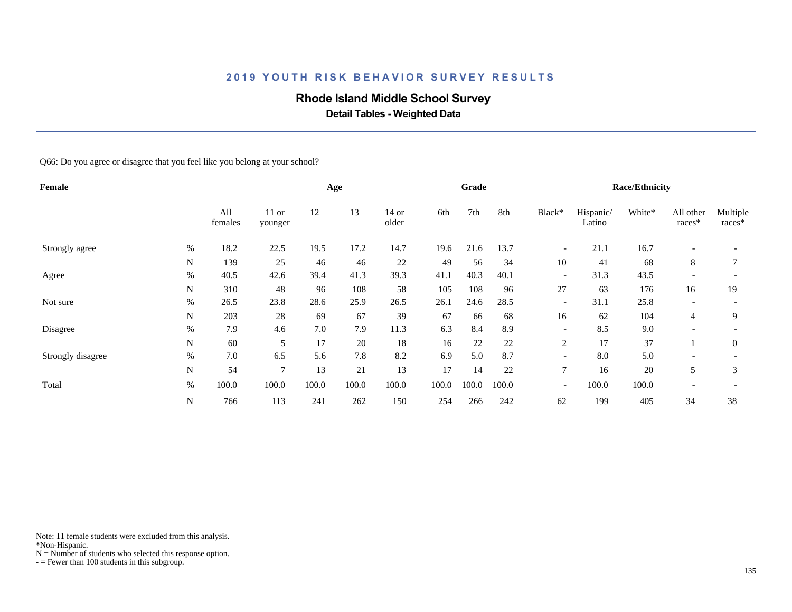### **Rhode Island Middle School Survey**

 **Detail Tables - Weighted Data**

Q66: Do you agree or disagree that you feel like you belong at your school?

| Female            |      |                |                    |       | Age   |                  |       | Grade |       |                          | <b>Race/Ethnicity</b> |        |                          |                    |  |  |
|-------------------|------|----------------|--------------------|-------|-------|------------------|-------|-------|-------|--------------------------|-----------------------|--------|--------------------------|--------------------|--|--|
|                   |      | All<br>females | $11$ or<br>younger | 12    | 13    | $14$ or<br>older | 6th   | 7th   | 8th   | Black*                   | Hispanic/<br>Latino   | White* | All other<br>races*      | Multiple<br>races* |  |  |
| Strongly agree    | %    | 18.2           | 22.5               | 19.5  | 17.2  | 14.7             | 19.6  | 21.6  | 13.7  | $\overline{\phantom{a}}$ | 21.1                  | 16.7   |                          |                    |  |  |
|                   | N    | 139            | 25                 | 46    | 46    | 22               | 49    | 56    | 34    | 10                       | 41                    | 68     | 8                        |                    |  |  |
| Agree             | %    | 40.5           | 42.6               | 39.4  | 41.3  | 39.3             | 41.1  | 40.3  | 40.1  | $\overline{\phantom{a}}$ | 31.3                  | 43.5   |                          |                    |  |  |
|                   | N    | 310            | 48                 | 96    | 108   | 58               | 105   | 108   | 96    | 27                       | 63                    | 176    | 16                       | 19                 |  |  |
| Not sure          | %    | 26.5           | 23.8               | 28.6  | 25.9  | 26.5             | 26.1  | 24.6  | 28.5  | $\overline{\phantom{a}}$ | 31.1                  | 25.8   | $\overline{\phantom{a}}$ |                    |  |  |
|                   | N    | 203            | 28                 | 69    | 67    | 39               | 67    | 66    | 68    | 16                       | 62                    | 104    | $\overline{4}$           | 9                  |  |  |
| Disagree          | $\%$ | 7.9            | 4.6                | 7.0   | 7.9   | 11.3             | 6.3   | 8.4   | 8.9   | $\overline{\phantom{0}}$ | 8.5                   | 9.0    |                          |                    |  |  |
|                   | N    | 60             | 5                  | 17    | 20    | 18               | 16    | 22    | 22    | $\overline{c}$           | 17                    | 37     |                          | $\overline{0}$     |  |  |
| Strongly disagree | %    | 7.0            | 6.5                | 5.6   | 7.8   | 8.2              | 6.9   | 5.0   | 8.7   | $\overline{\phantom{a}}$ | 8.0                   | 5.0    |                          |                    |  |  |
|                   | N    | 54             | 7                  | 13    | 21    | 13               | 17    | 14    | 22    | 7                        | 16                    | 20     | 5                        | 3                  |  |  |
| Total             | $\%$ | 100.0          | 100.0              | 100.0 | 100.0 | 100.0            | 100.0 | 100.0 | 100.0 | $\overline{\phantom{a}}$ | 100.0                 | 100.0  | $\overline{\phantom{a}}$ |                    |  |  |
|                   | N    | 766            | 113                | 241   | 262   | 150              | 254   | 266   | 242   | 62                       | 199                   | 405    | 34                       | 38                 |  |  |

Note: 11 female students were excluded from this analysis.

\*Non-Hispanic.

 $N =$  Number of students who selected this response option.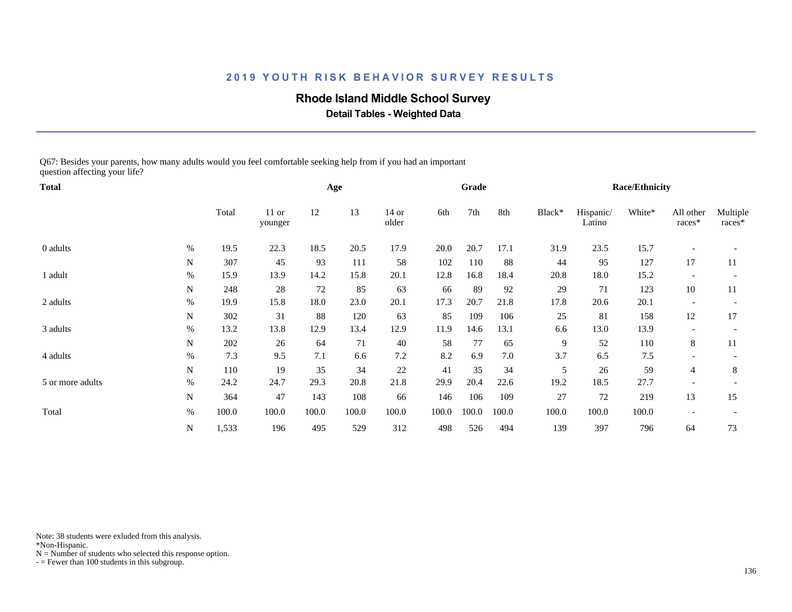#### **Rhode Island Middle School Survey**

 **Detail Tables - Weighted Data**

Q67: Besides your parents, how many adults would you feel comfortable seeking help from if you had an important question affecting your life?

| <b>Total</b>     |           |       |                    |       | Age   |                  |       | Grade |       | Race/Ethnicity |                     |        |                          |                    |  |
|------------------|-----------|-------|--------------------|-------|-------|------------------|-------|-------|-------|----------------|---------------------|--------|--------------------------|--------------------|--|
|                  |           | Total | $11$ or<br>younger | 12    | 13    | $14$ or<br>older | 6th   | 7th   | 8th   | Black*         | Hispanic/<br>Latino | White* | All other<br>races*      | Multiple<br>races* |  |
| 0 adults         | %         | 19.5  | 22.3               | 18.5  | 20.5  | 17.9             | 20.0  | 20.7  | 17.1  | 31.9           | 23.5                | 15.7   |                          |                    |  |
|                  | N         | 307   | 45                 | 93    | 111   | 58               | 102   | 110   | 88    | 44             | 95                  | 127    | 17                       | 11                 |  |
| 1 adult          | %         | 15.9  | 13.9               | 14.2  | 15.8  | 20.1             | 12.8  | 16.8  | 18.4  | 20.8           | 18.0                | 15.2   |                          |                    |  |
|                  | N         | 248   | 28                 | 72    | 85    | 63               | 66    | 89    | 92    | 29             | 71                  | 123    | 10                       | 11                 |  |
| 2 adults         | $\%$      | 19.9  | 15.8               | 18.0  | 23.0  | 20.1             | 17.3  | 20.7  | 21.8  | 17.8           | 20.6                | 20.1   |                          |                    |  |
|                  | N         | 302   | 31                 | 88    | 120   | 63               | 85    | 109   | 106   | 25             | 81                  | 158    | 12                       | 17                 |  |
| 3 adults         | $\%$      | 13.2  | 13.8               | 12.9  | 13.4  | 12.9             | 11.9  | 14.6  | 13.1  | 6.6            | 13.0                | 13.9   |                          |                    |  |
|                  | ${\bf N}$ | 202   | 26                 | 64    | 71    | 40               | 58    | 77    | 65    | 9              | 52                  | 110    | 8                        | 11                 |  |
| 4 adults         | $\%$      | 7.3   | 9.5                | 7.1   | 6.6   | 7.2              | 8.2   | 6.9   | 7.0   | 3.7            | 6.5                 | 7.5    |                          |                    |  |
|                  | N         | 110   | 19                 | 35    | 34    | 22               | 41    | 35    | 34    | 5              | 26                  | 59     | $\overline{4}$           | 8                  |  |
| 5 or more adults | $\%$      | 24.2  | 24.7               | 29.3  | 20.8  | 21.8             | 29.9  | 20.4  | 22.6  | 19.2           | 18.5                | 27.7   |                          |                    |  |
|                  | N         | 364   | 47                 | 143   | 108   | 66               | 146   | 106   | 109   | 27             | 72                  | 219    | 13                       | 15                 |  |
| Total            | $\%$      | 100.0 | 100.0              | 100.0 | 100.0 | 100.0            | 100.0 | 100.0 | 100.0 | 100.0          | 100.0               | 100.0  | $\overline{\phantom{a}}$ |                    |  |
|                  | N         | 1,533 | 196                | 495   | 529   | 312              | 498   | 526   | 494   | 139            | 397                 | 796    | 64                       | 73                 |  |

Note: 38 students were exluded from this analysis.

\*Non-Hispanic.

 $N =$  Number of students who selected this response option.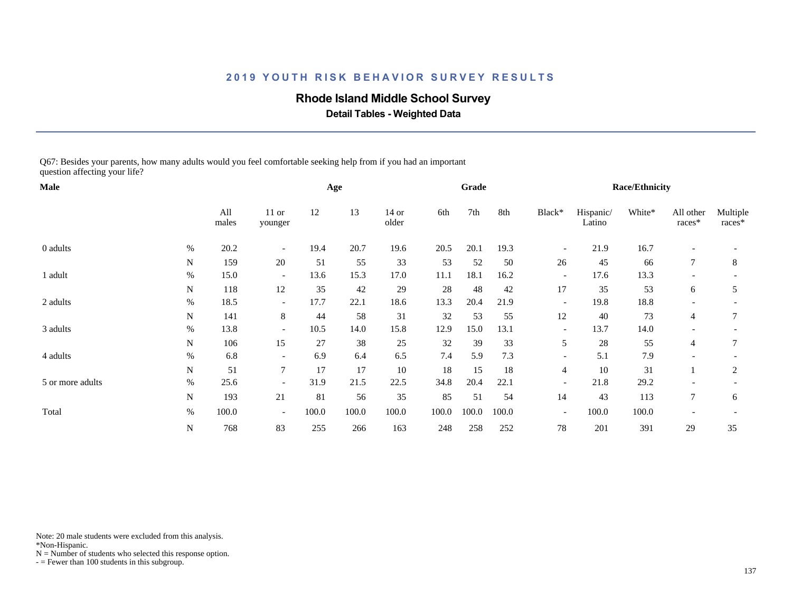#### **Rhode Island Middle School Survey**

 **Detail Tables - Weighted Data**

Q67: Besides your parents, how many adults would you feel comfortable seeking help from if you had an important question affecting your life?

| Male             |      |              |                          |       | Age   |                  |       | Grade |       | <b>Race/Ethnicity</b>    |                     |        |                          |                    |  |
|------------------|------|--------------|--------------------------|-------|-------|------------------|-------|-------|-------|--------------------------|---------------------|--------|--------------------------|--------------------|--|
|                  |      | All<br>males | $11$ or<br>younger       | 12    | 13    | $14$ or<br>older | 6th   | 7th   | 8th   | Black*                   | Hispanic/<br>Latino | White* | All other<br>races*      | Multiple<br>races* |  |
| 0 adults         | $\%$ | 20.2         | $\overline{\phantom{a}}$ | 19.4  | 20.7  | 19.6             | 20.5  | 20.1  | 19.3  | $\qquad \qquad -$        | 21.9                | 16.7   |                          |                    |  |
|                  | N    | 159          | 20                       | 51    | 55    | 33               | 53    | 52    | 50    | 26                       | 45                  | 66     | 7                        | 8                  |  |
| 1 adult          | $\%$ | 15.0         | $\overline{\phantom{0}}$ | 13.6  | 15.3  | 17.0             | 11.1  | 18.1  | 16.2  | $\overline{\phantom{a}}$ | 17.6                | 13.3   |                          |                    |  |
|                  | N    | 118          | 12                       | 35    | 42    | 29               | 28    | 48    | 42    | 17                       | 35                  | 53     | 6                        | 5                  |  |
| 2 adults         | %    | 18.5         | $\overline{\phantom{0}}$ | 17.7  | 22.1  | 18.6             | 13.3  | 20.4  | 21.9  | $\overline{\phantom{a}}$ | 19.8                | 18.8   |                          |                    |  |
|                  | N    | 141          | 8                        | 44    | 58    | 31               | 32    | 53    | 55    | 12                       | 40                  | 73     | 4                        | 7                  |  |
| 3 adults         | $\%$ | 13.8         | $\overline{\phantom{0}}$ | 10.5  | 14.0  | 15.8             | 12.9  | 15.0  | 13.1  | $\overline{\phantom{a}}$ | 13.7                | 14.0   |                          |                    |  |
|                  | N    | 106          | 15                       | 27    | 38    | 25               | 32    | 39    | 33    | 5                        | 28                  | 55     | $\overline{4}$           | 7                  |  |
| 4 adults         | $\%$ | 6.8          | $\overline{\phantom{0}}$ | 6.9   | 6.4   | 6.5              | 7.4   | 5.9   | 7.3   | $\overline{\phantom{a}}$ | 5.1                 | 7.9    |                          |                    |  |
|                  | N    | 51           | $\tau$                   | 17    | 17    | 10               | 18    | 15    | 18    | $\overline{4}$           | 10                  | 31     |                          | 2                  |  |
| 5 or more adults | %    | 25.6         |                          | 31.9  | 21.5  | 22.5             | 34.8  | 20.4  | 22.1  | $\overline{\phantom{a}}$ | 21.8                | 29.2   |                          |                    |  |
|                  | N    | 193          | 21                       | 81    | 56    | 35               | 85    | 51    | 54    | 14                       | 43                  | 113    | $\tau$                   | 6                  |  |
| Total            | $\%$ | 100.0        | $\overline{\phantom{a}}$ | 100.0 | 100.0 | 100.0            | 100.0 | 100.0 | 100.0 | $\overline{\phantom{a}}$ | 100.0               | 100.0  | $\overline{\phantom{a}}$ |                    |  |
|                  | N    | 768          | 83                       | 255   | 266   | 163              | 248   | 258   | 252   | 78                       | 201                 | 391    | 29                       | 35                 |  |

Note: 20 male students were excluded from this analysis.

\*Non-Hispanic.

 $N =$  Number of students who selected this response option.